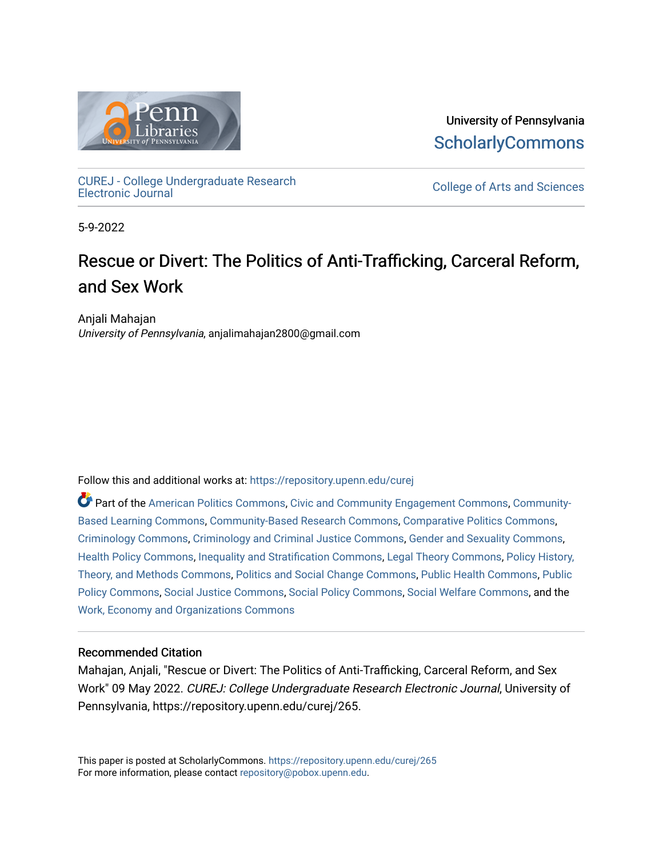

University of Pennsylvania **ScholarlyCommons** 

[CUREJ - College Undergraduate Research](https://repository.upenn.edu/curej) 

College of Arts and Sciences

5-9-2022

# Rescue or Divert: The Politics of Anti-Trafficking, Carceral Reform, and Sex Work

Anjali Mahajan University of Pennsylvania, anjalimahajan2800@gmail.com

Follow this and additional works at: [https://repository.upenn.edu/curej](https://repository.upenn.edu/curej?utm_source=repository.upenn.edu%2Fcurej%2F265&utm_medium=PDF&utm_campaign=PDFCoverPages)

Part of the [American Politics Commons,](https://network.bepress.com/hgg/discipline/387?utm_source=repository.upenn.edu%2Fcurej%2F265&utm_medium=PDF&utm_campaign=PDFCoverPages) [Civic and Community Engagement Commons](https://network.bepress.com/hgg/discipline/1028?utm_source=repository.upenn.edu%2Fcurej%2F265&utm_medium=PDF&utm_campaign=PDFCoverPages), [Community-](https://network.bepress.com/hgg/discipline/1046?utm_source=repository.upenn.edu%2Fcurej%2F265&utm_medium=PDF&utm_campaign=PDFCoverPages)[Based Learning Commons](https://network.bepress.com/hgg/discipline/1046?utm_source=repository.upenn.edu%2Fcurej%2F265&utm_medium=PDF&utm_campaign=PDFCoverPages), [Community-Based Research Commons](https://network.bepress.com/hgg/discipline/1047?utm_source=repository.upenn.edu%2Fcurej%2F265&utm_medium=PDF&utm_campaign=PDFCoverPages), [Comparative Politics Commons,](https://network.bepress.com/hgg/discipline/388?utm_source=repository.upenn.edu%2Fcurej%2F265&utm_medium=PDF&utm_campaign=PDFCoverPages) [Criminology Commons,](https://network.bepress.com/hgg/discipline/417?utm_source=repository.upenn.edu%2Fcurej%2F265&utm_medium=PDF&utm_campaign=PDFCoverPages) [Criminology and Criminal Justice Commons](https://network.bepress.com/hgg/discipline/367?utm_source=repository.upenn.edu%2Fcurej%2F265&utm_medium=PDF&utm_campaign=PDFCoverPages), [Gender and Sexuality Commons,](https://network.bepress.com/hgg/discipline/420?utm_source=repository.upenn.edu%2Fcurej%2F265&utm_medium=PDF&utm_campaign=PDFCoverPages) [Health Policy Commons,](https://network.bepress.com/hgg/discipline/395?utm_source=repository.upenn.edu%2Fcurej%2F265&utm_medium=PDF&utm_campaign=PDFCoverPages) [Inequality and Stratification Commons](https://network.bepress.com/hgg/discipline/421?utm_source=repository.upenn.edu%2Fcurej%2F265&utm_medium=PDF&utm_campaign=PDFCoverPages), [Legal Theory Commons](https://network.bepress.com/hgg/discipline/369?utm_source=repository.upenn.edu%2Fcurej%2F265&utm_medium=PDF&utm_campaign=PDFCoverPages), [Policy History,](https://network.bepress.com/hgg/discipline/1036?utm_source=repository.upenn.edu%2Fcurej%2F265&utm_medium=PDF&utm_campaign=PDFCoverPages) [Theory, and Methods Commons,](https://network.bepress.com/hgg/discipline/1036?utm_source=repository.upenn.edu%2Fcurej%2F265&utm_medium=PDF&utm_campaign=PDFCoverPages) [Politics and Social Change Commons,](https://network.bepress.com/hgg/discipline/425?utm_source=repository.upenn.edu%2Fcurej%2F265&utm_medium=PDF&utm_campaign=PDFCoverPages) [Public Health Commons,](https://network.bepress.com/hgg/discipline/738?utm_source=repository.upenn.edu%2Fcurej%2F265&utm_medium=PDF&utm_campaign=PDFCoverPages) [Public](https://network.bepress.com/hgg/discipline/400?utm_source=repository.upenn.edu%2Fcurej%2F265&utm_medium=PDF&utm_campaign=PDFCoverPages)  [Policy Commons](https://network.bepress.com/hgg/discipline/400?utm_source=repository.upenn.edu%2Fcurej%2F265&utm_medium=PDF&utm_campaign=PDFCoverPages), [Social Justice Commons](https://network.bepress.com/hgg/discipline/1432?utm_source=repository.upenn.edu%2Fcurej%2F265&utm_medium=PDF&utm_campaign=PDFCoverPages), [Social Policy Commons,](https://network.bepress.com/hgg/discipline/1030?utm_source=repository.upenn.edu%2Fcurej%2F265&utm_medium=PDF&utm_campaign=PDFCoverPages) [Social Welfare Commons](https://network.bepress.com/hgg/discipline/401?utm_source=repository.upenn.edu%2Fcurej%2F265&utm_medium=PDF&utm_campaign=PDFCoverPages), and the [Work, Economy and Organizations Commons](https://network.bepress.com/hgg/discipline/433?utm_source=repository.upenn.edu%2Fcurej%2F265&utm_medium=PDF&utm_campaign=PDFCoverPages)

#### Recommended Citation

Mahajan, Anjali, "Rescue or Divert: The Politics of Anti-Trafficking, Carceral Reform, and Sex Work" 09 May 2022. CUREJ: College Undergraduate Research Electronic Journal, University of Pennsylvania, https://repository.upenn.edu/curej/265.

This paper is posted at ScholarlyCommons.<https://repository.upenn.edu/curej/265> For more information, please contact [repository@pobox.upenn.edu.](mailto:repository@pobox.upenn.edu)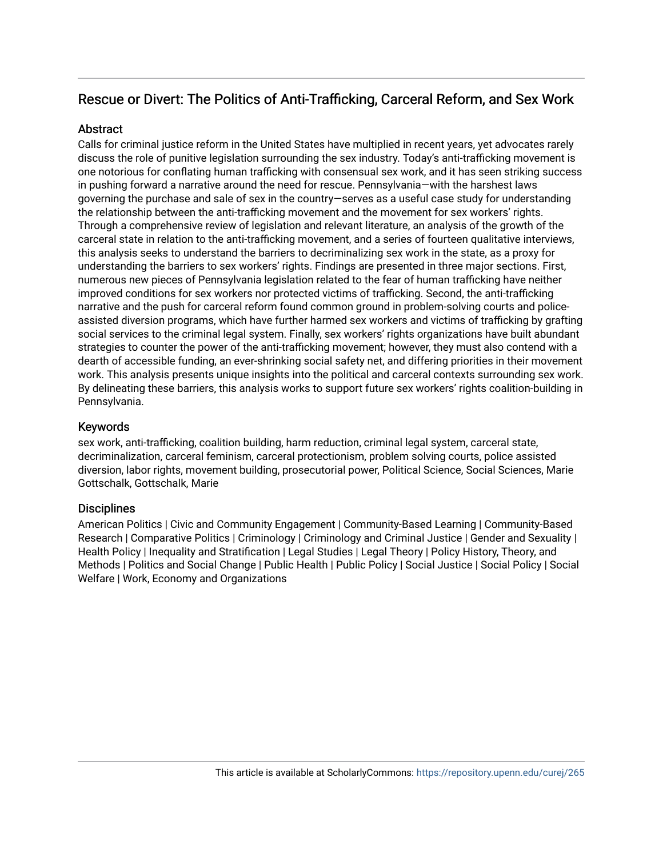# Rescue or Divert: The Politics of Anti-Trafficking, Carceral Reform, and Sex Work

#### **Abstract**

Calls for criminal justice reform in the United States have multiplied in recent years, yet advocates rarely discuss the role of punitive legislation surrounding the sex industry. Today's anti-trafficking movement is one notorious for conflating human trafficking with consensual sex work, and it has seen striking success in pushing forward a narrative around the need for rescue. Pennsylvania—with the harshest laws governing the purchase and sale of sex in the country—serves as a useful case study for understanding the relationship between the anti-trafficking movement and the movement for sex workers' rights. Through a comprehensive review of legislation and relevant literature, an analysis of the growth of the carceral state in relation to the anti-trafficking movement, and a series of fourteen qualitative interviews, this analysis seeks to understand the barriers to decriminalizing sex work in the state, as a proxy for understanding the barriers to sex workers' rights. Findings are presented in three major sections. First, numerous new pieces of Pennsylvania legislation related to the fear of human trafficking have neither improved conditions for sex workers nor protected victims of trafficking. Second, the anti-trafficking narrative and the push for carceral reform found common ground in problem-solving courts and policeassisted diversion programs, which have further harmed sex workers and victims of trafficking by grafting social services to the criminal legal system. Finally, sex workers' rights organizations have built abundant strategies to counter the power of the anti-trafficking movement; however, they must also contend with a dearth of accessible funding, an ever-shrinking social safety net, and differing priorities in their movement work. This analysis presents unique insights into the political and carceral contexts surrounding sex work. By delineating these barriers, this analysis works to support future sex workers' rights coalition-building in Pennsylvania.

#### Keywords

sex work, anti-trafficking, coalition building, harm reduction, criminal legal system, carceral state, decriminalization, carceral feminism, carceral protectionism, problem solving courts, police assisted diversion, labor rights, movement building, prosecutorial power, Political Science, Social Sciences, Marie Gottschalk, Gottschalk, Marie

#### **Disciplines**

American Politics | Civic and Community Engagement | Community-Based Learning | Community-Based Research | Comparative Politics | Criminology | Criminology and Criminal Justice | Gender and Sexuality | Health Policy | Inequality and Stratification | Legal Studies | Legal Theory | Policy History, Theory, and Methods | Politics and Social Change | Public Health | Public Policy | Social Justice | Social Policy | Social Welfare | Work, Economy and Organizations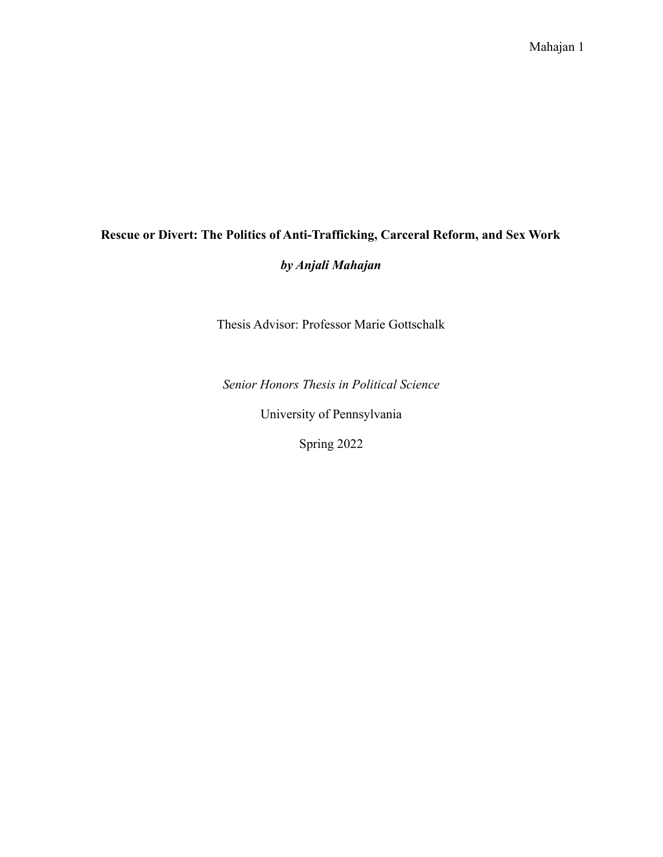# **Rescue or Divert: The Politics of Anti-Trafficking, Carceral Reform, and Sex Work** *by Anjali Mahajan*

Thesis Advisor: Professor Marie Gottschalk

*Senior Honors Thesis in Political Science*

University of Pennsylvania

Spring 2022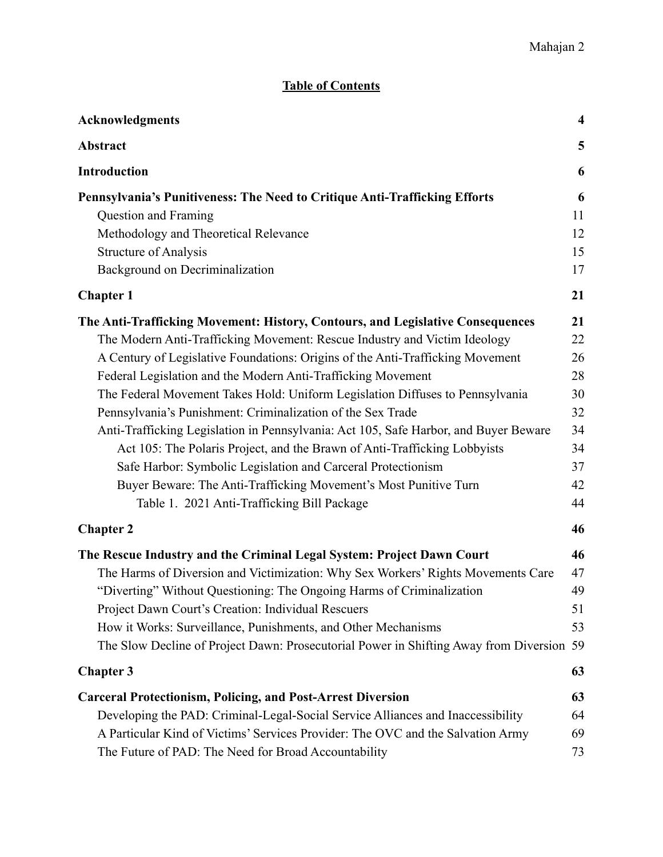## **Table of Contents**

| Acknowledgments                                                                          | $\overline{\mathbf{4}}$ |
|------------------------------------------------------------------------------------------|-------------------------|
| Abstract                                                                                 | 5                       |
| <b>Introduction</b>                                                                      | 6                       |
| Pennsylvania's Punitiveness: The Need to Critique Anti-Trafficking Efforts               | 6                       |
| Question and Framing                                                                     | 11                      |
| Methodology and Theoretical Relevance                                                    | 12                      |
| <b>Structure of Analysis</b>                                                             | 15                      |
| Background on Decriminalization                                                          | 17                      |
| <b>Chapter 1</b>                                                                         | 21                      |
| The Anti-Trafficking Movement: History, Contours, and Legislative Consequences           | 21                      |
| The Modern Anti-Trafficking Movement: Rescue Industry and Victim Ideology                | 22                      |
| A Century of Legislative Foundations: Origins of the Anti-Trafficking Movement           | 26                      |
| Federal Legislation and the Modern Anti-Trafficking Movement                             | 28                      |
| The Federal Movement Takes Hold: Uniform Legislation Diffuses to Pennsylvania            | 30                      |
| Pennsylvania's Punishment: Criminalization of the Sex Trade                              | 32                      |
| Anti-Trafficking Legislation in Pennsylvania: Act 105, Safe Harbor, and Buyer Beware     | 34                      |
| Act 105: The Polaris Project, and the Brawn of Anti-Trafficking Lobbyists                | 34                      |
| Safe Harbor: Symbolic Legislation and Carceral Protectionism                             | 37                      |
| Buyer Beware: The Anti-Trafficking Movement's Most Punitive Turn                         | 42                      |
| Table 1. 2021 Anti-Trafficking Bill Package                                              | 44                      |
| <b>Chapter 2</b>                                                                         | 46                      |
| The Rescue Industry and the Criminal Legal System: Project Dawn Court                    | 46                      |
| The Harms of Diversion and Victimization: Why Sex Workers' Rights Movements Care         | 47                      |
| "Diverting" Without Questioning: The Ongoing Harms of Criminalization                    | 49                      |
| Project Dawn Court's Creation: Individual Rescuers                                       | 51                      |
| How it Works: Surveillance, Punishments, and Other Mechanisms                            | 53                      |
| The Slow Decline of Project Dawn: Prosecutorial Power in Shifting Away from Diversion 59 |                         |
| <b>Chapter 3</b>                                                                         | 63                      |
| <b>Carceral Protectionism, Policing, and Post-Arrest Diversion</b>                       | 63                      |
| Developing the PAD: Criminal-Legal-Social Service Alliances and Inaccessibility          | 64                      |
| A Particular Kind of Victims' Services Provider: The OVC and the Salvation Army          | 69                      |
| The Future of PAD: The Need for Broad Accountability                                     | 73                      |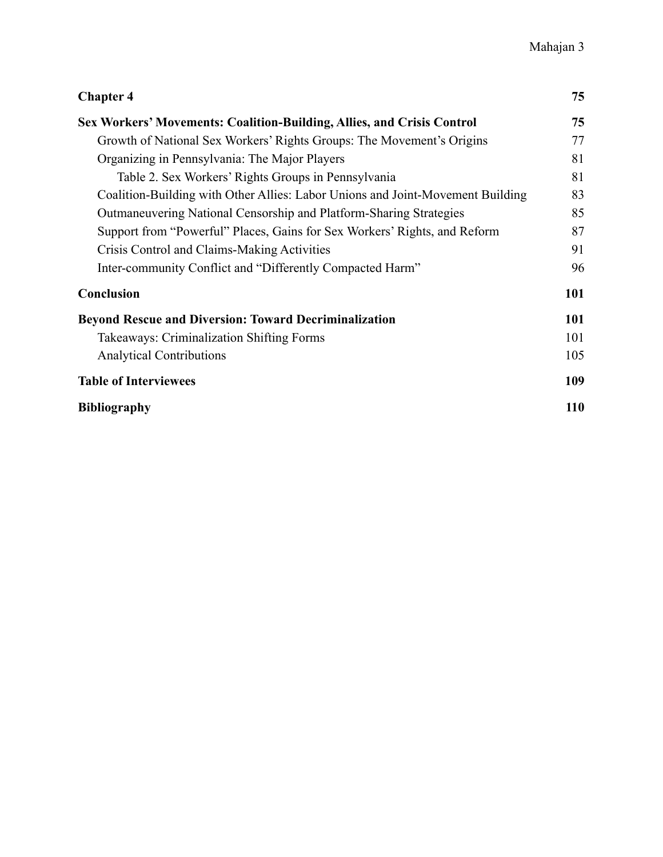| <b>Chapter 4</b>                                                               | 75         |
|--------------------------------------------------------------------------------|------------|
| Sex Workers' Movements: Coalition-Building, Allies, and Crisis Control         | 75         |
| Growth of National Sex Workers' Rights Groups: The Movement's Origins          | 77         |
| Organizing in Pennsylvania: The Major Players                                  | 81         |
| Table 2. Sex Workers' Rights Groups in Pennsylvania                            | 81         |
| Coalition-Building with Other Allies: Labor Unions and Joint-Movement Building | 83         |
| Outmaneuvering National Censorship and Platform-Sharing Strategies             | 85         |
| Support from "Powerful" Places, Gains for Sex Workers' Rights, and Reform      | 87         |
| Crisis Control and Claims-Making Activities                                    | 91         |
| Inter-community Conflict and "Differently Compacted Harm"                      | 96         |
| Conclusion                                                                     | 101        |
| <b>Beyond Rescue and Diversion: Toward Decriminalization</b>                   | 101        |
| <b>Takeaways: Criminalization Shifting Forms</b>                               | 101        |
| <b>Analytical Contributions</b>                                                | 105        |
| <b>Table of Interviewees</b>                                                   | 109        |
| <b>Bibliography</b>                                                            | <b>110</b> |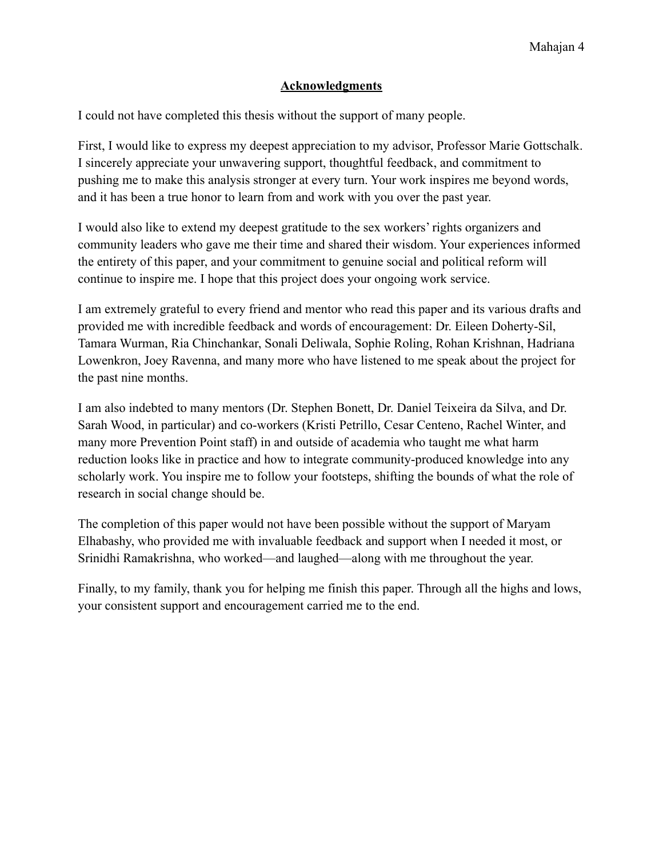### **Acknowledgments**

<span id="page-5-0"></span>I could not have completed this thesis without the support of many people.

First, I would like to express my deepest appreciation to my advisor, Professor Marie Gottschalk. I sincerely appreciate your unwavering support, thoughtful feedback, and commitment to pushing me to make this analysis stronger at every turn. Your work inspires me beyond words, and it has been a true honor to learn from and work with you over the past year.

I would also like to extend my deepest gratitude to the sex workers' rights organizers and community leaders who gave me their time and shared their wisdom. Your experiences informed the entirety of this paper, and your commitment to genuine social and political reform will continue to inspire me. I hope that this project does your ongoing work service.

I am extremely grateful to every friend and mentor who read this paper and its various drafts and provided me with incredible feedback and words of encouragement: Dr. Eileen Doherty-Sil, Tamara Wurman, Ria Chinchankar, Sonali Deliwala, Sophie Roling, Rohan Krishnan, Hadriana Lowenkron, Joey Ravenna, and many more who have listened to me speak about the project for the past nine months.

I am also indebted to many mentors (Dr. Stephen Bonett, Dr. Daniel Teixeira da Silva, and Dr. Sarah Wood, in particular) and co-workers (Kristi Petrillo, Cesar Centeno, Rachel Winter, and many more Prevention Point staff) in and outside of academia who taught me what harm reduction looks like in practice and how to integrate community-produced knowledge into any scholarly work. You inspire me to follow your footsteps, shifting the bounds of what the role of research in social change should be.

The completion of this paper would not have been possible without the support of Maryam Elhabashy, who provided me with invaluable feedback and support when I needed it most, or Srinidhi Ramakrishna, who worked—and laughed—along with me throughout the year.

Finally, to my family, thank you for helping me finish this paper. Through all the highs and lows, your consistent support and encouragement carried me to the end.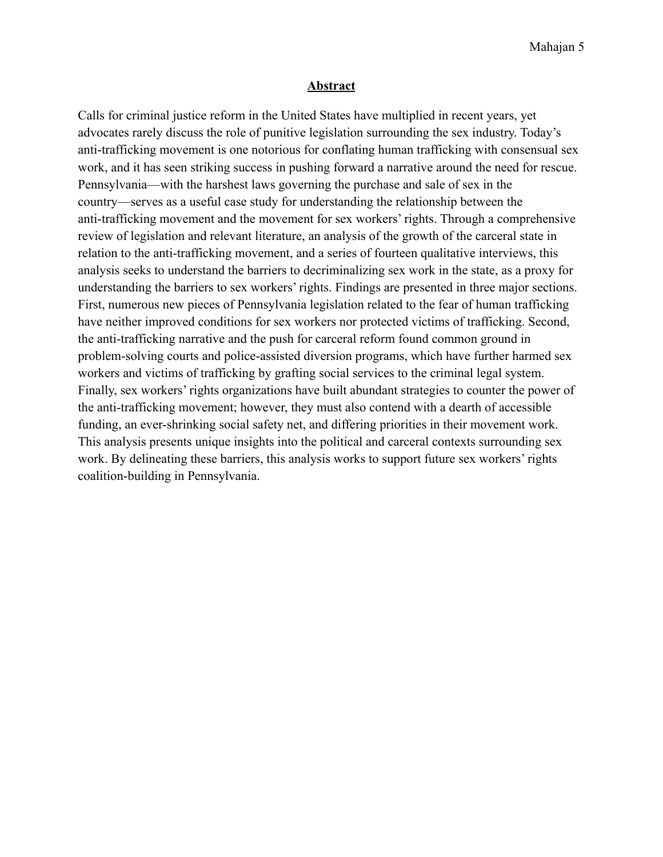#### **Abstract**

<span id="page-6-0"></span>Calls for criminal justice reform in the United States have multiplied in recent years, yet advocates rarely discuss the role of punitive legislation surrounding the sex industry. Today's anti-trafficking movement is one notorious for conflating human trafficking with consensual sex work, and it has seen striking success in pushing forward a narrative around the need for rescue. Pennsylvania—with the harshest laws governing the purchase and sale of sex in the country—serves as a useful case study for understanding the relationship between the anti-trafficking movement and the movement for sex workers' rights. Through a comprehensive review of legislation and relevant literature, an analysis of the growth of the carceral state in relation to the anti-trafficking movement, and a series of fourteen qualitative interviews, this analysis seeks to understand the barriers to decriminalizing sex work in the state, as a proxy for understanding the barriers to sex workers' rights. Findings are presented in three major sections. First, numerous new pieces of Pennsylvania legislation related to the fear of human trafficking have neither improved conditions for sex workers nor protected victims of trafficking. Second, the anti-trafficking narrative and the push for carceral reform found common ground in problem-solving courts and police-assisted diversion programs, which have further harmed sex workers and victims of trafficking by grafting social services to the criminal legal system. Finally, sex workers' rights organizations have built abundant strategies to counter the power of the anti-trafficking movement; however, they must also contend with a dearth of accessible funding, an ever-shrinking social safety net, and differing priorities in their movement work. This analysis presents unique insights into the political and carceral contexts surrounding sex work. By delineating these barriers, this analysis works to support future sex workers' rights coalition-building in Pennsylvania.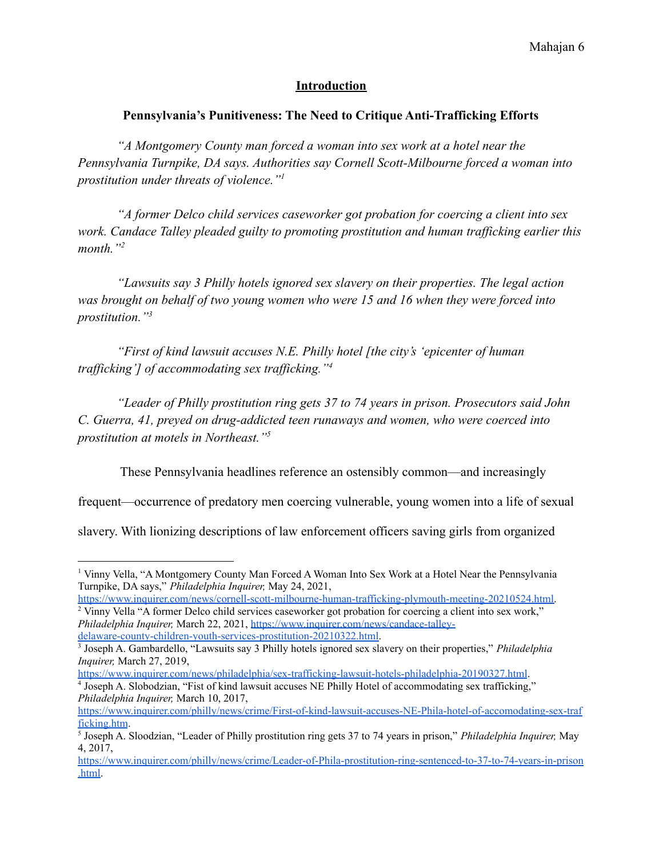## **Introduction**

## <span id="page-7-0"></span>**Pennsylvania's Punitiveness: The Need to Critique Anti-Trafficking Efforts**

<span id="page-7-1"></span>*"A Montgomery County man forced a woman into sex work at a hotel near the Pennsylvania Turnpike, DA says. Authorities say Cornell Scott-Milbourne forced a woman into prostitution under threats of violence."<sup>1</sup>*

*"A former Delco child services caseworker got probation for coercing a client into sex work. Candace Talley pleaded guilty to promoting prostitution and human trafficking earlier this month."<sup>2</sup>*

*"Lawsuits say 3 Philly hotels ignored sex slavery on their properties. The legal action was brought on behalf of two young women who were 15 and 16 when they were forced into prostitution."<sup>3</sup>*

*"First of kind lawsuit accuses N.E. Philly hotel [the city's 'epicenter of human trafficking'] of accommodating sex trafficking."<sup>4</sup>*

*"Leader of Philly prostitution ring gets 37 to 74 years in prison. Prosecutors said John C. Guerra, 41, preyed on drug-addicted teen runaways and women, who were coerced into prostitution at motels in Northeast."<sup>5</sup>*

These Pennsylvania headlines reference an ostensibly common—and increasingly

frequent—occurrence of predatory men coercing vulnerable, young women into a life of sexual

slavery. With lionizing descriptions of law enforcement officers saving girls from organized

<sup>4</sup> Joseph A. Slobodzian, "Fist of kind lawsuit accuses NE Philly Hotel of accommodating sex trafficking," <https://www.inquirer.com/news/philadelphia/sex-trafficking-lawsuit-hotels-philadelphia-20190327.html>.

*Philadelphia Inquirer,* March 10, 2017,

<sup>1</sup> Vinny Vella, "A Montgomery County Man Forced A Woman Into Sex Work at a Hotel Near the Pennsylvania Turnpike, DA says," *Philadelphia Inquirer,* May 24, 2021,

<sup>&</sup>lt;sup>2</sup> Vinny Vella "A former Delco child services caseworker got probation for coercing a client into sex work," *Philadelphia Inquirer,* March 22, 2021, [https://www.inquirer.com/news/candace-talley](https://www.inquirer.com/news/candace-talley-delaware-county-children-youth-services-prostitution-20210322.html)[delaware-county-children-youth-services-prostitution-20210322.html.](https://www.inquirer.com/news/candace-talley-delaware-county-children-youth-services-prostitution-20210322.html) [https://www.inquirer.com/news/cornell-scott-milbourne-human-trafficking-plymouth-meeting-20210524.html.](https://www.inquirer.com/news/cornell-scott-milbourne-human-trafficking-plymouth-meeting-20210524.html)

<sup>3</sup> Joseph A. Gambardello, "Lawsuits say 3 Philly hotels ignored sex slavery on their properties," *Philadelphia Inquirer,* March 27, 2019,

[https://www.inquirer.com/philly/news/crime/First-of-kind-lawsuit-accuses-NE-Phila-hotel-of-accomodating-sex-traf](https://www.inquirer.com/philly/news/crime/First-of-kind-lawsuit-accuses-NE-Phila-hotel-of-accomodating-sex-trafficking.html) [ficking.htm](https://www.inquirer.com/philly/news/crime/First-of-kind-lawsuit-accuses-NE-Phila-hotel-of-accomodating-sex-trafficking.html).

<sup>5</sup> Joseph A. Sloodzian, "Leader of Philly prostitution ring gets 37 to 74 years in prison," *Philadelphia Inquirer,* May 4, 2017,

[https://www.inquirer.com/philly/news/crime/Leader-of-Phila-prostitution-ring-sentenced-to-37-to-74-years-in-prison](https://www.inquirer.com/philly/news/crime/Leader-of-Phila-prostitution-ring-sentenced-to-37-to-74-years-in-prison.html) [.html.](https://www.inquirer.com/philly/news/crime/Leader-of-Phila-prostitution-ring-sentenced-to-37-to-74-years-in-prison.html)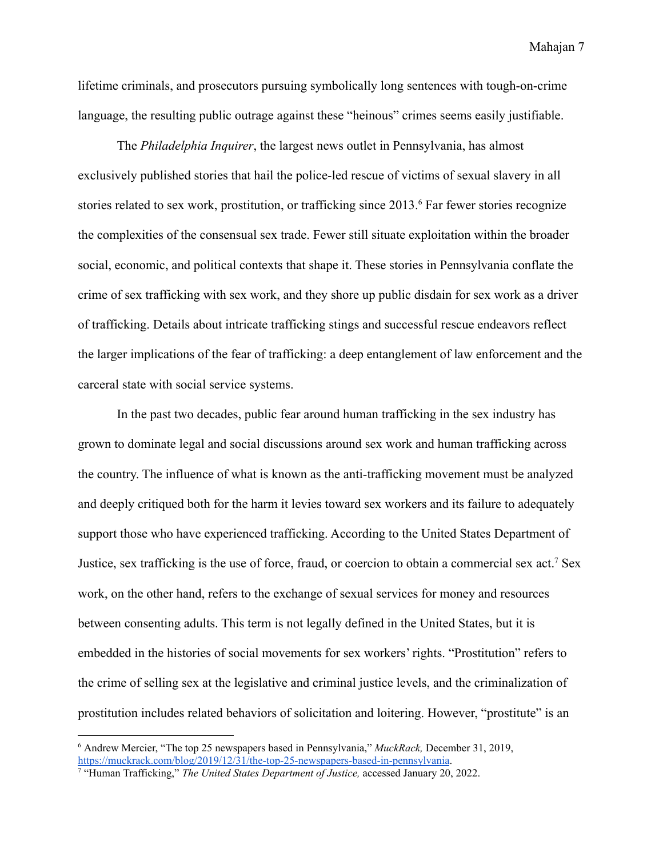lifetime criminals, and prosecutors pursuing symbolically long sentences with tough-on-crime language, the resulting public outrage against these "heinous" crimes seems easily justifiable.

The *Philadelphia Inquirer*, the largest news outlet in Pennsylvania, has almost exclusively published stories that hail the police-led rescue of victims of sexual slavery in all stories related to sex work, prostitution, or trafficking since 2013.<sup>6</sup> Far fewer stories recognize the complexities of the consensual sex trade. Fewer still situate exploitation within the broader social, economic, and political contexts that shape it. These stories in Pennsylvania conflate the crime of sex trafficking with sex work, and they shore up public disdain for sex work as a driver of trafficking. Details about intricate trafficking stings and successful rescue endeavors reflect the larger implications of the fear of trafficking: a deep entanglement of law enforcement and the carceral state with social service systems.

In the past two decades, public fear around human trafficking in the sex industry has grown to dominate legal and social discussions around sex work and human trafficking across the country. The influence of what is known as the anti-trafficking movement must be analyzed and deeply critiqued both for the harm it levies toward sex workers and its failure to adequately support those who have experienced trafficking. According to the United States Department of Justice, sex trafficking is the use of force, fraud, or coercion to obtain a commercial sex act.<sup>7</sup> Sex work, on the other hand, refers to the exchange of sexual services for money and resources between consenting adults. This term is not legally defined in the United States, but it is embedded in the histories of social movements for sex workers' rights. "Prostitution" refers to the crime of selling sex at the legislative and criminal justice levels, and the criminalization of prostitution includes related behaviors of solicitation and loitering. However, "prostitute" is an

<sup>6</sup> Andrew Mercier, "The top 25 newspapers based in Pennsylvania," *MuckRack,* December 31, 2019, <https://muckrack.com/blog/2019/12/31/the-top-25-newspapers-based-in-pennsylvania>.

<sup>7</sup> "Human Trafficking," *The United States Department of Justice,* accessed January 20, 2022.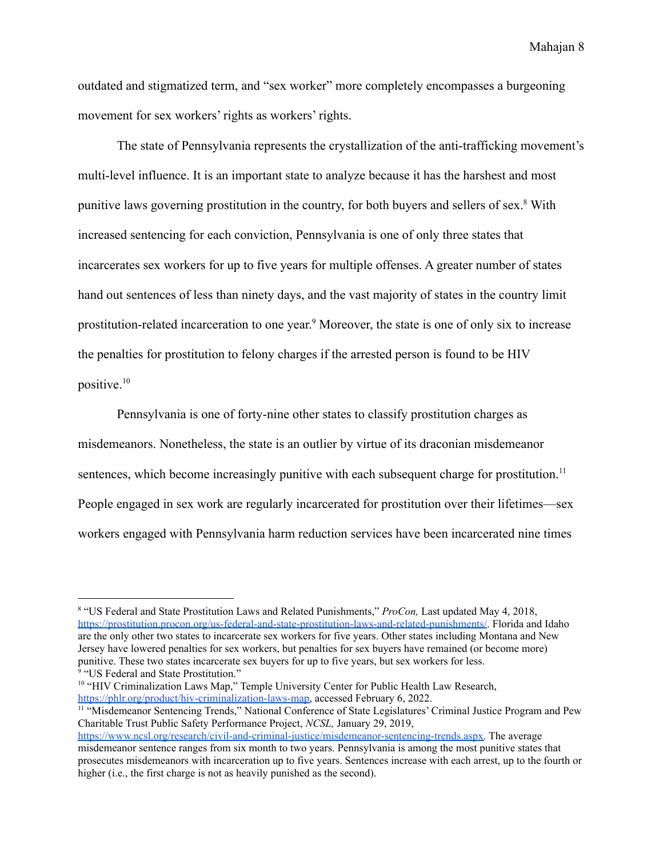outdated and stigmatized term, and "sex worker" more completely encompasses a burgeoning movement for sex workers' rights as workers' rights.

The state of Pennsylvania represents the crystallization of the anti-trafficking movement's multi-level influence. It is an important state to analyze because it has the harshest and most punitive laws governing prostitution in the country, for both buyers and sellers of sex.<sup>8</sup> With increased sentencing for each conviction, Pennsylvania is one of only three states that incarcerates sex workers for up to five years for multiple offenses. A greater number of states hand out sentences of less than ninety days, and the vast majority of states in the country limit prostitution-related incarceration to one year. <sup>9</sup> Moreover, the state is one of only six to increase the penalties for prostitution to felony charges if the arrested person is found to be HIV positive.<sup>10</sup>

Pennsylvania is one of forty-nine other states to classify prostitution charges as misdemeanors. Nonetheless, the state is an outlier by virtue of its draconian misdemeanor sentences, which become increasingly punitive with each subsequent charge for prostitution.<sup>11</sup> People engaged in sex work are regularly incarcerated for prostitution over their lifetimes—sex workers engaged with Pennsylvania harm reduction services have been incarcerated nine times

<sup>10</sup> "HIV Criminalization Laws Map," Temple University Center for Public Health Law Research, [https://phlr.org/product/hiv-criminalization-laws-map,](https://phlr.org/product/hiv-criminalization-laws-map) accessed February 6, 2022.

<sup>&</sup>lt;sup>9</sup> "US Federal and State Prostitution." <sup>8</sup> "US Federal and State Prostitution Laws and Related Punishments," *ProCon,* Last updated May 4, 2018, [https://prostitution.procon.org/us-federal-and-state-prostitution-laws-and-related-punishments/.](https://prostitution.procon.org/us-federal-and-state-prostitution-laws-and-related-punishments/) Florida and Idaho are the only other two states to incarcerate sex workers for five years. Other states including Montana and New Jersey have lowered penalties for sex workers, but penalties for sex buyers have remained (or become more) punitive. These two states incarcerate sex buyers for up to five years, but sex workers for less.

<sup>&</sup>lt;sup>11 "</sup>Misdemeanor Sentencing Trends," National Conference of State Legislatures' Criminal Justice Program and Pew Charitable Trust Public Safety Performance Project, *NCSL,* January 29, 2019,

[https://www.ncsl.org/research/civil-and-criminal-justice/misdemeanor-sentencing-trends.aspx.](https://www.ncsl.org/research/civil-and-criminal-justice/misdemeanor-sentencing-trends.aspx) The average misdemeanor sentence ranges from six month to two years. Pennsylvania is among the most punitive states that prosecutes misdemeanors with incarceration up to five years. Sentences increase with each arrest, up to the fourth or higher (i.e., the first charge is not as heavily punished as the second).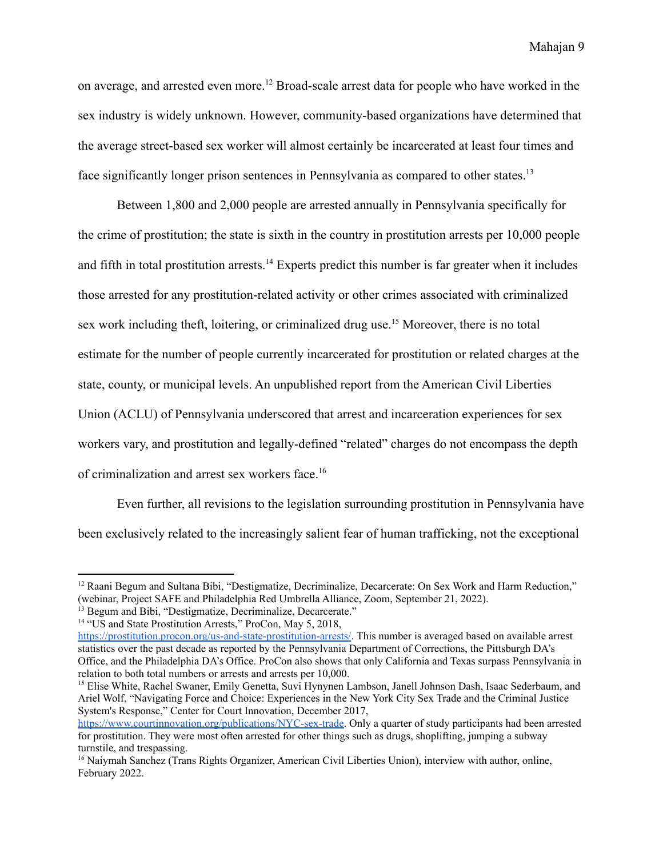on average, and arrested even more.<sup>12</sup> Broad-scale arrest data for people who have worked in the sex industry is widely unknown. However, community-based organizations have determined that the average street-based sex worker will almost certainly be incarcerated at least four times and face significantly longer prison sentences in Pennsylvania as compared to other states.<sup>13</sup>

Between 1,800 and 2,000 people are arrested annually in Pennsylvania specifically for the crime of prostitution; the state is sixth in the country in prostitution arrests per 10,000 people and fifth in total prostitution arrests.<sup>14</sup> Experts predict this number is far greater when it includes those arrested for any prostitution-related activity or other crimes associated with criminalized sex work including theft, loitering, or criminalized drug use.<sup>15</sup> Moreover, there is no total estimate for the number of people currently incarcerated for prostitution or related charges at the state, county, or municipal levels. An unpublished report from the American Civil Liberties Union (ACLU) of Pennsylvania underscored that arrest and incarceration experiences for sex workers vary, and prostitution and legally-defined "related" charges do not encompass the depth of criminalization and arrest sex workers face.<sup>16</sup>

Even further, all revisions to the legislation surrounding prostitution in Pennsylvania have been exclusively related to the increasingly salient fear of human trafficking, not the exceptional

<sup>&</sup>lt;sup>12</sup> Raani Begum and Sultana Bibi, "Destigmatize, Decriminalize, Decarcerate: On Sex Work and Harm Reduction," (webinar, Project SAFE and Philadelphia Red Umbrella Alliance, Zoom, September 21, 2022).

<sup>&</sup>lt;sup>13</sup> Begum and Bibi, "Destigmatize, Decriminalize, Decarcerate."

<sup>&</sup>lt;sup>14</sup> "US and State Prostitution Arrests," ProCon, May 5, 2018,

<https://prostitution.procon.org/us-and-state-prostitution-arrests/>. This number is averaged based on available arrest statistics over the past decade as reported by the Pennsylvania Department of Corrections, the Pittsburgh DA's Office, and the Philadelphia DA's Office. ProCon also shows that only California and Texas surpass Pennsylvania in relation to both total numbers or arrests and arrests per 10,000.

<sup>15</sup> Elise White, Rachel Swaner, Emily Genetta, Suvi Hynynen Lambson, Janell Johnson Dash, Isaac Sederbaum, and Ariel Wolf, "Navigating Force and Choice: Experiences in the New York City Sex Trade and the Criminal Justice System's Response," Center for Court Innovation, December 2017,

[https://www.courtinnovation.org/publications/NYC-sex-trade.](https://www.courtinnovation.org/publications/NYC-sex-trade) Only a quarter of study participants had been arrested for prostitution. They were most often arrested for other things such as drugs, shoplifting, jumping a subway turnstile, and trespassing.

<sup>&</sup>lt;sup>16</sup> Naiymah Sanchez (Trans Rights Organizer, American Civil Liberties Union), interview with author, online, February 2022.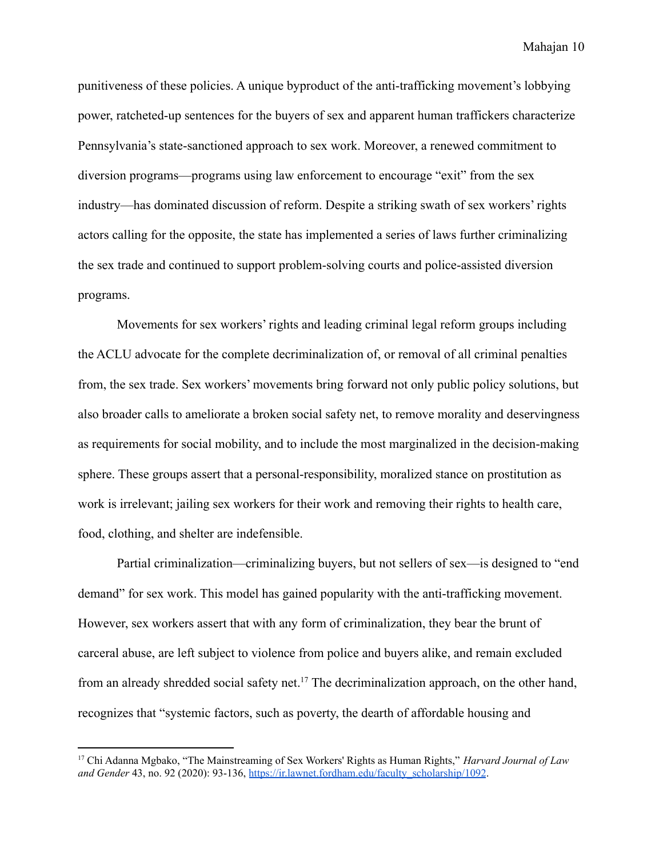punitiveness of these policies. A unique byproduct of the anti-trafficking movement's lobbying power, ratcheted-up sentences for the buyers of sex and apparent human traffickers characterize Pennsylvania's state-sanctioned approach to sex work. Moreover, a renewed commitment to diversion programs—programs using law enforcement to encourage "exit" from the sex industry—has dominated discussion of reform. Despite a striking swath of sex workers' rights actors calling for the opposite, the state has implemented a series of laws further criminalizing the sex trade and continued to support problem-solving courts and police-assisted diversion programs.

Movements for sex workers' rights and leading criminal legal reform groups including the ACLU advocate for the complete decriminalization of, or removal of all criminal penalties from, the sex trade. Sex workers' movements bring forward not only public policy solutions, but also broader calls to ameliorate a broken social safety net, to remove morality and deservingness as requirements for social mobility, and to include the most marginalized in the decision-making sphere. These groups assert that a personal-responsibility, moralized stance on prostitution as work is irrelevant; jailing sex workers for their work and removing their rights to health care, food, clothing, and shelter are indefensible.

Partial criminalization—criminalizing buyers, but not sellers of sex—is designed to "end demand" for sex work. This model has gained popularity with the anti-trafficking movement. However, sex workers assert that with any form of criminalization, they bear the brunt of carceral abuse, are left subject to violence from police and buyers alike, and remain excluded from an already shredded social safety net.<sup>17</sup> The decriminalization approach, on the other hand, recognizes that "systemic factors, such as poverty, the dearth of affordable housing and

<sup>17</sup> Chi Adanna Mgbako, "The Mainstreaming of Sex Workers' Rights as Human Rights," *Harvard Journal of Law and Gender* 43, no. 92 (2020): 93-136, [https://ir.lawnet.fordham.edu/faculty\\_scholarship/1092](https://ir.lawnet.fordham.edu/faculty_scholarship/1092).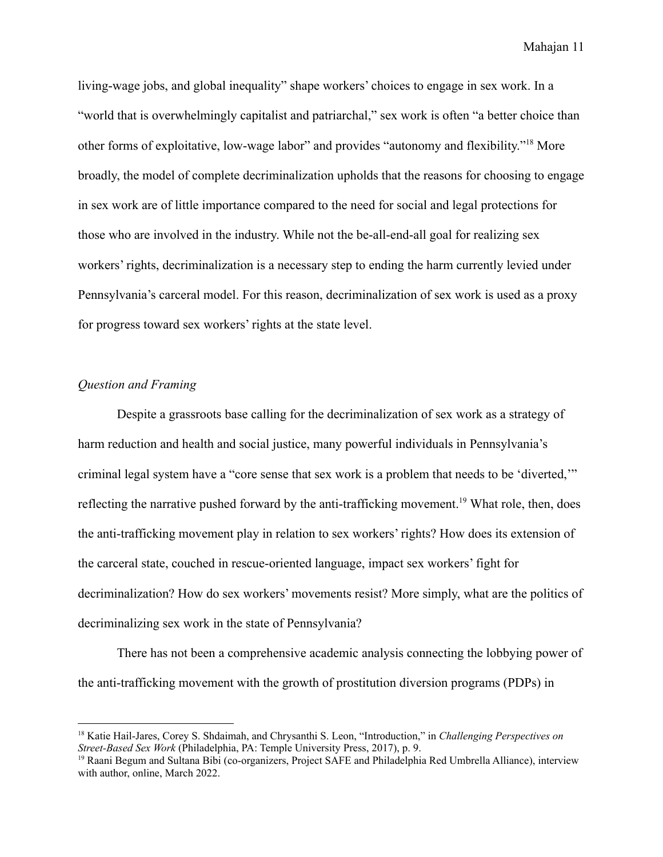living-wage jobs, and global inequality" shape workers' choices to engage in sex work. In a "world that is overwhelmingly capitalist and patriarchal," sex work is often "a better choice than other forms of exploitative, low-wage labor" and provides "autonomy and flexibility."<sup>18</sup> More broadly, the model of complete decriminalization upholds that the reasons for choosing to engage in sex work are of little importance compared to the need for social and legal protections for those who are involved in the industry. While not the be-all-end-all goal for realizing sex workers' rights, decriminalization is a necessary step to ending the harm currently levied under Pennsylvania's carceral model. For this reason, decriminalization of sex work is used as a proxy for progress toward sex workers' rights at the state level.

#### <span id="page-12-0"></span>*Question and Framing*

Despite a grassroots base calling for the decriminalization of sex work as a strategy of harm reduction and health and social justice, many powerful individuals in Pennsylvania's criminal legal system have a "core sense that sex work is a problem that needs to be 'diverted,'" reflecting the narrative pushed forward by the anti-trafficking movement.<sup>19</sup> What role, then, does the anti-trafficking movement play in relation to sex workers' rights? How does its extension of the carceral state, couched in rescue-oriented language, impact sex workers' fight for decriminalization? How do sex workers' movements resist? More simply, what are the politics of decriminalizing sex work in the state of Pennsylvania?

There has not been a comprehensive academic analysis connecting the lobbying power of the anti-trafficking movement with the growth of prostitution diversion programs (PDPs) in

<sup>18</sup> Katie Hail-Jares, Corey S. Shdaimah, and Chrysanthi S. Leon, "Introduction," in *Challenging Perspectives on Street-Based Sex Work* (Philadelphia, PA: Temple University Press, 2017), p. 9.

<sup>&</sup>lt;sup>19</sup> Raani Begum and Sultana Bibi (co-organizers, Project SAFE and Philadelphia Red Umbrella Alliance), interview with author, online, March 2022.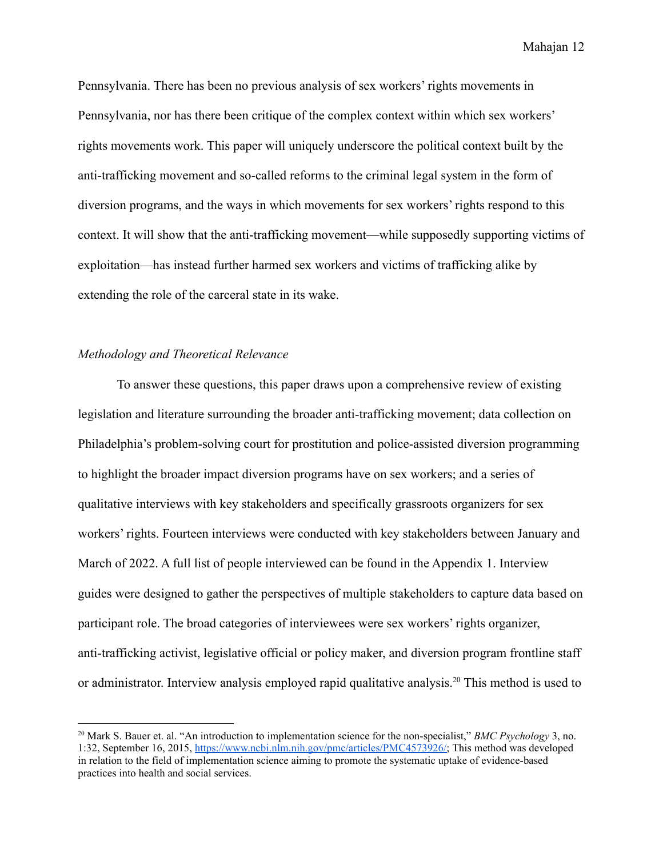Pennsylvania. There has been no previous analysis of sex workers' rights movements in Pennsylvania, nor has there been critique of the complex context within which sex workers' rights movements work. This paper will uniquely underscore the political context built by the anti-trafficking movement and so-called reforms to the criminal legal system in the form of diversion programs, and the ways in which movements for sex workers' rights respond to this context. It will show that the anti-trafficking movement—while supposedly supporting victims of exploitation—has instead further harmed sex workers and victims of trafficking alike by extending the role of the carceral state in its wake.

#### <span id="page-13-0"></span>*Methodology and Theoretical Relevance*

To answer these questions, this paper draws upon a comprehensive review of existing legislation and literature surrounding the broader anti-trafficking movement; data collection on Philadelphia's problem-solving court for prostitution and police-assisted diversion programming to highlight the broader impact diversion programs have on sex workers; and a series of qualitative interviews with key stakeholders and specifically grassroots organizers for sex workers' rights. Fourteen interviews were conducted with key stakeholders between January and March of 2022. A full list of people interviewed can be found in the Appendix 1. Interview guides were designed to gather the perspectives of multiple stakeholders to capture data based on participant role. The broad categories of interviewees were sex workers' rights organizer, anti-trafficking activist, legislative official or policy maker, and diversion program frontline staff or administrator. Interview analysis employed rapid qualitative analysis.<sup>20</sup> This method is used to

<sup>20</sup> Mark S. Bauer et. al. "An introduction to implementation science for the non-specialist," *BMC Psychology* 3, no. 1:32, September 16, 2015, [https://www.ncbi.nlm.nih.gov/pmc/articles/PMC4573926/;](https://www.ncbi.nlm.nih.gov/pmc/articles/PMC4573926/) This method was developed in relation to the field of implementation science aiming to promote the systematic uptake of evidence-based practices into health and social services.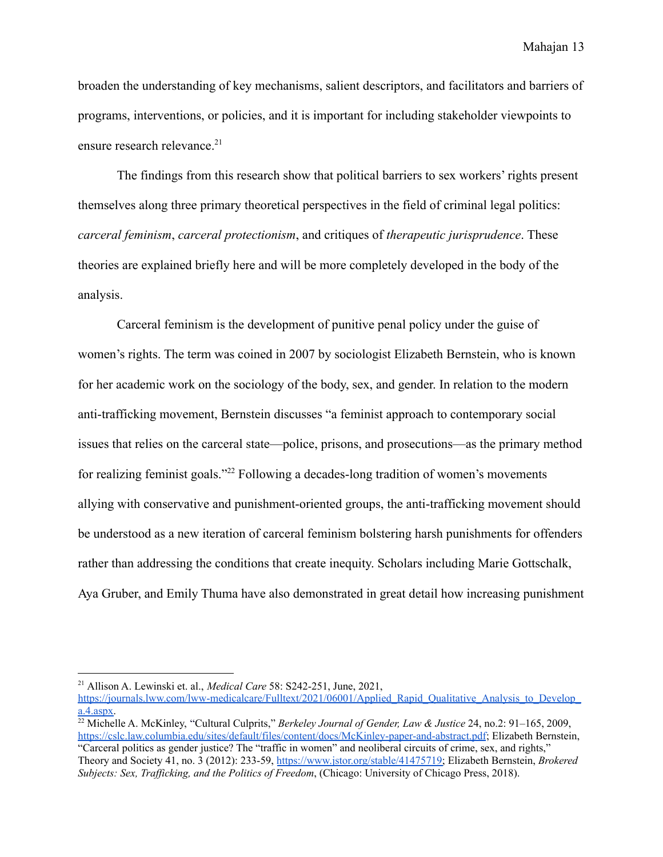broaden the understanding of key mechanisms, salient descriptors, and facilitators and barriers of programs, interventions, or policies, and it is important for including stakeholder viewpoints to ensure research relevance.<sup>21</sup>

The findings from this research show that political barriers to sex workers' rights present themselves along three primary theoretical perspectives in the field of criminal legal politics: *carceral feminism*, *carceral protectionism*, and critiques of *therapeutic jurisprudence*. These theories are explained briefly here and will be more completely developed in the body of the analysis.

Carceral feminism is the development of punitive penal policy under the guise of women's rights. The term was coined in 2007 by sociologist Elizabeth Bernstein, who is known for her academic work on the sociology of the body, sex, and gender. In relation to the modern anti-trafficking movement, Bernstein discusses "a feminist approach to contemporary social issues that relies on the carceral state—police, prisons, and prosecutions—as the primary method for realizing feminist goals."<sup>22</sup> Following a decades-long tradition of women's movements allying with conservative and punishment-oriented groups, the anti-trafficking movement should be understood as a new iteration of carceral feminism bolstering harsh punishments for offenders rather than addressing the conditions that create inequity. Scholars including Marie Gottschalk, Aya Gruber, and Emily Thuma have also demonstrated in great detail how increasing punishment

<sup>21</sup> Allison A. Lewinski et. al., *Medical Care* 58: S242-251, June, 2021,

[https://journals.lww.com/lww-medicalcare/Fulltext/2021/06001/Applied\\_Rapid\\_Qualitative\\_Analysis\\_to\\_Develop\\_](https://journals.lww.com/lww-medicalcare/Fulltext/2021/06001/Applied_Rapid_Qualitative_Analysis_to_Develop_a.4.aspx) [a.4.aspx.](https://journals.lww.com/lww-medicalcare/Fulltext/2021/06001/Applied_Rapid_Qualitative_Analysis_to_Develop_a.4.aspx)

<sup>22</sup> Michelle A. McKinley, "Cultural Culprits," *Berkeley Journal of Gender, Law & Justice* 24, no.2: 91–165, 2009, <https://cslc.law.columbia.edu/sites/default/files/content/docs/McKinley-paper-and-abstract.pdf>; Elizabeth Bernstein, "Carceral politics as gender justice? The "traffic in women" and neoliberal circuits of crime, sex, and rights,"

Theory and Society 41, no. 3 (2012): 233-59, [https://www.jstor.org/stable/41475719;](https://www.jstor.org/stable/41475719) Elizabeth Bernstein, *Brokered Subjects: Sex, Traf icking, and the Politics of Freedom*, (Chicago: University of Chicago Press, 2018).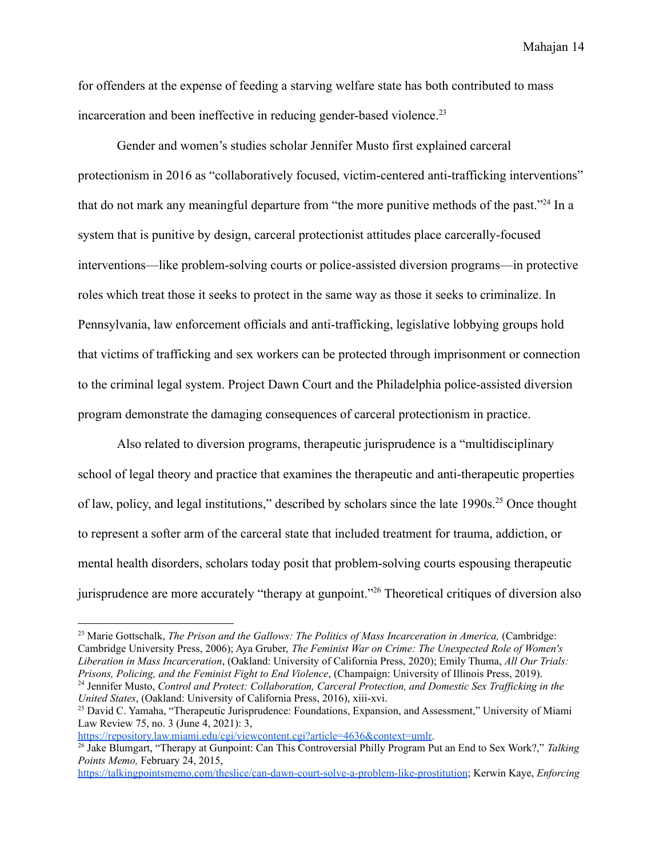for offenders at the expense of feeding a starving welfare state has both contributed to mass incarceration and been ineffective in reducing gender-based violence.<sup>23</sup>

Gender and women's studies scholar Jennifer Musto first explained carceral protectionism in 2016 as "collaboratively focused, victim-centered anti-trafficking interventions" that do not mark any meaningful departure from "the more punitive methods of the past."<sup>24</sup> In a system that is punitive by design, carceral protectionist attitudes place carcerally-focused interventions—like problem-solving courts or police-assisted diversion programs—in protective roles which treat those it seeks to protect in the same way as those it seeks to criminalize. In Pennsylvania, law enforcement officials and anti-trafficking, legislative lobbying groups hold that victims of trafficking and sex workers can be protected through imprisonment or connection to the criminal legal system. Project Dawn Court and the Philadelphia police-assisted diversion program demonstrate the damaging consequences of carceral protectionism in practice.

Also related to diversion programs, therapeutic jurisprudence is a "multidisciplinary school of legal theory and practice that examines the therapeutic and anti-therapeutic properties of law, policy, and legal institutions," described by scholars since the late 1990s.<sup>25</sup> Once thought to represent a softer arm of the carceral state that included treatment for trauma, addiction, or mental health disorders, scholars today posit that problem-solving courts espousing therapeutic jurisprudence are more accurately "therapy at gunpoint."<sup>26</sup> Theoretical critiques of diversion also

[https://repository.law.miami.edu/cgi/viewcontent.cgi?article=4636&context=umlr.](https://repository.law.miami.edu/cgi/viewcontent.cgi?article=4636&context=umlr)

<sup>&</sup>lt;sup>24</sup> Jennifer Musto, *Control and Protect: Collaboration, Carceral Protection, and Domestic Sex Trafficking in the United States*, (Oakland: University of California Press, 2016), xiii-xvi. <sup>23</sup> Marie Gottschalk, *The Prison and the Gallows: The Politics of Mass Incarceration in America,* (Cambridge: Cambridge University Press, 2006); Aya Gruber, *The Feminist War on Crime: The Unexpected Role of Women's Liberation in Mass Incarceration*, (Oakland: University of California Press, 2020); Emily Thuma, *All Our Trials: Prisons, Policing, and the Feminist Fight to End Violence*, (Champaign: University of Illinois Press, 2019).

<sup>&</sup>lt;sup>25</sup> David C. Yamaha, "Therapeutic Jurisprudence: Foundations, Expansion, and Assessment," University of Miami Law Review 75, no. 3 (June 4, 2021): 3,

<sup>26</sup> Jake Blumgart, "Therapy at Gunpoint: Can This Controversial Philly Program Put an End to Sex Work?," *Talking Points Memo,* February 24, 2015,

<https://talkingpointsmemo.com/theslice/can-dawn-court-solve-a-problem-like-prostitution>; Kerwin Kaye, *Enforcing*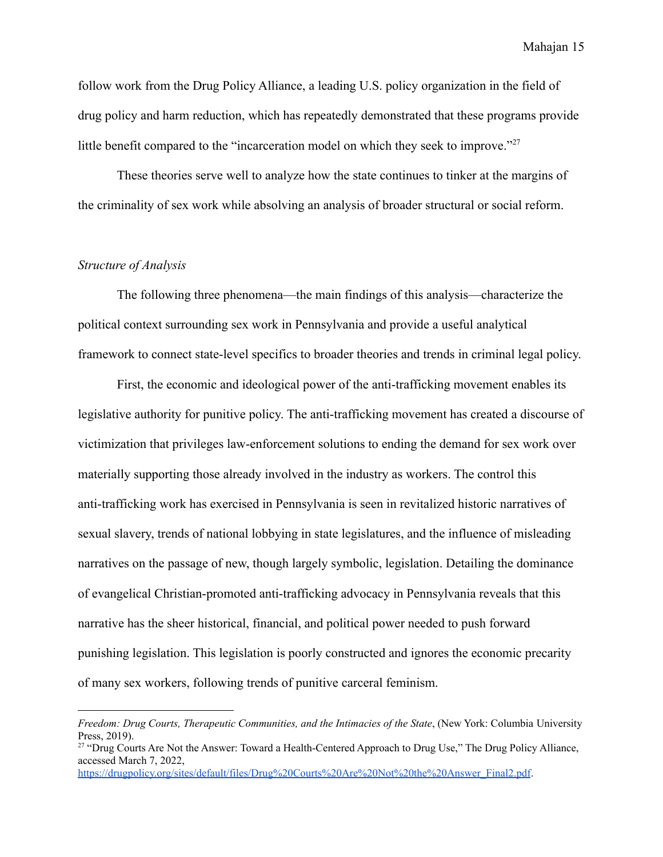follow work from the Drug Policy Alliance, a leading U.S. policy organization in the field of drug policy and harm reduction, which has repeatedly demonstrated that these programs provide little benefit compared to the "incarceration model on which they seek to improve."<sup>27</sup>

These theories serve well to analyze how the state continues to tinker at the margins of the criminality of sex work while absolving an analysis of broader structural or social reform.

#### <span id="page-16-0"></span>*Structure of Analysis*

The following three phenomena—the main findings of this analysis—characterize the political context surrounding sex work in Pennsylvania and provide a useful analytical framework to connect state-level specifics to broader theories and trends in criminal legal policy.

First, the economic and ideological power of the anti-trafficking movement enables its legislative authority for punitive policy. The anti-trafficking movement has created a discourse of victimization that privileges law-enforcement solutions to ending the demand for sex work over materially supporting those already involved in the industry as workers. The control this anti-trafficking work has exercised in Pennsylvania is seen in revitalized historic narratives of sexual slavery, trends of national lobbying in state legislatures, and the influence of misleading narratives on the passage of new, though largely symbolic, legislation. Detailing the dominance of evangelical Christian-promoted anti-trafficking advocacy in Pennsylvania reveals that this narrative has the sheer historical, financial, and political power needed to push forward punishing legislation. This legislation is poorly constructed and ignores the economic precarity of many sex workers, following trends of punitive carceral feminism.

*Freedom: Drug Courts, Therapeutic Communities, and the Intimacies of the State*, (New York: Columbia University Press, 2019).

<sup>&</sup>lt;sup>27</sup> "Drug Courts Are Not the Answer: Toward a Health-Centered Approach to Drug Use," The Drug Policy Alliance, accessed March 7, 2022,

[https://drugpolicy.org/sites/default/files/Drug%20Courts%20Are%20Not%20the%20Answer\\_Final2.pdf](https://drugpolicy.org/sites/default/files/Drug%20Courts%20Are%20Not%20the%20Answer_Final2.pdf).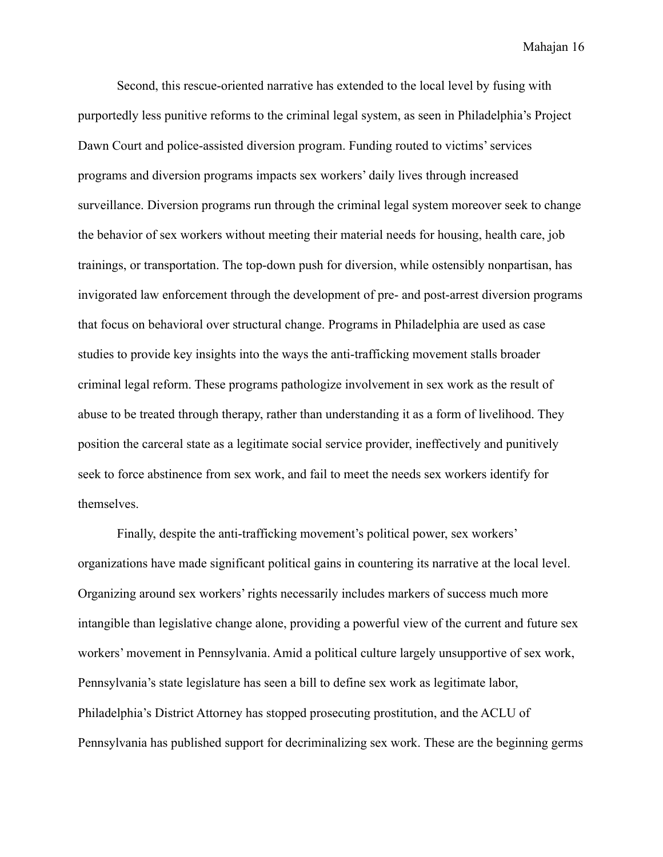Second, this rescue-oriented narrative has extended to the local level by fusing with purportedly less punitive reforms to the criminal legal system, as seen in Philadelphia's Project Dawn Court and police-assisted diversion program. Funding routed to victims' services programs and diversion programs impacts sex workers' daily lives through increased surveillance. Diversion programs run through the criminal legal system moreover seek to change the behavior of sex workers without meeting their material needs for housing, health care, job trainings, or transportation. The top-down push for diversion, while ostensibly nonpartisan, has invigorated law enforcement through the development of pre- and post-arrest diversion programs that focus on behavioral over structural change. Programs in Philadelphia are used as case studies to provide key insights into the ways the anti-trafficking movement stalls broader criminal legal reform. These programs pathologize involvement in sex work as the result of abuse to be treated through therapy, rather than understanding it as a form of livelihood. They position the carceral state as a legitimate social service provider, ineffectively and punitively seek to force abstinence from sex work, and fail to meet the needs sex workers identify for themselves.

Finally, despite the anti-trafficking movement's political power, sex workers' organizations have made significant political gains in countering its narrative at the local level. Organizing around sex workers' rights necessarily includes markers of success much more intangible than legislative change alone, providing a powerful view of the current and future sex workers' movement in Pennsylvania. Amid a political culture largely unsupportive of sex work, Pennsylvania's state legislature has seen a bill to define sex work as legitimate labor, Philadelphia's District Attorney has stopped prosecuting prostitution, and the ACLU of Pennsylvania has published support for decriminalizing sex work. These are the beginning germs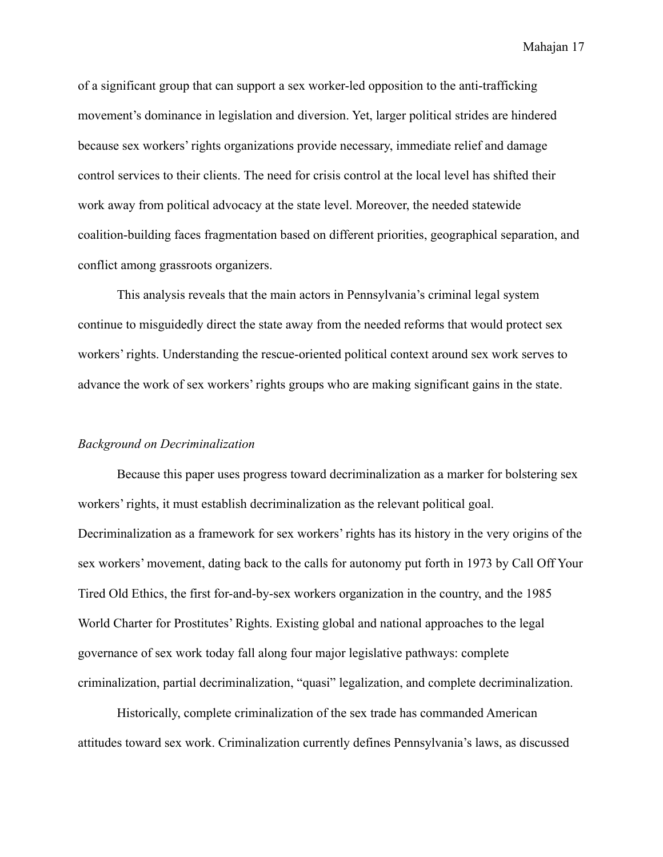of a significant group that can support a sex worker-led opposition to the anti-trafficking movement's dominance in legislation and diversion. Yet, larger political strides are hindered because sex workers' rights organizations provide necessary, immediate relief and damage control services to their clients. The need for crisis control at the local level has shifted their work away from political advocacy at the state level. Moreover, the needed statewide coalition-building faces fragmentation based on different priorities, geographical separation, and conflict among grassroots organizers.

This analysis reveals that the main actors in Pennsylvania's criminal legal system continue to misguidedly direct the state away from the needed reforms that would protect sex workers' rights. Understanding the rescue-oriented political context around sex work serves to advance the work of sex workers' rights groups who are making significant gains in the state.

#### <span id="page-18-0"></span>*Background on Decriminalization*

Because this paper uses progress toward decriminalization as a marker for bolstering sex workers' rights, it must establish decriminalization as the relevant political goal. Decriminalization as a framework for sex workers' rights has its history in the very origins of the sex workers' movement, dating back to the calls for autonomy put forth in 1973 by Call Off Your Tired Old Ethics, the first for-and-by-sex workers organization in the country, and the 1985 World Charter for Prostitutes' Rights. Existing global and national approaches to the legal governance of sex work today fall along four major legislative pathways: complete criminalization, partial decriminalization, "quasi" legalization, and complete decriminalization.

Historically, complete criminalization of the sex trade has commanded American attitudes toward sex work. Criminalization currently defines Pennsylvania's laws, as discussed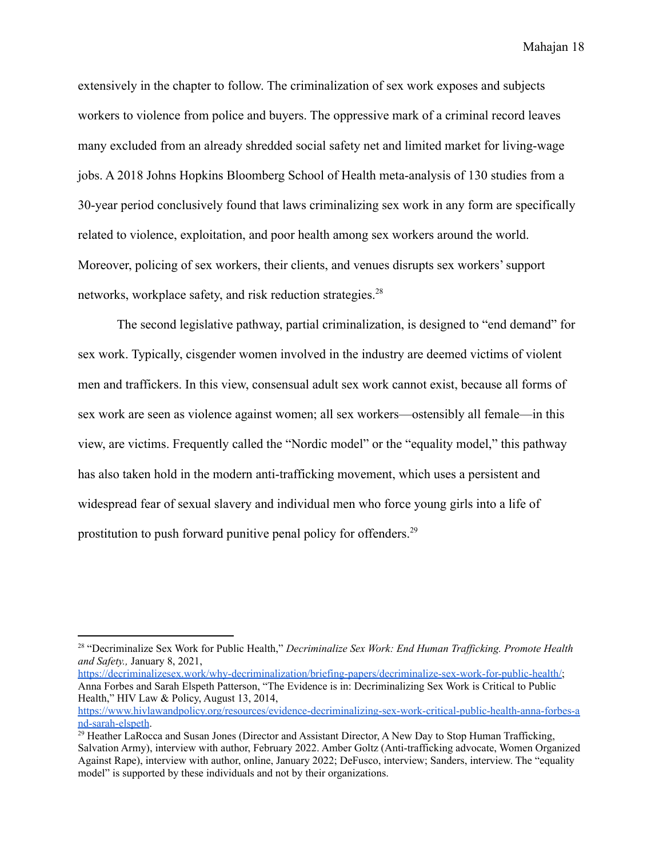extensively in the chapter to follow. The criminalization of sex work exposes and subjects workers to violence from police and buyers. The oppressive mark of a criminal record leaves many excluded from an already shredded social safety net and limited market for living-wage jobs. A 2018 Johns Hopkins Bloomberg School of Health meta-analysis of 130 studies from a 30-year period conclusively found that laws criminalizing sex work in any form are specifically related to violence, exploitation, and poor health among sex workers around the world. Moreover, policing of sex workers, their clients, and venues disrupts sex workers' support networks, workplace safety, and risk reduction strategies.<sup>28</sup>

The second legislative pathway, partial criminalization, is designed to "end demand" for sex work. Typically, cisgender women involved in the industry are deemed victims of violent men and traffickers. In this view, consensual adult sex work cannot exist, because all forms of sex work are seen as violence against women; all sex workers—ostensibly all female—in this view, are victims. Frequently called the "Nordic model" or the "equality model," this pathway has also taken hold in the modern anti-trafficking movement, which uses a persistent and widespread fear of sexual slavery and individual men who force young girls into a life of prostitution to push forward punitive penal policy for offenders.<sup>29</sup>

[https://decriminalizesex.work/why-decriminalization/briefing-papers/decriminalize-sex-work-for-public-health/;](https://decriminalizesex.work/why-decriminalization/briefing-papers/decriminalize-sex-work-for-public-health/) Anna Forbes and Sarah Elspeth Patterson, "The Evidence is in: Decriminalizing Sex Work is Critical to Public Health," HIV Law & Policy, August 13, 2014,

<sup>28</sup> "Decriminalize Sex Work for Public Health," *Decriminalize Sex Work: End Human Traf icking. Promote Health and Safety.,* January 8, 2021,

[https://www.hivlawandpolicy.org/resources/evidence-decriminalizing-sex-work-critical-public-health-anna-forbes-a](https://www.hivlawandpolicy.org/resources/evidence-decriminalizing-sex-work-critical-public-health-anna-forbes-and-sarah-elspeth) [nd-sarah-elspeth](https://www.hivlawandpolicy.org/resources/evidence-decriminalizing-sex-work-critical-public-health-anna-forbes-and-sarah-elspeth).

<sup>&</sup>lt;sup>29</sup> Heather LaRocca and Susan Jones (Director and Assistant Director, A New Day to Stop Human Trafficking, Salvation Army), interview with author, February 2022. Amber Goltz (Anti-trafficking advocate, Women Organized Against Rape), interview with author, online, January 2022; DeFusco, interview; Sanders, interview. The "equality model" is supported by these individuals and not by their organizations.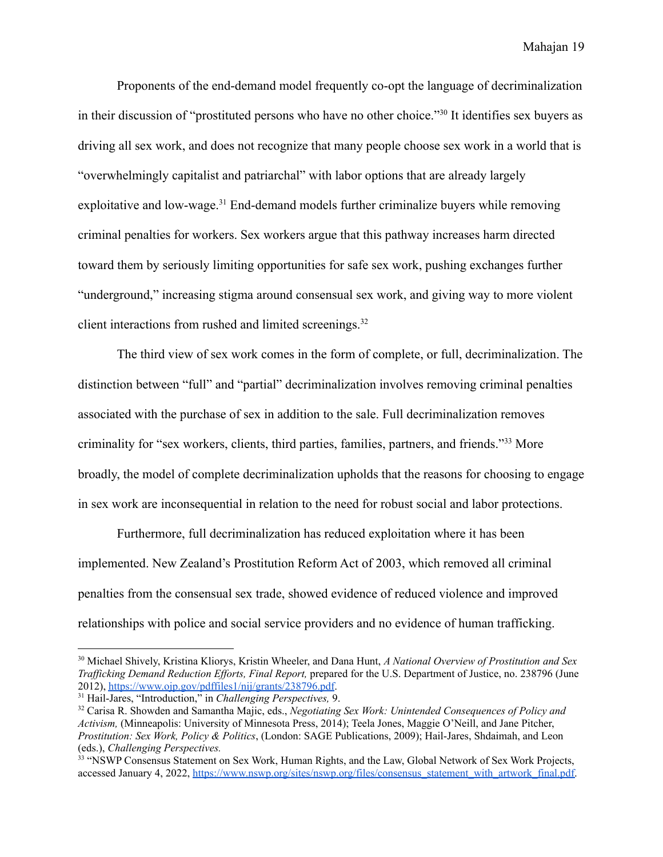Proponents of the end-demand model frequently co-opt the language of decriminalization in their discussion of "prostituted persons who have no other choice."<sup>30</sup> It identifies sex buyers as driving all sex work, and does not recognize that many people choose sex work in a world that is "overwhelmingly capitalist and patriarchal" with labor options that are already largely exploitative and low-wage.<sup>31</sup> End-demand models further criminalize buyers while removing criminal penalties for workers. Sex workers argue that this pathway increases harm directed toward them by seriously limiting opportunities for safe sex work, pushing exchanges further "underground," increasing stigma around consensual sex work, and giving way to more violent client interactions from rushed and limited screenings.<sup>32</sup>

The third view of sex work comes in the form of complete, or full, decriminalization. The distinction between "full" and "partial" decriminalization involves removing criminal penalties associated with the purchase of sex in addition to the sale. Full decriminalization removes criminality for "sex workers, clients, third parties, families, partners, and friends."<sup>33</sup> More broadly, the model of complete decriminalization upholds that the reasons for choosing to engage in sex work are inconsequential in relation to the need for robust social and labor protections.

Furthermore, full decriminalization has reduced exploitation where it has been implemented. New Zealand's Prostitution Reform Act of 2003, which removed all criminal penalties from the consensual sex trade, showed evidence of reduced violence and improved relationships with police and social service providers and no evidence of human trafficking.

<sup>30</sup> Michael Shively, Kristina Kliorys, Kristin Wheeler, and Dana Hunt, *A National Overview of Prostitution and Sex Traf icking Demand Reduction Ef orts, Final Report,* prepared for the U.S. Department of Justice, no. 238796 (June 2012), <https://www.ojp.gov/pdffiles1/nij/grants/238796.pdf>.

<sup>31</sup> Hail-Jares, "Introduction," in *Challenging Perspectives,* 9.

<sup>32</sup> Carisa R. Showden and Samantha Majic, eds., *Negotiating Sex Work: Unintended Consequences of Policy and Activism,* (Minneapolis: University of Minnesota Press, 2014); Teela Jones, Maggie O'Neill, and Jane Pitcher, *Prostitution: Sex Work, Policy & Politics*, (London: SAGE Publications, 2009); Hail-Jares, Shdaimah, and Leon (eds.), *Challenging Perspectives.*

<sup>&</sup>lt;sup>33</sup> "NSWP Consensus Statement on Sex Work, Human Rights, and the Law, Global Network of Sex Work Projects, accessed January 4, 2022, [https://www.nswp.org/sites/nswp.org/files/consensus\\_statement\\_with\\_artwork\\_final.pdf.](https://www.nswp.org/sites/nswp.org/files/consensus_statement_with_artwork_final.pdf)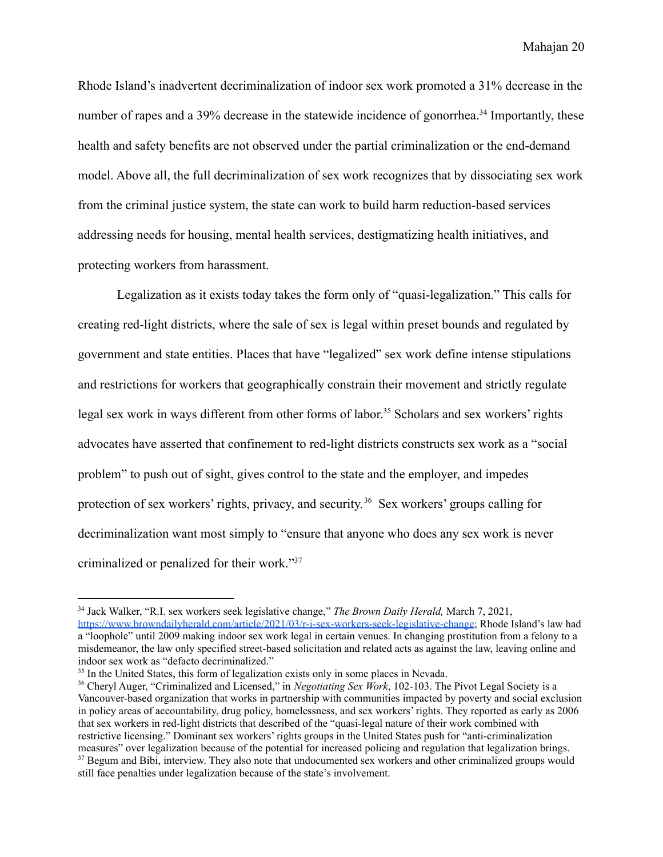Rhode Island's inadvertent decriminalization of indoor sex work promoted a 31% decrease in the number of rapes and a 39% decrease in the statewide incidence of gonorrhea.<sup>34</sup> Importantly, these health and safety benefits are not observed under the partial criminalization or the end-demand model. Above all, the full decriminalization of sex work recognizes that by dissociating sex work from the criminal justice system, the state can work to build harm reduction-based services addressing needs for housing, mental health services, destigmatizing health initiatives, and protecting workers from harassment.

Legalization as it exists today takes the form only of "quasi-legalization." This calls for creating red-light districts, where the sale of sex is legal within preset bounds and regulated by government and state entities. Places that have "legalized" sex work define intense stipulations and restrictions for workers that geographically constrain their movement and strictly regulate legal sex work in ways different from other forms of labor. <sup>35</sup> Scholars and sex workers' rights advocates have asserted that confinement to red-light districts constructs sex work as a "social problem" to push out of sight, gives control to the state and the employer, and impedes protection of sex workers' rights, privacy, and security. <sup>36</sup> Sex workers' groups calling for decriminalization want most simply to "ensure that anyone who does any sex work is never criminalized or penalized for their work."<sup>37</sup>

<sup>34</sup> Jack Walker, "R.I. sex workers seek legislative change," *The Brown Daily Herald,* March 7, 2021, <https://www.browndailyherald.com/article/2021/03/r-i-sex-workers-seek-legislative-change>; Rhode Island's law had a "loophole" until 2009 making indoor sex work legal in certain venues. In changing prostitution from a felony to a misdemeanor, the law only specified street-based solicitation and related acts as against the law, leaving online and indoor sex work as "defacto decriminalized."

<sup>&</sup>lt;sup>35</sup> In the United States, this form of legalization exists only in some places in Nevada.

<sup>&</sup>lt;sup>37</sup> Begum and Bibi, interview. They also note that undocumented sex workers and other criminalized groups would still face penalties under legalization because of the state's involvement. <sup>36</sup> Cheryl Auger, "Criminalized and Licensed," in *Negotiating Sex Work*, 102-103. The Pivot Legal Society is a Vancouver-based organization that works in partnership with communities impacted by poverty and social exclusion in policy areas of accountability, drug policy, homelessness, and sex workers' rights. They reported as early as 2006 that sex workers in red-light districts that described of the "quasi-legal nature of their work combined with restrictive licensing." Dominant sex workers' rights groups in the United States push for "anti-criminalization measures" over legalization because of the potential for increased policing and regulation that legalization brings.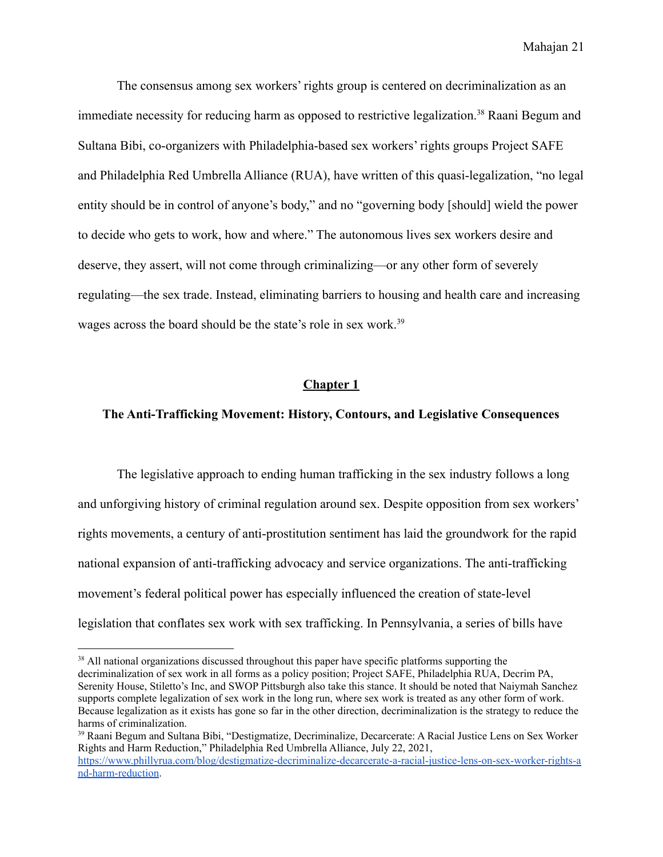The consensus among sex workers' rights group is centered on decriminalization as an immediate necessity for reducing harm as opposed to restrictive legalization.<sup>38</sup> Raani Begum and Sultana Bibi, co-organizers with Philadelphia-based sex workers' rights groups Project SAFE and Philadelphia Red Umbrella Alliance (RUA), have written of this quasi-legalization, "no legal entity should be in control of anyone's body," and no "governing body [should] wield the power to decide who gets to work, how and where." The autonomous lives sex workers desire and deserve, they assert, will not come through criminalizing—or any other form of severely regulating—the sex trade. Instead, eliminating barriers to housing and health care and increasing wages across the board should be the state's role in sex work.<sup>39</sup>

#### **Chapter 1**

#### <span id="page-22-1"></span><span id="page-22-0"></span>**The Anti-Trafficking Movement: History, Contours, and Legislative Consequences**

The legislative approach to ending human trafficking in the sex industry follows a long and unforgiving history of criminal regulation around sex. Despite opposition from sex workers' rights movements, a century of anti-prostitution sentiment has laid the groundwork for the rapid national expansion of anti-trafficking advocacy and service organizations. The anti-trafficking movement's federal political power has especially influenced the creation of state-level legislation that conflates sex work with sex trafficking. In Pennsylvania, a series of bills have

<sup>&</sup>lt;sup>38</sup> All national organizations discussed throughout this paper have specific platforms supporting the decriminalization of sex work in all forms as a policy position; Project SAFE, Philadelphia RUA, Decrim PA, Serenity House, Stiletto's Inc, and SWOP Pittsburgh also take this stance. It should be noted that Naiymah Sanchez supports complete legalization of sex work in the long run, where sex work is treated as any other form of work. Because legalization as it exists has gone so far in the other direction, decriminalization is the strategy to reduce the harms of criminalization.

<sup>&</sup>lt;sup>39</sup> Raani Begum and Sultana Bibi, "Destigmatize, Decriminalize, Decarcerate: A Racial Justice Lens on Sex Worker Rights and Harm Reduction," Philadelphia Red Umbrella Alliance, July 22, 2021, [https://www.phillyrua.com/blog/destigmatize-decriminalize-decarcerate-a-racial-justice-lens-on-sex-worker-rights-a](https://www.phillyrua.com/blog/destigmatize-decriminalize-decarcerate-a-racial-justice-lens-on-sex-worker-rights-and-harm-reduction) [nd-harm-reduction.](https://www.phillyrua.com/blog/destigmatize-decriminalize-decarcerate-a-racial-justice-lens-on-sex-worker-rights-and-harm-reduction)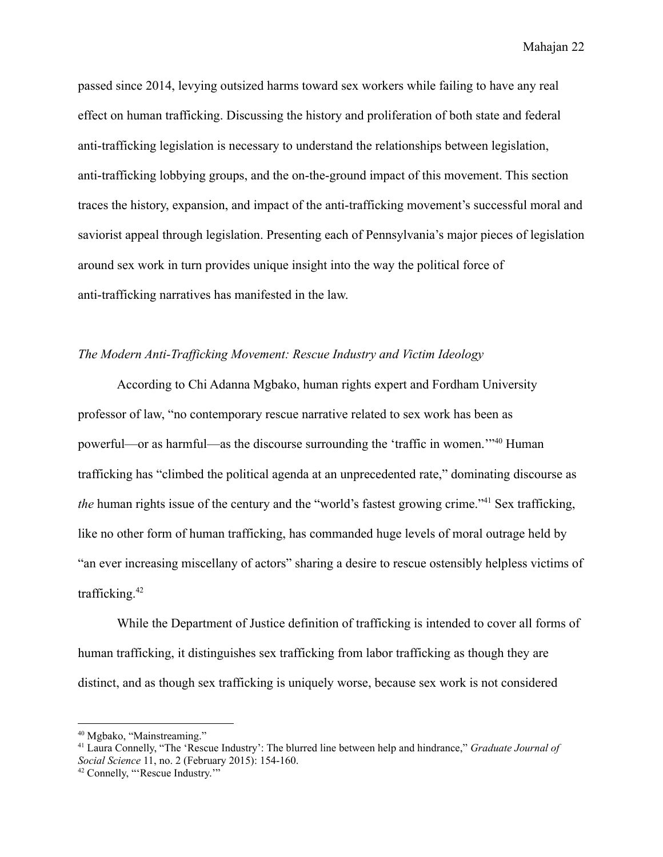passed since 2014, levying outsized harms toward sex workers while failing to have any real effect on human trafficking. Discussing the history and proliferation of both state and federal anti-trafficking legislation is necessary to understand the relationships between legislation, anti-trafficking lobbying groups, and the on-the-ground impact of this movement. This section traces the history, expansion, and impact of the anti-trafficking movement's successful moral and saviorist appeal through legislation. Presenting each of Pennsylvania's major pieces of legislation around sex work in turn provides unique insight into the way the political force of anti-trafficking narratives has manifested in the law.

#### <span id="page-23-0"></span>*The Modern Anti-Trafficking Movement: Rescue Industry and Victim Ideology*

According to Chi Adanna Mgbako, human rights expert and Fordham University professor of law, "no contemporary rescue narrative related to sex work has been as powerful—or as harmful—as the discourse surrounding the 'traffic in women.'"<sup>40</sup> Human trafficking has "climbed the political agenda at an unprecedented rate," dominating discourse as *the* human rights issue of the century and the "world's fastest growing crime."<sup>41</sup> Sex trafficking, like no other form of human trafficking, has commanded huge levels of moral outrage held by "an ever increasing miscellany of actors" sharing a desire to rescue ostensibly helpless victims of trafficking.<sup>42</sup>

While the Department of Justice definition of trafficking is intended to cover all forms of human trafficking, it distinguishes sex trafficking from labor trafficking as though they are distinct, and as though sex trafficking is uniquely worse, because sex work is not considered

<sup>40</sup> Mgbako, "Mainstreaming."

<sup>41</sup> Laura Connelly, "The 'Rescue Industry': The blurred line between help and hindrance," *Graduate Journal of Social Science* 11, no. 2 (February 2015): 154-160.

<sup>42</sup> Connelly, "'Rescue Industry.'"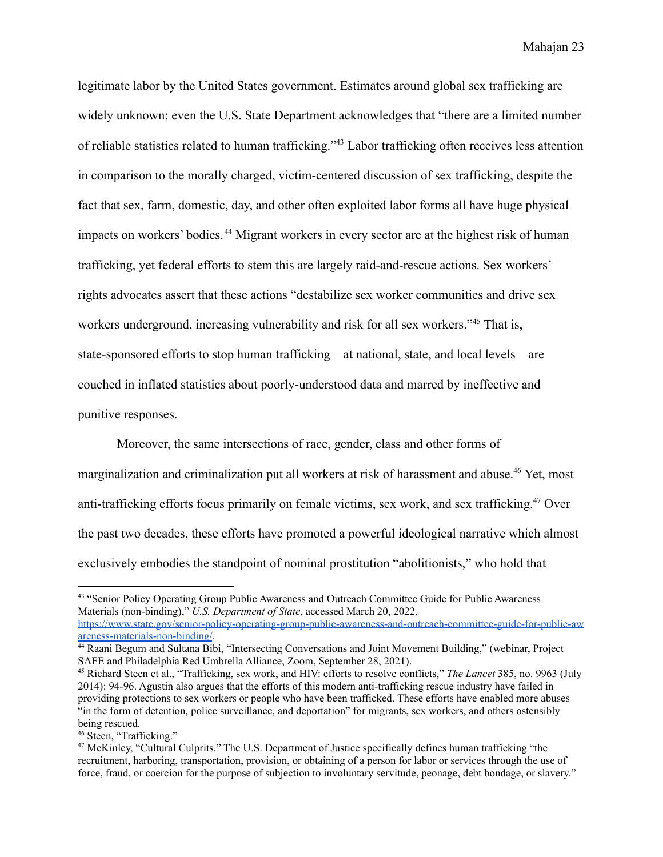legitimate labor by the United States government. Estimates around global sex trafficking are widely unknown; even the U.S. State Department acknowledges that "there are a limited number of reliable statistics related to human trafficking."<sup>43</sup> Labor trafficking often receives less attention in comparison to the morally charged, victim-centered discussion of sex trafficking, despite the fact that sex, farm, domestic, day, and other often exploited labor forms all have huge physical impacts on workers' bodies. <sup>44</sup> Migrant workers in every sector are at the highest risk of human trafficking, yet federal efforts to stem this are largely raid-and-rescue actions. Sex workers' rights advocates assert that these actions "destabilize sex worker communities and drive sex workers underground, increasing vulnerability and risk for all sex workers."<sup>45</sup> That is, state-sponsored efforts to stop human trafficking—at national, state, and local levels—are couched in inflated statistics about poorly-understood data and marred by ineffective and punitive responses.

Moreover, the same intersections of race, gender, class and other forms of marginalization and criminalization put all workers at risk of harassment and abuse.<sup>46</sup> Yet, most anti-trafficking efforts focus primarily on female victims, sex work, and sex trafficking.<sup>47</sup> Over the past two decades, these efforts have promoted a powerful ideological narrative which almost exclusively embodies the standpoint of nominal prostitution "abolitionists," who hold that

<sup>43</sup> "Senior Policy Operating Group Public Awareness and Outreach Committee Guide for Public Awareness Materials (non-binding)," *U.S. Department of State*, accessed March 20, 2022,

[https://www.state.gov/senior-policy-operating-group-public-awareness-and-outreach-committee-guide-for-public-aw](https://www.state.gov/senior-policy-operating-group-public-awareness-and-outreach-committee-guide-for-public-awareness-materials-non-binding/) [areness-materials-non-binding/](https://www.state.gov/senior-policy-operating-group-public-awareness-and-outreach-committee-guide-for-public-awareness-materials-non-binding/).

<sup>44</sup> Raani Begum and Sultana Bibi, "Intersecting Conversations and Joint Movement Building," (webinar, Project SAFE and Philadelphia Red Umbrella Alliance, Zoom, September 28, 2021).

<sup>45</sup> Richard Steen et al., "Trafficking, sex work, and HIV: efforts to resolve conflicts," *The Lancet* 385, no. 9963 (July 2014): 94-96. Agustín also argues that the efforts of this modern anti-trafficking rescue industry have failed in providing protections to sex workers or people who have been trafficked. These efforts have enabled more abuses "in the form of detention, police surveillance, and deportation" for migrants, sex workers, and others ostensibly being rescued.

<sup>46</sup> Steen, "Trafficking."

<sup>&</sup>lt;sup>47</sup> McKinley, "Cultural Culprits." The U.S. Department of Justice specifically defines human trafficking "the recruitment, harboring, transportation, provision, or obtaining of a person for labor or services through the use of force, fraud, or coercion for the purpose of subjection to involuntary servitude, peonage, debt bondage, or slavery."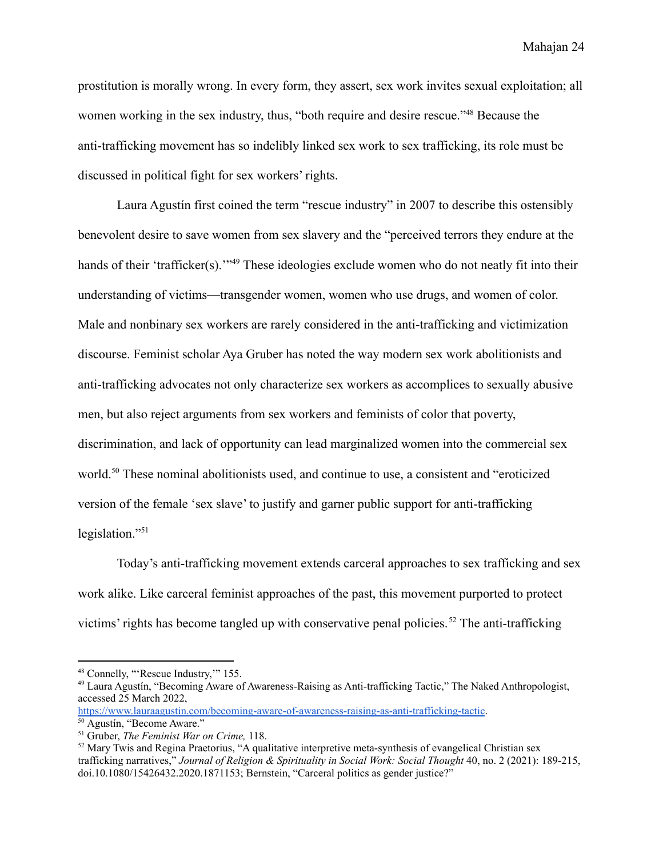prostitution is morally wrong. In every form, they assert, sex work invites sexual exploitation; all women working in the sex industry, thus, "both require and desire rescue."<sup>48</sup> Because the anti-trafficking movement has so indelibly linked sex work to sex trafficking, its role must be discussed in political fight for sex workers' rights.

Laura Agustín first coined the term "rescue industry" in 2007 to describe this ostensibly benevolent desire to save women from sex slavery and the "perceived terrors they endure at the hands of their 'trafficker(s).'"<sup>49</sup> These ideologies exclude women who do not neatly fit into their understanding of victims—transgender women, women who use drugs, and women of color. Male and nonbinary sex workers are rarely considered in the anti-trafficking and victimization discourse. Feminist scholar Aya Gruber has noted the way modern sex work abolitionists and anti-trafficking advocates not only characterize sex workers as accomplices to sexually abusive men, but also reject arguments from sex workers and feminists of color that poverty, discrimination, and lack of opportunity can lead marginalized women into the commercial sex world.<sup>50</sup> These nominal abolitionists used, and continue to use, a consistent and "eroticized" version of the female 'sex slave' to justify and garner public support for anti-trafficking legislation."<sup>51</sup>

Today's anti-trafficking movement extends carceral approaches to sex trafficking and sex work alike. Like carceral feminist approaches of the past, this movement purported to protect victims' rights has become tangled up with conservative penal policies.<sup>52</sup> The anti-trafficking

<sup>&</sup>lt;sup>48</sup> Connelly, "'Rescue Industry," 155.

<sup>49</sup> Laura Agustín, "Becoming Aware of Awareness-Raising as Anti-trafficking Tactic," The Naked Anthropologist, accessed 25 March 2022,

<https://www.lauraagustin.com/becoming-aware-of-awareness-raising-as-anti-trafficking-tactic>.

<sup>50</sup> Agustín, "Become Aware."

<sup>51</sup> Gruber, *The Feminist War on Crime,* 118.

<sup>&</sup>lt;sup>52</sup> Mary Twis and Regina Praetorius, "A qualitative interpretive meta-synthesis of evangelical Christian sex trafficking narratives," *Journal of Religion & Spirituality in Social Work: Social Thought* 40, no. 2 (2021): 189-215, doi.10.1080/15426432.2020.1871153; Bernstein, "Carceral politics as gender justice?"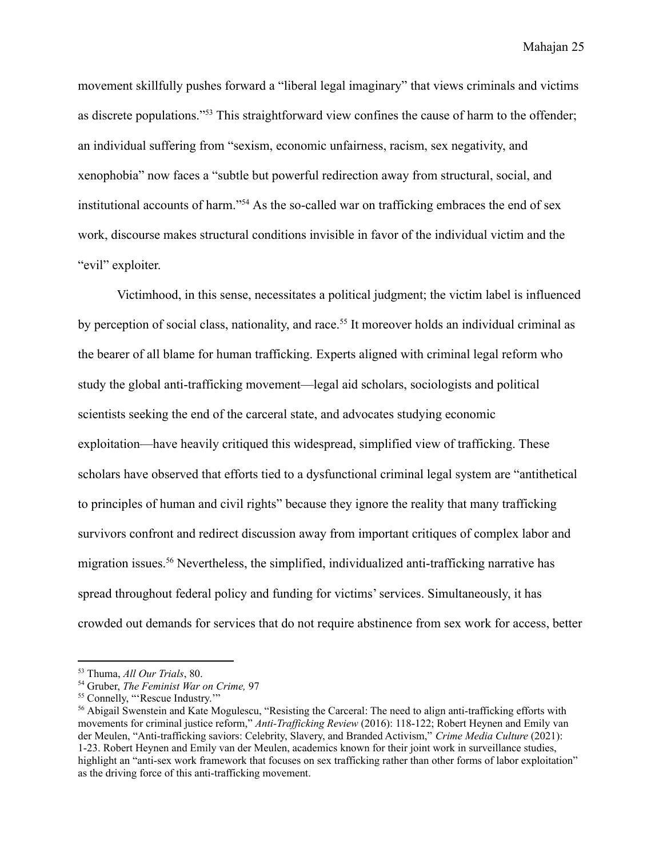movement skillfully pushes forward a "liberal legal imaginary" that views criminals and victims as discrete populations."<sup>53</sup> This straightforward view confines the cause of harm to the offender; an individual suffering from "sexism, economic unfairness, racism, sex negativity, and xenophobia" now faces a "subtle but powerful redirection away from structural, social, and institutional accounts of harm."<sup>54</sup> As the so-called war on trafficking embraces the end of sex work, discourse makes structural conditions invisible in favor of the individual victim and the "evil" exploiter.

Victimhood, in this sense, necessitates a political judgment; the victim label is influenced by perception of social class, nationality, and race.<sup>55</sup> It moreover holds an individual criminal as the bearer of all blame for human trafficking. Experts aligned with criminal legal reform who study the global anti-trafficking movement—legal aid scholars, sociologists and political scientists seeking the end of the carceral state, and advocates studying economic exploitation—have heavily critiqued this widespread, simplified view of trafficking. These scholars have observed that efforts tied to a dysfunctional criminal legal system are "antithetical to principles of human and civil rights" because they ignore the reality that many trafficking survivors confront and redirect discussion away from important critiques of complex labor and migration issues.<sup>56</sup> Nevertheless, the simplified, individualized anti-trafficking narrative has spread throughout federal policy and funding for victims' services. Simultaneously, it has crowded out demands for services that do not require abstinence from sex work for access, better

<sup>53</sup> Thuma, *All Our Trials*, 80.

<sup>54</sup> Gruber, *The Feminist War on Crime,* 97

<sup>55</sup> Connelly, "'Rescue Industry.'"

<sup>&</sup>lt;sup>56</sup> Abigail Swenstein and Kate Mogulescu, "Resisting the Carceral: The need to align anti-trafficking efforts with movements for criminal justice reform," *Anti-Trafficking Review* (2016): 118-122; Robert Heynen and Emily van der Meulen, "Anti-trafficking saviors: Celebrity, Slavery, and Branded Activism," *Crime Media Culture* (2021): 1-23. Robert Heynen and Emily van der Meulen, academics known for their joint work in surveillance studies, highlight an "anti-sex work framework that focuses on sex trafficking rather than other forms of labor exploitation" as the driving force of this anti-trafficking movement.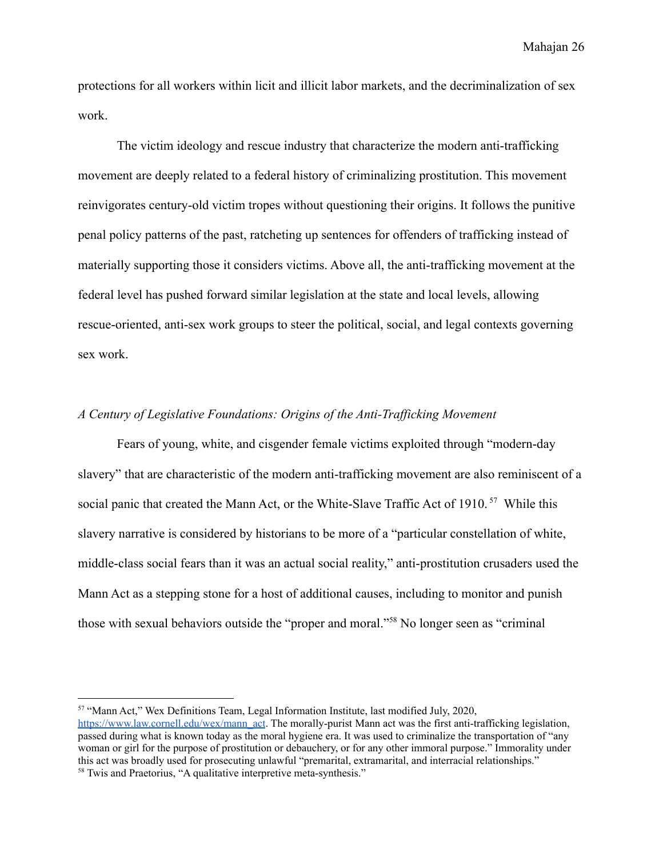protections for all workers within licit and illicit labor markets, and the decriminalization of sex work.

The victim ideology and rescue industry that characterize the modern anti-trafficking movement are deeply related to a federal history of criminalizing prostitution. This movement reinvigorates century-old victim tropes without questioning their origins. It follows the punitive penal policy patterns of the past, ratcheting up sentences for offenders of trafficking instead of materially supporting those it considers victims. Above all, the anti-trafficking movement at the federal level has pushed forward similar legislation at the state and local levels, allowing rescue-oriented, anti-sex work groups to steer the political, social, and legal contexts governing sex work.

#### <span id="page-27-0"></span>*A Century of Legislative Foundations: Origins of the Anti-Trafficking Movement*

Fears of young, white, and cisgender female victims exploited through "modern-day slavery" that are characteristic of the modern anti-trafficking movement are also reminiscent of a social panic that created the Mann Act, or the White-Slave Traffic Act of 1910.<sup>57</sup> While this slavery narrative is considered by historians to be more of a "particular constellation of white, middle-class social fears than it was an actual social reality," anti-prostitution crusaders used the Mann Act as a stepping stone for a host of additional causes, including to monitor and punish those with sexual behaviors outside the "proper and moral."<sup>58</sup> No longer seen as "criminal

<sup>57</sup> "Mann Act," Wex Definitions Team, Legal Information Institute, last modified July, 2020,

<sup>&</sup>lt;sup>58</sup> Twis and Praetorius, "A qualitative interpretive meta-synthesis." [https://www.law.cornell.edu/wex/mann\\_act](https://www.law.cornell.edu/wex/mann_act). The morally-purist Mann act was the first anti-trafficking legislation, passed during what is known today as the moral hygiene era. It was used to criminalize the transportation of "any woman or girl for the purpose of prostitution or debauchery, or for any other immoral purpose." Immorality under this act was broadly used for prosecuting unlawful "premarital, extramarital, and interracial relationships."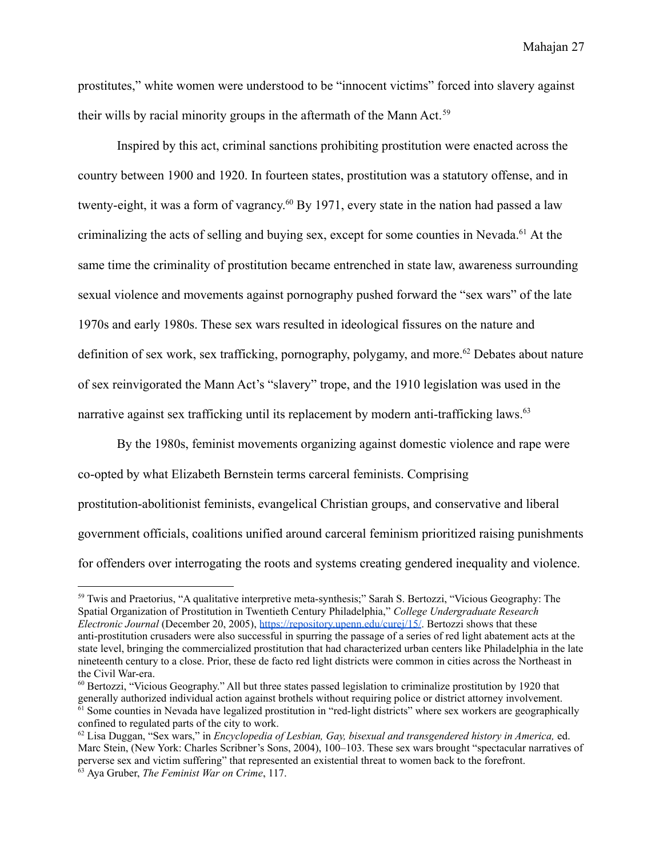prostitutes," white women were understood to be "innocent victims" forced into slavery against their wills by racial minority groups in the aftermath of the Mann Act.<sup>59</sup>

Inspired by this act, criminal sanctions prohibiting prostitution were enacted across the country between 1900 and 1920. In fourteen states, prostitution was a statutory offense, and in twenty-eight, it was a form of vagrancy.<sup>60</sup> By 1971, every state in the nation had passed a law criminalizing the acts of selling and buying sex, except for some counties in Nevada.<sup>61</sup> At the same time the criminality of prostitution became entrenched in state law, awareness surrounding sexual violence and movements against pornography pushed forward the "sex wars" of the late 1970s and early 1980s. These sex wars resulted in ideological fissures on the nature and definition of sex work, sex trafficking, pornography, polygamy, and more.<sup>62</sup> Debates about nature of sex reinvigorated the Mann Act's "slavery" trope, and the 1910 legislation was used in the narrative against sex trafficking until its replacement by modern anti-trafficking laws.<sup>63</sup>

By the 1980s, feminist movements organizing against domestic violence and rape were co-opted by what Elizabeth Bernstein terms carceral feminists. Comprising prostitution-abolitionist feminists, evangelical Christian groups, and conservative and liberal government officials, coalitions unified around carceral feminism prioritized raising punishments for offenders over interrogating the roots and systems creating gendered inequality and violence.

<sup>59</sup> Twis and Praetorius, "A qualitative interpretive meta-synthesis;" Sarah S. Bertozzi, "Vicious Geography: The Spatial Organization of Prostitution in Twentieth Century Philadelphia," *College Undergraduate Research Electronic Journal* (December 20, 2005), <https://repository.upenn.edu/curej/15/>. Bertozzi shows that these anti-prostitution crusaders were also successful in spurring the passage of a series of red light abatement acts at the state level, bringing the commercialized prostitution that had characterized urban centers like Philadelphia in the late nineteenth century to a close. Prior, these de facto red light districts were common in cities across the Northeast in the Civil War-era.

 $61$  Some counties in Nevada have legalized prostitution in "red-light districts" where sex workers are geographically confined to regulated parts of the city to work. <sup>60</sup> Bertozzi, "Vicious Geography." All but three states passed legislation to criminalize prostitution by 1920 that generally authorized individual action against brothels without requiring police or district attorney involvement.

<sup>63</sup> Aya Gruber, *The Feminist War on Crime*, 117. <sup>62</sup> Lisa Duggan, "Sex wars," in *Encyclopedia of Lesbian, Gay, bisexual and transgendered history in America,* ed. Marc Stein, (New York: Charles Scribner's Sons, 2004), 100–103. These sex wars brought "spectacular narratives of perverse sex and victim suffering" that represented an existential threat to women back to the forefront.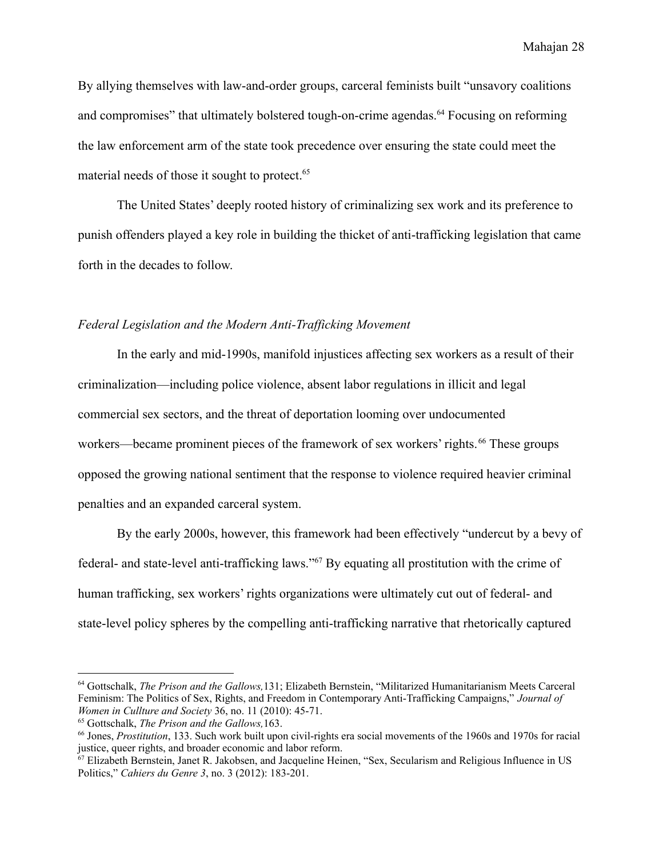By allying themselves with law-and-order groups, carceral feminists built "unsavory coalitions and compromises" that ultimately bolstered tough-on-crime agendas.<sup>64</sup> Focusing on reforming the law enforcement arm of the state took precedence over ensuring the state could meet the material needs of those it sought to protect.<sup>65</sup>

The United States' deeply rooted history of criminalizing sex work and its preference to punish offenders played a key role in building the thicket of anti-trafficking legislation that came forth in the decades to follow.

#### <span id="page-29-0"></span>*Federal Legislation and the Modern Anti-Trafficking Movement*

In the early and mid-1990s, manifold injustices affecting sex workers as a result of their criminalization—including police violence, absent labor regulations in illicit and legal commercial sex sectors, and the threat of deportation looming over undocumented workers—became prominent pieces of the framework of sex workers' rights. <sup>66</sup> These groups opposed the growing national sentiment that the response to violence required heavier criminal penalties and an expanded carceral system.

By the early 2000s, however, this framework had been effectively "undercut by a bevy of federal- and state-level anti-trafficking laws."<sup>67</sup> By equating all prostitution with the crime of human trafficking, sex workers' rights organizations were ultimately cut out of federal- and state-level policy spheres by the compelling anti-trafficking narrative that rhetorically captured

<sup>64</sup> Gottschalk, *The Prison and the Gallows,*131; Elizabeth Bernstein, "Militarized Humanitarianism Meets Carceral Feminism: The Politics of Sex, Rights, and Freedom in Contemporary Anti-Trafficking Campaigns," *Journal of Women in Cullture and Society* 36, no. 11 (2010): 45-71.

<sup>65</sup> Gottschalk, *The Prison and the Gallows,*163.

<sup>66</sup> Jones, *Prostitution*, 133. Such work built upon civil-rights era social movements of the 1960s and 1970s for racial justice, queer rights, and broader economic and labor reform.

<sup>67</sup> Elizabeth Bernstein, Janet R. Jakobsen, and Jacqueline Heinen, "Sex, Secularism and Religious Influence in US Politics," *Cahiers du Genre 3*, no. 3 (2012): 183-201.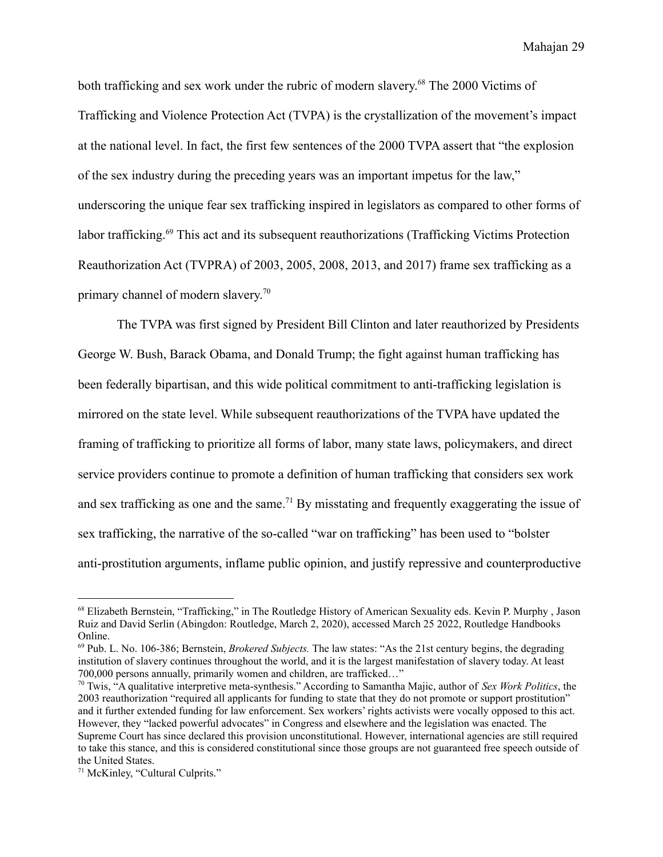both trafficking and sex work under the rubric of modern slavery. <sup>68</sup> The 2000 Victims of Trafficking and Violence Protection Act (TVPA) is the crystallization of the movement's impact at the national level. In fact, the first few sentences of the 2000 TVPA assert that "the explosion of the sex industry during the preceding years was an important impetus for the law," underscoring the unique fear sex trafficking inspired in legislators as compared to other forms of labor trafficking.<sup>69</sup> This act and its subsequent reauthorizations (Trafficking Victims Protection Reauthorization Act (TVPRA) of 2003, 2005, 2008, 2013, and 2017) frame sex trafficking as a primary channel of modern slavery. 70

The TVPA was first signed by President Bill Clinton and later reauthorized by Presidents George W. Bush, Barack Obama, and Donald Trump; the fight against human trafficking has been federally bipartisan, and this wide political commitment to anti-trafficking legislation is mirrored on the state level. While subsequent reauthorizations of the TVPA have updated the framing of trafficking to prioritize all forms of labor, many state laws, policymakers, and direct service providers continue to promote a definition of human trafficking that considers sex work and sex trafficking as one and the same.<sup>71</sup> By misstating and frequently exaggerating the issue of sex trafficking, the narrative of the so-called "war on trafficking" has been used to "bolster anti-prostitution arguments, inflame public opinion, and justify repressive and counterproductive

<sup>&</sup>lt;sup>68</sup> Elizabeth Bernstein, "Trafficking," in The Routledge History of American Sexuality eds. Kevin P. Murphy, Jason Ruiz and David Serlin (Abingdon: Routledge, March 2, 2020), accessed March 25 2022, Routledge Handbooks Online.

<sup>69</sup> Pub. L. No. 106-386; Bernstein, *Brokered Subjects.* The law states: "As the 21st century begins, the degrading institution of slavery continues throughout the world, and it is the largest manifestation of slavery today. At least 700,000 persons annually, primarily women and children, are trafficked…"

<sup>70</sup> Twis, "A qualitative interpretive meta-synthesis." According to Samantha Majic, author of *Sex Work Politics*, the 2003 reauthorization "required all applicants for funding to state that they do not promote or support prostitution" and it further extended funding for law enforcement. Sex workers' rights activists were vocally opposed to this act. However, they "lacked powerful advocates" in Congress and elsewhere and the legislation was enacted. The Supreme Court has since declared this provision unconstitutional. However, international agencies are still required to take this stance, and this is considered constitutional since those groups are not guaranteed free speech outside of the United States.

<sup>71</sup> McKinley, "Cultural Culprits."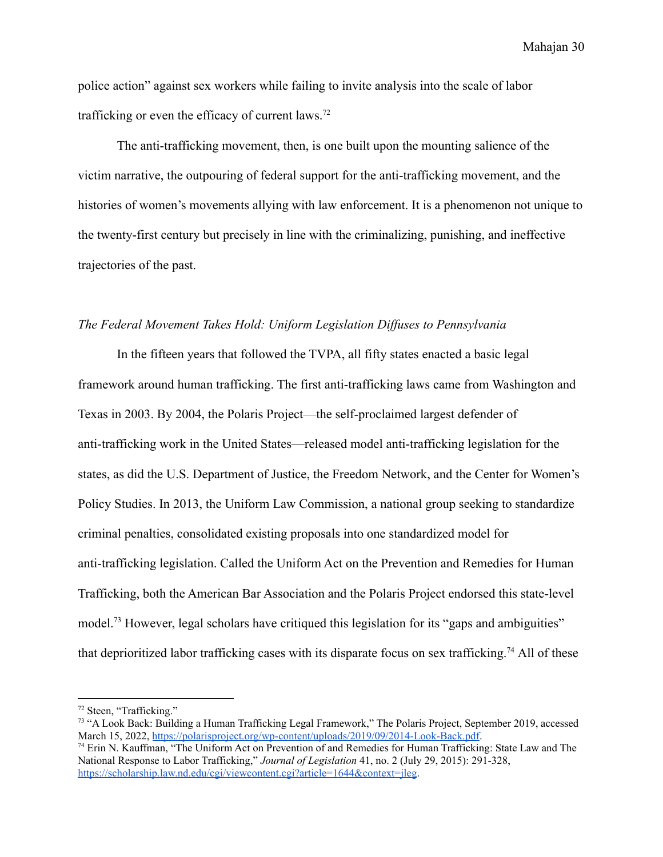police action" against sex workers while failing to invite analysis into the scale of labor trafficking or even the efficacy of current laws.<sup>72</sup>

The anti-trafficking movement, then, is one built upon the mounting salience of the victim narrative, the outpouring of federal support for the anti-trafficking movement, and the histories of women's movements allying with law enforcement. It is a phenomenon not unique to the twenty-first century but precisely in line with the criminalizing, punishing, and ineffective trajectories of the past.

#### <span id="page-31-0"></span>*The Federal Movement Takes Hold: Uniform Legislation Diffuses to Pennsylvania*

In the fifteen years that followed the TVPA, all fifty states enacted a basic legal framework around human trafficking. The first anti-trafficking laws came from Washington and Texas in 2003. By 2004, the Polaris Project—the self-proclaimed largest defender of anti-trafficking work in the United States—released model anti-trafficking legislation for the states, as did the U.S. Department of Justice, the Freedom Network, and the Center for Women's Policy Studies. In 2013, the Uniform Law Commission, a national group seeking to standardize criminal penalties, consolidated existing proposals into one standardized model for anti-trafficking legislation. Called the Uniform Act on the Prevention and Remedies for Human Trafficking, both the American Bar Association and the Polaris Project endorsed this state-level model.<sup>73</sup> However, legal scholars have critiqued this legislation for its "gaps and ambiguities" that deprioritized labor trafficking cases with its disparate focus on sex trafficking.<sup>74</sup> All of these

<sup>72</sup> Steen, "Trafficking."

<sup>&</sup>lt;sup>73</sup> "A Look Back: Building a Human Trafficking Legal Framework," The Polaris Project, September 2019, accessed March 15, 2022, [https://polarisproject.org/wp-content/uploads/2019/09/2014-Look-Back.pdf.](https://polarisproject.org/wp-content/uploads/2019/09/2014-Look-Back.pdf)

<sup>74</sup> Erin N. Kauffman, "The Uniform Act on Prevention of and Remedies for Human Trafficking: State Law and The National Response to Labor Trafficking," *Journal of Legislation* 41, no. 2 (July 29, 2015): 291-328, <https://scholarship.law.nd.edu/cgi/viewcontent.cgi?article=1644&context=jleg>.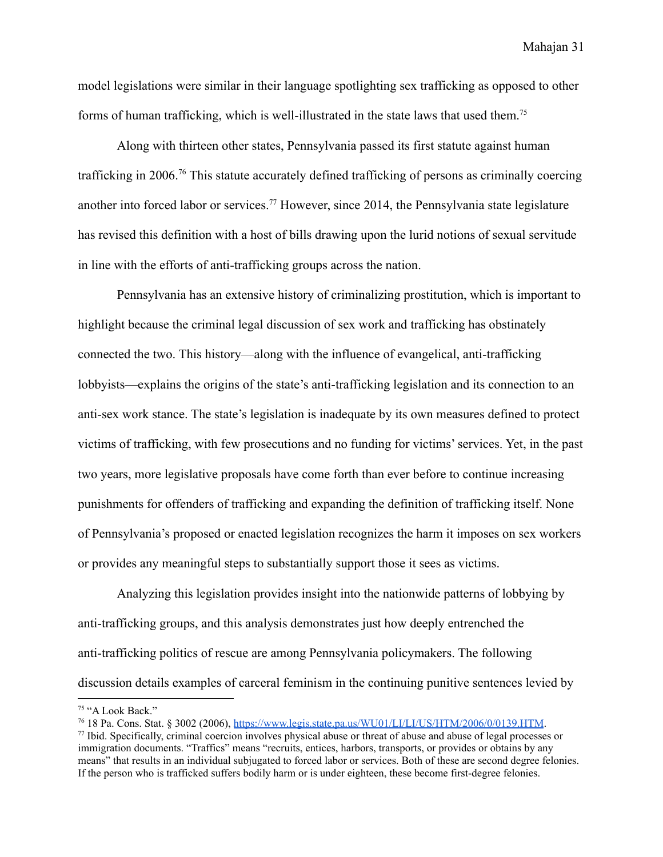model legislations were similar in their language spotlighting sex trafficking as opposed to other forms of human trafficking, which is well-illustrated in the state laws that used them.<sup>75</sup>

Along with thirteen other states, Pennsylvania passed its first statute against human trafficking in 2006.<sup>76</sup> This statute accurately defined trafficking of persons as criminally coercing another into forced labor or services.<sup>77</sup> However, since 2014, the Pennsylvania state legislature has revised this definition with a host of bills drawing upon the lurid notions of sexual servitude in line with the efforts of anti-trafficking groups across the nation.

Pennsylvania has an extensive history of criminalizing prostitution, which is important to highlight because the criminal legal discussion of sex work and trafficking has obstinately connected the two. This history—along with the influence of evangelical, anti-trafficking lobbyists—explains the origins of the state's anti-trafficking legislation and its connection to an anti-sex work stance. The state's legislation is inadequate by its own measures defined to protect victims of trafficking, with few prosecutions and no funding for victims' services. Yet, in the past two years, more legislative proposals have come forth than ever before to continue increasing punishments for offenders of trafficking and expanding the definition of trafficking itself. None of Pennsylvania's proposed or enacted legislation recognizes the harm it imposes on sex workers or provides any meaningful steps to substantially support those it sees as victims.

Analyzing this legislation provides insight into the nationwide patterns of lobbying by anti-trafficking groups, and this analysis demonstrates just how deeply entrenched the anti-trafficking politics of rescue are among Pennsylvania policymakers. The following discussion details examples of carceral feminism in the continuing punitive sentences levied by

<sup>75</sup> "A Look Back."

<sup>76</sup> 18 Pa. Cons. Stat. § 3002 (2006), [https://www.legis.state.pa.us/WU01/LI/LI/US/HTM/2006/0/0139.HTM](https://www.legis.state.pa.us/WU01/LI/LI/US/HTM/2006/0/0139..HTM).

<sup>77</sup> Ibid. Specifically, criminal coercion involves physical abuse or threat of abuse and abuse of legal processes or immigration documents. "Traffics" means "recruits, entices, harbors, transports, or provides or obtains by any means" that results in an individual subjugated to forced labor or services. Both of these are second degree felonies. If the person who is trafficked suffers bodily harm or is under eighteen, these become first-degree felonies.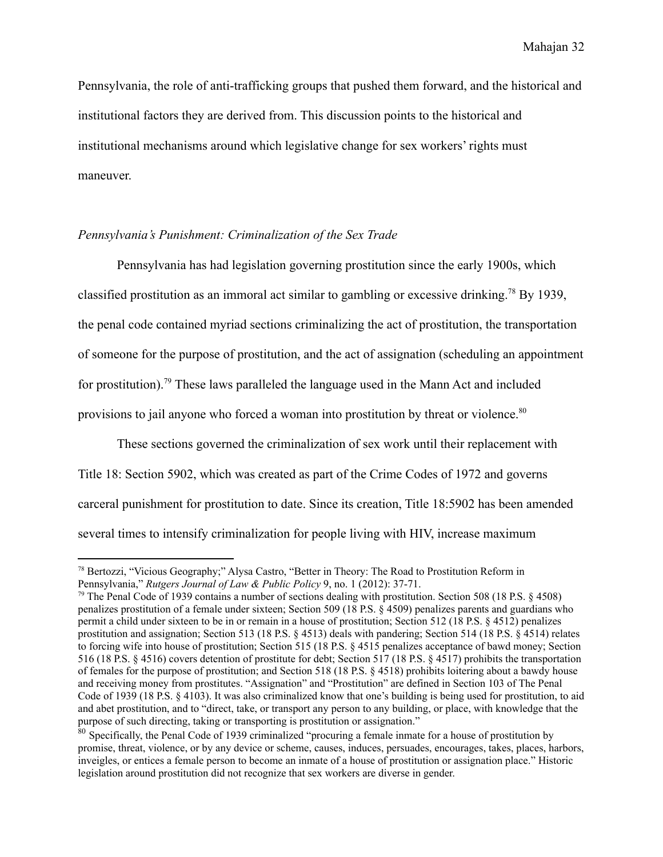Pennsylvania, the role of anti-trafficking groups that pushed them forward, and the historical and institutional factors they are derived from. This discussion points to the historical and institutional mechanisms around which legislative change for sex workers' rights must maneuver.

#### <span id="page-33-0"></span>*Pennsylvania's Punishment: Criminalization of the Sex Trade*

Pennsylvania has had legislation governing prostitution since the early 1900s, which classified prostitution as an immoral act similar to gambling or excessive drinking.<sup>78</sup> By 1939, the penal code contained myriad sections criminalizing the act of prostitution, the transportation of someone for the purpose of prostitution, and the act of assignation (scheduling an appointment for prostitution).<sup>79</sup> These laws paralleled the language used in the Mann Act and included provisions to jail anyone who forced a woman into prostitution by threat or violence.<sup>80</sup>

These sections governed the criminalization of sex work until their replacement with Title 18: Section 5902, which was created as part of the Crime Codes of 1972 and governs carceral punishment for prostitution to date. Since its creation, Title 18:5902 has been amended several times to intensify criminalization for people living with HIV, increase maximum

<sup>78</sup> Bertozzi, "Vicious Geography;" Alysa Castro, "Better in Theory: The Road to Prostitution Reform in Pennsylvania," *Rutgers Journal of Law & Public Policy* 9, no. 1 (2012): 37-71.

<sup>&</sup>lt;sup>79</sup> The Penal Code of 1939 contains a number of sections dealing with prostitution. Section 508 (18 P.S.  $\S$  4508) penalizes prostitution of a female under sixteen; Section 509 (18 P.S. § 4509) penalizes parents and guardians who permit a child under sixteen to be in or remain in a house of prostitution; Section 512 (18 P.S. § 4512) penalizes prostitution and assignation; Section 513 (18 P.S. § 4513) deals with pandering; Section 514 (18 P.S. § 4514) relates to forcing wife into house of prostitution; Section 515 (18 P.S. § 4515 penalizes acceptance of bawd money; Section 516 (18 P.S. § 4516) covers detention of prostitute for debt; Section 517 (18 P.S. § 4517) prohibits the transportation of females for the purpose of prostitution; and Section 518 (18 P.S. § 4518) prohibits loitering about a bawdy house and receiving money from prostitutes. "Assignation" and "Prostitution" are defined in Section 103 of The Penal Code of 1939 (18 P.S. § 4103). It was also criminalized know that one's building is being used for prostitution, to aid and abet prostitution, and to "direct, take, or transport any person to any building, or place, with knowledge that the purpose of such directing, taking or transporting is prostitution or assignation."

<sup>&</sup>lt;sup>80</sup> Specifically, the Penal Code of 1939 criminalized "procuring a female inmate for a house of prostitution by promise, threat, violence, or by any device or scheme, causes, induces, persuades, encourages, takes, places, harbors, inveigles, or entices a female person to become an inmate of a house of prostitution or assignation place." Historic legislation around prostitution did not recognize that sex workers are diverse in gender.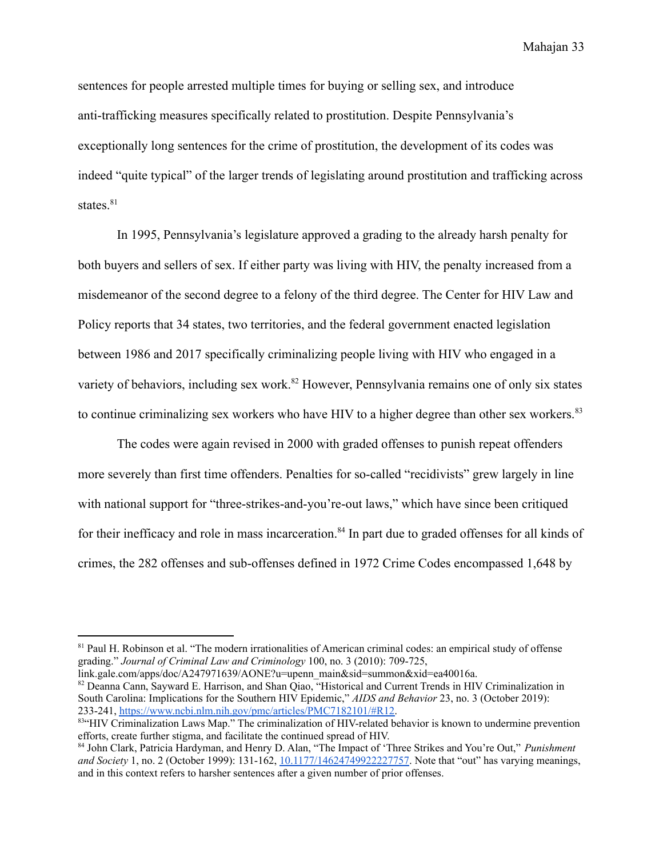sentences for people arrested multiple times for buying or selling sex, and introduce anti-trafficking measures specifically related to prostitution. Despite Pennsylvania's exceptionally long sentences for the crime of prostitution, the development of its codes was indeed "quite typical" of the larger trends of legislating around prostitution and trafficking across states.<sup>81</sup>

In 1995, Pennsylvania's legislature approved a grading to the already harsh penalty for both buyers and sellers of sex. If either party was living with HIV, the penalty increased from a misdemeanor of the second degree to a felony of the third degree. The Center for HIV Law and Policy reports that 34 states, two territories, and the federal government enacted legislation between 1986 and 2017 specifically criminalizing people living with HIV who engaged in a variety of behaviors, including sex work.<sup>82</sup> However, Pennsylvania remains one of only six states to continue criminalizing sex workers who have HIV to a higher degree than other sex workers.<sup>83</sup>

The codes were again revised in 2000 with graded offenses to punish repeat offenders more severely than first time offenders. Penalties for so-called "recidivists" grew largely in line with national support for "three-strikes-and-you're-out laws," which have since been critiqued for their inefficacy and role in mass incarceration.<sup>84</sup> In part due to graded offenses for all kinds of crimes, the 282 offenses and sub-offenses defined in 1972 Crime Codes encompassed 1,648 by

<sup>82</sup> Deanna Cann, Sayward E. Harrison, and Shan Qiao, "Historical and Current Trends in HIV Criminalization in South Carolina: Implications for the Southern HIV Epidemic," *AIDS and Behavior* 23, no. 3 (October 2019): 233-241, [https://www.ncbi.nlm.nih.gov/pmc/articles/PMC7182101/#R12.](https://www.ncbi.nlm.nih.gov/pmc/articles/PMC7182101/#R12) link.gale.com/apps/doc/A247971639/AONE?u=upenn\_main&sid=summon&xid=ea40016a.

<sup>&</sup>lt;sup>81</sup> Paul H. Robinson et al. "The modern irrationalities of American criminal codes: an empirical study of offense grading." *Journal of Criminal Law and Criminology* 100, no. 3 (2010): 709-725,

<sup>83&</sup>lt;sup>4</sup>HIV Criminalization Laws Map." The criminalization of HIV-related behavior is known to undermine prevention efforts, create further stigma, and facilitate the continued spread of HIV.

<sup>84</sup> John Clark, Patricia Hardyman, and Henry D. Alan, "The Impact of 'Three Strikes and You're Out," *Punishment and Society* 1, no. 2 (October 1999): 131-162, [10.1177/14624749922227757](https://doi-org.proxy.library.upenn.edu/10.1177/14624749922227757). Note that "out" has varying meanings, and in this context refers to harsher sentences after a given number of prior offenses.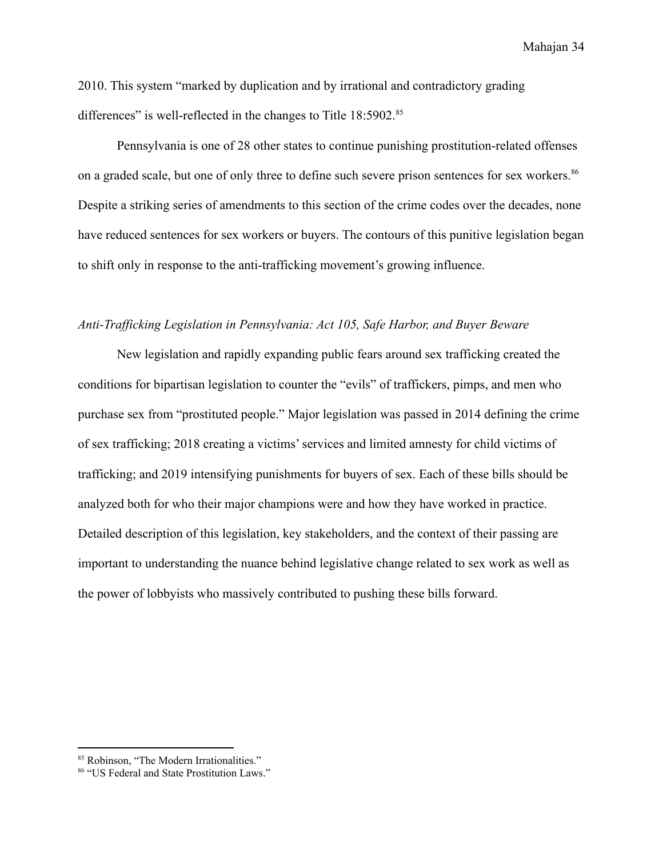2010. This system "marked by duplication and by irrational and contradictory grading differences" is well-reflected in the changes to Title 18:5902.<sup>85</sup>

Pennsylvania is one of 28 other states to continue punishing prostitution-related offenses on a graded scale, but one of only three to define such severe prison sentences for sex workers.<sup>86</sup> Despite a striking series of amendments to this section of the crime codes over the decades, none have reduced sentences for sex workers or buyers. The contours of this punitive legislation began to shift only in response to the anti-trafficking movement's growing influence.

#### <span id="page-35-0"></span>*Anti-Trafficking Legislation in Pennsylvania: Act 105, Safe Harbor, and Buyer Beware*

New legislation and rapidly expanding public fears around sex trafficking created the conditions for bipartisan legislation to counter the "evils" of traffickers, pimps, and men who purchase sex from "prostituted people." Major legislation was passed in 2014 defining the crime of sex trafficking; 2018 creating a victims' services and limited amnesty for child victims of trafficking; and 2019 intensifying punishments for buyers of sex. Each of these bills should be analyzed both for who their major champions were and how they have worked in practice. Detailed description of this legislation, key stakeholders, and the context of their passing are important to understanding the nuance behind legislative change related to sex work as well as the power of lobbyists who massively contributed to pushing these bills forward.

<sup>85</sup> Robinson, "The Modern Irrationalities."

<sup>86</sup> "US Federal and State Prostitution Laws."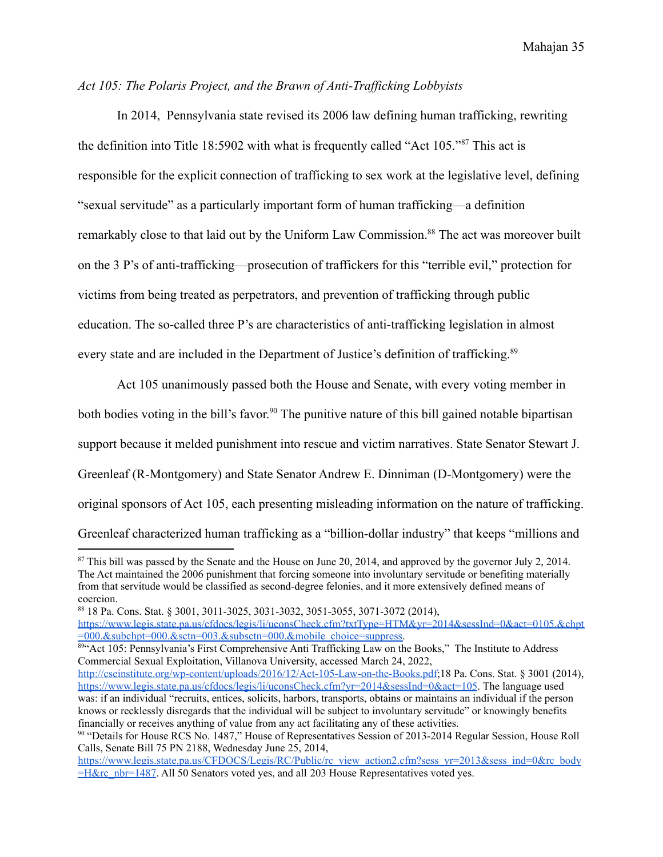# *Act 105: The Polaris Project, and the Brawn of Anti-Trafficking Lobbyists*

In 2014, Pennsylvania state revised its 2006 law defining human trafficking, rewriting the definition into Title 18:5902 with what is frequently called "Act 105."<sup>87</sup> This act is responsible for the explicit connection of trafficking to sex work at the legislative level, defining "sexual servitude" as a particularly important form of human trafficking—a definition remarkably close to that laid out by the Uniform Law Commission.<sup>88</sup> The act was moreover built on the 3 P's of anti-trafficking—prosecution of traffickers for this "terrible evil," protection for victims from being treated as perpetrators, and prevention of trafficking through public education. The so-called three P's are characteristics of anti-trafficking legislation in almost every state and are included in the Department of Justice's definition of trafficking.<sup>89</sup>

Act 105 unanimously passed both the House and Senate, with every voting member in both bodies voting in the bill's favor.<sup>90</sup> The punitive nature of this bill gained notable bipartisan support because it melded punishment into rescue and victim narratives. State Senator Stewart J. Greenleaf (R-Montgomery) and State Senator Andrew E. Dinniman (D-Montgomery) were the original sponsors of Act 105, each presenting misleading information on the nature of trafficking. Greenleaf characterized human trafficking as a "billion-dollar industry" that keeps "millions and

<sup>&</sup>lt;sup>87</sup> This bill was passed by the Senate and the House on June 20, 2014, and approved by the governor July 2, 2014. The Act maintained the 2006 punishment that forcing someone into involuntary servitude or benefiting materially from that servitude would be classified as second-degree felonies, and it more extensively defined means of coercion.

<sup>88</sup> 18 Pa. Cons. Stat. § 3001, 3011-3025, 3031-3032, 3051-3055, 3071-3072 (2014),

[https://www.legis.state.pa.us/cfdocs/legis/li/uconsCheck.cfm?txtType=HTM&yr=2014&sessInd=0&act=0105.&chpt](https://www.legis.state.pa.us/cfdocs/legis/li/uconsCheck.cfm?txtType=HTM&yr=2014&sessInd=0&act=0105.&chpt=000.&subchpt=000.&sctn=003.&subsctn=000.&mobile_choice=suppress) [=000.&subchpt=000.&sctn=003.&subsctn=000.&mobile\\_choice=suppress.](https://www.legis.state.pa.us/cfdocs/legis/li/uconsCheck.cfm?txtType=HTM&yr=2014&sessInd=0&act=0105.&chpt=000.&subchpt=000.&sctn=003.&subsctn=000.&mobile_choice=suppress)

<sup>89&</sup>lt;sup>cc</sup> Act 105: Pennsylvania's First Comprehensive Anti Trafficking Law on the Books," The Institute to Address Commercial Sexual Exploitation, Villanova University, accessed March 24, 2022,

[http://cseinstitute.org/wp-content/uploads/2016/12/Act-105-Law-on-the-Books.pdf;](http://cseinstitute.org/wp-content/uploads/2016/12/Act-105-Law-on-the-Books.pdf)18 Pa. Cons. Stat. § 3001 (2014), <https://www.legis.state.pa.us/cfdocs/legis/li/uconsCheck.cfm?yr=2014&sessInd=0&act=105>. The language used was: if an individual "recruits, entices, solicits, harbors, transports, obtains or maintains an individual if the person knows or recklessly disregards that the individual will be subject to involuntary servitude" or knowingly benefits financially or receives anything of value from any act facilitating any of these activities.

<sup>90</sup> "Details for House RCS No. 1487," House of Representatives Session of 2013-2014 Regular Session, House Roll Calls, Senate Bill 75 PN 2188, Wednesday June 25, 2014,

[https://www.legis.state.pa.us/CFDOCS/Legis/RC/Public/rc\\_view\\_action2.cfm?sess\\_yr=2013&sess\\_ind=0&rc\\_body](https://www.legis.state.pa.us/CFDOCS/Legis/RC/Public/rc_view_action2.cfm?sess_yr=2013&sess_ind=0&rc_body=H&rc_nbr=1487) [=H&rc\\_nbr=1487](https://www.legis.state.pa.us/CFDOCS/Legis/RC/Public/rc_view_action2.cfm?sess_yr=2013&sess_ind=0&rc_body=H&rc_nbr=1487). All 50 Senators voted yes, and all 203 House Representatives voted yes.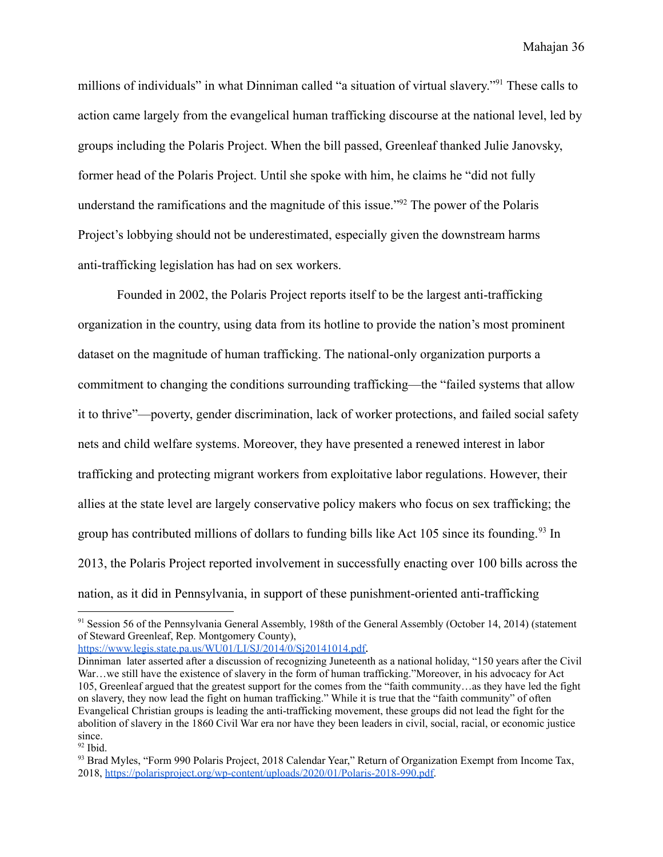millions of individuals" in what Dinniman called "a situation of virtual slavery."<sup>91</sup> These calls to action came largely from the evangelical human trafficking discourse at the national level, led by groups including the Polaris Project. When the bill passed, Greenleaf thanked Julie Janovsky, former head of the Polaris Project. Until she spoke with him, he claims he "did not fully understand the ramifications and the magnitude of this issue."<sup>92</sup> The power of the Polaris Project's lobbying should not be underestimated, especially given the downstream harms anti-trafficking legislation has had on sex workers.

Founded in 2002, the Polaris Project reports itself to be the largest anti-trafficking organization in the country, using data from its hotline to provide the nation's most prominent dataset on the magnitude of human trafficking. The national-only organization purports a commitment to changing the conditions surrounding trafficking—the "failed systems that allow it to thrive"—poverty, gender discrimination, lack of worker protections, and failed social safety nets and child welfare systems. Moreover, they have presented a renewed interest in labor trafficking and protecting migrant workers from exploitative labor regulations. However, their allies at the state level are largely conservative policy makers who focus on sex trafficking; the group has contributed millions of dollars to funding bills like Act 105 since its founding.<sup>93</sup> In 2013, the Polaris Project reported involvement in successfully enacting over 100 bills across the nation, as it did in Pennsylvania, in support of these punishment-oriented anti-trafficking

<https://www.legis.state.pa.us/WU01/LI/SJ/2014/0/Sj20141014.pdf>.

<sup>&</sup>lt;sup>91</sup> Session 56 of the Pennsylvania General Assembly, 198th of the General Assembly (October 14, 2014) (statement of Steward Greenleaf, Rep. Montgomery County),

Dinniman later asserted after a discussion of recognizing Juneteenth as a national holiday, "150 years after the Civil War...we still have the existence of slavery in the form of human trafficking."Moreover, in his advocacy for Act 105, Greenleaf argued that the greatest support for the comes from the "faith community…as they have led the fight on slavery, they now lead the fight on human trafficking." While it is true that the "faith community" of often Evangelical Christian groups is leading the anti-trafficking movement, these groups did not lead the fight for the abolition of slavery in the 1860 Civil War era nor have they been leaders in civil, social, racial, or economic justice since.

 $92$  Ibid.

<sup>&</sup>lt;sup>93</sup> Brad Myles, "Form 990 Polaris Project, 2018 Calendar Year," Return of Organization Exempt from Income Tax, 2018, [https://polarisproject.org/wp-content/uploads/2020/01/Polaris-2018-990.pdf.](https://polarisproject.org/wp-content/uploads/2020/01/Polaris-2018-990.pdf)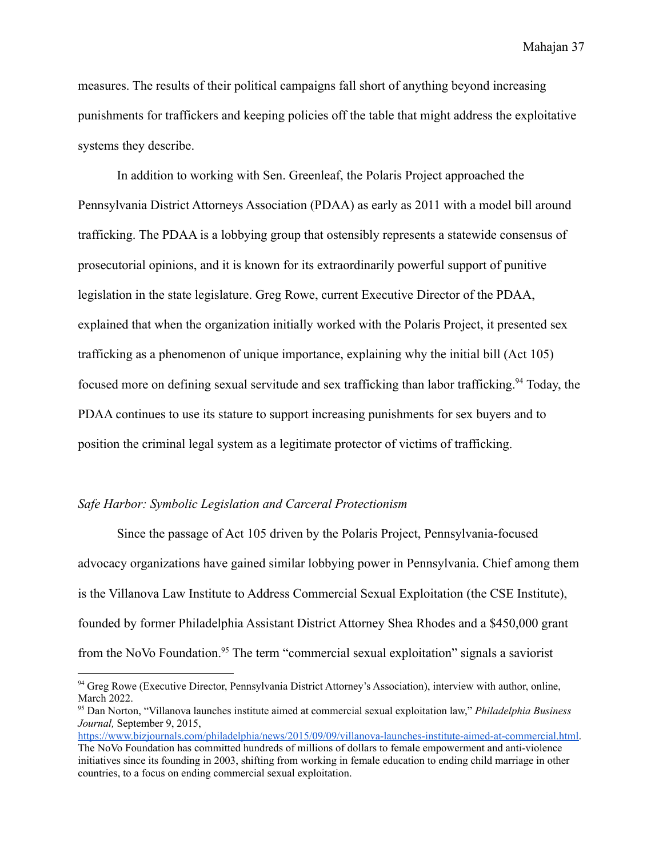measures. The results of their political campaigns fall short of anything beyond increasing punishments for traffickers and keeping policies off the table that might address the exploitative systems they describe.

In addition to working with Sen. Greenleaf, the Polaris Project approached the Pennsylvania District Attorneys Association (PDAA) as early as 2011 with a model bill around trafficking. The PDAA is a lobbying group that ostensibly represents a statewide consensus of prosecutorial opinions, and it is known for its extraordinarily powerful support of punitive legislation in the state legislature. Greg Rowe, current Executive Director of the PDAA, explained that when the organization initially worked with the Polaris Project, it presented sex trafficking as a phenomenon of unique importance, explaining why the initial bill (Act 105) focused more on defining sexual servitude and sex trafficking than labor trafficking.<sup>94</sup> Today, the PDAA continues to use its stature to support increasing punishments for sex buyers and to position the criminal legal system as a legitimate protector of victims of trafficking.

### *Safe Harbor: Symbolic Legislation and Carceral Protectionism*

Since the passage of Act 105 driven by the Polaris Project, Pennsylvania-focused advocacy organizations have gained similar lobbying power in Pennsylvania. Chief among them is the Villanova Law Institute to Address Commercial Sexual Exploitation (the CSE Institute), founded by former Philadelphia Assistant District Attorney Shea Rhodes and a \$450,000 grant from the NoVo Foundation.<sup>95</sup> The term "commercial sexual exploitation" signals a saviorist

<sup>&</sup>lt;sup>94</sup> Greg Rowe (Executive Director, Pennsylvania District Attorney's Association), interview with author, online, March 2022.

<sup>95</sup> Dan Norton, "Villanova launches institute aimed at commercial sexual exploitation law," *Philadelphia Business Journal,* September 9, 2015,

[https://www.bizjournals.com/philadelphia/news/2015/09/09/villanova-launches-institute-aimed-at-commercial.html.](https://www.bizjournals.com/philadelphia/news/2015/09/09/villanova-launches-institute-aimed-at-commercial.html) The NoVo Foundation has committed hundreds of millions of dollars to female empowerment and anti-violence initiatives since its founding in 2003, shifting from working in female education to ending child marriage in other countries, to a focus on ending commercial sexual exploitation.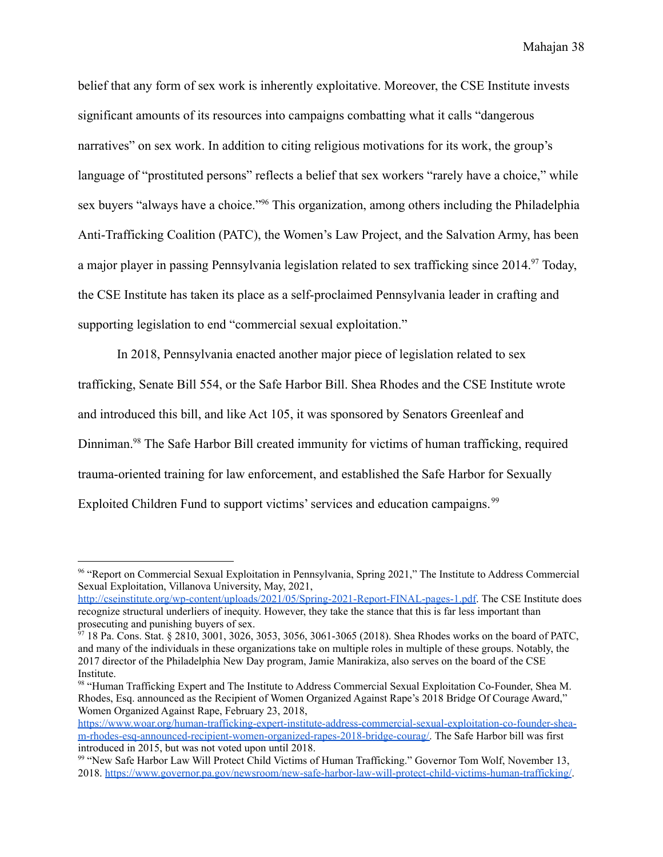belief that any form of sex work is inherently exploitative. Moreover, the CSE Institute invests significant amounts of its resources into campaigns combatting what it calls "dangerous narratives" on sex work. In addition to citing religious motivations for its work, the group's language of "prostituted persons" reflects a belief that sex workers "rarely have a choice," while sex buyers "always have a choice."<sup>96</sup> This organization, among others including the Philadelphia Anti-Trafficking Coalition (PATC), the Women's Law Project, and the Salvation Army, has been a major player in passing Pennsylvania legislation related to sex trafficking since 2014.<sup>97</sup> Today, the CSE Institute has taken its place as a self-proclaimed Pennsylvania leader in crafting and supporting legislation to end "commercial sexual exploitation."

In 2018, Pennsylvania enacted another major piece of legislation related to sex trafficking, Senate Bill 554, or the Safe Harbor Bill. Shea Rhodes and the CSE Institute wrote and introduced this bill, and like Act 105, it was sponsored by Senators Greenleaf and Dinniman.<sup>98</sup> The Safe Harbor Bill created immunity for victims of human trafficking, required trauma-oriented training for law enforcement, and established the Safe Harbor for Sexually Exploited Children Fund to support victims' services and education campaigns.<sup>99</sup>

<sup>&</sup>lt;sup>96</sup> "Report on Commercial Sexual Exploitation in Pennsylvania, Spring 2021," The Institute to Address Commercial Sexual Exploitation, Villanova University, May, 2021,

[http://cseinstitute.org/wp-content/uploads/2021/05/Spring-2021-Report-FINAL-pages-1.pdf.](http://cseinstitute.org/wp-content/uploads/2021/05/Spring-2021-Report-FINAL-pages-1.pdf) The CSE Institute does recognize structural underliers of inequity. However, they take the stance that this is far less important than prosecuting and punishing buyers of sex.

<sup>97 18</sup> Pa. Cons. Stat. § 2810, 3001, 3026, 3053, 3056, 3061-3065 (2018). Shea Rhodes works on the board of PATC, and many of the individuals in these organizations take on multiple roles in multiple of these groups. Notably, the 2017 director of the Philadelphia New Day program, Jamie Manirakiza, also serves on the board of the CSE Institute.

<sup>98</sup> "Human Trafficking Expert and The Institute to Address Commercial Sexual Exploitation Co-Founder, Shea M. Rhodes, Esq. announced as the Recipient of Women Organized Against Rape's 2018 Bridge Of Courage Award," Women Organized Against Rape, February 23, 2018,

[https://www.woar.org/human-trafficking-expert-institute-address-commercial-sexual-exploitation-co-founder-shea](https://www.woar.org/human-trafficking-expert-institute-address-commercial-sexual-exploitation-co-founder-shea-m-rhodes-esq-announced-recipient-women-organized-rapes-2018-bridge-courag/)[m-rhodes-esq-announced-recipient-women-organized-rapes-2018-bridge-courag/.](https://www.woar.org/human-trafficking-expert-institute-address-commercial-sexual-exploitation-co-founder-shea-m-rhodes-esq-announced-recipient-women-organized-rapes-2018-bridge-courag/) The Safe Harbor bill was first introduced in 2015, but was not voted upon until 2018.

<sup>99</sup> "New Safe Harbor Law Will Protect Child Victims of Human Trafficking." Governor Tom Wolf, November 13, 2018. <https://www.governor.pa.gov/newsroom/new-safe-harbor-law-will-protect-child-victims-human-trafficking/>.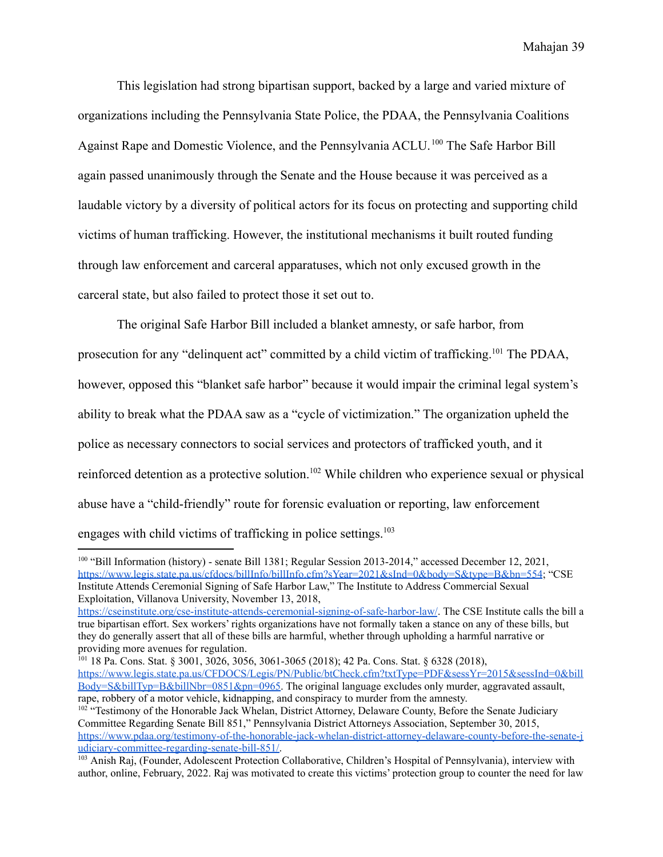This legislation had strong bipartisan support, backed by a large and varied mixture of organizations including the Pennsylvania State Police, the PDAA, the Pennsylvania Coalitions Against Rape and Domestic Violence, and the Pennsylvania ACLU.<sup>100</sup> The Safe Harbor Bill again passed unanimously through the Senate and the House because it was perceived as a laudable victory by a diversity of political actors for its focus on protecting and supporting child victims of human trafficking. However, the institutional mechanisms it built routed funding through law enforcement and carceral apparatuses, which not only excused growth in the carceral state, but also failed to protect those it set out to.

The original Safe Harbor Bill included a blanket amnesty, or safe harbor, from prosecution for any "delinquent act" committed by a child victim of trafficking.<sup>101</sup> The PDAA, however, opposed this "blanket safe harbor" because it would impair the criminal legal system's ability to break what the PDAA saw as a "cycle of victimization." The organization upheld the police as necessary connectors to social services and protectors of trafficked youth, and it reinforced detention as a protective solution.<sup>102</sup> While children who experience sexual or physical abuse have a "child-friendly" route for forensic evaluation or reporting, law enforcement engages with child victims of trafficking in police settings. $103$ 

<sup>100</sup> "Bill Information (history) - senate Bill 1381; Regular Session 2013-2014," accessed December 12, 2021, <https://www.legis.state.pa.us/cfdocs/billInfo/billInfo.cfm?sYear=2021&sInd=0&body=S&type=B&bn=554>; "CSE Institute Attends Ceremonial Signing of Safe Harbor Law," The Institute to Address Commercial Sexual Exploitation, Villanova University, November 13, 2018,

<https://cseinstitute.org/cse-institute-attends-ceremonial-signing-of-safe-harbor-law/>. The CSE Institute calls the bill a true bipartisan effort. Sex workers' rights organizations have not formally taken a stance on any of these bills, but they do generally assert that all of these bills are harmful, whether through upholding a harmful narrative or providing more avenues for regulation.

<sup>101</sup> 18 Pa. Cons. Stat. § 3001, 3026, 3056, 3061-3065 (2018); 42 Pa. Cons. Stat. § 6328 (2018), [https://www.legis.state.pa.us/CFDOCS/Legis/PN/Public/btCheck.cfm?txtType=PDF&sessYr=2015&sessInd=0&bill](https://www.legis.state.pa.us/CFDOCS/Legis/PN/Public/btCheck.cfm?txtType=PDF&sessYr=2015&sessInd=0&billBody=S&billTyp=B&billNbr=0851&pn=0965) [Body=S&billTyp=B&billNbr=0851&pn=0965](https://www.legis.state.pa.us/CFDOCS/Legis/PN/Public/btCheck.cfm?txtType=PDF&sessYr=2015&sessInd=0&billBody=S&billTyp=B&billNbr=0851&pn=0965). The original language excludes only murder, aggravated assault, rape, robbery of a motor vehicle, kidnapping, and conspiracy to murder from the amnesty.

<sup>&</sup>lt;sup>102</sup> "Testimony of the Honorable Jack Whelan, District Attorney, Delaware County, Before the Senate Judiciary Committee Regarding Senate Bill 851," Pennsylvania District Attorneys Association, September 30, 2015, [https://www.pdaa.org/testimony-of-the-honorable-jack-whelan-district-attorney-delaware-county-before-the-senate-j](https://www.pdaa.org/testimony-of-the-honorable-jack-whelan-district-attorney-delaware-county-before-the-senate-judiciary-committee-regarding-senate-bill-851/) [udiciary-committee-regarding-senate-bill-851/.](https://www.pdaa.org/testimony-of-the-honorable-jack-whelan-district-attorney-delaware-county-before-the-senate-judiciary-committee-regarding-senate-bill-851/)

<sup>&</sup>lt;sup>103</sup> Anish Raj, (Founder, Adolescent Protection Collaborative, Children's Hospital of Pennsylvania), interview with author, online, February, 2022. Raj was motivated to create this victims' protection group to counter the need for law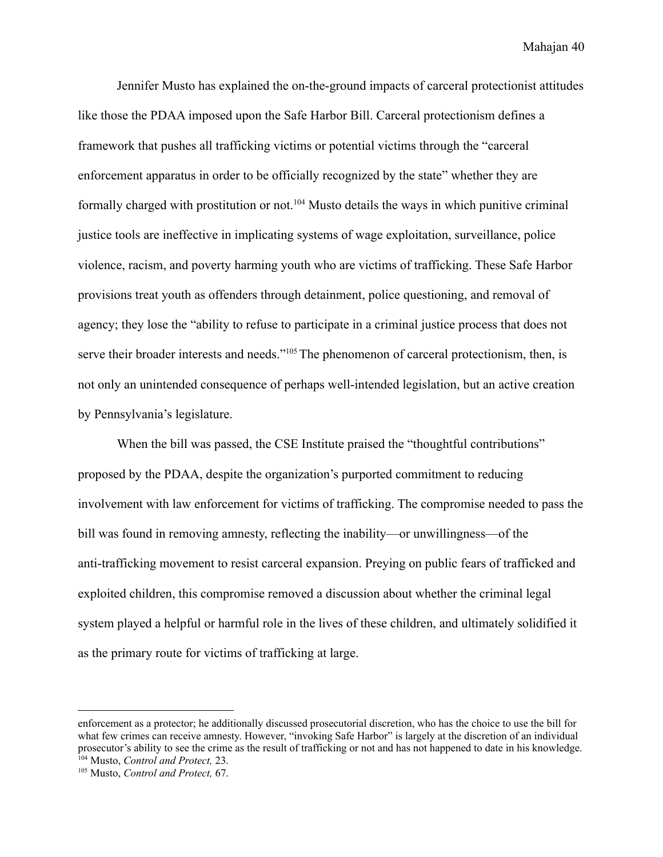Jennifer Musto has explained the on-the-ground impacts of carceral protectionist attitudes like those the PDAA imposed upon the Safe Harbor Bill. Carceral protectionism defines a framework that pushes all trafficking victims or potential victims through the "carceral enforcement apparatus in order to be officially recognized by the state" whether they are formally charged with prostitution or not.<sup>104</sup> Musto details the ways in which punitive criminal justice tools are ineffective in implicating systems of wage exploitation, surveillance, police violence, racism, and poverty harming youth who are victims of trafficking. These Safe Harbor provisions treat youth as offenders through detainment, police questioning, and removal of agency; they lose the "ability to refuse to participate in a criminal justice process that does not serve their broader interests and needs."<sup>105</sup>The phenomenon of carceral protectionism, then, is not only an unintended consequence of perhaps well-intended legislation, but an active creation by Pennsylvania's legislature.

When the bill was passed, the CSE Institute praised the "thoughtful contributions" proposed by the PDAA, despite the organization's purported commitment to reducing involvement with law enforcement for victims of trafficking. The compromise needed to pass the bill was found in removing amnesty, reflecting the inability—or unwillingness—of the anti-trafficking movement to resist carceral expansion. Preying on public fears of trafficked and exploited children, this compromise removed a discussion about whether the criminal legal system played a helpful or harmful role in the lives of these children, and ultimately solidified it as the primary route for victims of trafficking at large.

<sup>104</sup> Musto, *Control and Protect,* 23. enforcement as a protector; he additionally discussed prosecutorial discretion, who has the choice to use the bill for what few crimes can receive amnesty. However, "invoking Safe Harbor" is largely at the discretion of an individual prosecutor's ability to see the crime as the result of trafficking or not and has not happened to date in his knowledge.

<sup>105</sup> Musto, *Control and Protect,* 67.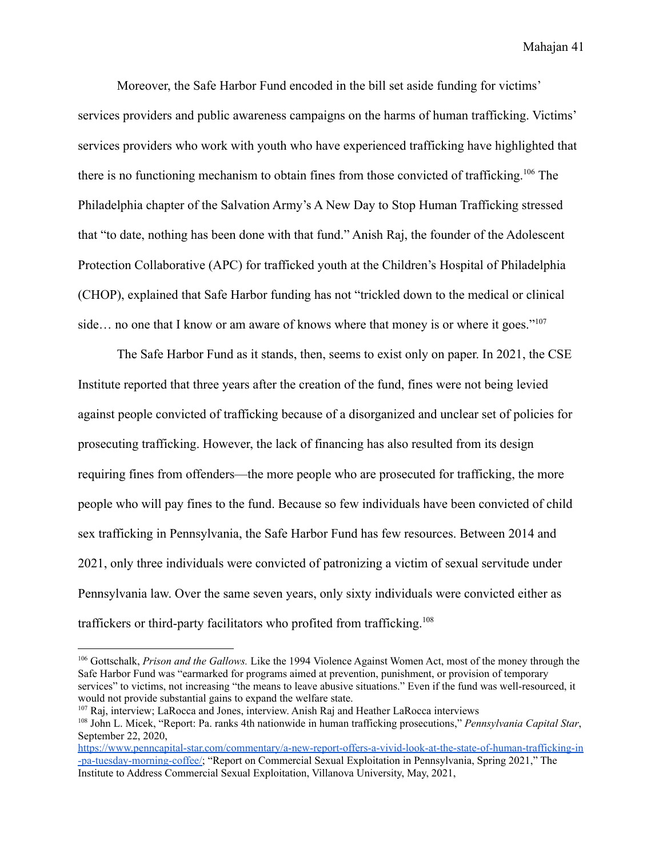Moreover, the Safe Harbor Fund encoded in the bill set aside funding for victims' services providers and public awareness campaigns on the harms of human trafficking. Victims' services providers who work with youth who have experienced trafficking have highlighted that there is no functioning mechanism to obtain fines from those convicted of trafficking.<sup>106</sup> The Philadelphia chapter of the Salvation Army's A New Day to Stop Human Trafficking stressed that "to date, nothing has been done with that fund." Anish Raj, the founder of the Adolescent Protection Collaborative (APC) for trafficked youth at the Children's Hospital of Philadelphia (CHOP), explained that Safe Harbor funding has not "trickled down to the medical or clinical side... no one that I know or am aware of knows where that money is or where it goes."<sup>107</sup>

The Safe Harbor Fund as it stands, then, seems to exist only on paper. In 2021, the CSE Institute reported that three years after the creation of the fund, fines were not being levied against people convicted of trafficking because of a disorganized and unclear set of policies for prosecuting trafficking. However, the lack of financing has also resulted from its design requiring fines from offenders—the more people who are prosecuted for trafficking, the more people who will pay fines to the fund. Because so few individuals have been convicted of child sex trafficking in Pennsylvania, the Safe Harbor Fund has few resources. Between 2014 and 2021, only three individuals were convicted of patronizing a victim of sexual servitude under Pennsylvania law. Over the same seven years, only sixty individuals were convicted either as traffickers or third-party facilitators who profited from trafficking.<sup>108</sup>

<sup>106</sup> Gottschalk, *Prison and the Gallows.* Like the 1994 Violence Against Women Act, most of the money through the Safe Harbor Fund was "earmarked for programs aimed at prevention, punishment, or provision of temporary services" to victims, not increasing "the means to leave abusive situations." Even if the fund was well-resourced, it would not provide substantial gains to expand the welfare state.

<sup>108</sup> John L. Micek, "Report: Pa. ranks 4th nationwide in human trafficking prosecutions," *Pennsylvania Capital Star*, September 22, 2020, <sup>107</sup> Raj, interview; LaRocca and Jones, interview. Anish Raj and Heather LaRocca interviews

[https://www.penncapital-star.com/commentary/a-new-report-offers-a-vivid-look-at-the-state-of-human-trafficking-in](https://www.penncapital-star.com/commentary/a-new-report-offers-a-vivid-look-at-the-state-of-human-trafficking-in-pa-tuesday-morning-coffee/) [-pa-tuesday-morning-coffee/;](https://www.penncapital-star.com/commentary/a-new-report-offers-a-vivid-look-at-the-state-of-human-trafficking-in-pa-tuesday-morning-coffee/) "Report on Commercial Sexual Exploitation in Pennsylvania, Spring 2021," The Institute to Address Commercial Sexual Exploitation, Villanova University, May, 2021,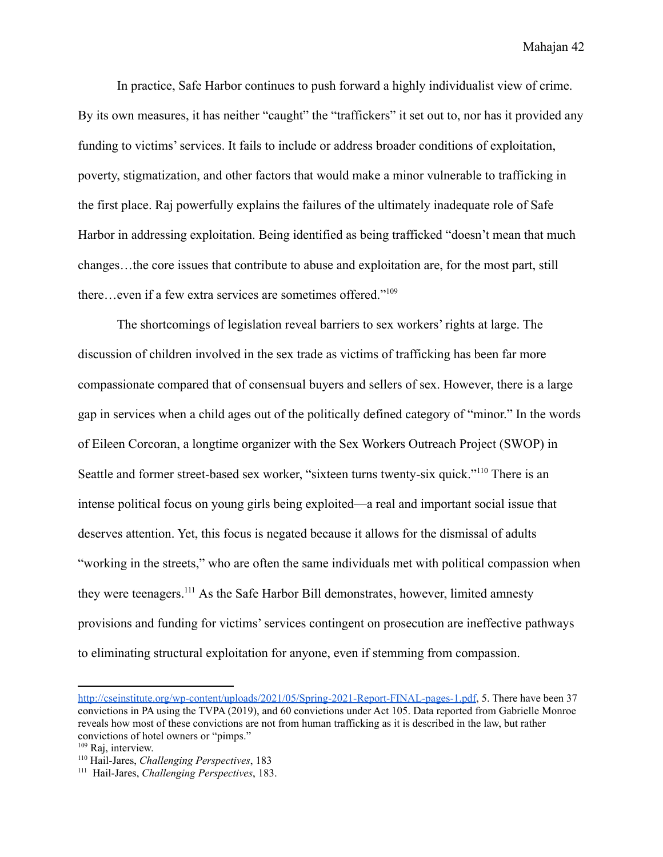In practice, Safe Harbor continues to push forward a highly individualist view of crime. By its own measures, it has neither "caught" the "traffickers" it set out to, nor has it provided any funding to victims' services. It fails to include or address broader conditions of exploitation, poverty, stigmatization, and other factors that would make a minor vulnerable to trafficking in the first place. Raj powerfully explains the failures of the ultimately inadequate role of Safe Harbor in addressing exploitation. Being identified as being trafficked "doesn't mean that much changes…the core issues that contribute to abuse and exploitation are, for the most part, still there…even if a few extra services are sometimes offered."<sup>109</sup>

The shortcomings of legislation reveal barriers to sex workers' rights at large. The discussion of children involved in the sex trade as victims of trafficking has been far more compassionate compared that of consensual buyers and sellers of sex. However, there is a large gap in services when a child ages out of the politically defined category of "minor." In the words of Eileen Corcoran, a longtime organizer with the Sex Workers Outreach Project (SWOP) in Seattle and former street-based sex worker, "sixteen turns twenty-six quick."<sup>110</sup> There is an intense political focus on young girls being exploited—a real and important social issue that deserves attention. Yet, this focus is negated because it allows for the dismissal of adults "working in the streets," who are often the same individuals met with political compassion when they were teenagers.<sup>111</sup> As the Safe Harbor Bill demonstrates, however, limited amnesty provisions and funding for victims' services contingent on prosecution are ineffective pathways to eliminating structural exploitation for anyone, even if stemming from compassion.

[http://cseinstitute.org/wp-content/uploads/2021/05/Spring-2021-Report-FINAL-pages-1.pdf,](http://cseinstitute.org/wp-content/uploads/2021/05/Spring-2021-Report-FINAL-pages-1.pdf) 5. There have been 37 convictions in PA using the TVPA (2019), and 60 convictions under Act 105. Data reported from Gabrielle Monroe reveals how most of these convictions are not from human trafficking as it is described in the law, but rather convictions of hotel owners or "pimps."

<sup>109</sup> Raj, interview.

<sup>110</sup> Hail-Jares, *Challenging Perspectives*, 183

<sup>111</sup> Hail-Jares, *Challenging Perspectives*, 183.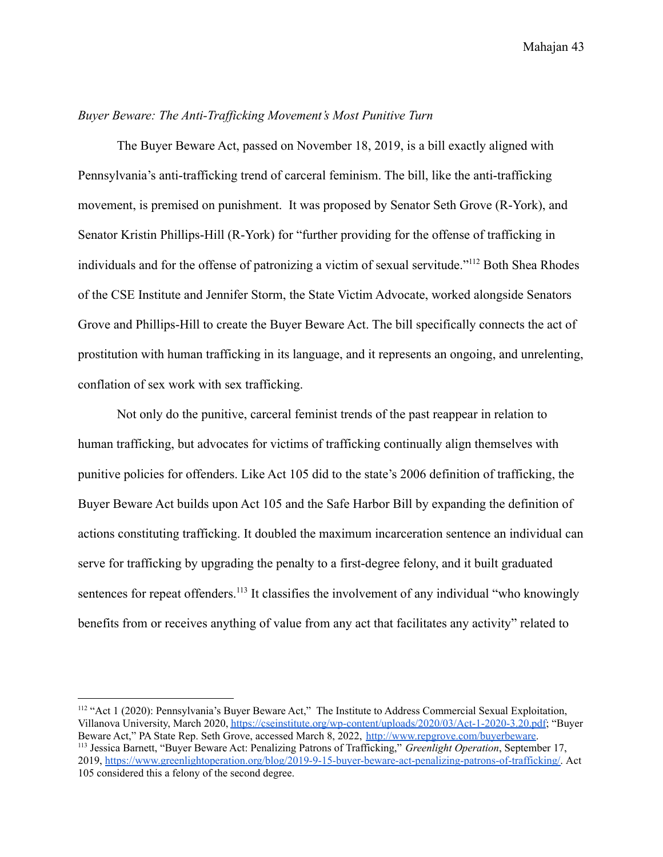# *Buyer Beware: The Anti-Trafficking Movement's Most Punitive Turn*

The Buyer Beware Act, passed on November 18, 2019, is a bill exactly aligned with Pennsylvania's anti-trafficking trend of carceral feminism. The bill, like the anti-trafficking movement, is premised on punishment. It was proposed by Senator Seth Grove (R-York), and Senator Kristin Phillips-Hill (R-York) for "further providing for the offense of trafficking in individuals and for the offense of patronizing a victim of sexual servitude."<sup>112</sup> Both Shea Rhodes of the CSE Institute and Jennifer Storm, the State Victim Advocate, worked alongside Senators Grove and Phillips-Hill to create the Buyer Beware Act. The bill specifically connects the act of prostitution with human trafficking in its language, and it represents an ongoing, and unrelenting, conflation of sex work with sex trafficking.

Not only do the punitive, carceral feminist trends of the past reappear in relation to human trafficking, but advocates for victims of trafficking continually align themselves with punitive policies for offenders. Like Act 105 did to the state's 2006 definition of trafficking, the Buyer Beware Act builds upon Act 105 and the Safe Harbor Bill by expanding the definition of actions constituting trafficking. It doubled the maximum incarceration sentence an individual can serve for trafficking by upgrading the penalty to a first-degree felony, and it built graduated sentences for repeat offenders.<sup>113</sup> It classifies the involvement of any individual "who knowingly benefits from or receives anything of value from any act that facilitates any activity" related to

<sup>113</sup> Jessica Barnett, "Buyer Beware Act: Penalizing Patrons of Trafficking," *Greenlight Operation*, September 17, 2019, [https://www.greenlightoperation.org/blog/2019-9-15-buyer-beware-act-penalizing-patrons-of-trafficking/.](https://www.greenlightoperation.org/blog/2019-9-15-buyer-beware-act-penalizing-patrons-of-trafficking/) Act 105 considered this a felony of the second degree. <sup>112</sup> "Act 1 (2020): Pennsylvania's Buyer Beware Act," The Institute to Address Commercial Sexual Exploitation, Villanova University, March 2020, <https://cseinstitute.org/wp-content/uploads/2020/03/Act-1-2020-3.20.pdf>; "Buyer Beware Act," PA State Rep. Seth Grove, accessed March 8, 2022, <http://www.repgrove.com/buyerbeware>.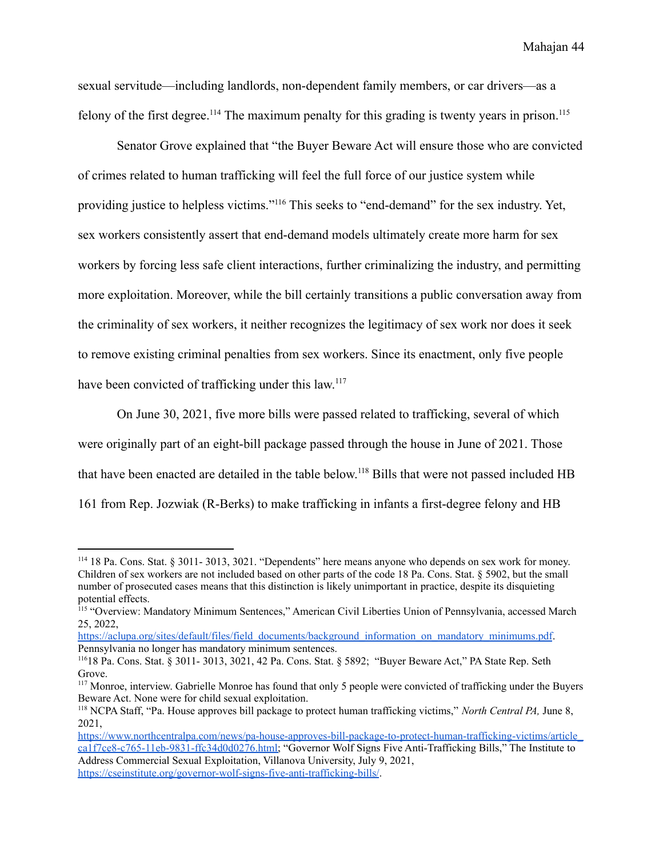sexual servitude—including landlords, non-dependent family members, or car drivers—as a felony of the first degree.<sup>114</sup> The maximum penalty for this grading is twenty years in prison.<sup>115</sup>

Senator Grove explained that "the Buyer Beware Act will ensure those who are convicted of crimes related to human trafficking will feel the full force of our justice system while providing justice to helpless victims."<sup>116</sup> This seeks to "end-demand" for the sex industry. Yet, sex workers consistently assert that end-demand models ultimately create more harm for sex workers by forcing less safe client interactions, further criminalizing the industry, and permitting more exploitation. Moreover, while the bill certainly transitions a public conversation away from the criminality of sex workers, it neither recognizes the legitimacy of sex work nor does it seek to remove existing criminal penalties from sex workers. Since its enactment, only five people have been convicted of trafficking under this law.<sup>117</sup>

On June 30, 2021, five more bills were passed related to trafficking, several of which were originally part of an eight-bill package passed through the house in June of 2021. Those that have been enacted are detailed in the table below.<sup>118</sup> Bills that were not passed included HB 161 from Rep. Jozwiak (R-Berks) to make trafficking in infants a first-degree felony and HB

[https://aclupa.org/sites/default/files/field\\_documents/background\\_information\\_on\\_mandatory\\_minimums.pdf](https://aclupa.org/sites/default/files/field_documents/background_information_on_mandatory_minimums.pdf). Pennsylvania no longer has mandatory minimum sentences.

<sup>114</sup> 18 Pa. Cons. Stat. § 3011- 3013, 3021. "Dependents" here means anyone who depends on sex work for money. Children of sex workers are not included based on other parts of the code 18 Pa. Cons. Stat. § 5902, but the small number of prosecuted cases means that this distinction is likely unimportant in practice, despite its disquieting potential effects.

<sup>&</sup>lt;sup>115</sup> "Overview: Mandatory Minimum Sentences," American Civil Liberties Union of Pennsylvania, accessed March 25, 2022,

<sup>116</sup>18 Pa. Cons. Stat. § 3011- 3013, 3021, 42 Pa. Cons. Stat. § 5892; "Buyer Beware Act," PA State Rep. Seth Grove.

<sup>&</sup>lt;sup>117</sup> Monroe, interview. Gabrielle Monroe has found that only 5 people were convicted of trafficking under the Buyers Beware Act. None were for child sexual exploitation.

<sup>118</sup> NCPA Staff, "Pa. House approves bill package to protect human trafficking victims," *North Central PA,* June 8, 2021,

[https://www.northcentralpa.com/news/pa-house-approves-bill-package-to-protect-human-trafficking-victims/article\\_](https://www.northcentralpa.com/news/pa-house-approves-bill-package-to-protect-human-trafficking-victims/article_ca1f7ce8-c765-11eb-9831-ffc34d0d0276.html) [ca1f7ce8-c765-11eb-9831-ffc34d0d0276.html;](https://www.northcentralpa.com/news/pa-house-approves-bill-package-to-protect-human-trafficking-victims/article_ca1f7ce8-c765-11eb-9831-ffc34d0d0276.html) "Governor Wolf Signs Five Anti-Trafficking Bills," The Institute to Address Commercial Sexual Exploitation, Villanova University, July 9, 2021, <https://cseinstitute.org/governor-wolf-signs-five-anti-trafficking-bills/>.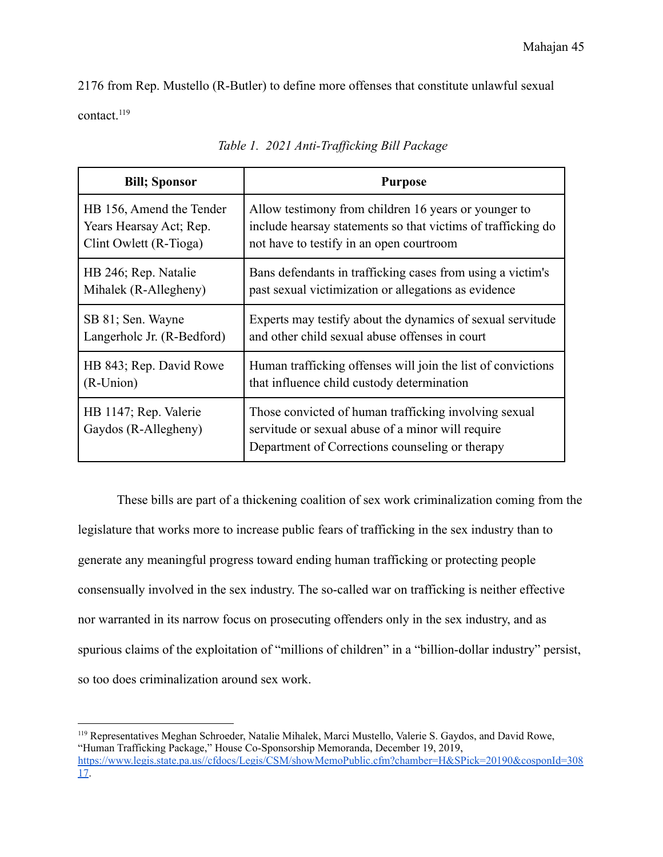2176 from Rep. Mustello (R-Butler) to define more offenses that constitute unlawful sexual contact.<sup>119</sup>

| <b>Bill</b> ; Sponsor                         | <b>Purpose</b>                                                                                                                                                |
|-----------------------------------------------|---------------------------------------------------------------------------------------------------------------------------------------------------------------|
| HB 156, Amend the Tender                      | Allow testimony from children 16 years or younger to                                                                                                          |
| Years Hearsay Act; Rep.                       | include hearsay statements so that victims of trafficking do                                                                                                  |
| Clint Owlett (R-Tioga)                        | not have to testify in an open courtroom                                                                                                                      |
| HB 246; Rep. Natalie                          | Bans defendants in trafficking cases from using a victim's                                                                                                    |
| Mihalek (R-Allegheny)                         | past sexual victimization or allegations as evidence                                                                                                          |
| SB 81; Sen. Wayne                             | Experts may testify about the dynamics of sexual servitude                                                                                                    |
| Langerholc Jr. (R-Bedford)                    | and other child sexual abuse offenses in court                                                                                                                |
| HB 843; Rep. David Rowe                       | Human trafficking offenses will join the list of convictions                                                                                                  |
| (R-Union)                                     | that influence child custody determination                                                                                                                    |
| HB 1147; Rep. Valerie<br>Gaydos (R-Allegheny) | Those convicted of human trafficking involving sexual<br>servitude or sexual abuse of a minor will require<br>Department of Corrections counseling or therapy |

*Table 1. 2021 Anti-Trafficking Bill Package*

These bills are part of a thickening coalition of sex work criminalization coming from the legislature that works more to increase public fears of trafficking in the sex industry than to generate any meaningful progress toward ending human trafficking or protecting people consensually involved in the sex industry. The so-called war on trafficking is neither effective nor warranted in its narrow focus on prosecuting offenders only in the sex industry, and as spurious claims of the exploitation of "millions of children" in a "billion-dollar industry" persist, so too does criminalization around sex work.

<sup>119</sup> Representatives Meghan Schroeder, Natalie Mihalek, Marci Mustello, Valerie S. Gaydos, and David Rowe, "Human Trafficking Package," House Co-Sponsorship Memoranda, December 19, 2019, [https://www.legis.state.pa.us//cfdocs/Legis/CSM/showMemoPublic.cfm?chamber=H&SPick=20190&cosponId=308](https://www.legis.state.pa.us//cfdocs/Legis/CSM/showMemoPublic.cfm?chamber=H&SPick=20190&cosponId=30817) [17.](https://www.legis.state.pa.us//cfdocs/Legis/CSM/showMemoPublic.cfm?chamber=H&SPick=20190&cosponId=30817)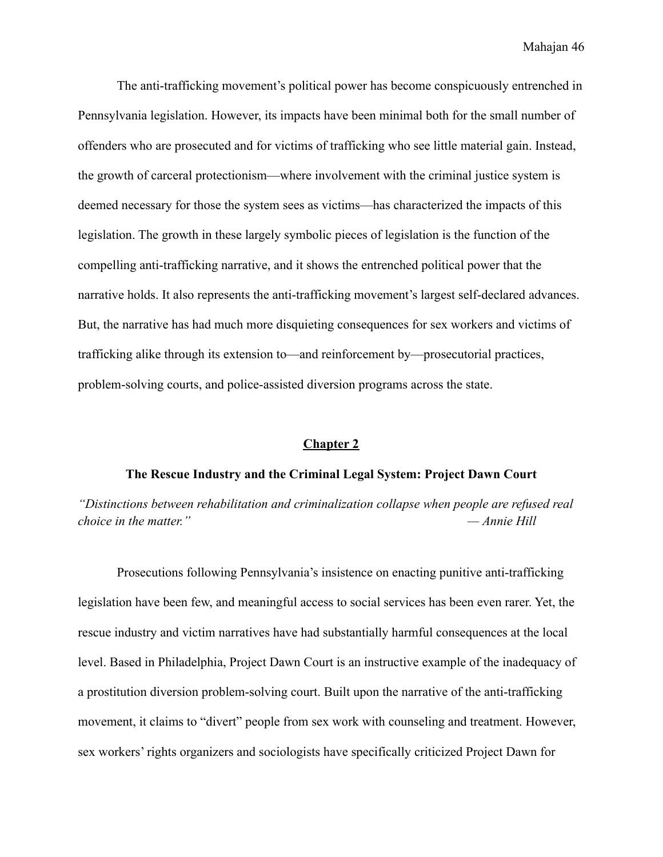The anti-trafficking movement's political power has become conspicuously entrenched in Pennsylvania legislation. However, its impacts have been minimal both for the small number of offenders who are prosecuted and for victims of trafficking who see little material gain. Instead, the growth of carceral protectionism—where involvement with the criminal justice system is deemed necessary for those the system sees as victims—has characterized the impacts of this legislation. The growth in these largely symbolic pieces of legislation is the function of the compelling anti-trafficking narrative, and it shows the entrenched political power that the narrative holds. It also represents the anti-trafficking movement's largest self-declared advances. But, the narrative has had much more disquieting consequences for sex workers and victims of trafficking alike through its extension to—and reinforcement by—prosecutorial practices, problem-solving courts, and police-assisted diversion programs across the state.

# **Chapter 2**

# **The Rescue Industry and the Criminal Legal System: Project Dawn Court**

*"Distinctions between rehabilitation and criminalization collapse when people are refused real choice in the matter." — Annie Hill*

Prosecutions following Pennsylvania's insistence on enacting punitive anti-trafficking legislation have been few, and meaningful access to social services has been even rarer. Yet, the rescue industry and victim narratives have had substantially harmful consequences at the local level. Based in Philadelphia, Project Dawn Court is an instructive example of the inadequacy of a prostitution diversion problem-solving court. Built upon the narrative of the anti-trafficking movement, it claims to "divert" people from sex work with counseling and treatment. However, sex workers' rights organizers and sociologists have specifically criticized Project Dawn for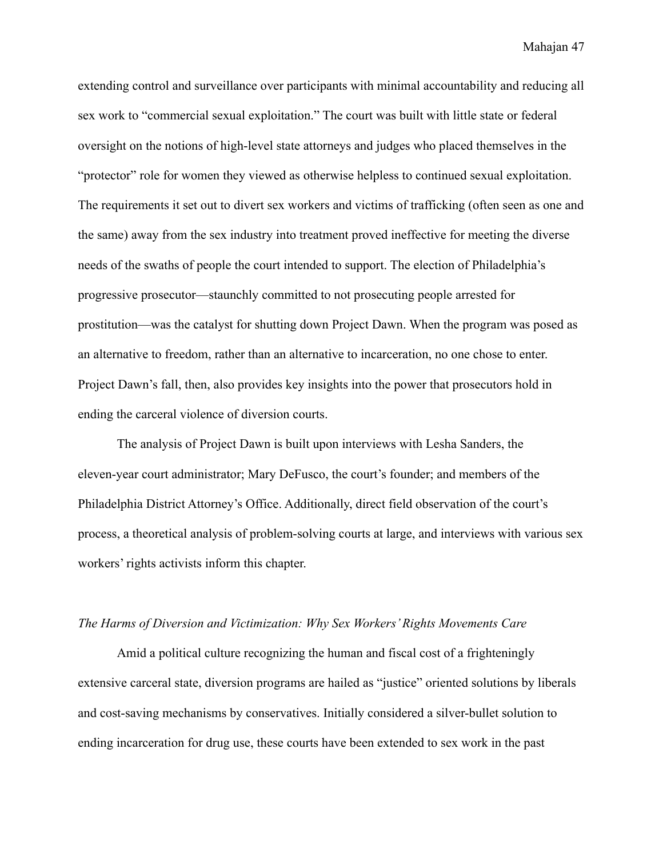extending control and surveillance over participants with minimal accountability and reducing all sex work to "commercial sexual exploitation." The court was built with little state or federal oversight on the notions of high-level state attorneys and judges who placed themselves in the "protector" role for women they viewed as otherwise helpless to continued sexual exploitation. The requirements it set out to divert sex workers and victims of trafficking (often seen as one and the same) away from the sex industry into treatment proved ineffective for meeting the diverse needs of the swaths of people the court intended to support. The election of Philadelphia's progressive prosecutor—staunchly committed to not prosecuting people arrested for prostitution—was the catalyst for shutting down Project Dawn. When the program was posed as an alternative to freedom, rather than an alternative to incarceration, no one chose to enter. Project Dawn's fall, then, also provides key insights into the power that prosecutors hold in ending the carceral violence of diversion courts.

The analysis of Project Dawn is built upon interviews with Lesha Sanders, the eleven-year court administrator; Mary DeFusco, the court's founder; and members of the Philadelphia District Attorney's Office. Additionally, direct field observation of the court's process, a theoretical analysis of problem-solving courts at large, and interviews with various sex workers' rights activists inform this chapter.

#### *The Harms of Diversion and Victimization: Why Sex Workers' Rights Movements Care*

Amid a political culture recognizing the human and fiscal cost of a frighteningly extensive carceral state, diversion programs are hailed as "justice" oriented solutions by liberals and cost-saving mechanisms by conservatives. Initially considered a silver-bullet solution to ending incarceration for drug use, these courts have been extended to sex work in the past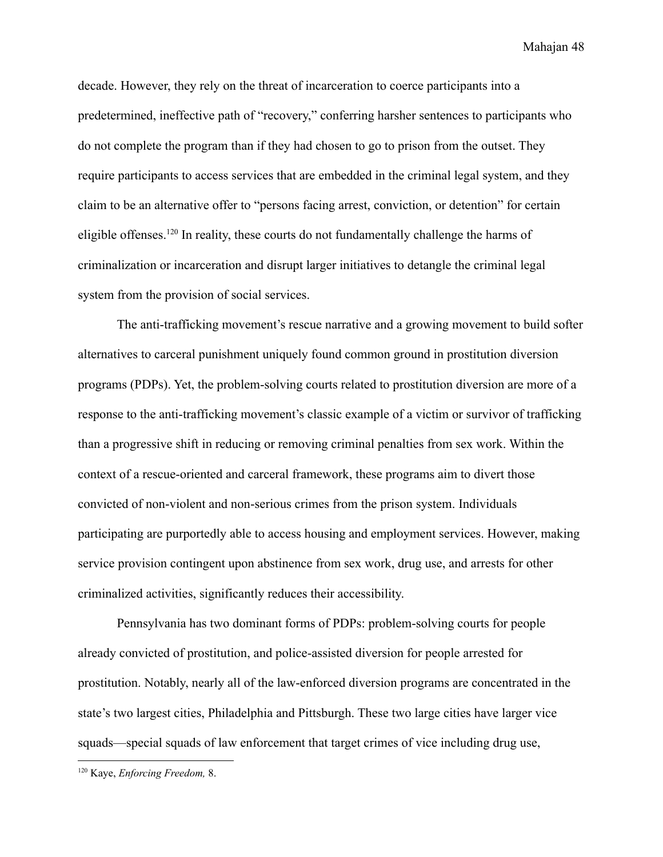decade. However, they rely on the threat of incarceration to coerce participants into a predetermined, ineffective path of "recovery," conferring harsher sentences to participants who do not complete the program than if they had chosen to go to prison from the outset. They require participants to access services that are embedded in the criminal legal system, and they claim to be an alternative offer to "persons facing arrest, conviction, or detention" for certain eligible offenses.<sup>120</sup> In reality, these courts do not fundamentally challenge the harms of criminalization or incarceration and disrupt larger initiatives to detangle the criminal legal system from the provision of social services.

The anti-trafficking movement's rescue narrative and a growing movement to build softer alternatives to carceral punishment uniquely found common ground in prostitution diversion programs (PDPs). Yet, the problem-solving courts related to prostitution diversion are more of a response to the anti-trafficking movement's classic example of a victim or survivor of trafficking than a progressive shift in reducing or removing criminal penalties from sex work. Within the context of a rescue-oriented and carceral framework, these programs aim to divert those convicted of non-violent and non-serious crimes from the prison system. Individuals participating are purportedly able to access housing and employment services. However, making service provision contingent upon abstinence from sex work, drug use, and arrests for other criminalized activities, significantly reduces their accessibility.

Pennsylvania has two dominant forms of PDPs: problem-solving courts for people already convicted of prostitution, and police-assisted diversion for people arrested for prostitution. Notably, nearly all of the law-enforced diversion programs are concentrated in the state's two largest cities, Philadelphia and Pittsburgh. These two large cities have larger vice squads—special squads of law enforcement that target crimes of vice including drug use,

<sup>120</sup> Kaye, *Enforcing Freedom,* 8.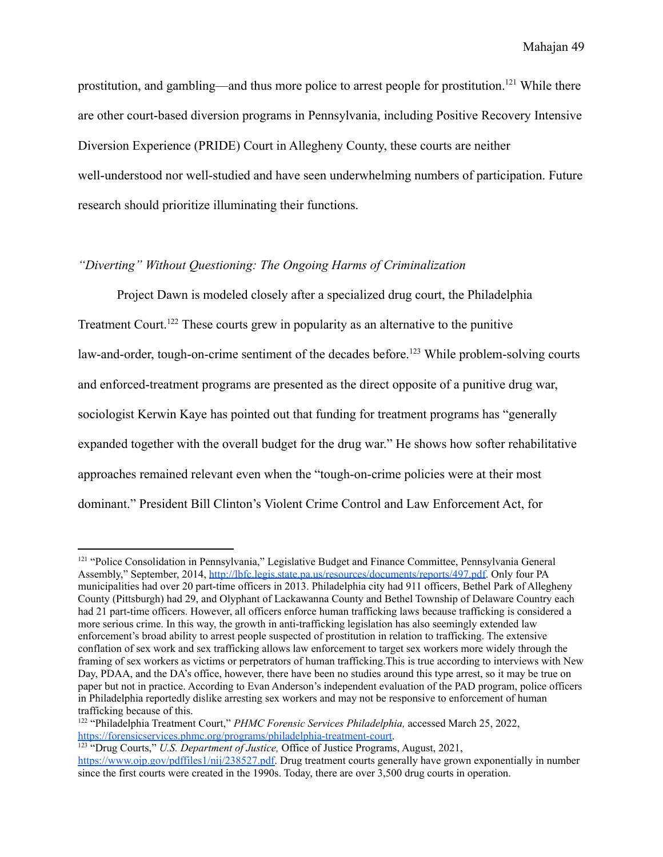prostitution, and gambling—and thus more police to arrest people for prostitution.<sup>121</sup> While there are other court-based diversion programs in Pennsylvania, including Positive Recovery Intensive Diversion Experience (PRIDE) Court in Allegheny County, these courts are neither well-understood nor well-studied and have seen underwhelming numbers of participation. Future research should prioritize illuminating their functions.

# *"Diverting" Without Questioning: The Ongoing Harms of Criminalization*

Project Dawn is modeled closely after a specialized drug court, the Philadelphia Treatment Court.<sup>122</sup> These courts grew in popularity as an alternative to the punitive law-and-order, tough-on-crime sentiment of the decades before.<sup>123</sup> While problem-solving courts and enforced-treatment programs are presented as the direct opposite of a punitive drug war, sociologist Kerwin Kaye has pointed out that funding for treatment programs has "generally expanded together with the overall budget for the drug war." He shows how softer rehabilitative approaches remained relevant even when the "tough-on-crime policies were at their most dominant." President Bill Clinton's Violent Crime Control and Law Enforcement Act, for

<sup>&</sup>lt;sup>121</sup> "Police Consolidation in Pennsylvania," Legislative Budget and Finance Committee, Pennsylvania General Assembly," September, 2014, [http://lbfc.legis.state.pa.us/resources/documents/reports/497.pdf.](http://lbfc.legis.state.pa.us/resources/documents/reports/497.pdf) Only four PA municipalities had over 20 part-time officers in 2013. Philadelphia city had 911 officers, Bethel Park of Allegheny County (Pittsburgh) had 29, and Olyphant of Lackawanna County and Bethel Township of Delaware Country each had 21 part-time officers. However, all officers enforce human trafficking laws because trafficking is considered a more serious crime. In this way, the growth in anti-trafficking legislation has also seemingly extended law enforcement's broad ability to arrest people suspected of prostitution in relation to trafficking. The extensive conflation of sex work and sex trafficking allows law enforcement to target sex workers more widely through the framing of sex workers as victims or perpetrators of human trafficking.This is true according to interviews with New Day, PDAA, and the DA's office, however, there have been no studies around this type arrest, so it may be true on paper but not in practice. According to Evan Anderson's independent evaluation of the PAD program, police officers in Philadelphia reportedly dislike arresting sex workers and may not be responsive to enforcement of human trafficking because of this.

<sup>122</sup> "Philadelphia Treatment Court," *PHMC Forensic Services Philadelphia,* accessed March 25, 2022, <https://forensicservices.phmc.org/programs/philadelphia-treatment-court>.

<sup>123</sup> "Drug Courts," *U.S. Department of Justice,* Office of Justice Programs, August, 2021, [https://www.ojp.gov/pdffiles1/nij/238527.pdf.](https://www.ojp.gov/pdffiles1/nij/238527.pdf) Drug treatment courts generally have grown exponentially in number since the first courts were created in the 1990s. Today, there are over 3,500 drug courts in operation.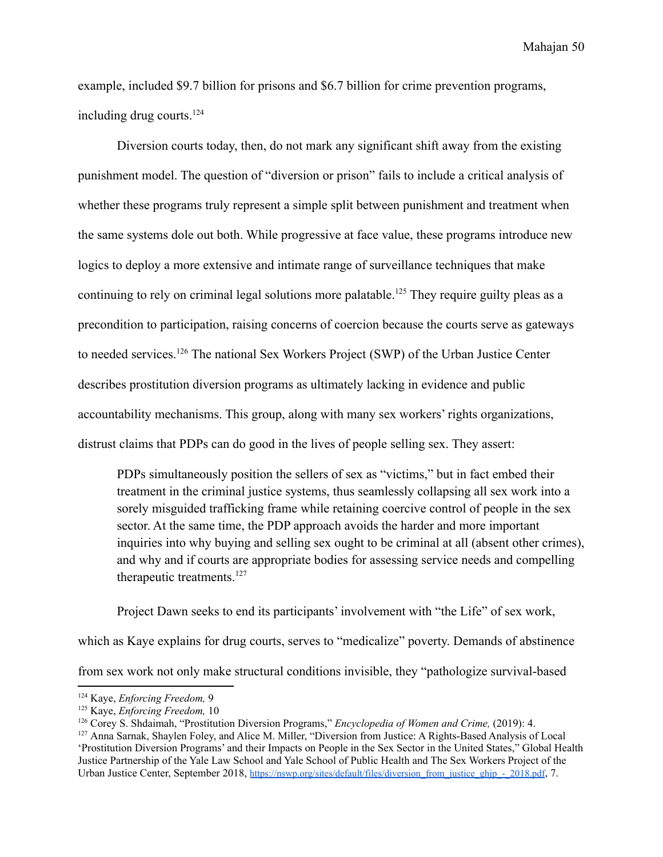example, included \$9.7 billion for prisons and \$6.7 billion for crime prevention programs, including drug courts.<sup>124</sup>

Diversion courts today, then, do not mark any significant shift away from the existing punishment model. The question of "diversion or prison" fails to include a critical analysis of whether these programs truly represent a simple split between punishment and treatment when the same systems dole out both. While progressive at face value, these programs introduce new logics to deploy a more extensive and intimate range of surveillance techniques that make continuing to rely on criminal legal solutions more palatable.<sup>125</sup> They require guilty pleas as a precondition to participation, raising concerns of coercion because the courts serve as gateways to needed services.<sup>126</sup> The national Sex Workers Project (SWP) of the Urban Justice Center describes prostitution diversion programs as ultimately lacking in evidence and public accountability mechanisms. This group, along with many sex workers' rights organizations, distrust claims that PDPs can do good in the lives of people selling sex. They assert:

PDPs simultaneously position the sellers of sex as "victims," but in fact embed their treatment in the criminal justice systems, thus seamlessly collapsing all sex work into a sorely misguided trafficking frame while retaining coercive control of people in the sex sector. At the same time, the PDP approach avoids the harder and more important inquiries into why buying and selling sex ought to be criminal at all (absent other crimes), and why and if courts are appropriate bodies for assessing service needs and compelling therapeutic treatments.<sup>127</sup>

Project Dawn seeks to end its participants' involvement with "the Life" of sex work,

which as Kaye explains for drug courts, serves to "medicalize" poverty. Demands of abstinence

from sex work not only make structural conditions invisible, they "pathologize survival-based

<sup>124</sup> Kaye, *Enforcing Freedom,* 9

<sup>125</sup> Kaye, *Enforcing Freedom,* 10

<sup>126</sup> Corey S. Shdaimah, "Prostitution Diversion Programs," *Encyclopedia of Women and Crime,* (2019): 4.

<sup>127</sup> Anna Sarnak, Shaylen Foley, and Alice M. Miller, "Diversion from Justice: A Rights-Based Analysis of Local 'Prostitution Diversion Programs' and their Impacts on People in the Sex Sector in the United States," Global Health Justice Partnership of the Yale Law School and Yale School of Public Health and The Sex Workers Project of the Urban Justice Center, September 2018, [https://nswp.org/sites/default/files/diversion\\_from\\_justice\\_ghjp\\_-\\_2018.pdf](https://nswp.org/sites/default/files/diversion_from_justice_ghjp_-_2018.pdf), 7.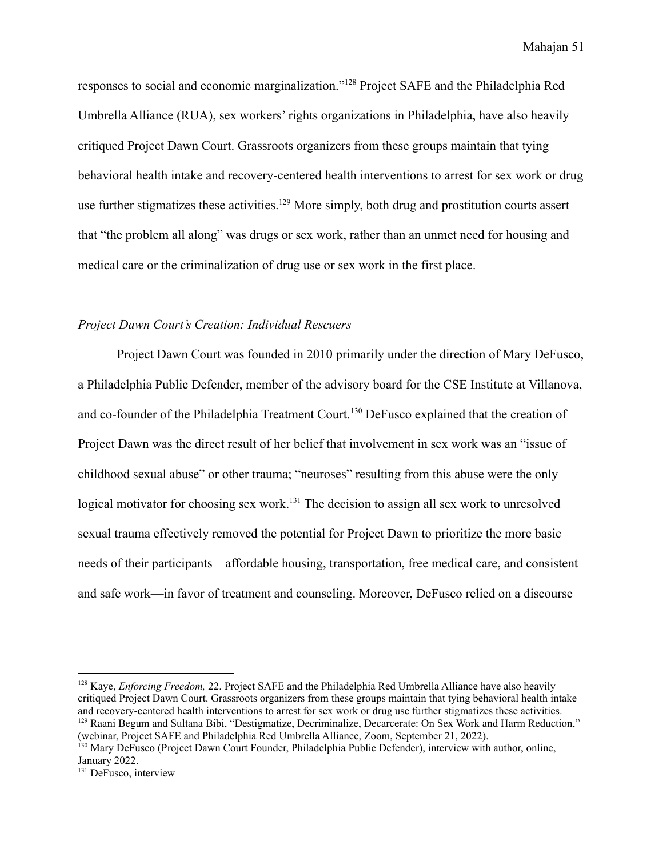responses to social and economic marginalization."<sup>128</sup> Project SAFE and the Philadelphia Red Umbrella Alliance (RUA), sex workers' rights organizations in Philadelphia, have also heavily critiqued Project Dawn Court. Grassroots organizers from these groups maintain that tying behavioral health intake and recovery-centered health interventions to arrest for sex work or drug use further stigmatizes these activities.<sup>129</sup> More simply, both drug and prostitution courts assert that "the problem all along" was drugs or sex work, rather than an unmet need for housing and medical care or the criminalization of drug use or sex work in the first place.

# *Project Dawn Court's Creation: Individual Rescuers*

Project Dawn Court was founded in 2010 primarily under the direction of Mary DeFusco, a Philadelphia Public Defender, member of the advisory board for the CSE Institute at Villanova, and co-founder of the Philadelphia Treatment Court.<sup>130</sup> DeFusco explained that the creation of Project Dawn was the direct result of her belief that involvement in sex work was an "issue of childhood sexual abuse" or other trauma; "neuroses" resulting from this abuse were the only logical motivator for choosing sex work.<sup>131</sup> The decision to assign all sex work to unresolved sexual trauma effectively removed the potential for Project Dawn to prioritize the more basic needs of their participants—affordable housing, transportation, free medical care, and consistent and safe work—in favor of treatment and counseling. Moreover, DeFusco relied on a discourse

<sup>&</sup>lt;sup>129</sup> Raani Begum and Sultana Bibi, "Destigmatize, Decriminalize, Decarcerate: On Sex Work and Harm Reduction," <sup>128</sup> Kaye, *Enforcing Freedom,* 22. Project SAFE and the Philadelphia Red Umbrella Alliance have also heavily critiqued Project Dawn Court. Grassroots organizers from these groups maintain that tying behavioral health intake and recovery-centered health interventions to arrest for sex work or drug use further stigmatizes these activities.

<sup>(</sup>webinar, Project SAFE and Philadelphia Red Umbrella Alliance, Zoom, September 21, 2022).

<sup>&</sup>lt;sup>130</sup> Mary DeFusco (Project Dawn Court Founder, Philadelphia Public Defender), interview with author, online, January 2022.

<sup>&</sup>lt;sup>131</sup> DeFusco, interview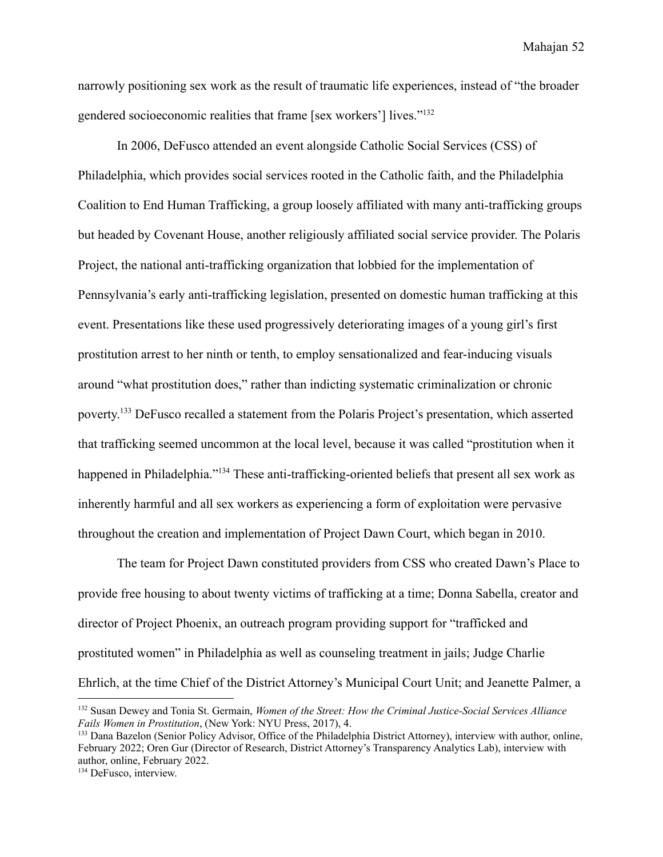narrowly positioning sex work as the result of traumatic life experiences, instead of "the broader gendered socioeconomic realities that frame [sex workers'] lives."<sup>132</sup>

In 2006, DeFusco attended an event alongside Catholic Social Services (CSS) of Philadelphia, which provides social services rooted in the Catholic faith, and the Philadelphia Coalition to End Human Trafficking, a group loosely affiliated with many anti-trafficking groups but headed by Covenant House, another religiously affiliated social service provider. The Polaris Project, the national anti-trafficking organization that lobbied for the implementation of Pennsylvania's early anti-trafficking legislation, presented on domestic human trafficking at this event. Presentations like these used progressively deteriorating images of a young girl's first prostitution arrest to her ninth or tenth, to employ sensationalized and fear-inducing visuals around "what prostitution does," rather than indicting systematic criminalization or chronic poverty. <sup>133</sup> DeFusco recalled a statement from the Polaris Project's presentation, which asserted that trafficking seemed uncommon at the local level, because it was called "prostitution when it happened in Philadelphia."<sup>134</sup> These anti-trafficking-oriented beliefs that present all sex work as inherently harmful and all sex workers as experiencing a form of exploitation were pervasive throughout the creation and implementation of Project Dawn Court, which began in 2010.

The team for Project Dawn constituted providers from CSS who created Dawn's Place to provide free housing to about twenty victims of trafficking at a time; Donna Sabella, creator and director of Project Phoenix, an outreach program providing support for "trafficked and prostituted women" in Philadelphia as well as counseling treatment in jails; Judge Charlie Ehrlich, at the time Chief of the District Attorney's Municipal Court Unit; and Jeanette Palmer, a

<sup>132</sup> Susan Dewey and Tonia St. Germain, *Women of the Street: How the Criminal Justice-Social Services Alliance Fails Women in Prostitution*, (New York: NYU Press, 2017), 4.

<sup>133</sup> Dana Bazelon (Senior Policy Advisor, Office of the Philadelphia District Attorney), interview with author, online, February 2022; Oren Gur (Director of Research, District Attorney's Transparency Analytics Lab), interview with author, online, February 2022.

<sup>134</sup> DeFusco, interview.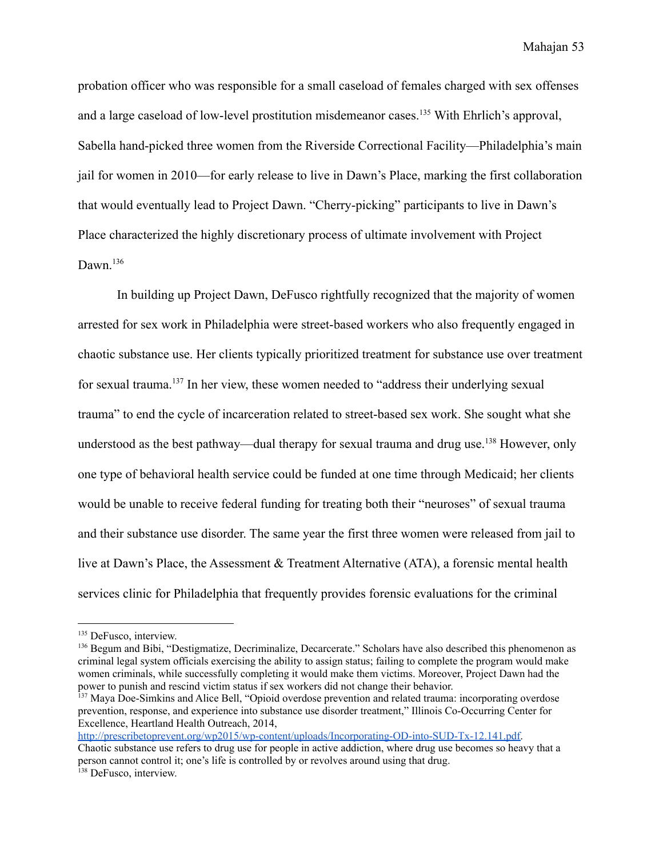probation officer who was responsible for a small caseload of females charged with sex offenses and a large caseload of low-level prostitution misdemeanor cases.<sup>135</sup> With Ehrlich's approval, Sabella hand-picked three women from the Riverside Correctional Facility—Philadelphia's main jail for women in 2010—for early release to live in Dawn's Place, marking the first collaboration that would eventually lead to Project Dawn. "Cherry-picking" participants to live in Dawn's Place characterized the highly discretionary process of ultimate involvement with Project Dawn.<sup>136</sup>

In building up Project Dawn, DeFusco rightfully recognized that the majority of women arrested for sex work in Philadelphia were street-based workers who also frequently engaged in chaotic substance use. Her clients typically prioritized treatment for substance use over treatment for sexual trauma.<sup>137</sup> In her view, these women needed to "address their underlying sexual trauma" to end the cycle of incarceration related to street-based sex work. She sought what she understood as the best pathway—dual therapy for sexual trauma and drug use.<sup>138</sup> However, only one type of behavioral health service could be funded at one time through Medicaid; her clients would be unable to receive federal funding for treating both their "neuroses" of sexual trauma and their substance use disorder. The same year the first three women were released from jail to live at Dawn's Place, the Assessment & Treatment Alternative (ATA), a forensic mental health services clinic for Philadelphia that frequently provides forensic evaluations for the criminal

<sup>138</sup> DeFusco, interview. [http://prescribetoprevent.org/wp2015/wp-content/uploads/Incorporating-OD-into-SUD-Tx-12.141.pdf.](http://prescribetoprevent.org/wp2015/wp-content/uploads/Incorporating-OD-into-SUD-Tx-12.141.pdf) Chaotic substance use refers to drug use for people in active addiction, where drug use becomes so heavy that a person cannot control it; one's life is controlled by or revolves around using that drug.

<sup>&</sup>lt;sup>135</sup> DeFusco, interview.

<sup>&</sup>lt;sup>136</sup> Begum and Bibi, "Destigmatize, Decriminalize, Decarcerate." Scholars have also described this phenomenon as criminal legal system officials exercising the ability to assign status; failing to complete the program would make women criminals, while successfully completing it would make them victims. Moreover, Project Dawn had the power to punish and rescind victim status if sex workers did not change their behavior.

<sup>&</sup>lt;sup>137</sup> Maya Doe-Simkins and Alice Bell, "Opioid overdose prevention and related trauma: incorporating overdose prevention, response, and experience into substance use disorder treatment," Illinois Co-Occurring Center for Excellence, Heartland Health Outreach, 2014,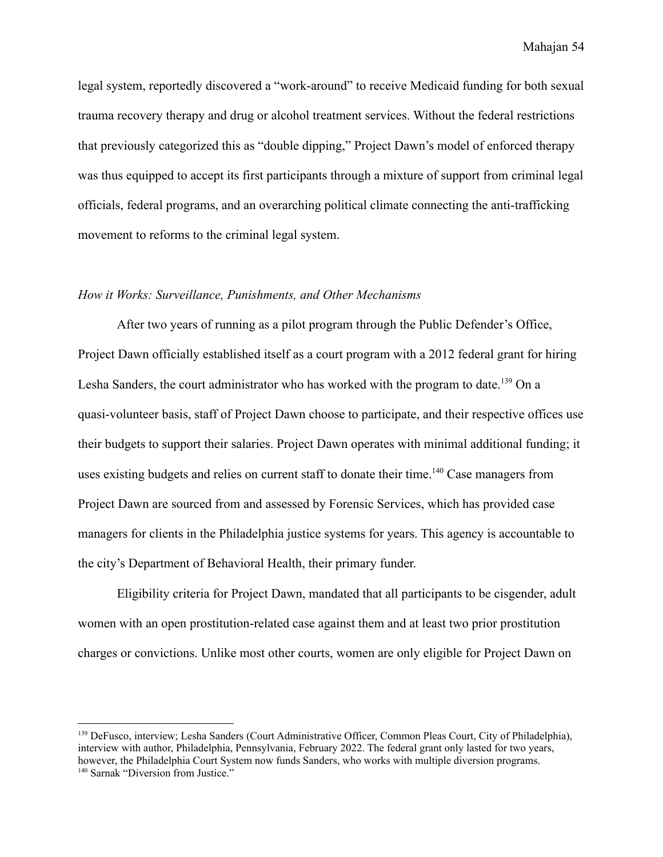legal system, reportedly discovered a "work-around" to receive Medicaid funding for both sexual trauma recovery therapy and drug or alcohol treatment services. Without the federal restrictions that previously categorized this as "double dipping," Project Dawn's model of enforced therapy was thus equipped to accept its first participants through a mixture of support from criminal legal officials, federal programs, and an overarching political climate connecting the anti-trafficking movement to reforms to the criminal legal system.

## *How it Works: Surveillance, Punishments, and Other Mechanisms*

After two years of running as a pilot program through the Public Defender's Office, Project Dawn officially established itself as a court program with a 2012 federal grant for hiring Lesha Sanders, the court administrator who has worked with the program to date.<sup>139</sup> On a quasi-volunteer basis, staff of Project Dawn choose to participate, and their respective offices use their budgets to support their salaries. Project Dawn operates with minimal additional funding; it uses existing budgets and relies on current staff to donate their time.<sup>140</sup> Case managers from Project Dawn are sourced from and assessed by Forensic Services, which has provided case managers for clients in the Philadelphia justice systems for years. This agency is accountable to the city's Department of Behavioral Health, their primary funder.

Eligibility criteria for Project Dawn, mandated that all participants to be cisgender, adult women with an open prostitution-related case against them and at least two prior prostitution charges or convictions. Unlike most other courts, women are only eligible for Project Dawn on

<sup>&</sup>lt;sup>140</sup> Sarnak "Diversion from Justice." <sup>139</sup> DeFusco, interview; Lesha Sanders (Court Administrative Officer, Common Pleas Court, City of Philadelphia), interview with author, Philadelphia, Pennsylvania, February 2022. The federal grant only lasted for two years, however, the Philadelphia Court System now funds Sanders, who works with multiple diversion programs.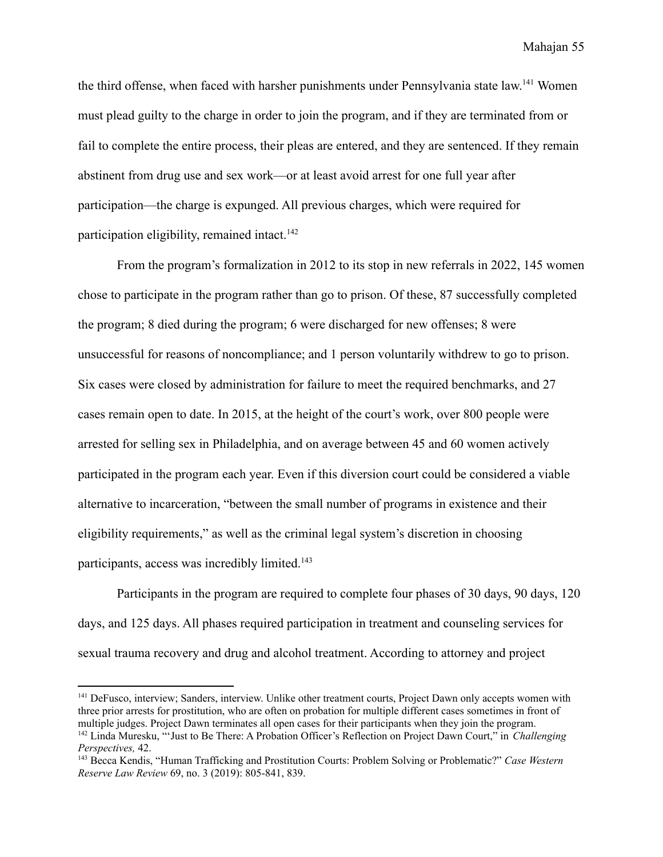the third offense, when faced with harsher punishments under Pennsylvania state law.<sup>141</sup> Women must plead guilty to the charge in order to join the program, and if they are terminated from or fail to complete the entire process, their pleas are entered, and they are sentenced. If they remain abstinent from drug use and sex work—or at least avoid arrest for one full year after participation—the charge is expunged. All previous charges, which were required for participation eligibility, remained intact.<sup>142</sup>

From the program's formalization in 2012 to its stop in new referrals in 2022, 145 women chose to participate in the program rather than go to prison. Of these, 87 successfully completed the program; 8 died during the program; 6 were discharged for new offenses; 8 were unsuccessful for reasons of noncompliance; and 1 person voluntarily withdrew to go to prison. Six cases were closed by administration for failure to meet the required benchmarks, and 27 cases remain open to date. In 2015, at the height of the court's work, over 800 people were arrested for selling sex in Philadelphia, and on average between 45 and 60 women actively participated in the program each year. Even if this diversion court could be considered a viable alternative to incarceration, "between the small number of programs in existence and their eligibility requirements," as well as the criminal legal system's discretion in choosing participants, access was incredibly limited.<sup>143</sup>

Participants in the program are required to complete four phases of 30 days, 90 days, 120 days, and 125 days. All phases required participation in treatment and counseling services for sexual trauma recovery and drug and alcohol treatment. According to attorney and project

<sup>142</sup> Linda Muresku, "'Just to Be There: A Probation Officer's Reflection on Project Dawn Court," in *Challenging Perspectives,* 42. <sup>141</sup> DeFusco, interview; Sanders, interview. Unlike other treatment courts, Project Dawn only accepts women with three prior arrests for prostitution, who are often on probation for multiple different cases sometimes in front of multiple judges. Project Dawn terminates all open cases for their participants when they join the program.

<sup>143</sup> Becca Kendis, "Human Trafficking and Prostitution Courts: Problem Solving or Problematic?" *Case Western Reserve Law Review* 69, no. 3 (2019): 805-841, 839.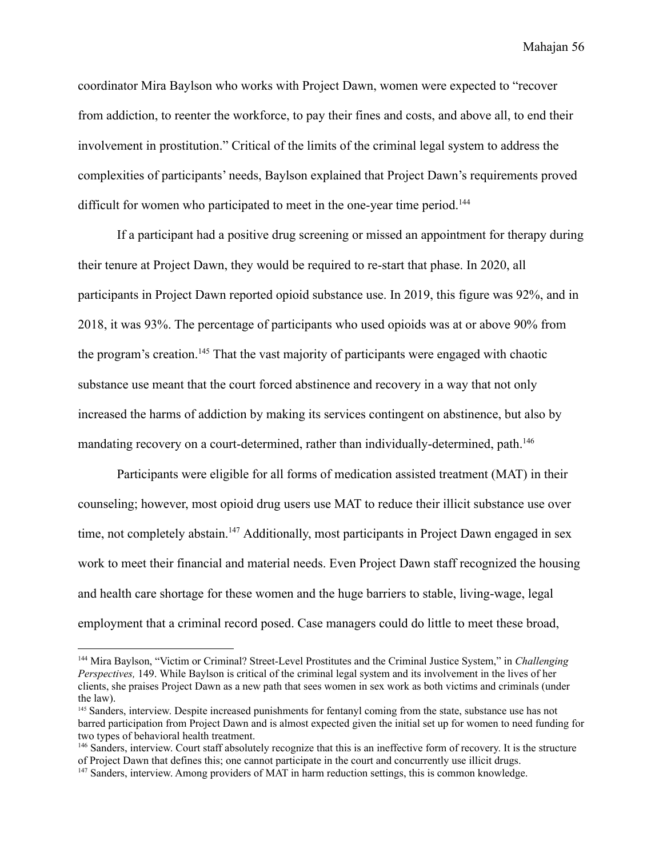coordinator Mira Baylson who works with Project Dawn, women were expected to "recover from addiction, to reenter the workforce, to pay their fines and costs, and above all, to end their involvement in prostitution." Critical of the limits of the criminal legal system to address the complexities of participants' needs, Baylson explained that Project Dawn's requirements proved difficult for women who participated to meet in the one-year time period.<sup>144</sup>

If a participant had a positive drug screening or missed an appointment for therapy during their tenure at Project Dawn, they would be required to re-start that phase. In 2020, all participants in Project Dawn reported opioid substance use. In 2019, this figure was 92%, and in 2018, it was 93%. The percentage of participants who used opioids was at or above 90% from the program's creation.<sup>145</sup> That the vast majority of participants were engaged with chaotic substance use meant that the court forced abstinence and recovery in a way that not only increased the harms of addiction by making its services contingent on abstinence, but also by mandating recovery on a court-determined, rather than individually-determined, path.<sup>146</sup>

Participants were eligible for all forms of medication assisted treatment (MAT) in their counseling; however, most opioid drug users use MAT to reduce their illicit substance use over time, not completely abstain.<sup>147</sup> Additionally, most participants in Project Dawn engaged in sex work to meet their financial and material needs. Even Project Dawn staff recognized the housing and health care shortage for these women and the huge barriers to stable, living-wage, legal employment that a criminal record posed. Case managers could do little to meet these broad,

<sup>144</sup> Mira Baylson, "Victim or Criminal? Street-Level Prostitutes and the Criminal Justice System," in *Challenging Perspectives,* 149. While Baylson is critical of the criminal legal system and its involvement in the lives of her clients, she praises Project Dawn as a new path that sees women in sex work as both victims and criminals (under the law).

<sup>145</sup> Sanders, interview. Despite increased punishments for fentanyl coming from the state, substance use has not barred participation from Project Dawn and is almost expected given the initial set up for women to need funding for two types of behavioral health treatment.

<sup>146</sup> Sanders, interview. Court staff absolutely recognize that this is an ineffective form of recovery. It is the structure of Project Dawn that defines this; one cannot participate in the court and concurrently use illicit drugs.

<sup>&</sup>lt;sup>147</sup> Sanders, interview. Among providers of MAT in harm reduction settings, this is common knowledge.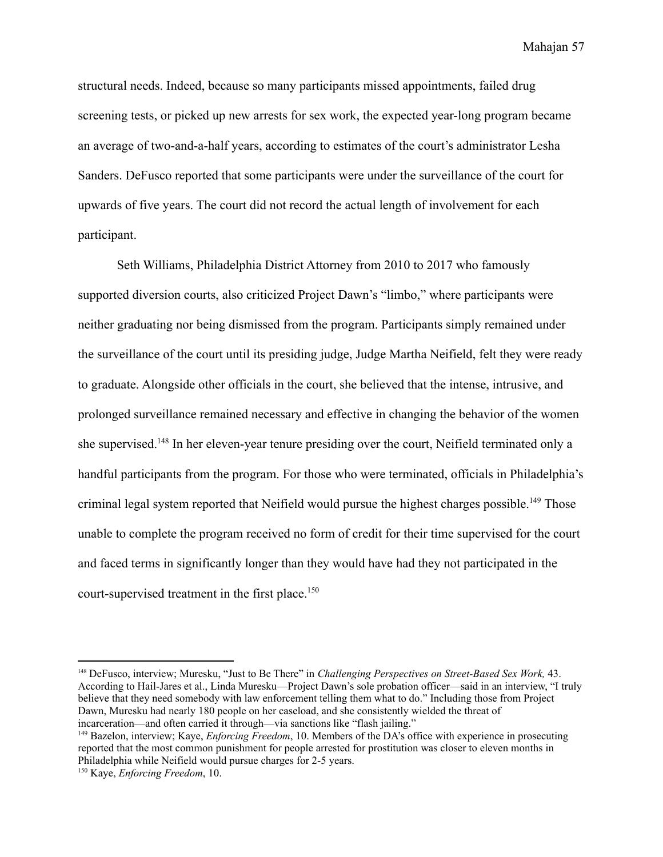structural needs. Indeed, because so many participants missed appointments, failed drug screening tests, or picked up new arrests for sex work, the expected year-long program became an average of two-and-a-half years, according to estimates of the court's administrator Lesha Sanders. DeFusco reported that some participants were under the surveillance of the court for upwards of five years. The court did not record the actual length of involvement for each participant.

Seth Williams, Philadelphia District Attorney from 2010 to 2017 who famously supported diversion courts, also criticized Project Dawn's "limbo," where participants were neither graduating nor being dismissed from the program. Participants simply remained under the surveillance of the court until its presiding judge, Judge Martha Neifield, felt they were ready to graduate. Alongside other officials in the court, she believed that the intense, intrusive, and prolonged surveillance remained necessary and effective in changing the behavior of the women she supervised.<sup>148</sup> In her eleven-year tenure presiding over the court, Neifield terminated only a handful participants from the program. For those who were terminated, officials in Philadelphia's criminal legal system reported that Neifield would pursue the highest charges possible.<sup>149</sup> Those unable to complete the program received no form of credit for their time supervised for the court and faced terms in significantly longer than they would have had they not participated in the court-supervised treatment in the first place.<sup>150</sup>

<sup>148</sup> DeFusco, interview; Muresku, "Just to Be There" in *Challenging Perspectives on Street-Based Sex Work,* 43. According to Hail-Jares et al., Linda Muresku—Project Dawn's sole probation officer—said in an interview, "I truly believe that they need somebody with law enforcement telling them what to do." Including those from Project Dawn, Muresku had nearly 180 people on her caseload, and she consistently wielded the threat of incarceration—and often carried it through—via sanctions like "flash jailing."

<sup>149</sup> Bazelon, interview; Kaye, *Enforcing Freedom*, 10. Members of the DA's office with experience in prosecuting reported that the most common punishment for people arrested for prostitution was closer to eleven months in Philadelphia while Neifield would pursue charges for 2-5 years.

<sup>150</sup> Kaye, *Enforcing Freedom*, 10.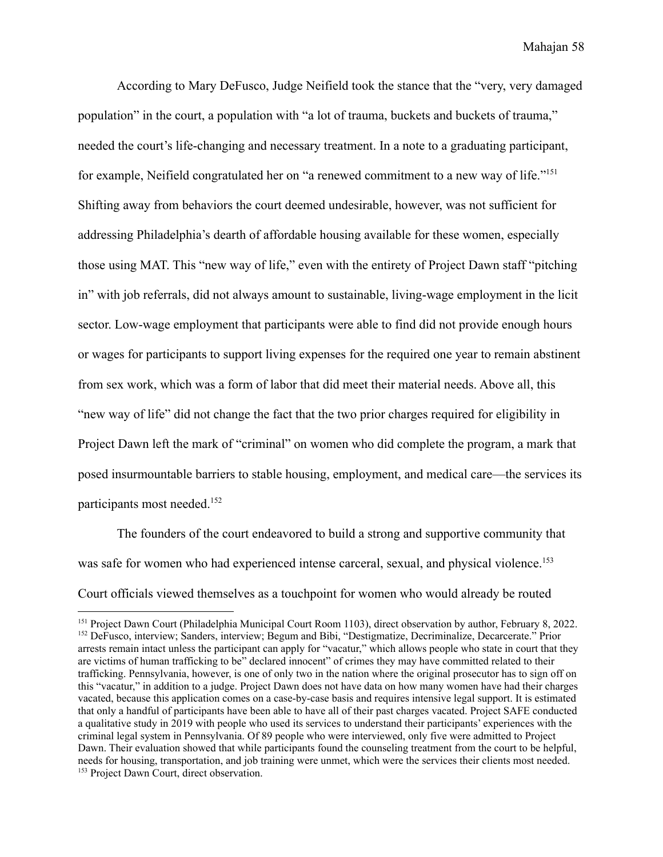According to Mary DeFusco, Judge Neifield took the stance that the "very, very damaged population" in the court, a population with "a lot of trauma, buckets and buckets of trauma," needed the court's life-changing and necessary treatment. In a note to a graduating participant, for example, Neifield congratulated her on "a renewed commitment to a new way of life."<sup>151</sup> Shifting away from behaviors the court deemed undesirable, however, was not sufficient for addressing Philadelphia's dearth of affordable housing available for these women, especially those using MAT. This "new way of life," even with the entirety of Project Dawn staff "pitching in" with job referrals, did not always amount to sustainable, living-wage employment in the licit sector. Low-wage employment that participants were able to find did not provide enough hours or wages for participants to support living expenses for the required one year to remain abstinent from sex work, which was a form of labor that did meet their material needs. Above all, this "new way of life" did not change the fact that the two prior charges required for eligibility in Project Dawn left the mark of "criminal" on women who did complete the program, a mark that posed insurmountable barriers to stable housing, employment, and medical care—the services its participants most needed.<sup>152</sup>

The founders of the court endeavored to build a strong and supportive community that was safe for women who had experienced intense carceral, sexual, and physical violence.<sup>153</sup> Court officials viewed themselves as a touchpoint for women who would already be routed

<sup>153</sup> Project Dawn Court, direct observation. <sup>152</sup> DeFusco, interview; Sanders, interview; Begum and Bibi, "Destigmatize, Decriminalize, Decarcerate." Prior arrests remain intact unless the participant can apply for "vacatur," which allows people who state in court that they are victims of human trafficking to be" declared innocent" of crimes they may have committed related to their trafficking. Pennsylvania, however, is one of only two in the nation where the original prosecutor has to sign off on this "vacatur," in addition to a judge. Project Dawn does not have data on how many women have had their charges vacated, because this application comes on a case-by-case basis and requires intensive legal support. It is estimated that only a handful of participants have been able to have all of their past charges vacated. Project SAFE conducted a qualitative study in 2019 with people who used its services to understand their participants' experiences with the criminal legal system in Pennsylvania. Of 89 people who were interviewed, only five were admitted to Project Dawn. Their evaluation showed that while participants found the counseling treatment from the court to be helpful, needs for housing, transportation, and job training were unmet, which were the services their clients most needed. <sup>151</sup> Project Dawn Court (Philadelphia Municipal Court Room 1103), direct observation by author, February 8, 2022.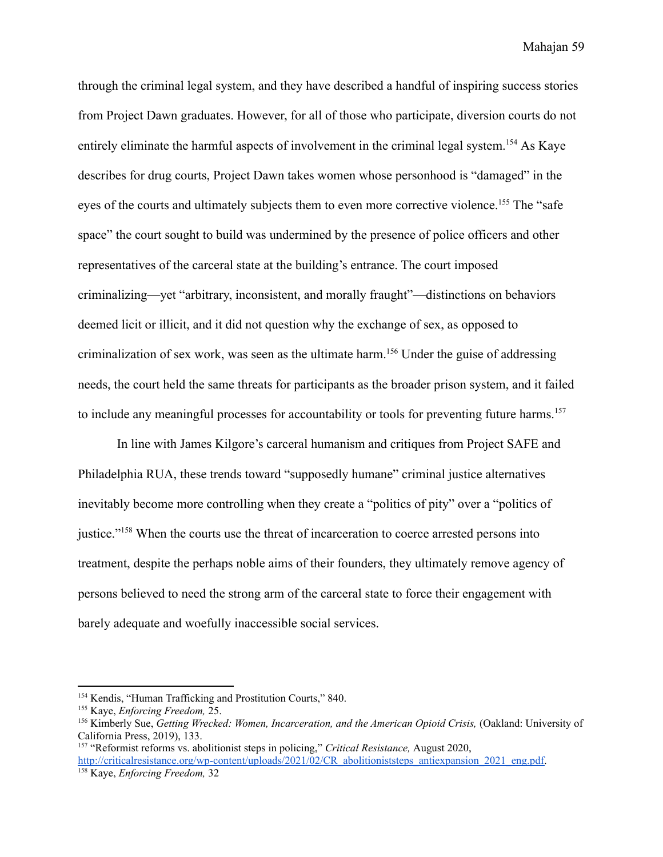through the criminal legal system, and they have described a handful of inspiring success stories from Project Dawn graduates. However, for all of those who participate, diversion courts do not entirely eliminate the harmful aspects of involvement in the criminal legal system.<sup>154</sup> As Kaye describes for drug courts, Project Dawn takes women whose personhood is "damaged" in the eyes of the courts and ultimately subjects them to even more corrective violence.<sup>155</sup> The "safe" space" the court sought to build was undermined by the presence of police officers and other representatives of the carceral state at the building's entrance. The court imposed criminalizing—yet "arbitrary, inconsistent, and morally fraught"—distinctions on behaviors deemed licit or illicit, and it did not question why the exchange of sex, as opposed to criminalization of sex work, was seen as the ultimate harm.<sup>156</sup> Under the guise of addressing needs, the court held the same threats for participants as the broader prison system, and it failed to include any meaningful processes for accountability or tools for preventing future harms.<sup>157</sup>

In line with James Kilgore's carceral humanism and critiques from Project SAFE and Philadelphia RUA, these trends toward "supposedly humane" criminal justice alternatives inevitably become more controlling when they create a "politics of pity" over a "politics of justice."<sup>158</sup> When the courts use the threat of incarceration to coerce arrested persons into treatment, despite the perhaps noble aims of their founders, they ultimately remove agency of persons believed to need the strong arm of the carceral state to force their engagement with barely adequate and woefully inaccessible social services.

<sup>154</sup> Kendis, "Human Trafficking and Prostitution Courts," 840.

<sup>155</sup> Kaye, *Enforcing Freedom,* 25.

<sup>156</sup> Kimberly Sue, *Getting Wrecked: Women, Incarceration, and the American Opioid Crisis,* (Oakland: University of California Press, 2019), 133.

<sup>158</sup> Kaye, *Enforcing Freedom,* 32 <sup>157</sup> "Reformist reforms vs. abolitionist steps in policing," *Critical Resistance,* August 2020, [http://criticalresistance.org/wp-content/uploads/2021/02/CR\\_abolitioniststeps\\_antiexpansion\\_2021\\_eng.pdf.](http://criticalresistance.org/wp-content/uploads/2021/02/CR_abolitioniststeps_antiexpansion_2021_eng.pdf)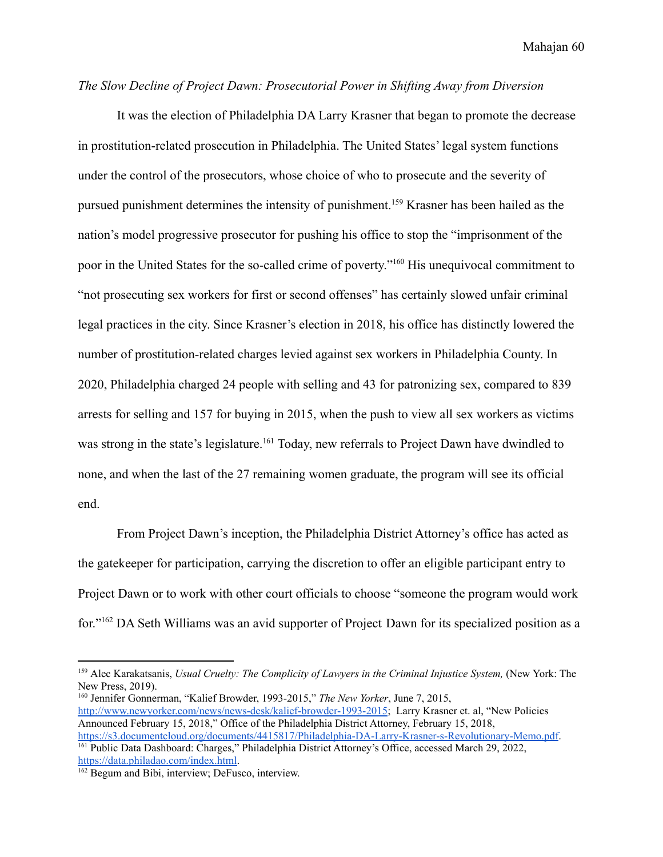## *The Slow Decline of Project Dawn: Prosecutorial Power in Shifting Away from Diversion*

It was the election of Philadelphia DA Larry Krasner that began to promote the decrease in prostitution-related prosecution in Philadelphia. The United States' legal system functions under the control of the prosecutors, whose choice of who to prosecute and the severity of pursued punishment determines the intensity of punishment.<sup>159</sup> Krasner has been hailed as the nation's model progressive prosecutor for pushing his office to stop the "imprisonment of the poor in the United States for the so-called crime of poverty."<sup>160</sup> His unequivocal commitment to "not prosecuting sex workers for first or second offenses" has certainly slowed unfair criminal legal practices in the city. Since Krasner's election in 2018, his office has distinctly lowered the number of prostitution-related charges levied against sex workers in Philadelphia County. In 2020, Philadelphia charged 24 people with selling and 43 for patronizing sex, compared to 839 arrests for selling and 157 for buying in 2015, when the push to view all sex workers as victims was strong in the state's legislature.<sup>161</sup> Today, new referrals to Project Dawn have dwindled to none, and when the last of the 27 remaining women graduate, the program will see its official end.

From Project Dawn's inception, the Philadelphia District Attorney's office has acted as the gatekeeper for participation, carrying the discretion to offer an eligible participant entry to Project Dawn or to work with other court officials to choose "someone the program would work for."<sup>162</sup> DA Seth Williams was an avid supporter of Project Dawn for its specialized position as a

<sup>161</sup> Public Data Dashboard: Charges," Philadelphia District Attorney's Office, accessed March 29, 2022, [https://data.philadao.com/index.html.](https://data.philadao.com/index.html) <sup>160</sup> Jennifer Gonnerman, "Kalief Browder, 1993-2015," *The New Yorker*, June 7, 2015, <http://www.newyorker.com/news/news-desk/kalief-browder-1993-2015>; Larry Krasner et. al, "New Policies" Announced February 15, 2018," Office of the Philadelphia District Attorney, February 15, 2018, <https://s3.documentcloud.org/documents/4415817/Philadelphia-DA-Larry-Krasner-s-Revolutionary-Memo.pdf>.

<sup>159</sup> Alec Karakatsanis, *Usual Cruelty: The Complicity of Lawyers in the Criminal Injustice System,* (New York: The New Press, 2019).

<sup>&</sup>lt;sup>162</sup> Begum and Bibi, interview; DeFusco, interview.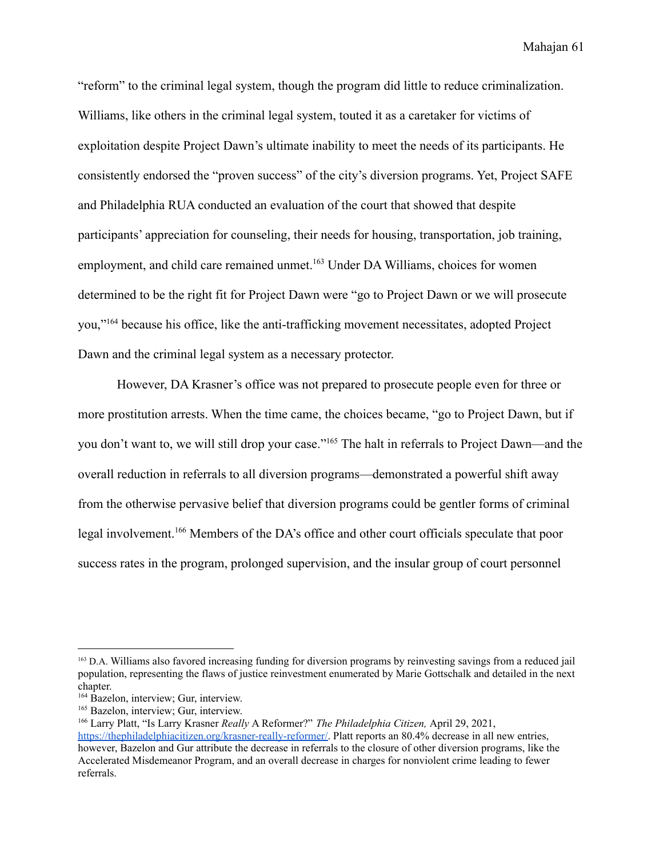"reform" to the criminal legal system, though the program did little to reduce criminalization. Williams, like others in the criminal legal system, touted it as a caretaker for victims of exploitation despite Project Dawn's ultimate inability to meet the needs of its participants. He consistently endorsed the "proven success" of the city's diversion programs. Yet, Project SAFE and Philadelphia RUA conducted an evaluation of the court that showed that despite participants' appreciation for counseling, their needs for housing, transportation, job training, employment, and child care remained unmet.<sup>163</sup> Under DA Williams, choices for women determined to be the right fit for Project Dawn were "go to Project Dawn or we will prosecute you,"<sup>164</sup> because his office, like the anti-trafficking movement necessitates, adopted Project Dawn and the criminal legal system as a necessary protector.

However, DA Krasner's office was not prepared to prosecute people even for three or more prostitution arrests. When the time came, the choices became, "go to Project Dawn, but if you don't want to, we will still drop your case."<sup>165</sup> The halt in referrals to Project Dawn—and the overall reduction in referrals to all diversion programs—demonstrated a powerful shift away from the otherwise pervasive belief that diversion programs could be gentler forms of criminal legal involvement.<sup>166</sup> Members of the DA's office and other court officials speculate that poor success rates in the program, prolonged supervision, and the insular group of court personnel

<sup>&</sup>lt;sup>163</sup> D.A. Williams also favored increasing funding for diversion programs by reinvesting savings from a reduced jail population, representing the flaws of justice reinvestment enumerated by Marie Gottschalk and detailed in the next chapter.

<sup>&</sup>lt;sup>164</sup> Bazelon, interview; Gur, interview.

<sup>&</sup>lt;sup>165</sup> Bazelon, interview; Gur, interview.

<sup>166</sup> Larry Platt, "Is Larry Krasner *Really* A Reformer?" *The Philadelphia Citizen,* April 29, 2021, [https://thephiladelphiacitizen.org/krasner-really-reformer/.](https://thephiladelphiacitizen.org/krasner-really-reformer/) Platt reports an 80.4% decrease in all new entries, however, Bazelon and Gur attribute the decrease in referrals to the closure of other diversion programs, like the Accelerated Misdemeanor Program, and an overall decrease in charges for nonviolent crime leading to fewer referrals.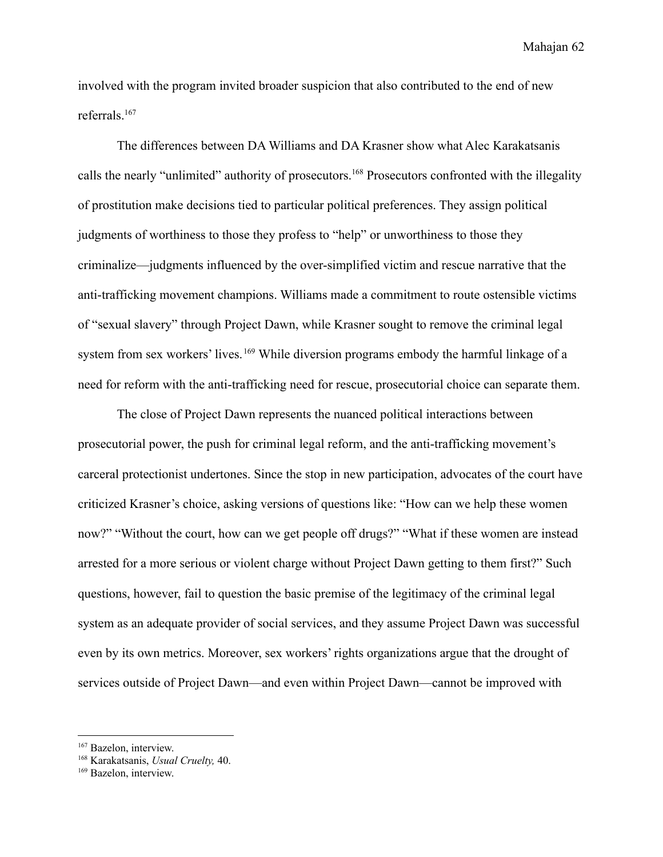involved with the program invited broader suspicion that also contributed to the end of new referrals.<sup>167</sup>

The differences between DA Williams and DA Krasner show what Alec Karakatsanis calls the nearly "unlimited" authority of prosecutors.<sup>168</sup> Prosecutors confronted with the illegality of prostitution make decisions tied to particular political preferences. They assign political judgments of worthiness to those they profess to "help" or unworthiness to those they criminalize—judgments influenced by the over-simplified victim and rescue narrative that the anti-trafficking movement champions. Williams made a commitment to route ostensible victims of "sexual slavery" through Project Dawn, while Krasner sought to remove the criminal legal system from sex workers' lives. <sup>169</sup> While diversion programs embody the harmful linkage of a need for reform with the anti-trafficking need for rescue, prosecutorial choice can separate them.

The close of Project Dawn represents the nuanced political interactions between prosecutorial power, the push for criminal legal reform, and the anti-trafficking movement's carceral protectionist undertones. Since the stop in new participation, advocates of the court have criticized Krasner's choice, asking versions of questions like: "How can we help these women now?" "Without the court, how can we get people off drugs?" "What if these women are instead arrested for a more serious or violent charge without Project Dawn getting to them first?" Such questions, however, fail to question the basic premise of the legitimacy of the criminal legal system as an adequate provider of social services, and they assume Project Dawn was successful even by its own metrics. Moreover, sex workers' rights organizations argue that the drought of services outside of Project Dawn—and even within Project Dawn—cannot be improved with

<sup>&</sup>lt;sup>167</sup> Bazelon, interview.

<sup>168</sup> Karakatsanis, *Usual Cruelty,* 40.

<sup>169</sup> Bazelon, interview.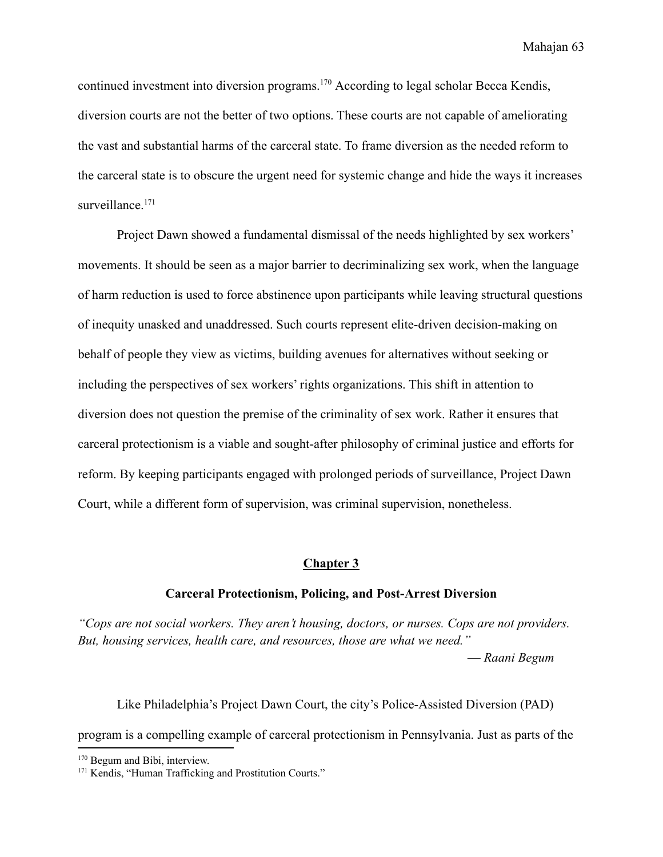continued investment into diversion programs.<sup>170</sup> According to legal scholar Becca Kendis, diversion courts are not the better of two options. These courts are not capable of ameliorating the vast and substantial harms of the carceral state. To frame diversion as the needed reform to the carceral state is to obscure the urgent need for systemic change and hide the ways it increases surveillance.<sup>171</sup>

Project Dawn showed a fundamental dismissal of the needs highlighted by sex workers' movements. It should be seen as a major barrier to decriminalizing sex work, when the language of harm reduction is used to force abstinence upon participants while leaving structural questions of inequity unasked and unaddressed. Such courts represent elite-driven decision-making on behalf of people they view as victims, building avenues for alternatives without seeking or including the perspectives of sex workers' rights organizations. This shift in attention to diversion does not question the premise of the criminality of sex work. Rather it ensures that carceral protectionism is a viable and sought-after philosophy of criminal justice and efforts for reform. By keeping participants engaged with prolonged periods of surveillance, Project Dawn Court, while a different form of supervision, was criminal supervision, nonetheless.

#### **Chapter 3**

#### **Carceral Protectionism, Policing, and Post-Arrest Diversion**

*"Cops are not social workers. They aren't housing, doctors, or nurses. Cops are not providers. But, housing services, health care, and resources, those are what we need."*

— *Raani Begum*

Like Philadelphia's Project Dawn Court, the city's Police-Assisted Diversion (PAD) program is a compelling example of carceral protectionism in Pennsylvania. Just as parts of the

<sup>&</sup>lt;sup>170</sup> Begum and Bibi, interview.

<sup>&</sup>lt;sup>171</sup> Kendis, "Human Trafficking and Prostitution Courts."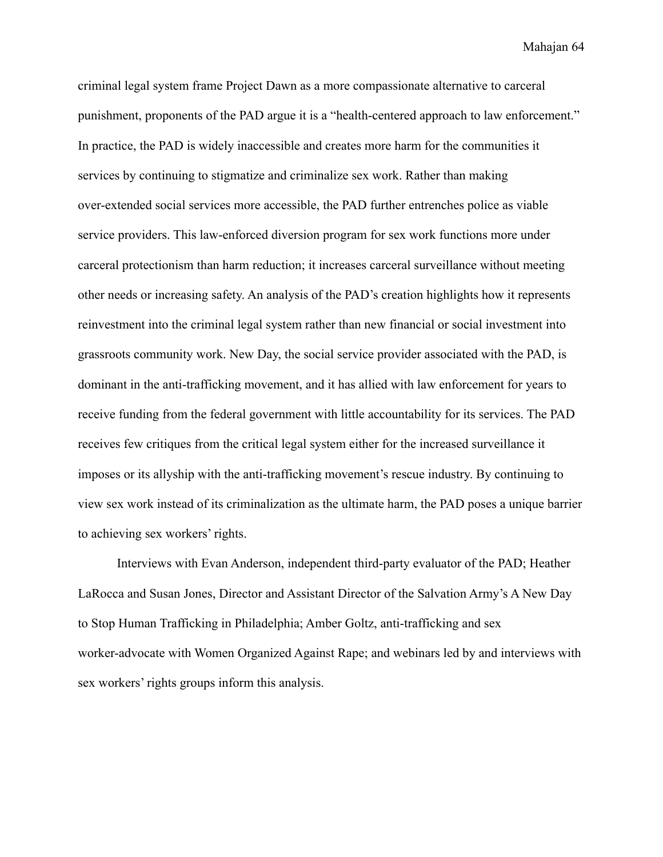criminal legal system frame Project Dawn as a more compassionate alternative to carceral punishment, proponents of the PAD argue it is a "health-centered approach to law enforcement." In practice, the PAD is widely inaccessible and creates more harm for the communities it services by continuing to stigmatize and criminalize sex work. Rather than making over-extended social services more accessible, the PAD further entrenches police as viable service providers. This law-enforced diversion program for sex work functions more under carceral protectionism than harm reduction; it increases carceral surveillance without meeting other needs or increasing safety. An analysis of the PAD's creation highlights how it represents reinvestment into the criminal legal system rather than new financial or social investment into grassroots community work. New Day, the social service provider associated with the PAD, is dominant in the anti-trafficking movement, and it has allied with law enforcement for years to receive funding from the federal government with little accountability for its services. The PAD receives few critiques from the critical legal system either for the increased surveillance it imposes or its allyship with the anti-trafficking movement's rescue industry. By continuing to view sex work instead of its criminalization as the ultimate harm, the PAD poses a unique barrier to achieving sex workers' rights.

Interviews with Evan Anderson, independent third-party evaluator of the PAD; Heather LaRocca and Susan Jones, Director and Assistant Director of the Salvation Army's A New Day to Stop Human Trafficking in Philadelphia; Amber Goltz, anti-trafficking and sex worker-advocate with Women Organized Against Rape; and webinars led by and interviews with sex workers' rights groups inform this analysis.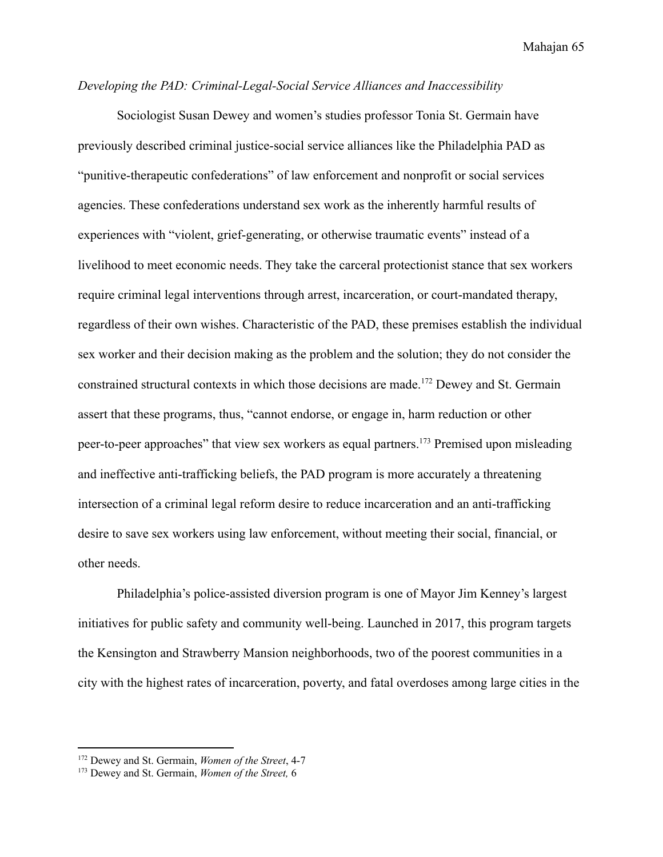# *Developing the PAD: Criminal-Legal-Social Service Alliances and Inaccessibility*

Sociologist Susan Dewey and women's studies professor Tonia St. Germain have previously described criminal justice-social service alliances like the Philadelphia PAD as "punitive-therapeutic confederations" of law enforcement and nonprofit or social services agencies. These confederations understand sex work as the inherently harmful results of experiences with "violent, grief-generating, or otherwise traumatic events" instead of a livelihood to meet economic needs. They take the carceral protectionist stance that sex workers require criminal legal interventions through arrest, incarceration, or court-mandated therapy, regardless of their own wishes. Characteristic of the PAD, these premises establish the individual sex worker and their decision making as the problem and the solution; they do not consider the constrained structural contexts in which those decisions are made.<sup>172</sup> Dewey and St. Germain assert that these programs, thus, "cannot endorse, or engage in, harm reduction or other peer-to-peer approaches" that view sex workers as equal partners.<sup>173</sup> Premised upon misleading and ineffective anti-trafficking beliefs, the PAD program is more accurately a threatening intersection of a criminal legal reform desire to reduce incarceration and an anti-trafficking desire to save sex workers using law enforcement, without meeting their social, financial, or other needs.

Philadelphia's police-assisted diversion program is one of Mayor Jim Kenney's largest initiatives for public safety and community well-being. Launched in 2017, this program targets the Kensington and Strawberry Mansion neighborhoods, two of the poorest communities in a city with the highest rates of incarceration, poverty, and fatal overdoses among large cities in the

<sup>172</sup> Dewey and St. Germain, *Women of the Street*, 4-7

<sup>173</sup> Dewey and St. Germain, *Women of the Street,* 6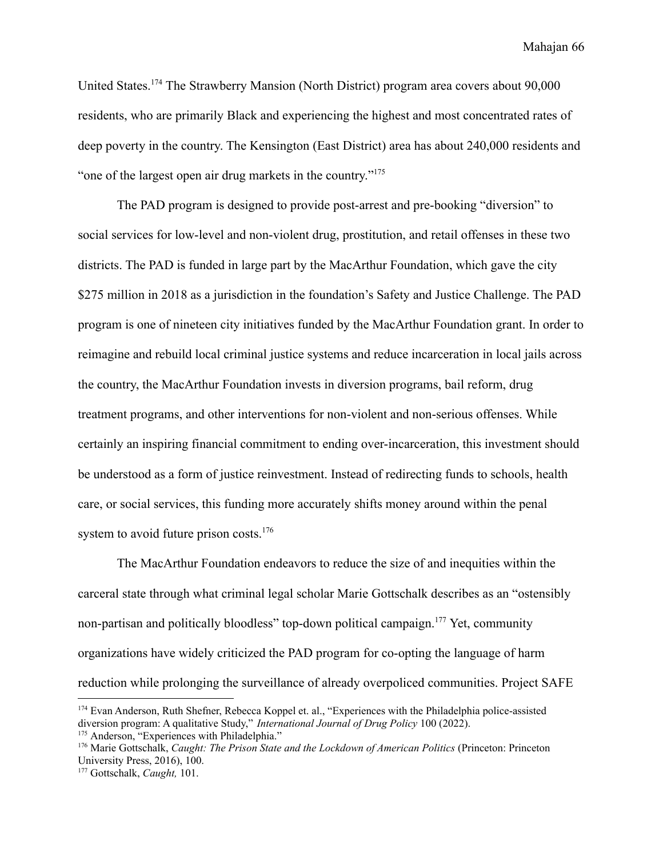United States.<sup>174</sup> The Strawberry Mansion (North District) program area covers about 90,000 residents, who are primarily Black and experiencing the highest and most concentrated rates of deep poverty in the country. The Kensington (East District) area has about 240,000 residents and "one of the largest open air drug markets in the country."<sup>175</sup>

The PAD program is designed to provide post-arrest and pre-booking "diversion" to social services for low-level and non-violent drug, prostitution, and retail offenses in these two districts. The PAD is funded in large part by the MacArthur Foundation, which gave the city \$275 million in 2018 as a jurisdiction in the foundation's Safety and Justice Challenge. The PAD program is one of nineteen city initiatives funded by the MacArthur Foundation grant. In order to reimagine and rebuild local criminal justice systems and reduce incarceration in local jails across the country, the MacArthur Foundation invests in diversion programs, bail reform, drug treatment programs, and other interventions for non-violent and non-serious offenses. While certainly an inspiring financial commitment to ending over-incarceration, this investment should be understood as a form of justice reinvestment. Instead of redirecting funds to schools, health care, or social services, this funding more accurately shifts money around within the penal system to avoid future prison costs.<sup>176</sup>

The MacArthur Foundation endeavors to reduce the size of and inequities within the carceral state through what criminal legal scholar Marie Gottschalk describes as an "ostensibly non-partisan and politically bloodless" top-down political campaign.<sup>177</sup> Yet, community organizations have widely criticized the PAD program for co-opting the language of harm reduction while prolonging the surveillance of already overpoliced communities. Project SAFE

<sup>&</sup>lt;sup>174</sup> Evan Anderson, Ruth Shefner, Rebecca Koppel et. al., "Experiences with the Philadelphia police-assisted diversion program: A qualitative Study," *International Journal of Drug Policy* 100 (2022).

<sup>&</sup>lt;sup>175</sup> Anderson, "Experiences with Philadelphia."

<sup>176</sup> Marie Gottschalk, *Caught: The Prison State and the Lockdown of American Politics* (Princeton: Princeton University Press, 2016), 100.

<sup>177</sup> Gottschalk, *Caught,* 101.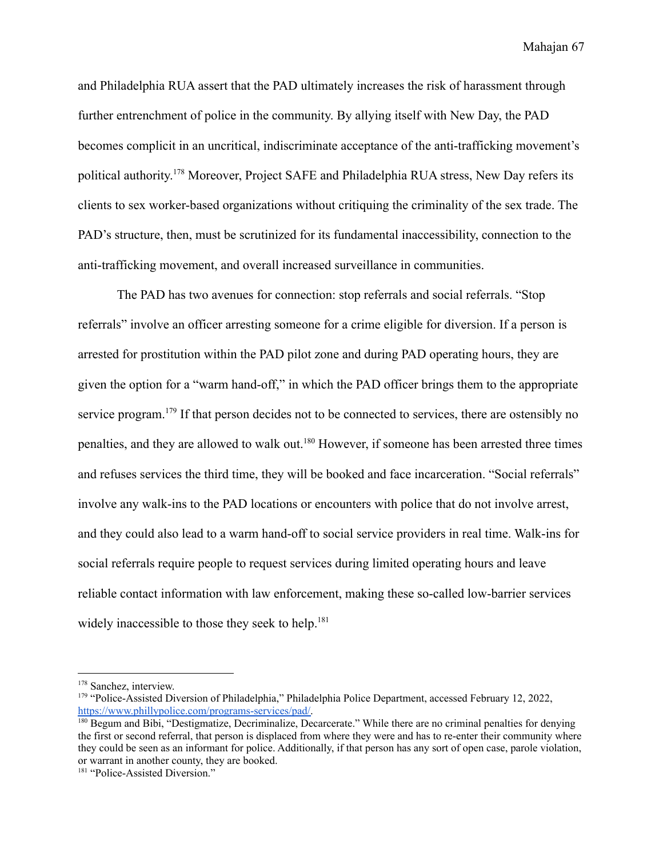and Philadelphia RUA assert that the PAD ultimately increases the risk of harassment through further entrenchment of police in the community. By allying itself with New Day, the PAD becomes complicit in an uncritical, indiscriminate acceptance of the anti-trafficking movement's political authority. <sup>178</sup> Moreover, Project SAFE and Philadelphia RUA stress, New Day refers its clients to sex worker-based organizations without critiquing the criminality of the sex trade. The PAD's structure, then, must be scrutinized for its fundamental inaccessibility, connection to the anti-trafficking movement, and overall increased surveillance in communities.

The PAD has two avenues for connection: stop referrals and social referrals. "Stop referrals" involve an officer arresting someone for a crime eligible for diversion. If a person is arrested for prostitution within the PAD pilot zone and during PAD operating hours, they are given the option for a "warm hand-off," in which the PAD officer brings them to the appropriate service program.<sup>179</sup> If that person decides not to be connected to services, there are ostensibly no penalties, and they are allowed to walk out.<sup>180</sup> However, if someone has been arrested three times and refuses services the third time, they will be booked and face incarceration. "Social referrals" involve any walk-ins to the PAD locations or encounters with police that do not involve arrest, and they could also lead to a warm hand-off to social service providers in real time. Walk-ins for social referrals require people to request services during limited operating hours and leave reliable contact information with law enforcement, making these so-called low-barrier services widely inaccessible to those they seek to help. $181$ 

<sup>178</sup> Sanchez, interview.

<sup>179</sup> "Police-Assisted Diversion of Philadelphia," Philadelphia Police Department, accessed February 12, 2022, [https://www.phillypolice.com/programs-services/pad/.](https://www.phillypolice.com/programs-services/pad/)

<sup>&</sup>lt;sup>180</sup> Begum and Bibi, "Destigmatize, Decriminalize, Decarcerate." While there are no criminal penalties for denying the first or second referral, that person is displaced from where they were and has to re-enter their community where they could be seen as an informant for police. Additionally, if that person has any sort of open case, parole violation, or warrant in another county, they are booked.

<sup>&</sup>lt;sup>181</sup> "Police-Assisted Diversion."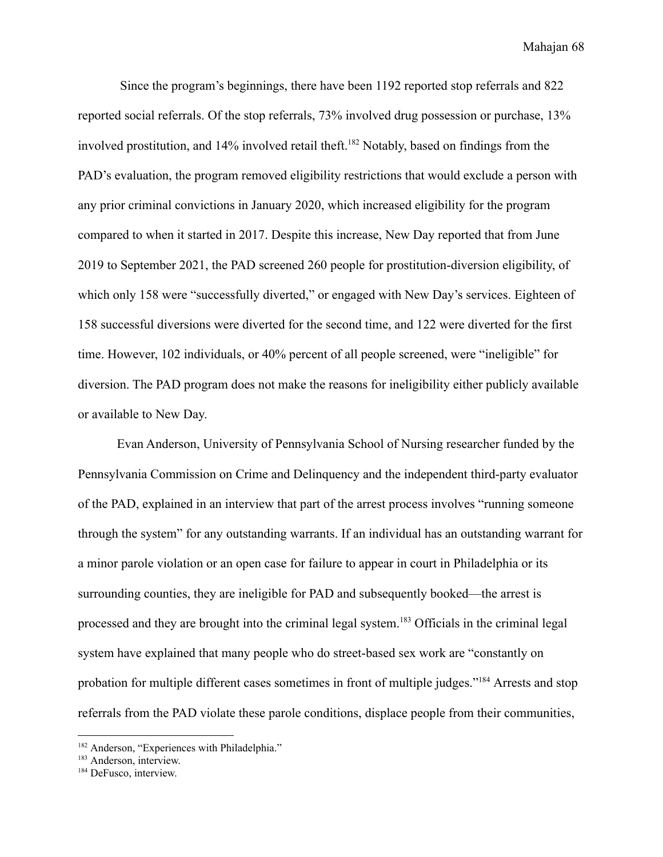Since the program's beginnings, there have been 1192 reported stop referrals and 822 reported social referrals. Of the stop referrals, 73% involved drug possession or purchase, 13% involved prostitution, and  $14\%$  involved retail theft.<sup>182</sup> Notably, based on findings from the PAD's evaluation, the program removed eligibility restrictions that would exclude a person with any prior criminal convictions in January 2020, which increased eligibility for the program compared to when it started in 2017. Despite this increase, New Day reported that from June 2019 to September 2021, the PAD screened 260 people for prostitution-diversion eligibility, of which only 158 were "successfully diverted," or engaged with New Day's services. Eighteen of 158 successful diversions were diverted for the second time, and 122 were diverted for the first time. However, 102 individuals, or 40% percent of all people screened, were "ineligible" for diversion. The PAD program does not make the reasons for ineligibility either publicly available or available to New Day.

Evan Anderson, University of Pennsylvania School of Nursing researcher funded by the Pennsylvania Commission on Crime and Delinquency and the independent third-party evaluator of the PAD, explained in an interview that part of the arrest process involves "running someone through the system" for any outstanding warrants. If an individual has an outstanding warrant for a minor parole violation or an open case for failure to appear in court in Philadelphia or its surrounding counties, they are ineligible for PAD and subsequently booked—the arrest is processed and they are brought into the criminal legal system.<sup>183</sup> Officials in the criminal legal system have explained that many people who do street-based sex work are "constantly on probation for multiple different cases sometimes in front of multiple judges."<sup>184</sup> Arrests and stop referrals from the PAD violate these parole conditions, displace people from their communities,

<sup>&</sup>lt;sup>182</sup> Anderson, "Experiences with Philadelphia."

<sup>&</sup>lt;sup>183</sup> Anderson, interview.

<sup>&</sup>lt;sup>184</sup> DeFusco, interview.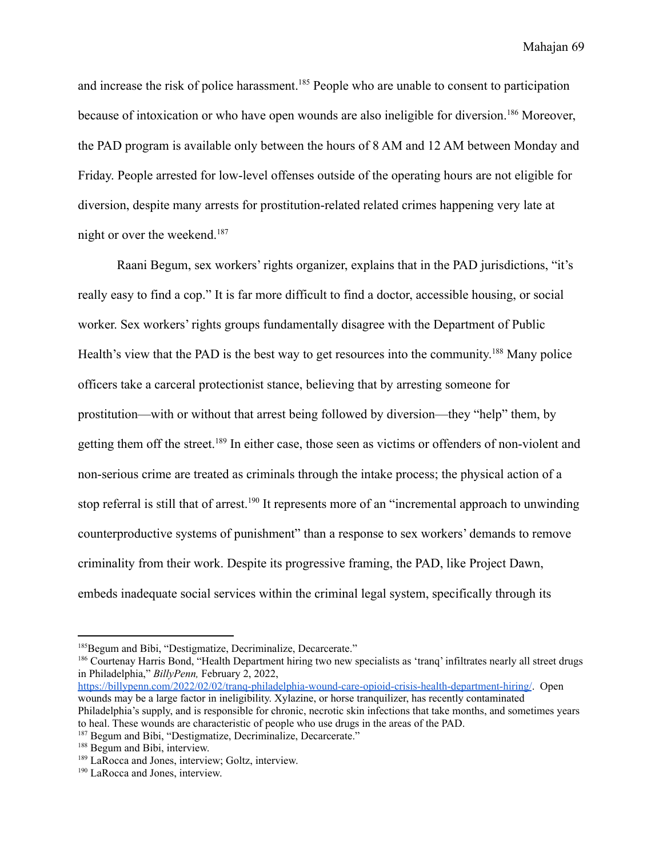and increase the risk of police harassment.<sup>185</sup> People who are unable to consent to participation because of intoxication or who have open wounds are also ineligible for diversion.<sup>186</sup> Moreover, the PAD program is available only between the hours of 8 AM and 12 AM between Monday and Friday. People arrested for low-level offenses outside of the operating hours are not eligible for diversion, despite many arrests for prostitution-related related crimes happening very late at night or over the weekend.<sup>187</sup>

Raani Begum, sex workers' rights organizer, explains that in the PAD jurisdictions, "it's really easy to find a cop." It is far more difficult to find a doctor, accessible housing, or social worker. Sex workers' rights groups fundamentally disagree with the Department of Public Health's view that the PAD is the best way to get resources into the community.<sup>188</sup> Many police officers take a carceral protectionist stance, believing that by arresting someone for prostitution—with or without that arrest being followed by diversion—they "help" them, by getting them off the street.<sup>189</sup> In either case, those seen as victims or offenders of non-violent and non-serious crime are treated as criminals through the intake process; the physical action of a stop referral is still that of arrest.<sup>190</sup> It represents more of an "incremental approach to unwinding counterproductive systems of punishment" than a response to sex workers' demands to remove criminality from their work. Despite its progressive framing, the PAD, like Project Dawn, embeds inadequate social services within the criminal legal system, specifically through its

<sup>186</sup> Courtenay Harris Bond, "Health Department hiring two new specialists as 'tranq' infiltrates nearly all street drugs in Philadelphia," *BillyPenn,* February 2, 2022,

<https://billypenn.com/2022/02/02/tranq-philadelphia-wound-care-opioid-crisis-health-department-hiring/>. Open wounds may be a large factor in ineligibility. Xylazine, or horse tranquilizer, has recently contaminated Philadelphia's supply, and is responsible for chronic, necrotic skin infections that take months, and sometimes years to heal. These wounds are characteristic of people who use drugs in the areas of the PAD.

<sup>&</sup>lt;sup>185</sup>Begum and Bibi, "Destigmatize, Decriminalize, Decarcerate."

<sup>187</sup> Begum and Bibi, "Destigmatize, Decriminalize, Decarcerate."

<sup>&</sup>lt;sup>188</sup> Begum and Bibi, interview.

<sup>189</sup> LaRocca and Jones, interview; Goltz, interview.

<sup>&</sup>lt;sup>190</sup> LaRocca and Jones, interview.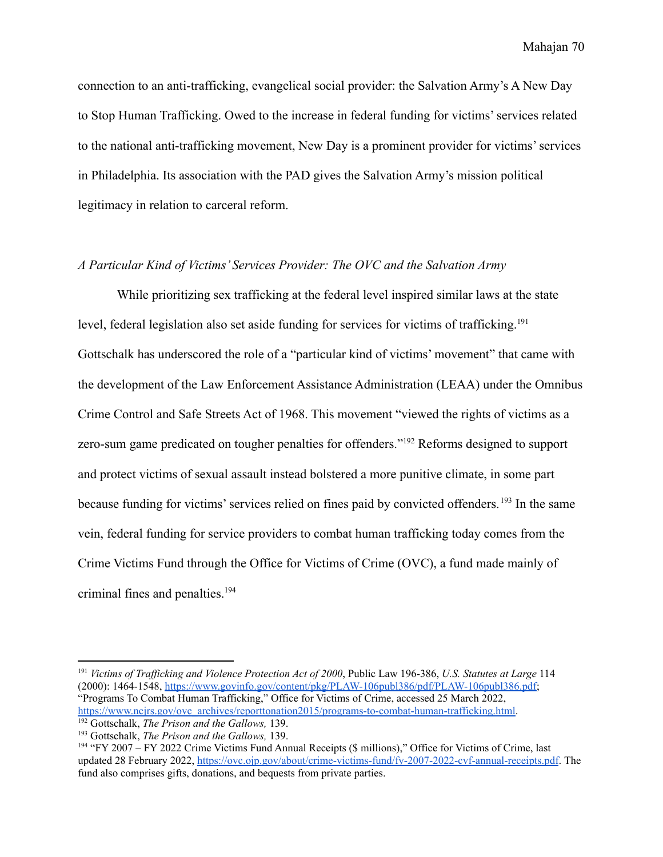connection to an anti-trafficking, evangelical social provider: the Salvation Army's A New Day to Stop Human Trafficking. Owed to the increase in federal funding for victims' services related to the national anti-trafficking movement, New Day is a prominent provider for victims' services in Philadelphia. Its association with the PAD gives the Salvation Army's mission political legitimacy in relation to carceral reform.

# *A Particular Kind of Victims' Services Provider: The OVC and the Salvation Army*

While prioritizing sex trafficking at the federal level inspired similar laws at the state level, federal legislation also set aside funding for services for victims of trafficking.<sup>191</sup> Gottschalk has underscored the role of a "particular kind of victims' movement" that came with the development of the Law Enforcement Assistance Administration (LEAA) under the Omnibus Crime Control and Safe Streets Act of 1968. This movement "viewed the rights of victims as a zero-sum game predicated on tougher penalties for offenders."<sup>192</sup> Reforms designed to support and protect victims of sexual assault instead bolstered a more punitive climate, in some part because funding for victims' services relied on fines paid by convicted offenders.<sup>193</sup> In the same vein, federal funding for service providers to combat human trafficking today comes from the Crime Victims Fund through the Office for Victims of Crime (OVC), a fund made mainly of criminal fines and penalties.<sup>194</sup>

<sup>191</sup> *Victims of Traf icking and Violence Protection Act of 2000*, Public Law 196-386, *U.S. Statutes at Large* 114 (2000): 1464-1548, [https://www.govinfo.gov/content/pkg/PLAW-106publ386/pdf/PLAW-106publ386.pdf;](https://www.govinfo.gov/content/pkg/PLAW-106publ386/pdf/PLAW-106publ386.pdf) "Programs To Combat Human Trafficking," Office for Victims of Crime, accessed 25 March 2022, [https://www.ncjrs.gov/ovc\\_archives/reporttonation2015/programs-to-combat-human-trafficking.html](https://www.ncjrs.gov/ovc_archives/reporttonation2015/programs-to-combat-human-trafficking.html).

<sup>192</sup> Gottschalk, *The Prison and the Gallows,* 139.

<sup>193</sup> Gottschalk, *The Prison and the Gallows,* 139.

<sup>194</sup> "FY 2007 – FY 2022 Crime Victims Fund Annual Receipts (\$ millions)," Office for Victims of Crime, last updated 28 February 2022, <https://ovc.ojp.gov/about/crime-victims-fund/fy-2007-2022-cvf-annual-receipts.pdf>. The fund also comprises gifts, donations, and bequests from private parties.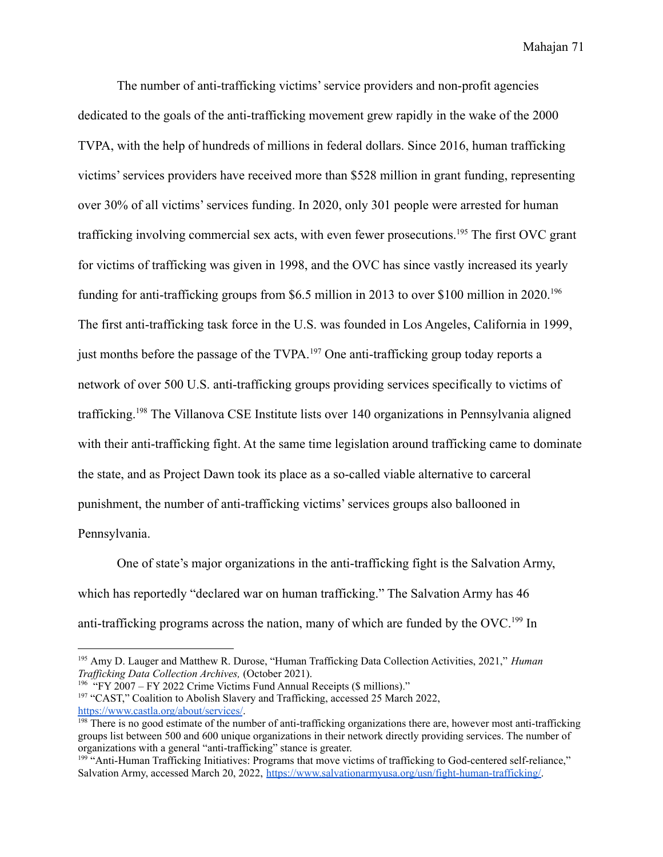The number of anti-trafficking victims' service providers and non-profit agencies dedicated to the goals of the anti-trafficking movement grew rapidly in the wake of the 2000 TVPA, with the help of hundreds of millions in federal dollars. Since 2016, human trafficking victims' services providers have received more than \$528 million in grant funding, representing over 30% of all victims' services funding. In 2020, only 301 people were arrested for human trafficking involving commercial sex acts, with even fewer prosecutions.<sup>195</sup> The first OVC grant for victims of trafficking was given in 1998, and the OVC has since vastly increased its yearly funding for anti-trafficking groups from \$6.5 million in 2013 to over \$100 million in 2020.<sup>196</sup> The first anti-trafficking task force in the U.S. was founded in Los Angeles, California in 1999, just months before the passage of the TVPA.<sup>197</sup> One anti-trafficking group today reports a network of over 500 U.S. anti-trafficking groups providing services specifically to victims of trafficking.<sup>198</sup> The Villanova CSE Institute lists over 140 organizations in Pennsylvania aligned with their anti-trafficking fight. At the same time legislation around trafficking came to dominate the state, and as Project Dawn took its place as a so-called viable alternative to carceral punishment, the number of anti-trafficking victims' services groups also ballooned in Pennsylvania.

One of state's major organizations in the anti-trafficking fight is the Salvation Army, which has reportedly "declared war on human trafficking." The Salvation Army has 46 anti-trafficking programs across the nation, many of which are funded by the OVC.<sup>199</sup> In

<sup>197</sup> "CAST," Coalition to Abolish Slavery and Trafficking, accessed 25 March 2022, <https://www.castla.org/about/services/>. <sup>196</sup> "FY 2007 – FY 2022 Crime Victims Fund Annual Receipts (\$ millions)."

<sup>195</sup> Amy D. Lauger and Matthew R. Durose, "Human Trafficking Data Collection Activities, 2021," *Human Traf icking Data Collection Archives,* (October 2021).

<sup>&</sup>lt;sup>198</sup> There is no good estimate of the number of anti-trafficking organizations there are, however most anti-trafficking groups list between 500 and 600 unique organizations in their network directly providing services. The number of organizations with a general "anti-trafficking" stance is greater.

<sup>&</sup>lt;sup>199 "</sup>Anti-Human Trafficking Initiatives: Programs that move victims of trafficking to God-centered self-reliance," Salvation Army, accessed March 20, 2022, [https://www.salvationarmyusa.org/usn/fight-human-trafficking/.](https://www.salvationarmyusa.org/usn/fight-human-trafficking/)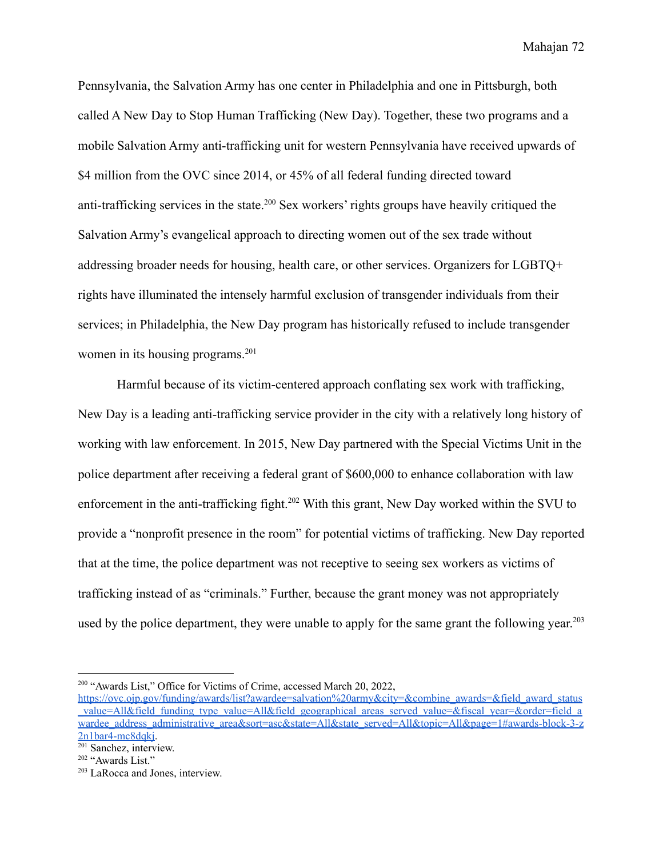Pennsylvania, the Salvation Army has one center in Philadelphia and one in Pittsburgh, both called A New Day to Stop Human Trafficking (New Day). Together, these two programs and a mobile Salvation Army anti-trafficking unit for western Pennsylvania have received upwards of \$4 million from the OVC since 2014, or 45% of all federal funding directed toward anti-trafficking services in the state.<sup>200</sup> Sex workers' rights groups have heavily critiqued the Salvation Army's evangelical approach to directing women out of the sex trade without addressing broader needs for housing, health care, or other services. Organizers for LGBTQ+ rights have illuminated the intensely harmful exclusion of transgender individuals from their services; in Philadelphia, the New Day program has historically refused to include transgender women in its housing programs.<sup>201</sup>

Harmful because of its victim-centered approach conflating sex work with trafficking, New Day is a leading anti-trafficking service provider in the city with a relatively long history of working with law enforcement. In 2015, New Day partnered with the Special Victims Unit in the police department after receiving a federal grant of \$600,000 to enhance collaboration with law enforcement in the anti-trafficking fight.<sup>202</sup> With this grant, New Day worked within the SVU to provide a "nonprofit presence in the room" for potential victims of trafficking. New Day reported that at the time, the police department was not receptive to seeing sex workers as victims of trafficking instead of as "criminals." Further, because the grant money was not appropriately used by the police department, they were unable to apply for the same grant the following year.<sup>203</sup>

<sup>&</sup>lt;sup>200</sup> "Awards List," Office for Victims of Crime, accessed March 20, 2022,

https://ovc.oip.gov/funding/awards/list?awardee=salvation%20army&city=&combine\_awards=&field\_award\_status  $value=All\&field$  funding type value=All&field geographical areas served value=&fiscal year=&order=field a [wardee\\_address\\_administrative\\_area&sort=asc&state=All&state\\_served=All&topic=All&page=1#awards-block-3-z](https://ovc.ojp.gov/funding/awards/list?awardee=salvation%20army&city=&combine_awards=&field_award_status_value=All&field_funding_type_value=All&field_geographical_areas_served_value=&fiscal_year=&order=field_awardee_address_administrative_area&sort=asc&state=All&state_served=All&topic=All&page=1#awards-block-3-z2n1bar4-mc8dqkj)  $2n1$ bar $\overline{4}$ -mc $8$ dqkj.

 $201$  Sanchez, interview.

<sup>&</sup>lt;sup>202</sup> "Awards List."

<sup>203</sup> LaRocca and Jones, interview.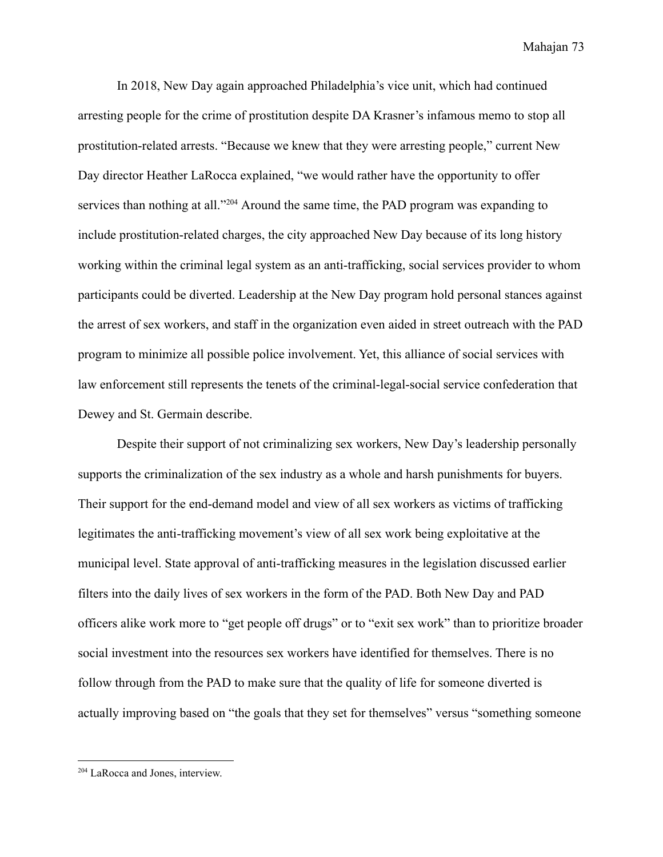In 2018, New Day again approached Philadelphia's vice unit, which had continued arresting people for the crime of prostitution despite DA Krasner's infamous memo to stop all prostitution-related arrests. "Because we knew that they were arresting people," current New Day director Heather LaRocca explained, "we would rather have the opportunity to offer services than nothing at all."<sup>204</sup> Around the same time, the PAD program was expanding to include prostitution-related charges, the city approached New Day because of its long history working within the criminal legal system as an anti-trafficking, social services provider to whom participants could be diverted. Leadership at the New Day program hold personal stances against the arrest of sex workers, and staff in the organization even aided in street outreach with the PAD program to minimize all possible police involvement. Yet, this alliance of social services with law enforcement still represents the tenets of the criminal-legal-social service confederation that Dewey and St. Germain describe.

Despite their support of not criminalizing sex workers, New Day's leadership personally supports the criminalization of the sex industry as a whole and harsh punishments for buyers. Their support for the end-demand model and view of all sex workers as victims of trafficking legitimates the anti-trafficking movement's view of all sex work being exploitative at the municipal level. State approval of anti-trafficking measures in the legislation discussed earlier filters into the daily lives of sex workers in the form of the PAD. Both New Day and PAD officers alike work more to "get people off drugs" or to "exit sex work" than to prioritize broader social investment into the resources sex workers have identified for themselves. There is no follow through from the PAD to make sure that the quality of life for someone diverted is actually improving based on "the goals that they set for themselves" versus "something someone

<sup>&</sup>lt;sup>204</sup> LaRocca and Jones, interview.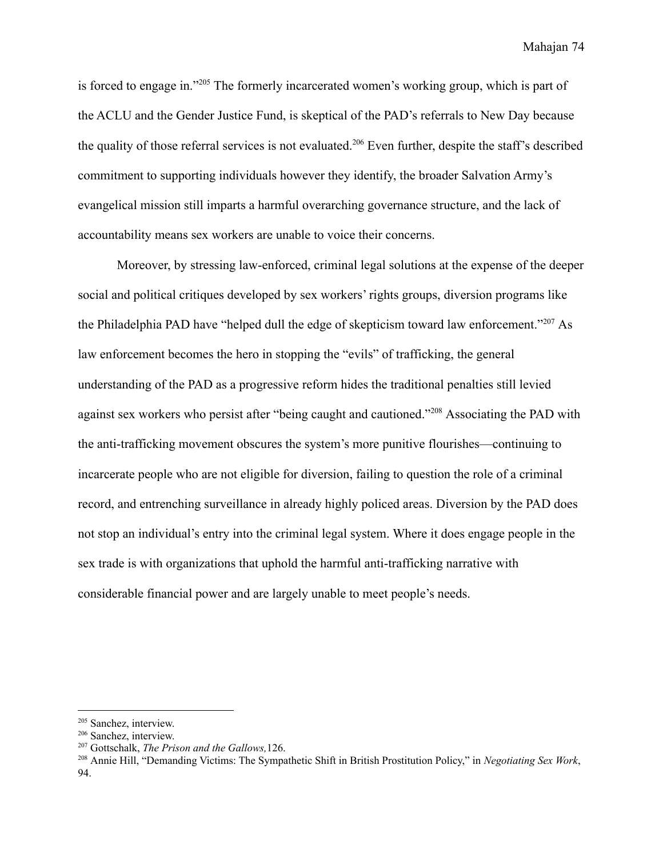is forced to engage in."<sup>205</sup> The formerly incarcerated women's working group, which is part of the ACLU and the Gender Justice Fund, is skeptical of the PAD's referrals to New Day because the quality of those referral services is not evaluated.<sup>206</sup> Even further, despite the staff's described commitment to supporting individuals however they identify, the broader Salvation Army's evangelical mission still imparts a harmful overarching governance structure, and the lack of accountability means sex workers are unable to voice their concerns.

Moreover, by stressing law-enforced, criminal legal solutions at the expense of the deeper social and political critiques developed by sex workers' rights groups, diversion programs like the Philadelphia PAD have "helped dull the edge of skepticism toward law enforcement."<sup>207</sup> As law enforcement becomes the hero in stopping the "evils" of trafficking, the general understanding of the PAD as a progressive reform hides the traditional penalties still levied against sex workers who persist after "being caught and cautioned."<sup>208</sup> Associating the PAD with the anti-trafficking movement obscures the system's more punitive flourishes—continuing to incarcerate people who are not eligible for diversion, failing to question the role of a criminal record, and entrenching surveillance in already highly policed areas. Diversion by the PAD does not stop an individual's entry into the criminal legal system. Where it does engage people in the sex trade is with organizations that uphold the harmful anti-trafficking narrative with considerable financial power and are largely unable to meet people's needs.

<sup>205</sup> Sanchez, interview.

<sup>206</sup> Sanchez, interview.

<sup>207</sup> Gottschalk, *The Prison and the Gallows,*126.

<sup>208</sup> Annie Hill, "Demanding Victims: The Sympathetic Shift in British Prostitution Policy," in *Negotiating Sex Work*, 94.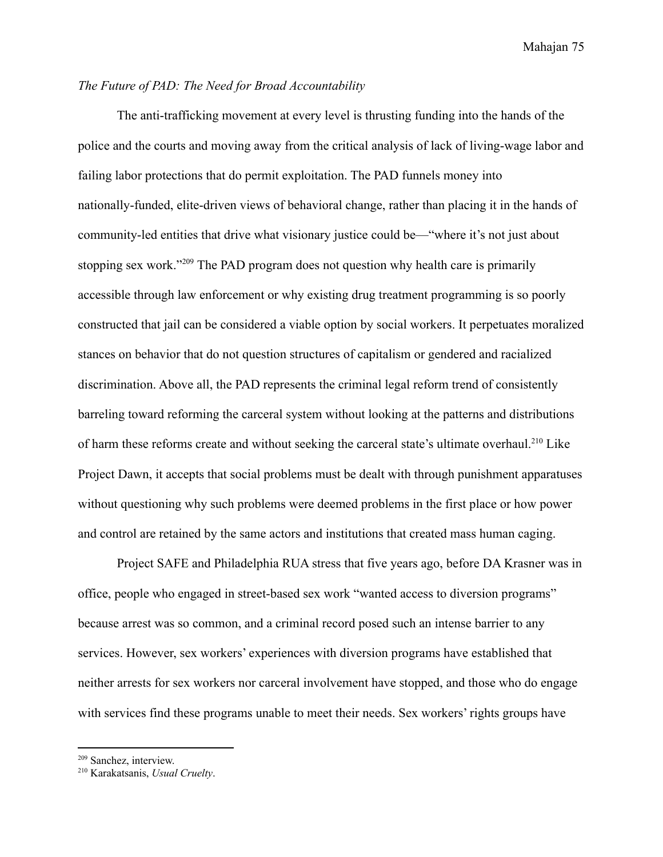## *The Future of PAD: The Need for Broad Accountability*

The anti-trafficking movement at every level is thrusting funding into the hands of the police and the courts and moving away from the critical analysis of lack of living-wage labor and failing labor protections that do permit exploitation. The PAD funnels money into nationally-funded, elite-driven views of behavioral change, rather than placing it in the hands of community-led entities that drive what visionary justice could be—"where it's not just about stopping sex work."<sup>209</sup> The PAD program does not question why health care is primarily accessible through law enforcement or why existing drug treatment programming is so poorly constructed that jail can be considered a viable option by social workers. It perpetuates moralized stances on behavior that do not question structures of capitalism or gendered and racialized discrimination. Above all, the PAD represents the criminal legal reform trend of consistently barreling toward reforming the carceral system without looking at the patterns and distributions of harm these reforms create and without seeking the carceral state's ultimate overhaul.<sup>210</sup> Like Project Dawn, it accepts that social problems must be dealt with through punishment apparatuses without questioning why such problems were deemed problems in the first place or how power and control are retained by the same actors and institutions that created mass human caging.

Project SAFE and Philadelphia RUA stress that five years ago, before DA Krasner was in office, people who engaged in street-based sex work "wanted access to diversion programs" because arrest was so common, and a criminal record posed such an intense barrier to any services. However, sex workers' experiences with diversion programs have established that neither arrests for sex workers nor carceral involvement have stopped, and those who do engage with services find these programs unable to meet their needs. Sex workers' rights groups have

<sup>209</sup> Sanchez, interview.

<sup>210</sup> Karakatsanis, *Usual Cruelty*.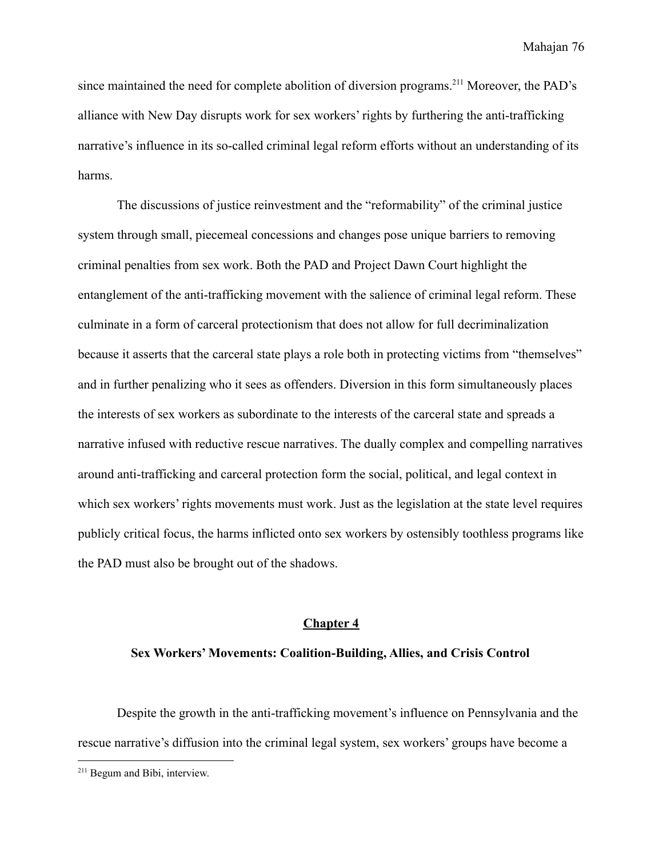since maintained the need for complete abolition of diversion programs.<sup>211</sup> Moreover, the PAD's alliance with New Day disrupts work for sex workers' rights by furthering the anti-trafficking narrative's influence in its so-called criminal legal reform efforts without an understanding of its harms.

The discussions of justice reinvestment and the "reformability" of the criminal justice system through small, piecemeal concessions and changes pose unique barriers to removing criminal penalties from sex work. Both the PAD and Project Dawn Court highlight the entanglement of the anti-trafficking movement with the salience of criminal legal reform. These culminate in a form of carceral protectionism that does not allow for full decriminalization because it asserts that the carceral state plays a role both in protecting victims from "themselves" and in further penalizing who it sees as offenders. Diversion in this form simultaneously places the interests of sex workers as subordinate to the interests of the carceral state and spreads a narrative infused with reductive rescue narratives. The dually complex and compelling narratives around anti-trafficking and carceral protection form the social, political, and legal context in which sex workers' rights movements must work. Just as the legislation at the state level requires publicly critical focus, the harms inflicted onto sex workers by ostensibly toothless programs like the PAD must also be brought out of the shadows.

#### **Chapter 4**

#### **Sex Workers' Movements: Coalition-Building, Allies, and Crisis Control**

Despite the growth in the anti-trafficking movement's influence on Pennsylvania and the rescue narrative's diffusion into the criminal legal system, sex workers' groups have become a

<sup>211</sup> Begum and Bibi, interview.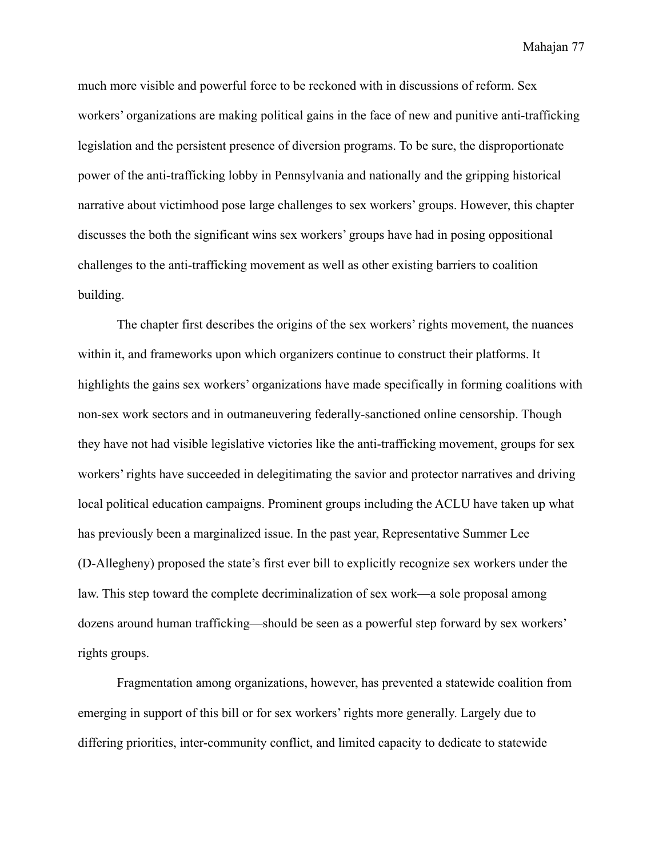much more visible and powerful force to be reckoned with in discussions of reform. Sex workers' organizations are making political gains in the face of new and punitive anti-trafficking legislation and the persistent presence of diversion programs. To be sure, the disproportionate power of the anti-trafficking lobby in Pennsylvania and nationally and the gripping historical narrative about victimhood pose large challenges to sex workers' groups. However, this chapter discusses the both the significant wins sex workers' groups have had in posing oppositional challenges to the anti-trafficking movement as well as other existing barriers to coalition building.

The chapter first describes the origins of the sex workers' rights movement, the nuances within it, and frameworks upon which organizers continue to construct their platforms. It highlights the gains sex workers' organizations have made specifically in forming coalitions with non-sex work sectors and in outmaneuvering federally-sanctioned online censorship. Though they have not had visible legislative victories like the anti-trafficking movement, groups for sex workers' rights have succeeded in delegitimating the savior and protector narratives and driving local political education campaigns. Prominent groups including the ACLU have taken up what has previously been a marginalized issue. In the past year, Representative Summer Lee (D-Allegheny) proposed the state's first ever bill to explicitly recognize sex workers under the law. This step toward the complete decriminalization of sex work—a sole proposal among dozens around human trafficking—should be seen as a powerful step forward by sex workers' rights groups.

Fragmentation among organizations, however, has prevented a statewide coalition from emerging in support of this bill or for sex workers' rights more generally. Largely due to differing priorities, inter-community conflict, and limited capacity to dedicate to statewide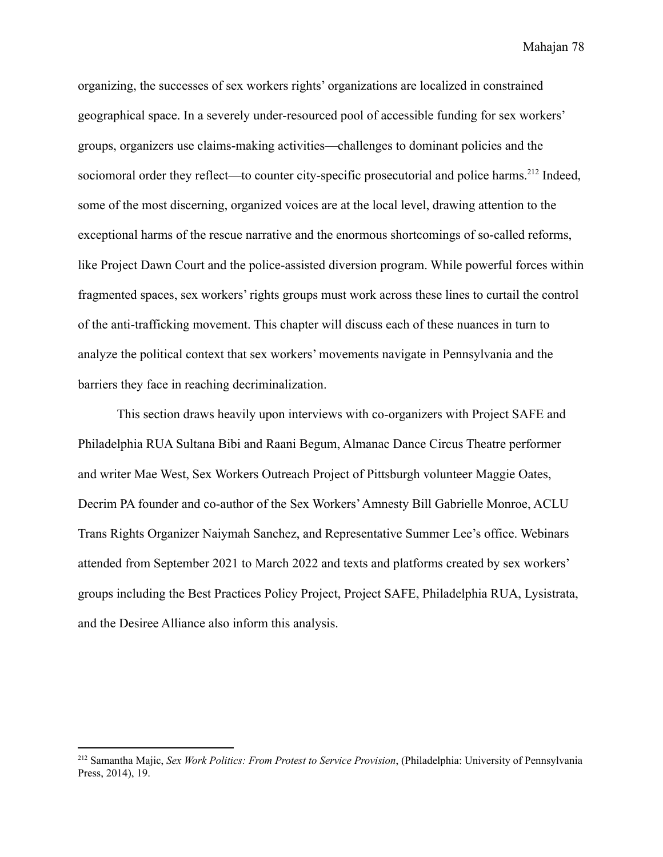organizing, the successes of sex workers rights' organizations are localized in constrained geographical space. In a severely under-resourced pool of accessible funding for sex workers' groups, organizers use claims-making activities—challenges to dominant policies and the sociomoral order they reflect—to counter city-specific prosecutorial and police harms.<sup>212</sup> Indeed, some of the most discerning, organized voices are at the local level, drawing attention to the exceptional harms of the rescue narrative and the enormous shortcomings of so-called reforms, like Project Dawn Court and the police-assisted diversion program. While powerful forces within fragmented spaces, sex workers' rights groups must work across these lines to curtail the control of the anti-trafficking movement. This chapter will discuss each of these nuances in turn to analyze the political context that sex workers' movements navigate in Pennsylvania and the barriers they face in reaching decriminalization.

This section draws heavily upon interviews with co-organizers with Project SAFE and Philadelphia RUA Sultana Bibi and Raani Begum, Almanac Dance Circus Theatre performer and writer Mae West, Sex Workers Outreach Project of Pittsburgh volunteer Maggie Oates, Decrim PA founder and co-author of the Sex Workers'Amnesty Bill Gabrielle Monroe, ACLU Trans Rights Organizer Naiymah Sanchez, and Representative Summer Lee's office. Webinars attended from September 2021 to March 2022 and texts and platforms created by sex workers' groups including the Best Practices Policy Project, Project SAFE, Philadelphia RUA, Lysistrata, and the Desiree Alliance also inform this analysis.

<sup>212</sup> Samantha Majic, *Sex Work Politics: From Protest to Service Provision*, (Philadelphia: University of Pennsylvania Press, 2014), 19.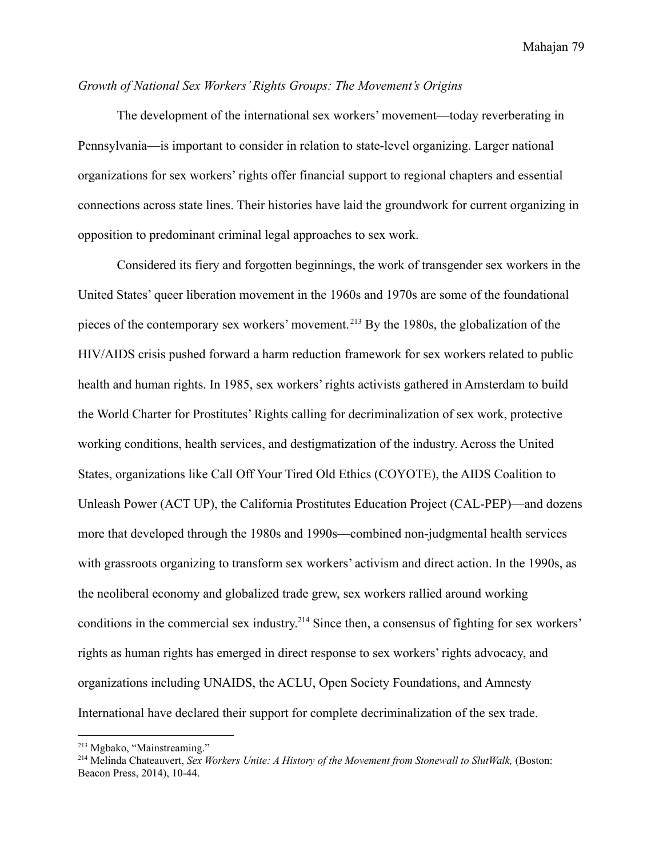# *Growth of National Sex Workers' Rights Groups: The Movement's Origins*

The development of the international sex workers' movement—today reverberating in Pennsylvania—is important to consider in relation to state-level organizing. Larger national organizations for sex workers' rights offer financial support to regional chapters and essential connections across state lines. Their histories have laid the groundwork for current organizing in opposition to predominant criminal legal approaches to sex work.

Considered its fiery and forgotten beginnings, the work of transgender sex workers in the United States' queer liberation movement in the 1960s and 1970s are some of the foundational pieces of the contemporary sex workers' movement. <sup>213</sup> By the 1980s, the globalization of the HIV/AIDS crisis pushed forward a harm reduction framework for sex workers related to public health and human rights. In 1985, sex workers' rights activists gathered in Amsterdam to build the World Charter for Prostitutes' Rights calling for decriminalization of sex work, protective working conditions, health services, and destigmatization of the industry. Across the United States, organizations like Call Off Your Tired Old Ethics (COYOTE), the AIDS Coalition to Unleash Power (ACT UP), the California Prostitutes Education Project (CAL-PEP)—and dozens more that developed through the 1980s and 1990s—combined non-judgmental health services with grassroots organizing to transform sex workers' activism and direct action. In the 1990s, as the neoliberal economy and globalized trade grew, sex workers rallied around working conditions in the commercial sex industry.<sup>214</sup> Since then, a consensus of fighting for sex workers' rights as human rights has emerged in direct response to sex workers' rights advocacy, and organizations including UNAIDS, the ACLU, Open Society Foundations, and Amnesty International have declared their support for complete decriminalization of the sex trade.

<sup>213</sup> Mgbako, "Mainstreaming."

<sup>214</sup> Melinda Chateauvert, *Sex Workers Unite: A History of the Movement from Stonewall to SlutWalk,* (Boston: Beacon Press, 2014), 10-44.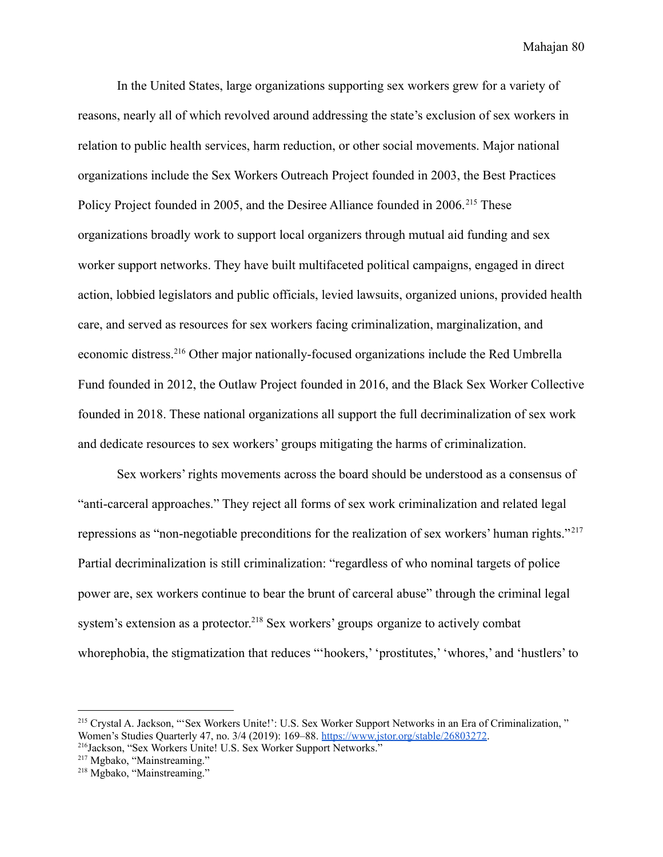In the United States, large organizations supporting sex workers grew for a variety of reasons, nearly all of which revolved around addressing the state's exclusion of sex workers in relation to public health services, harm reduction, or other social movements. Major national organizations include the Sex Workers Outreach Project founded in 2003, the Best Practices Policy Project founded in 2005, and the Desiree Alliance founded in 2006.<sup>215</sup> These organizations broadly work to support local organizers through mutual aid funding and sex worker support networks. They have built multifaceted political campaigns, engaged in direct action, lobbied legislators and public officials, levied lawsuits, organized unions, provided health care, and served as resources for sex workers facing criminalization, marginalization, and economic distress.<sup>216</sup> Other major nationally-focused organizations include the Red Umbrella Fund founded in 2012, the Outlaw Project founded in 2016, and the Black Sex Worker Collective founded in 2018. These national organizations all support the full decriminalization of sex work and dedicate resources to sex workers' groups mitigating the harms of criminalization.

Sex workers' rights movements across the board should be understood as a consensus of "anti-carceral approaches." They reject all forms of sex work criminalization and related legal repressions as "non-negotiable preconditions for the realization of sex workers' human rights." <sup>217</sup> Partial decriminalization is still criminalization: "regardless of who nominal targets of police power are, sex workers continue to bear the brunt of carceral abuse" through the criminal legal system's extension as a protector.<sup>218</sup> Sex workers' groups organize to actively combat whorephobia, the stigmatization that reduces "'hookers,' 'prostitutes,' 'whores,' and 'hustlers' to

<sup>216</sup>Jackson, "Sex Workers Unite! U.S. Sex Worker Support Networks." <sup>215</sup> Crystal A. Jackson, "'Sex Workers Unite!': U.S. Sex Worker Support Networks in an Era of Criminalization, " Women's Studies Quarterly 47, no. 3/4 (2019): 169–88. [https://www.jstor.org/stable/26803272.](https://www.jstor.org/stable/26803272)

<sup>&</sup>lt;sup>217</sup> Mgbako, "Mainstreaming."

<sup>218</sup> Mgbako, "Mainstreaming."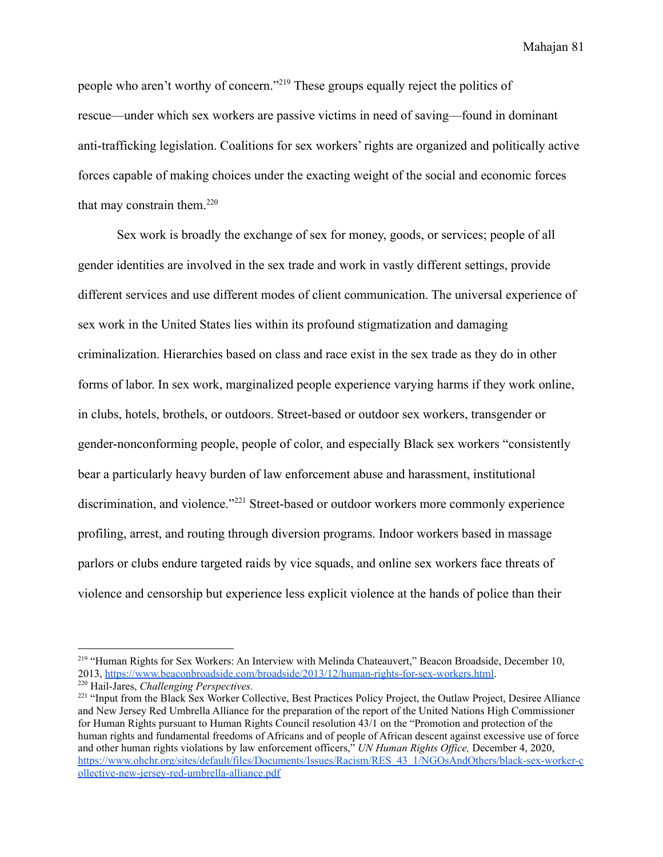people who aren't worthy of concern."<sup>219</sup> These groups equally reject the politics of rescue—under which sex workers are passive victims in need of saving—found in dominant anti-trafficking legislation. Coalitions for sex workers' rights are organized and politically active forces capable of making choices under the exacting weight of the social and economic forces that may constrain them. $220$ 

Sex work is broadly the exchange of sex for money, goods, or services; people of all gender identities are involved in the sex trade and work in vastly different settings, provide different services and use different modes of client communication. The universal experience of sex work in the United States lies within its profound stigmatization and damaging criminalization. Hierarchies based on class and race exist in the sex trade as they do in other forms of labor. In sex work, marginalized people experience varying harms if they work online, in clubs, hotels, brothels, or outdoors. Street-based or outdoor sex workers, transgender or gender-nonconforming people, people of color, and especially Black sex workers "consistently bear a particularly heavy burden of law enforcement abuse and harassment, institutional discrimination, and violence."<sup>221</sup> Street-based or outdoor workers more commonly experience profiling, arrest, and routing through diversion programs. Indoor workers based in massage parlors or clubs endure targeted raids by vice squads, and online sex workers face threats of violence and censorship but experience less explicit violence at the hands of police than their

<sup>&</sup>lt;sup>219</sup> "Human Rights for Sex Workers: An Interview with Melinda Chateauvert," Beacon Broadside, December 10, 2013, <https://www.beaconbroadside.com/broadside/2013/12/human-rights-for-sex-workers.html>.

<sup>220</sup> Hail-Jares, *Challenging Perspectives.*

<sup>&</sup>lt;sup>221</sup> "Input from the Black Sex Worker Collective, Best Practices Policy Project, the Outlaw Project, Desiree Alliance and New Jersey Red Umbrella Alliance for the preparation of the report of the United Nations High Commissioner for Human Rights pursuant to Human Rights Council resolution 43/1 on the "Promotion and protection of the human rights and fundamental freedoms of Africans and of people of African descent against excessive use of force and other human rights violations by law enforcement officers," *UN Human Rights Office*, December 4, 2020, [https://www.ohchr.org/sites/default/files/Documents/Issues/Racism/RES\\_43\\_1/NGOsAndOthers/black-sex-worker-c](https://www.ohchr.org/sites/default/files/Documents/Issues/Racism/RES_43_1/NGOsAndOthers/black-sex-worker-collective-new-jersey-red-umbrella-alliance.pdf) [ollective-new-jersey-red-umbrella-alliance.pdf](https://www.ohchr.org/sites/default/files/Documents/Issues/Racism/RES_43_1/NGOsAndOthers/black-sex-worker-collective-new-jersey-red-umbrella-alliance.pdf)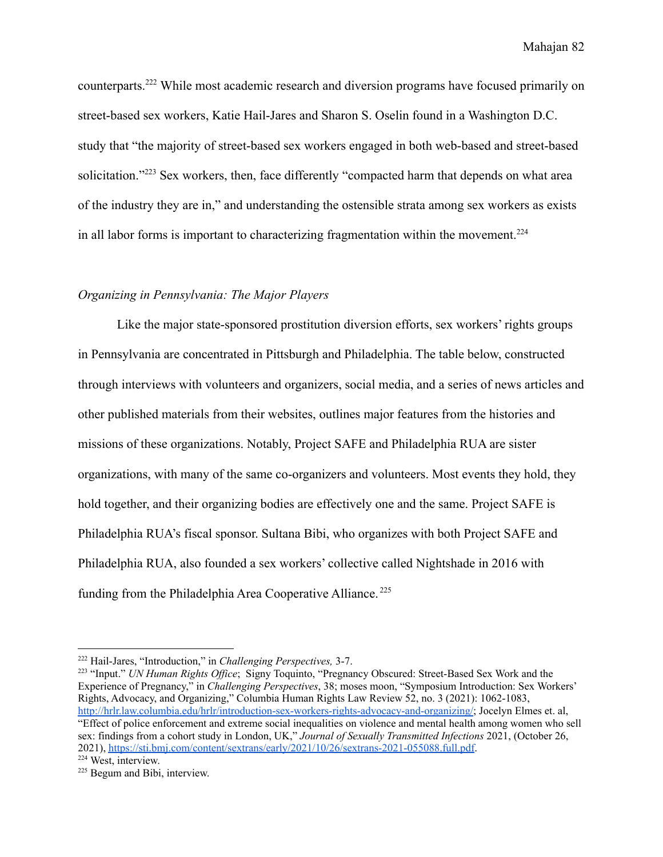counterparts.<sup>222</sup> While most academic research and diversion programs have focused primarily on street-based sex workers, Katie Hail-Jares and Sharon S. Oselin found in a Washington D.C. study that "the majority of street-based sex workers engaged in both web-based and street-based solicitation."<sup>223</sup> Sex workers, then, face differently "compacted harm that depends on what area of the industry they are in," and understanding the ostensible strata among sex workers as exists in all labor forms is important to characterizing fragmentation within the movement.<sup>224</sup>

## *Organizing in Pennsylvania: The Major Players*

Like the major state-sponsored prostitution diversion efforts, sex workers' rights groups in Pennsylvania are concentrated in Pittsburgh and Philadelphia. The table below, constructed through interviews with volunteers and organizers, social media, and a series of news articles and other published materials from their websites, outlines major features from the histories and missions of these organizations. Notably, Project SAFE and Philadelphia RUA are sister organizations, with many of the same co-organizers and volunteers. Most events they hold, they hold together, and their organizing bodies are effectively one and the same. Project SAFE is Philadelphia RUA's fiscal sponsor. Sultana Bibi, who organizes with both Project SAFE and Philadelphia RUA, also founded a sex workers' collective called Nightshade in 2016 with funding from the Philadelphia Area Cooperative Alliance. <sup>225</sup>

<sup>222</sup> Hail-Jares, "Introduction," in *Challenging Perspectives,* 3-7.

<sup>224</sup> West, interview. <sup>223</sup> "Input." *UN Human Rights Office*; Signy Toquinto, "Pregnancy Obscured: Street-Based Sex Work and the Experience of Pregnancy," in *Challenging Perspectives*, 38; moses moon, "Symposium Introduction: Sex Workers' Rights, Advocacy, and Organizing," Columbia Human Rights Law Review 52, no. 3 (2021): 1062-1083, <http://hrlr.law.columbia.edu/hrlr/introduction-sex-workers-rights-advocacy-and-organizing/>; Jocelyn Elmes et. al, "Effect of police enforcement and extreme social inequalities on violence and mental health among women who sell sex: findings from a cohort study in London, UK," *Journal of Sexually Transmitted Infections* 2021, (October 26, 2021), <https://sti.bmj.com/content/sextrans/early/2021/10/26/sextrans-2021-055088.full.pdf>.

<sup>225</sup> Begum and Bibi, interview.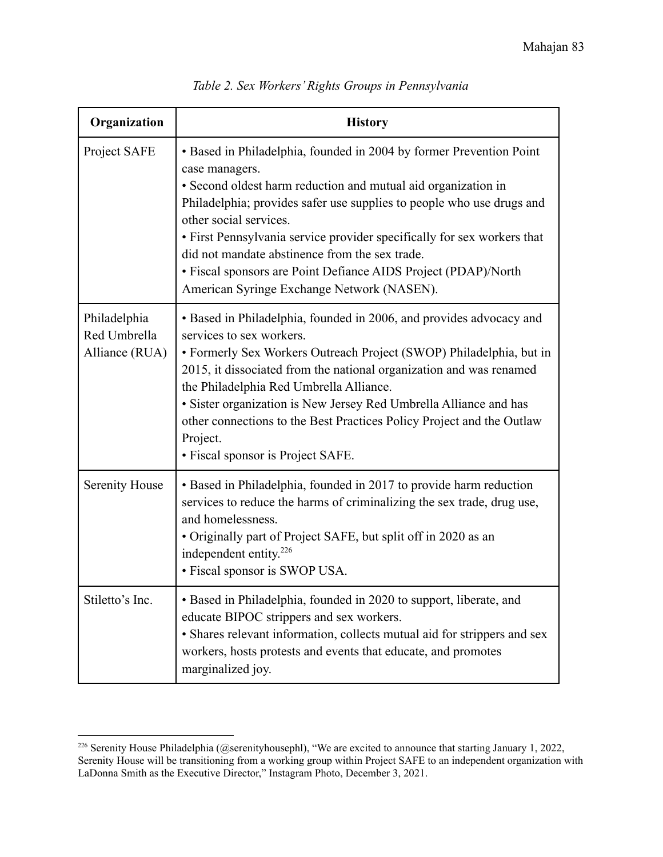| Organization                                   | <b>History</b>                                                                                                                                                                                                                                                                                                                                                                                                                                                                                         |
|------------------------------------------------|--------------------------------------------------------------------------------------------------------------------------------------------------------------------------------------------------------------------------------------------------------------------------------------------------------------------------------------------------------------------------------------------------------------------------------------------------------------------------------------------------------|
| Project SAFE                                   | • Based in Philadelphia, founded in 2004 by former Prevention Point<br>case managers.<br>• Second oldest harm reduction and mutual aid organization in<br>Philadelphia; provides safer use supplies to people who use drugs and<br>other social services.<br>• First Pennsylvania service provider specifically for sex workers that<br>did not mandate abstinence from the sex trade.<br>• Fiscal sponsors are Point Defiance AIDS Project (PDAP)/North<br>American Syringe Exchange Network (NASEN). |
| Philadelphia<br>Red Umbrella<br>Alliance (RUA) | • Based in Philadelphia, founded in 2006, and provides advocacy and<br>services to sex workers.<br>• Formerly Sex Workers Outreach Project (SWOP) Philadelphia, but in<br>2015, it dissociated from the national organization and was renamed<br>the Philadelphia Red Umbrella Alliance.<br>• Sister organization is New Jersey Red Umbrella Alliance and has<br>other connections to the Best Practices Policy Project and the Outlaw<br>Project.<br>• Fiscal sponsor is Project SAFE.                |
| <b>Serenity House</b>                          | • Based in Philadelphia, founded in 2017 to provide harm reduction<br>services to reduce the harms of criminalizing the sex trade, drug use,<br>and homelessness.<br>• Originally part of Project SAFE, but split off in 2020 as an<br>independent entity. <sup>226</sup><br>• Fiscal sponsor is SWOP USA.                                                                                                                                                                                             |
| Stiletto's Inc.                                | • Based in Philadelphia, founded in 2020 to support, liberate, and<br>educate BIPOC strippers and sex workers.<br>· Shares relevant information, collects mutual aid for strippers and sex<br>workers, hosts protests and events that educate, and promotes<br>marginalized joy.                                                                                                                                                                                                                       |

*Table 2. Sex Workers' Rights Groups in Pennsylvania*

<sup>&</sup>lt;sup>226</sup> Serenity House Philadelphia (@serenityhousephl), "We are excited to announce that starting January 1, 2022, Serenity House will be transitioning from a working group within Project SAFE to an independent organization with LaDonna Smith as the Executive Director," Instagram Photo, December 3, 2021.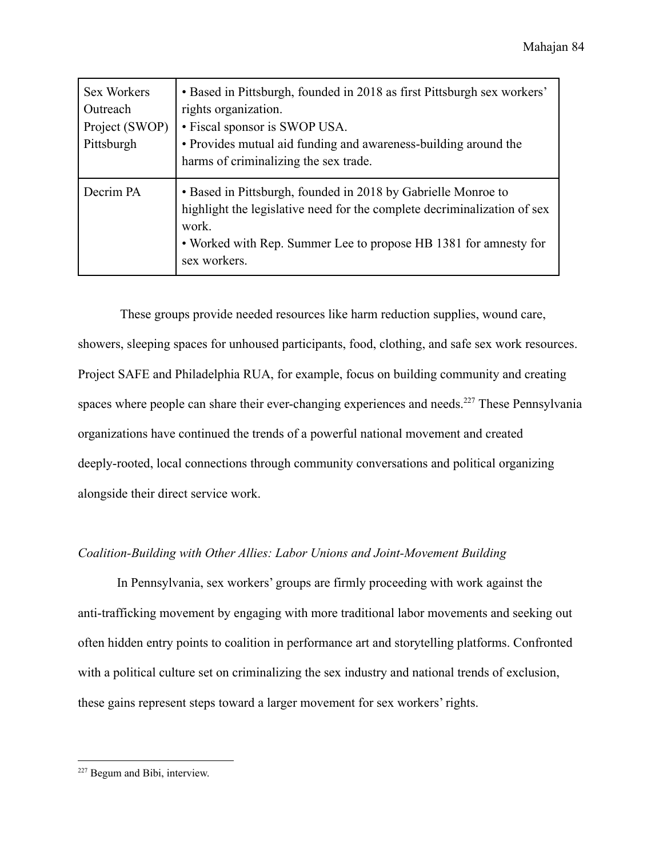| <b>Sex Workers</b><br>Outreach<br>Project (SWOP)<br>Pittsburgh | • Based in Pittsburgh, founded in 2018 as first Pittsburgh sex workers'<br>rights organization.<br>• Fiscal sponsor is SWOP USA.<br>• Provides mutual aid funding and awareness-building around the<br>harms of criminalizing the sex trade. |
|----------------------------------------------------------------|----------------------------------------------------------------------------------------------------------------------------------------------------------------------------------------------------------------------------------------------|
| Decrim PA                                                      | • Based in Pittsburgh, founded in 2018 by Gabrielle Monroe to<br>highlight the legislative need for the complete decriminalization of sex<br>work.<br>• Worked with Rep. Summer Lee to propose HB 1381 for amnesty for<br>sex workers.       |

These groups provide needed resources like harm reduction supplies, wound care, showers, sleeping spaces for unhoused participants, food, clothing, and safe sex work resources. Project SAFE and Philadelphia RUA, for example, focus on building community and creating spaces where people can share their ever-changing experiences and needs.<sup>227</sup> These Pennsylvania organizations have continued the trends of a powerful national movement and created deeply-rooted, local connections through community conversations and political organizing alongside their direct service work.

# *Coalition-Building with Other Allies: Labor Unions and Joint-Movement Building*

In Pennsylvania, sex workers' groups are firmly proceeding with work against the anti-trafficking movement by engaging with more traditional labor movements and seeking out often hidden entry points to coalition in performance art and storytelling platforms. Confronted with a political culture set on criminalizing the sex industry and national trends of exclusion, these gains represent steps toward a larger movement for sex workers' rights.

<sup>227</sup> Begum and Bibi, interview.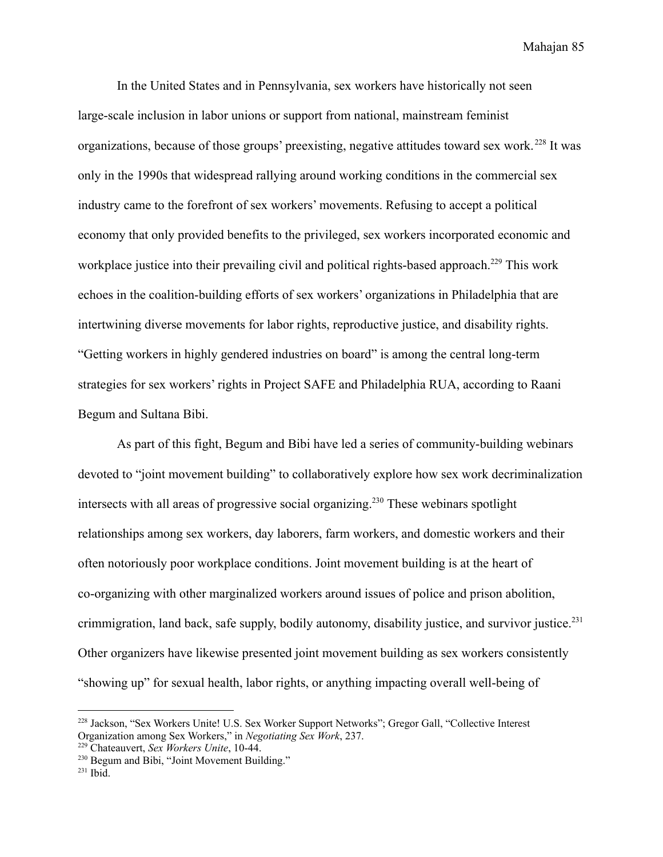In the United States and in Pennsylvania, sex workers have historically not seen large-scale inclusion in labor unions or support from national, mainstream feminist organizations, because of those groups' preexisting, negative attitudes toward sex work.<sup>228</sup> It was only in the 1990s that widespread rallying around working conditions in the commercial sex industry came to the forefront of sex workers' movements. Refusing to accept a political economy that only provided benefits to the privileged, sex workers incorporated economic and workplace justice into their prevailing civil and political rights-based approach.<sup>229</sup> This work echoes in the coalition-building efforts of sex workers' organizations in Philadelphia that are intertwining diverse movements for labor rights, reproductive justice, and disability rights. "Getting workers in highly gendered industries on board" is among the central long-term strategies for sex workers' rights in Project SAFE and Philadelphia RUA, according to Raani Begum and Sultana Bibi.

As part of this fight, Begum and Bibi have led a series of community-building webinars devoted to "joint movement building" to collaboratively explore how sex work decriminalization intersects with all areas of progressive social organizing.<sup>230</sup> These webinars spotlight relationships among sex workers, day laborers, farm workers, and domestic workers and their often notoriously poor workplace conditions. Joint movement building is at the heart of co-organizing with other marginalized workers around issues of police and prison abolition, crimmigration, land back, safe supply, bodily autonomy, disability justice, and survivor justice.<sup>231</sup> Other organizers have likewise presented joint movement building as sex workers consistently "showing up" for sexual health, labor rights, or anything impacting overall well-being of

<sup>228</sup> Jackson, "Sex Workers Unite! U.S. Sex Worker Support Networks"; Gregor Gall, "Collective Interest Organization among Sex Workers," in *Negotiating Sex Work*, 237.

<sup>229</sup> Chateauvert, *Sex Workers Unite*, 10-44.

<sup>&</sup>lt;sup>230</sup> Begum and Bibi, "Joint Movement Building."

 $^{231}$  Ibid.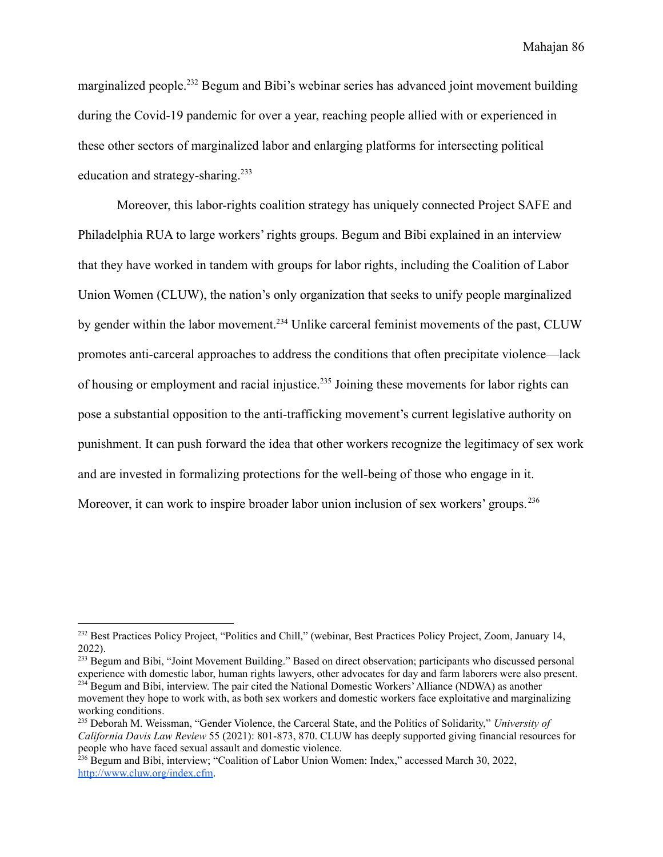marginalized people.<sup>232</sup> Begum and Bibi's webinar series has advanced joint movement building during the Covid-19 pandemic for over a year, reaching people allied with or experienced in these other sectors of marginalized labor and enlarging platforms for intersecting political education and strategy-sharing.<sup>233</sup>

Moreover, this labor-rights coalition strategy has uniquely connected Project SAFE and Philadelphia RUA to large workers' rights groups. Begum and Bibi explained in an interview that they have worked in tandem with groups for labor rights, including the Coalition of Labor Union Women (CLUW), the nation's only organization that seeks to unify people marginalized by gender within the labor movement.<sup>234</sup> Unlike carceral feminist movements of the past, CLUW promotes anti-carceral approaches to address the conditions that often precipitate violence—lack of housing or employment and racial injustice.<sup>235</sup> Joining these movements for labor rights can pose a substantial opposition to the anti-trafficking movement's current legislative authority on punishment. It can push forward the idea that other workers recognize the legitimacy of sex work and are invested in formalizing protections for the well-being of those who engage in it. Moreover, it can work to inspire broader labor union inclusion of sex workers' groups.<sup>236</sup>

 $^{234}$  Begum and Bibi, interview. The pair cited the National Domestic Workers' Alliance (NDWA) as another <sup>233</sup> Begum and Bibi, "Joint Movement Building." Based on direct observation; participants who discussed personal experience with domestic labor, human rights lawyers, other advocates for day and farm laborers were also present.

<sup>232</sup> Best Practices Policy Project, "Politics and Chill," (webinar, Best Practices Policy Project, Zoom, January 14, 2022).

movement they hope to work with, as both sex workers and domestic workers face exploitative and marginalizing working conditions.

<sup>235</sup> Deborah M. Weissman, "Gender Violence, the Carceral State, and the Politics of Solidarity," *University of California Davis Law Review* 55 (2021): 801-873, 870. CLUW has deeply supported giving financial resources for people who have faced sexual assault and domestic violence.

<sup>&</sup>lt;sup>236</sup> Begum and Bibi, interview; "Coalition of Labor Union Women: Index," accessed March 30, 2022, [http://www.cluw.org/index.cfm.](http://www.cluw.org/index.cfm)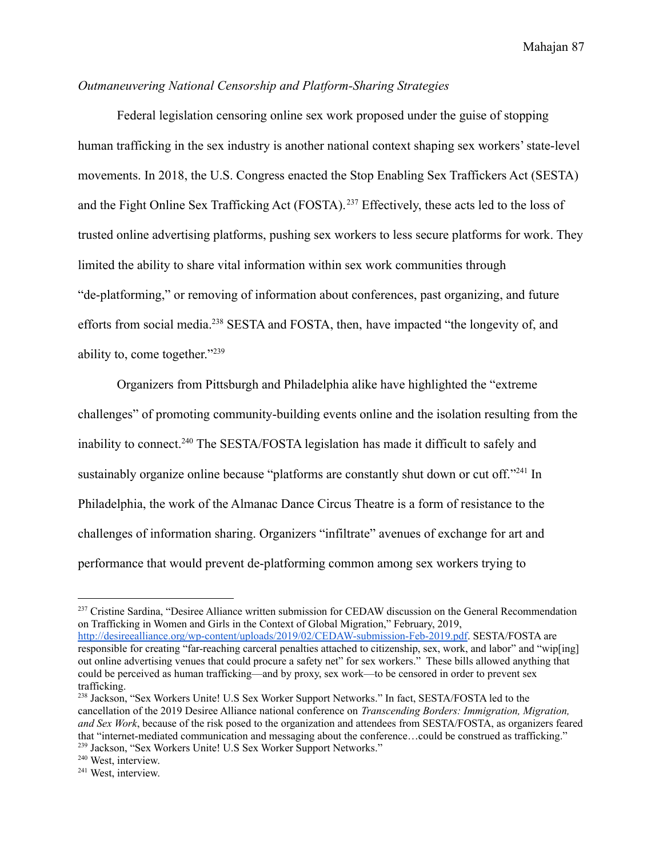# *Outmaneuvering National Censorship and Platform-Sharing Strategies*

Federal legislation censoring online sex work proposed under the guise of stopping human trafficking in the sex industry is another national context shaping sex workers' state-level movements. In 2018, the U.S. Congress enacted the Stop Enabling Sex Traffickers Act (SESTA) and the Fight Online Sex Trafficking Act (FOSTA).<sup>237</sup> Effectively, these acts led to the loss of trusted online advertising platforms, pushing sex workers to less secure platforms for work. They limited the ability to share vital information within sex work communities through "de-platforming," or removing of information about conferences, past organizing, and future efforts from social media.<sup>238</sup> SESTA and FOSTA, then, have impacted "the longevity of, and ability to, come together."<sup>239</sup>

Organizers from Pittsburgh and Philadelphia alike have highlighted the "extreme challenges" of promoting community-building events online and the isolation resulting from the inability to connect.<sup>240</sup> The SESTA/FOSTA legislation has made it difficult to safely and sustainably organize online because "platforms are constantly shut down or cut off."<sup>241</sup> In Philadelphia, the work of the Almanac Dance Circus Theatre is a form of resistance to the challenges of information sharing. Organizers "infiltrate" avenues of exchange for art and performance that would prevent de-platforming common among sex workers trying to

<sup>237</sup> Cristine Sardina, "Desiree Alliance written submission for CEDAW discussion on the General Recommendation on Trafficking in Women and Girls in the Context of Global Migration," February, 2019, [http://desireealliance.org/wp-content/uploads/2019/02/CEDAW-submission-Feb-2019.pdf.](http://desireealliance.org/wp-content/uploads/2019/02/CEDAW-submission-Feb-2019.pdf) SESTA/FOSTA are responsible for creating "far-reaching carceral penalties attached to citizenship, sex, work, and labor" and "wip[ing] out online advertising venues that could procure a safety net" for sex workers." These bills allowed anything that could be perceived as human trafficking—and by proxy, sex work—to be censored in order to prevent sex trafficking.

<sup>239</sup> Jackson, "Sex Workers Unite! U.S Sex Worker Support Networks." <sup>238</sup> Jackson, "Sex Workers Unite! U.S Sex Worker Support Networks." In fact, SESTA/FOSTA led to the cancellation of the 2019 Desiree Alliance national conference on *Transcending Borders: Immigration, Migration, and Sex Work*, because of the risk posed to the organization and attendees from SESTA/FOSTA, as organizers feared that "internet-mediated communication and messaging about the conference…could be construed as trafficking."

<sup>240</sup> West, interview.

<sup>241</sup> West, interview.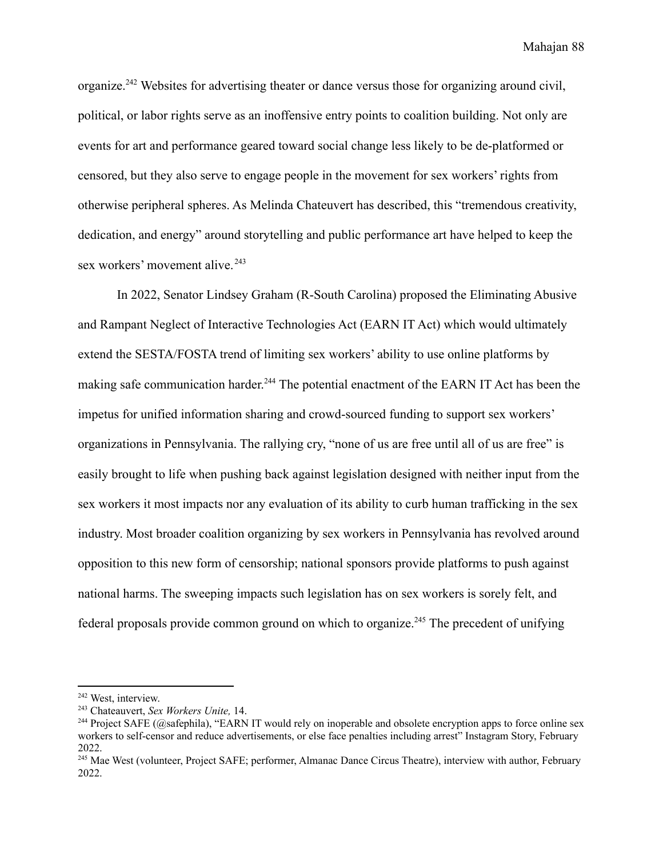organize.<sup>242</sup> Websites for advertising theater or dance versus those for organizing around civil, political, or labor rights serve as an inoffensive entry points to coalition building. Not only are events for art and performance geared toward social change less likely to be de-platformed or censored, but they also serve to engage people in the movement for sex workers' rights from otherwise peripheral spheres. As Melinda Chateuvert has described, this "tremendous creativity, dedication, and energy" around storytelling and public performance art have helped to keep the sex workers' movement alive.<sup>243</sup>

In 2022, Senator Lindsey Graham (R-South Carolina) proposed the Eliminating Abusive and Rampant Neglect of Interactive Technologies Act (EARN IT Act) which would ultimately extend the SESTA/FOSTA trend of limiting sex workers' ability to use online platforms by making safe communication harder.<sup>244</sup> The potential enactment of the EARN IT Act has been the impetus for unified information sharing and crowd-sourced funding to support sex workers' organizations in Pennsylvania. The rallying cry, "none of us are free until all of us are free" is easily brought to life when pushing back against legislation designed with neither input from the sex workers it most impacts nor any evaluation of its ability to curb human trafficking in the sex industry. Most broader coalition organizing by sex workers in Pennsylvania has revolved around opposition to this new form of censorship; national sponsors provide platforms to push against national harms. The sweeping impacts such legislation has on sex workers is sorely felt, and federal proposals provide common ground on which to organize.<sup>245</sup> The precedent of unifying

<sup>242</sup> West, interview.

<sup>243</sup> Chateauvert, *Sex Workers Unite,* 14.

<sup>&</sup>lt;sup>244</sup> Project SAFE (@safephila), "EARN IT would rely on inoperable and obsolete encryption apps to force online sex workers to self-censor and reduce advertisements, or else face penalties including arrest" Instagram Story, February 2022.

<sup>&</sup>lt;sup>245</sup> Mae West (volunteer, Project SAFE; performer, Almanac Dance Circus Theatre), interview with author, February 2022.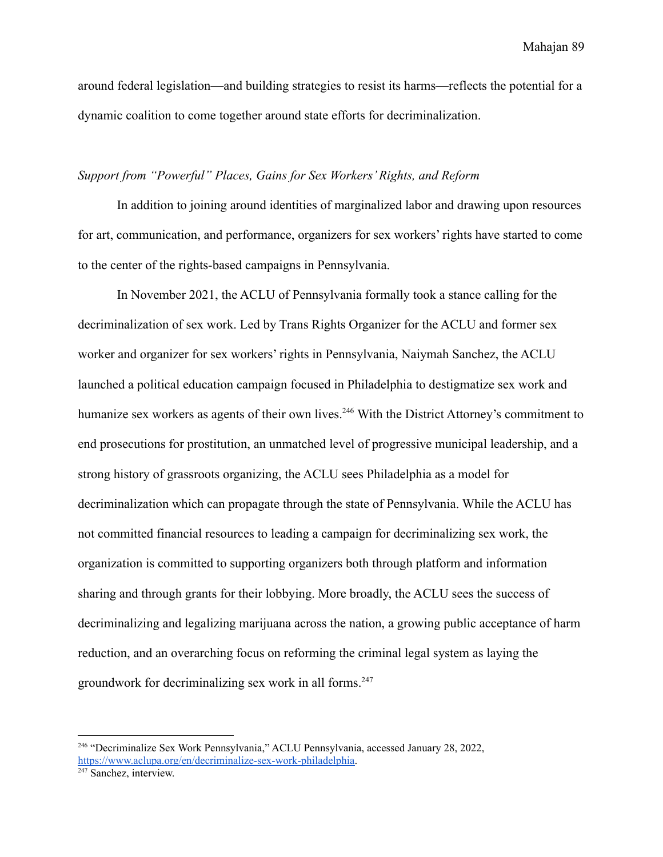around federal legislation—and building strategies to resist its harms—reflects the potential for a dynamic coalition to come together around state efforts for decriminalization.

## *Support from "Powerful" Places, Gains for Sex Workers' Rights, and Reform*

In addition to joining around identities of marginalized labor and drawing upon resources for art, communication, and performance, organizers for sex workers' rights have started to come to the center of the rights-based campaigns in Pennsylvania.

In November 2021, the ACLU of Pennsylvania formally took a stance calling for the decriminalization of sex work. Led by Trans Rights Organizer for the ACLU and former sex worker and organizer for sex workers' rights in Pennsylvania, Naiymah Sanchez, the ACLU launched a political education campaign focused in Philadelphia to destigmatize sex work and humanize sex workers as agents of their own lives.<sup>246</sup> With the District Attorney's commitment to end prosecutions for prostitution, an unmatched level of progressive municipal leadership, and a strong history of grassroots organizing, the ACLU sees Philadelphia as a model for decriminalization which can propagate through the state of Pennsylvania. While the ACLU has not committed financial resources to leading a campaign for decriminalizing sex work, the organization is committed to supporting organizers both through platform and information sharing and through grants for their lobbying. More broadly, the ACLU sees the success of decriminalizing and legalizing marijuana across the nation, a growing public acceptance of harm reduction, and an overarching focus on reforming the criminal legal system as laying the groundwork for decriminalizing sex work in all forms.<sup>247</sup>

<sup>246</sup> "Decriminalize Sex Work Pennsylvania," ACLU Pennsylvania, accessed January 28, 2022, [https://www.aclupa.org/en/decriminalize-sex-work-philadelphia.](https://www.aclupa.org/en/decriminalize-sex-work-philadelphia)

<sup>&</sup>lt;sup>247</sup> Sanchez, interview.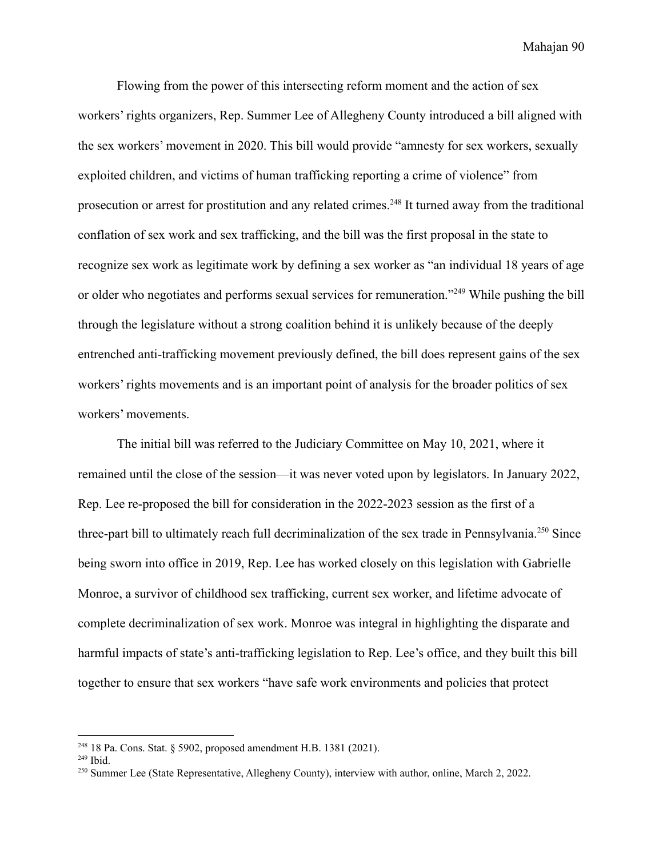Flowing from the power of this intersecting reform moment and the action of sex workers' rights organizers, Rep. Summer Lee of Allegheny County introduced a bill aligned with the sex workers' movement in 2020. This bill would provide "amnesty for sex workers, sexually exploited children, and victims of human trafficking reporting a crime of violence" from prosecution or arrest for prostitution and any related crimes.<sup>248</sup> It turned away from the traditional conflation of sex work and sex trafficking, and the bill was the first proposal in the state to recognize sex work as legitimate work by defining a sex worker as "an individual 18 years of age or older who negotiates and performs sexual services for remuneration."<sup>249</sup> While pushing the bill through the legislature without a strong coalition behind it is unlikely because of the deeply entrenched anti-trafficking movement previously defined, the bill does represent gains of the sex workers' rights movements and is an important point of analysis for the broader politics of sex workers' movements.

The initial bill was referred to the Judiciary Committee on May 10, 2021, where it remained until the close of the session—it was never voted upon by legislators. In January 2022, Rep. Lee re-proposed the bill for consideration in the 2022-2023 session as the first of a three-part bill to ultimately reach full decriminalization of the sex trade in Pennsylvania.<sup>250</sup> Since being sworn into office in 2019, Rep. Lee has worked closely on this legislation with Gabrielle Monroe, a survivor of childhood sex trafficking, current sex worker, and lifetime advocate of complete decriminalization of sex work. Monroe was integral in highlighting the disparate and harmful impacts of state's anti-trafficking legislation to Rep. Lee's office, and they built this bill together to ensure that sex workers "have safe work environments and policies that protect

<sup>248</sup> 18 Pa. Cons. Stat. § 5902, proposed amendment H.B. 1381 (2021).

 $249$  Ibid.

<sup>250</sup> Summer Lee (State Representative, Allegheny County), interview with author, online, March 2, 2022.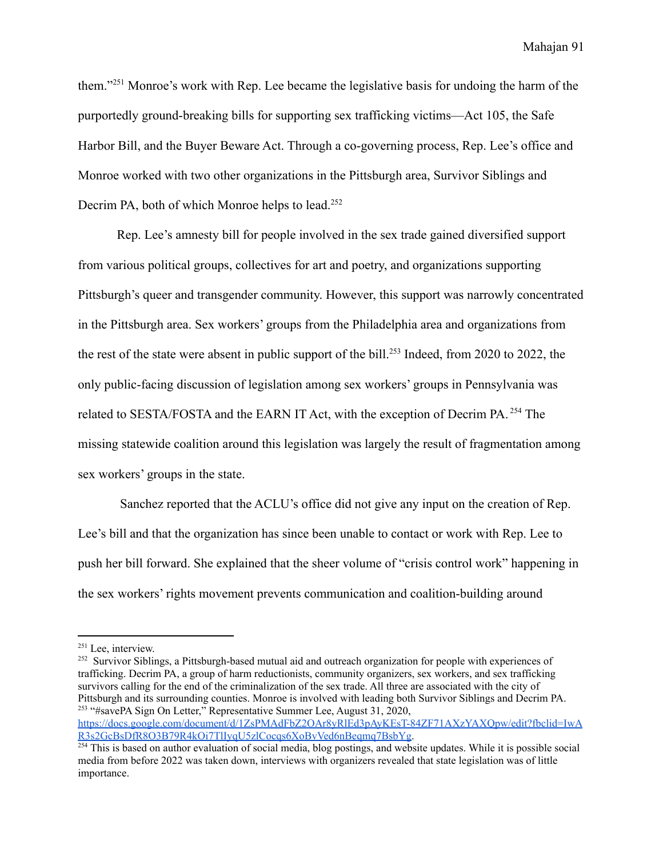them."<sup>251</sup> Monroe's work with Rep. Lee became the legislative basis for undoing the harm of the purportedly ground-breaking bills for supporting sex trafficking victims—Act 105, the Safe Harbor Bill, and the Buyer Beware Act. Through a co-governing process, Rep. Lee's office and Monroe worked with two other organizations in the Pittsburgh area, Survivor Siblings and Decrim PA, both of which Monroe helps to lead.<sup>252</sup>

Rep. Lee's amnesty bill for people involved in the sex trade gained diversified support from various political groups, collectives for art and poetry, and organizations supporting Pittsburgh's queer and transgender community. However, this support was narrowly concentrated in the Pittsburgh area. Sex workers' groups from the Philadelphia area and organizations from the rest of the state were absent in public support of the bill.<sup>253</sup> Indeed, from 2020 to 2022, the only public-facing discussion of legislation among sex workers' groups in Pennsylvania was related to SESTA/FOSTA and the EARN IT Act, with the exception of Decrim PA. <sup>254</sup> The missing statewide coalition around this legislation was largely the result of fragmentation among sex workers' groups in the state.

Sanchez reported that the ACLU's office did not give any input on the creation of Rep. Lee's bill and that the organization has since been unable to contact or work with Rep. Lee to push her bill forward. She explained that the sheer volume of "crisis control work" happening in the sex workers' rights movement prevents communication and coalition-building around

<sup>&</sup>lt;sup>251</sup> Lee, interview.

<sup>253</sup> "#savePA Sign On Letter," Representative Summer Lee, August 31, 2020, <sup>252</sup> Survivor Siblings, a Pittsburgh-based mutual aid and outreach organization for people with experiences of trafficking. Decrim PA, a group of harm reductionists, community organizers, sex workers, and sex trafficking survivors calling for the end of the criminalization of the sex trade. All three are associated with the city of Pittsburgh and its surrounding counties. Monroe is involved with leading both Survivor Siblings and Decrim PA.

[https://docs.google.com/document/d/1ZsPMAdFbZ2OAr8yRlEd3pAyKEsT-84ZF71AXzYAXQpw/edit?fbclid=IwA](https://docs.google.com/document/d/1ZsPMAdFbZ2OAr8yRlEd3pAyKEsT-84ZF71AXzYAXQpw/edit?fbclid=IwAR3s2GcBsDfR8O3B79R4kOi7TlIyqU5zlCocqs6XoBvVed6nBeqmq7BsbYg) [R3s2GcBsDfR8O3B79R4kOi7TlIyqU5zlCocqs6XoBvVed6nBeqmq7BsbYg](https://docs.google.com/document/d/1ZsPMAdFbZ2OAr8yRlEd3pAyKEsT-84ZF71AXzYAXQpw/edit?fbclid=IwAR3s2GcBsDfR8O3B79R4kOi7TlIyqU5zlCocqs6XoBvVed6nBeqmq7BsbYg).

<sup>&</sup>lt;sup>254</sup> This is based on author evaluation of social media, blog postings, and website updates. While it is possible social media from before 2022 was taken down, interviews with organizers revealed that state legislation was of little importance.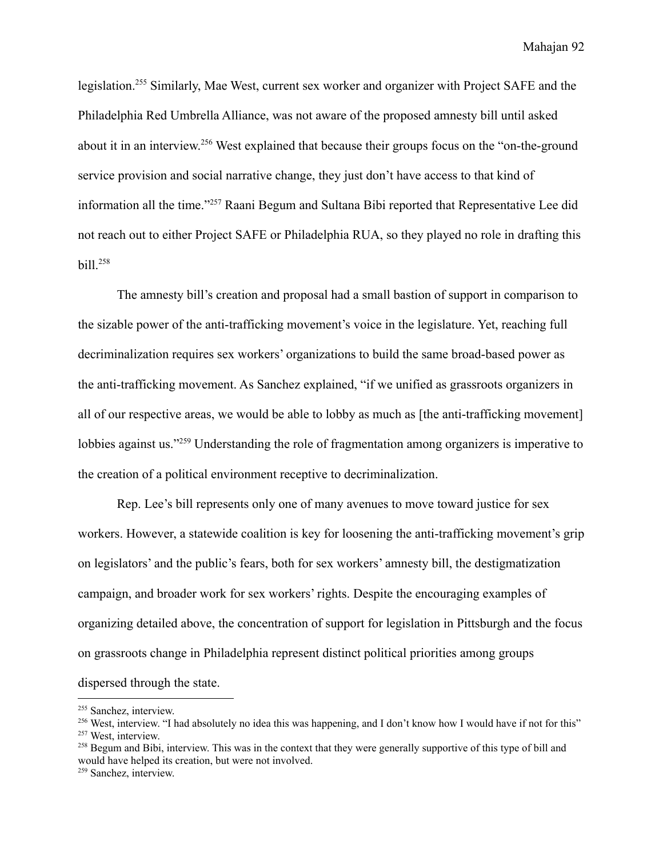legislation.<sup>255</sup> Similarly, Mae West, current sex worker and organizer with Project SAFE and the Philadelphia Red Umbrella Alliance, was not aware of the proposed amnesty bill until asked about it in an interview.<sup>256</sup> West explained that because their groups focus on the "on-the-ground service provision and social narrative change, they just don't have access to that kind of information all the time."<sup>257</sup> Raani Begum and Sultana Bibi reported that Representative Lee did not reach out to either Project SAFE or Philadelphia RUA, so they played no role in drafting this  $bill.<sup>258</sup>$ 

The amnesty bill's creation and proposal had a small bastion of support in comparison to the sizable power of the anti-trafficking movement's voice in the legislature. Yet, reaching full decriminalization requires sex workers' organizations to build the same broad-based power as the anti-trafficking movement. As Sanchez explained, "if we unified as grassroots organizers in all of our respective areas, we would be able to lobby as much as [the anti-trafficking movement] lobbies against us."<sup>259</sup> Understanding the role of fragmentation among organizers is imperative to the creation of a political environment receptive to decriminalization.

Rep. Lee's bill represents only one of many avenues to move toward justice for sex workers. However, a statewide coalition is key for loosening the anti-trafficking movement's grip on legislators' and the public's fears, both for sex workers' amnesty bill, the destigmatization campaign, and broader work for sex workers' rights. Despite the encouraging examples of organizing detailed above, the concentration of support for legislation in Pittsburgh and the focus on grassroots change in Philadelphia represent distinct political priorities among groups dispersed through the state.

<sup>255</sup> Sanchez, interview.

<sup>&</sup>lt;sup>256</sup> West, interview. "I had absolutely no idea this was happening, and I don't know how I would have if not for this"

<sup>257</sup> West, interview.

<sup>&</sup>lt;sup>258</sup> Begum and Bibi, interview. This was in the context that they were generally supportive of this type of bill and would have helped its creation, but were not involved.

<sup>259</sup> Sanchez, interview.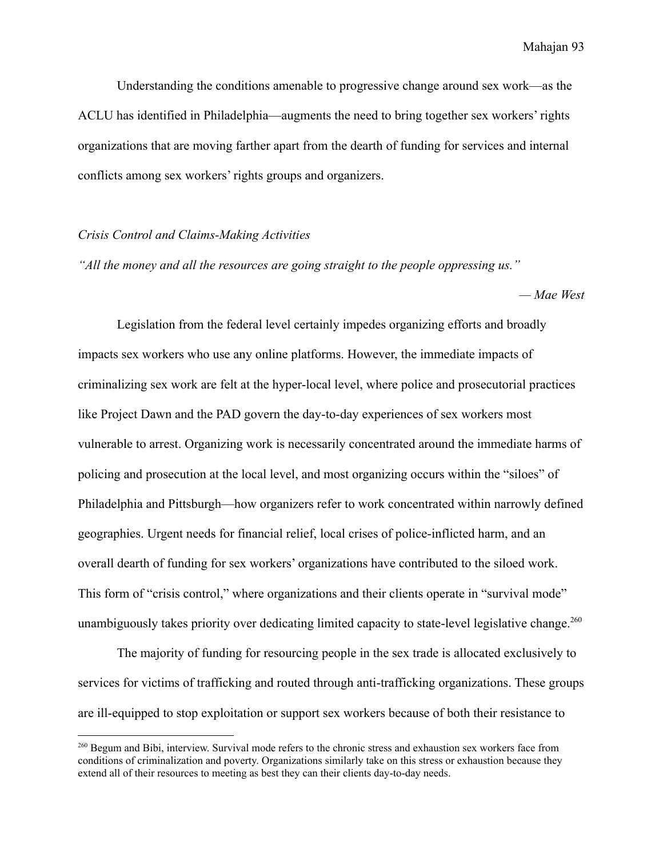Understanding the conditions amenable to progressive change around sex work—as the ACLU has identified in Philadelphia—augments the need to bring together sex workers' rights organizations that are moving farther apart from the dearth of funding for services and internal conflicts among sex workers' rights groups and organizers.

#### *Crisis Control and Claims-Making Activities*

*"All the money and all the resources are going straight to the people oppressing us."*

*— Mae West*

Legislation from the federal level certainly impedes organizing efforts and broadly impacts sex workers who use any online platforms. However, the immediate impacts of criminalizing sex work are felt at the hyper-local level, where police and prosecutorial practices like Project Dawn and the PAD govern the day-to-day experiences of sex workers most vulnerable to arrest. Organizing work is necessarily concentrated around the immediate harms of policing and prosecution at the local level, and most organizing occurs within the "siloes" of Philadelphia and Pittsburgh—how organizers refer to work concentrated within narrowly defined geographies. Urgent needs for financial relief, local crises of police-inflicted harm, and an overall dearth of funding for sex workers' organizations have contributed to the siloed work. This form of "crisis control," where organizations and their clients operate in "survival mode" unambiguously takes priority over dedicating limited capacity to state-level legislative change.<sup>260</sup>

The majority of funding for resourcing people in the sex trade is allocated exclusively to services for victims of trafficking and routed through anti-trafficking organizations. These groups are ill-equipped to stop exploitation or support sex workers because of both their resistance to

<sup>&</sup>lt;sup>260</sup> Begum and Bibi, interview. Survival mode refers to the chronic stress and exhaustion sex workers face from conditions of criminalization and poverty. Organizations similarly take on this stress or exhaustion because they extend all of their resources to meeting as best they can their clients day-to-day needs.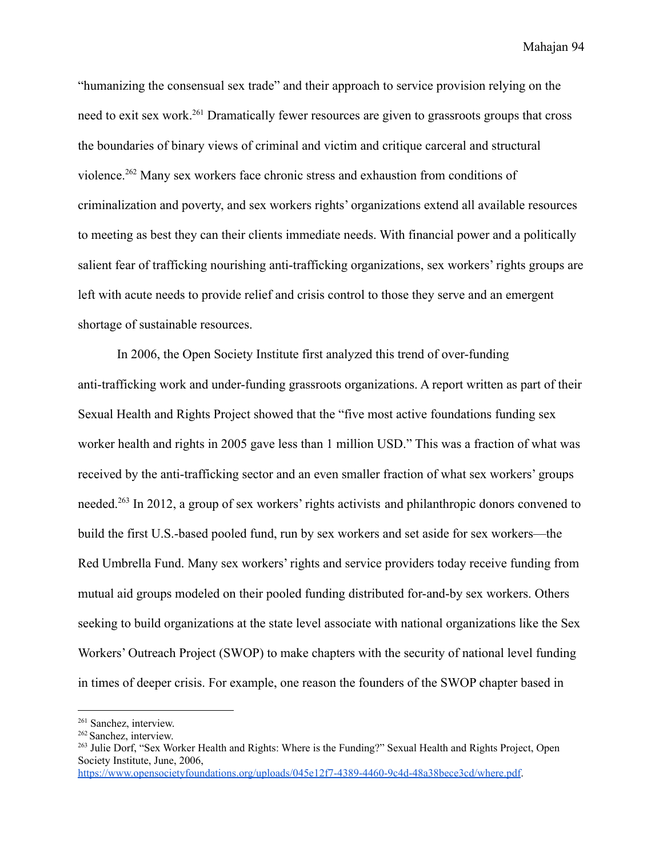"humanizing the consensual sex trade" and their approach to service provision relying on the need to exit sex work.<sup>261</sup> Dramatically fewer resources are given to grassroots groups that cross the boundaries of binary views of criminal and victim and critique carceral and structural violence.<sup>262</sup> Many sex workers face chronic stress and exhaustion from conditions of criminalization and poverty, and sex workers rights' organizations extend all available resources to meeting as best they can their clients immediate needs. With financial power and a politically salient fear of trafficking nourishing anti-trafficking organizations, sex workers' rights groups are left with acute needs to provide relief and crisis control to those they serve and an emergent shortage of sustainable resources.

In 2006, the Open Society Institute first analyzed this trend of over-funding anti-trafficking work and under-funding grassroots organizations. A report written as part of their Sexual Health and Rights Project showed that the "five most active foundations funding sex worker health and rights in 2005 gave less than 1 million USD." This was a fraction of what was received by the anti-trafficking sector and an even smaller fraction of what sex workers' groups needed.<sup>263</sup> In 2012, a group of sex workers' rights activists and philanthropic donors convened to build the first U.S.-based pooled fund, run by sex workers and set aside for sex workers—the Red Umbrella Fund. Many sex workers' rights and service providers today receive funding from mutual aid groups modeled on their pooled funding distributed for-and-by sex workers. Others seeking to build organizations at the state level associate with national organizations like the Sex Workers' Outreach Project (SWOP) to make chapters with the security of national level funding in times of deeper crisis. For example, one reason the founders of the SWOP chapter based in

<sup>261</sup> Sanchez, interview.

<sup>&</sup>lt;sup>262</sup> Sanchez, interview.

<sup>263</sup> Julie Dorf, "Sex Worker Health and Rights: Where is the Funding?" Sexual Health and Rights Project, Open Society Institute, June, 2006,

<https://www.opensocietyfoundations.org/uploads/045e12f7-4389-4460-9c4d-48a38bece3cd/where.pdf>.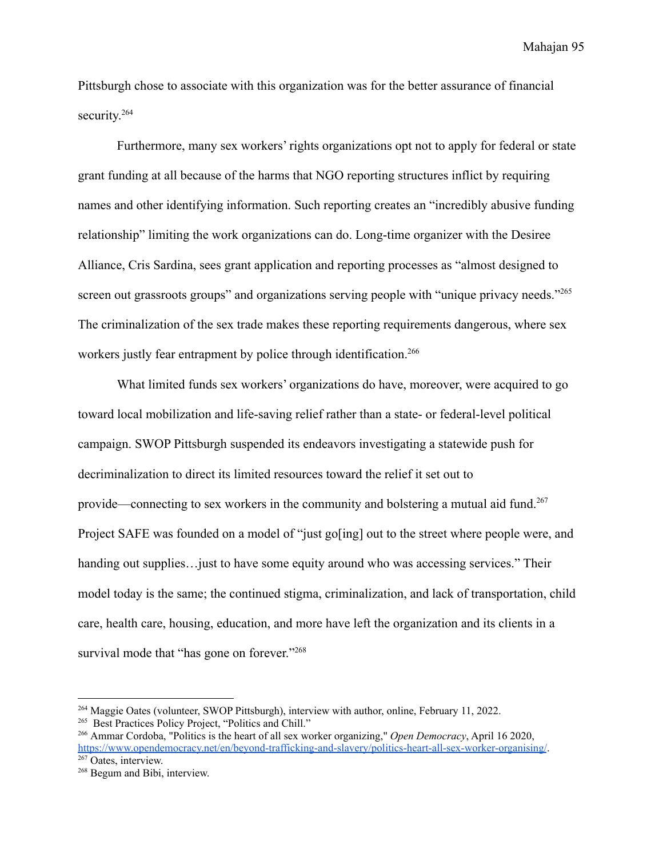Pittsburgh chose to associate with this organization was for the better assurance of financial security.<sup>264</sup>

Furthermore, many sex workers' rights organizations opt not to apply for federal or state grant funding at all because of the harms that NGO reporting structures inflict by requiring names and other identifying information. Such reporting creates an "incredibly abusive funding relationship" limiting the work organizations can do. Long-time organizer with the Desiree Alliance, Cris Sardina, sees grant application and reporting processes as "almost designed to screen out grassroots groups" and organizations serving people with "unique privacy needs."<sup>265</sup> The criminalization of the sex trade makes these reporting requirements dangerous, where sex workers justly fear entrapment by police through identification.<sup>266</sup>

What limited funds sex workers' organizations do have, moreover, were acquired to go toward local mobilization and life-saving relief rather than a state- or federal-level political campaign. SWOP Pittsburgh suspended its endeavors investigating a statewide push for decriminalization to direct its limited resources toward the relief it set out to provide—connecting to sex workers in the community and bolstering a mutual aid fund.<sup>267</sup> Project SAFE was founded on a model of "just go[ing] out to the street where people were, and handing out supplies... just to have some equity around who was accessing services." Their model today is the same; the continued stigma, criminalization, and lack of transportation, child care, health care, housing, education, and more have left the organization and its clients in a survival mode that "has gone on forever."<sup>268</sup>

<sup>264</sup> Maggie Oates (volunteer, SWOP Pittsburgh), interview with author, online, February 11, 2022.

<sup>&</sup>lt;sup>265</sup> Best Practices Policy Project, "Politics and Chill."

<sup>266</sup> Ammar Cordoba, "Politics is the heart of all sex worker organizing," *Open Democracy*, April 16 2020, <https://www.opendemocracy.net/en/beyond-trafficking-and-slavery/politics-heart-all-sex-worker-organising/>.

<sup>&</sup>lt;sup>267</sup> Oates, interview.

<sup>268</sup> Begum and Bibi, interview.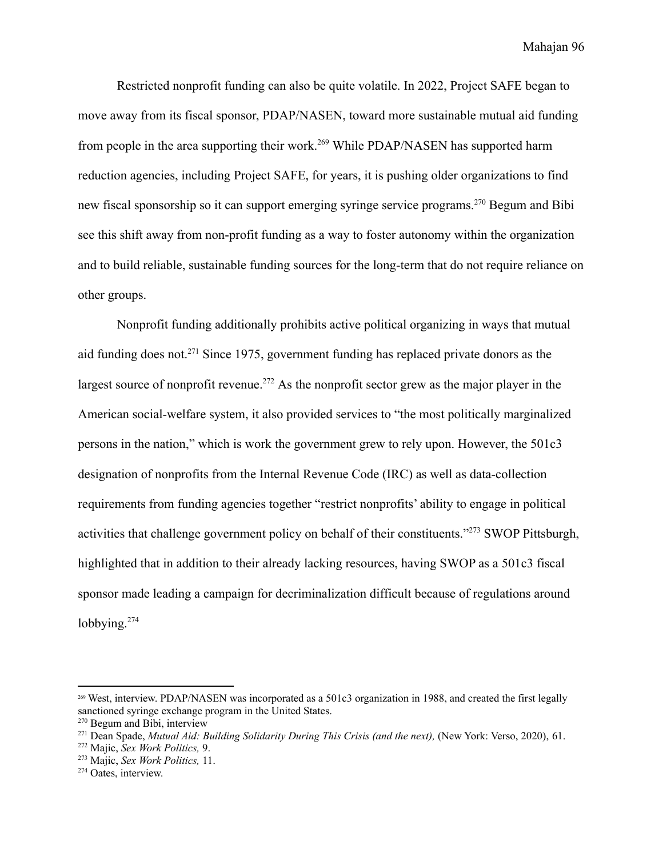Restricted nonprofit funding can also be quite volatile. In 2022, Project SAFE began to move away from its fiscal sponsor, PDAP/NASEN, toward more sustainable mutual aid funding from people in the area supporting their work.<sup>269</sup> While PDAP/NASEN has supported harm reduction agencies, including Project SAFE, for years, it is pushing older organizations to find new fiscal sponsorship so it can support emerging syringe service programs.<sup>270</sup> Begum and Bibi see this shift away from non-profit funding as a way to foster autonomy within the organization and to build reliable, sustainable funding sources for the long-term that do not require reliance on other groups.

Nonprofit funding additionally prohibits active political organizing in ways that mutual aid funding does not.<sup>271</sup> Since 1975, government funding has replaced private donors as the largest source of nonprofit revenue.<sup>272</sup> As the nonprofit sector grew as the major player in the American social-welfare system, it also provided services to "the most politically marginalized persons in the nation," which is work the government grew to rely upon. However, the 501c3 designation of nonprofits from the Internal Revenue Code (IRC) as well as data-collection requirements from funding agencies together "restrict nonprofits' ability to engage in political activities that challenge government policy on behalf of their constituents."<sup>273</sup> SWOP Pittsburgh, highlighted that in addition to their already lacking resources, having SWOP as a 501c3 fiscal sponsor made leading a campaign for decriminalization difficult because of regulations around lobbying.<sup>274</sup>

<sup>269</sup> West, interview. PDAP/NASEN was incorporated as a 501c3 organization in 1988, and created the first legally sanctioned syringe exchange program in the United States.

<sup>270</sup> Begum and Bibi, interview

<sup>271</sup> Dean Spade, *Mutual Aid: Building Solidarity During This Crisis (and the next),* (New York: Verso, 2020), 61.

<sup>272</sup> Majic, *Sex Work Politics,* 9.

<sup>273</sup> Majic, *Sex Work Politics,* 11.

<sup>274</sup> Oates, interview.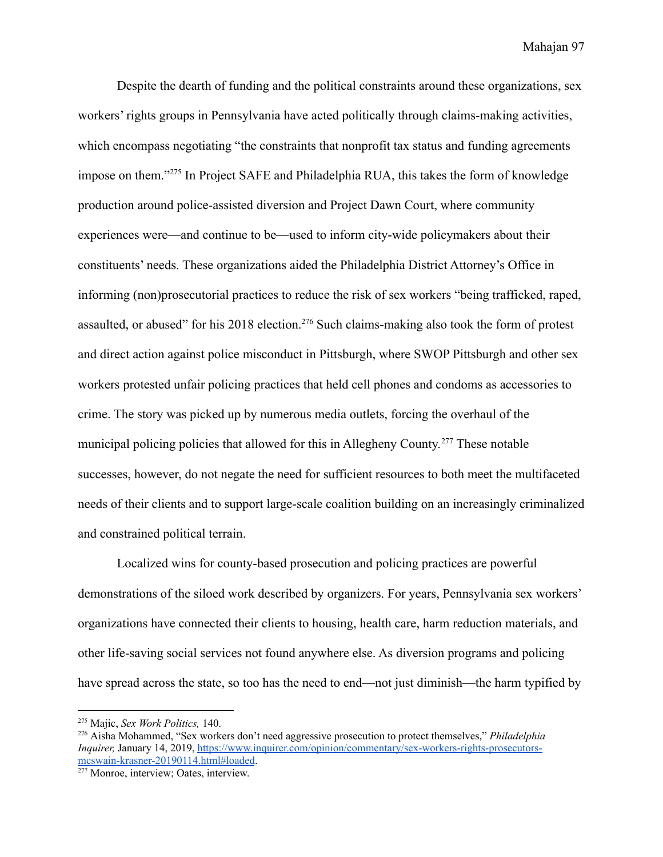Despite the dearth of funding and the political constraints around these organizations, sex workers' rights groups in Pennsylvania have acted politically through claims-making activities, which encompass negotiating "the constraints that nonprofit tax status and funding agreements impose on them."<sup>275</sup> In Project SAFE and Philadelphia RUA, this takes the form of knowledge production around police-assisted diversion and Project Dawn Court, where community experiences were—and continue to be—used to inform city-wide policymakers about their constituents' needs. These organizations aided the Philadelphia District Attorney's Office in informing (non)prosecutorial practices to reduce the risk of sex workers "being trafficked, raped, assaulted, or abused" for his 2018 election.<sup>276</sup> Such claims-making also took the form of protest and direct action against police misconduct in Pittsburgh, where SWOP Pittsburgh and other sex workers protested unfair policing practices that held cell phones and condoms as accessories to crime. The story was picked up by numerous media outlets, forcing the overhaul of the municipal policing policies that allowed for this in Allegheny County.<sup>277</sup> These notable successes, however, do not negate the need for sufficient resources to both meet the multifaceted needs of their clients and to support large-scale coalition building on an increasingly criminalized and constrained political terrain.

Localized wins for county-based prosecution and policing practices are powerful demonstrations of the siloed work described by organizers. For years, Pennsylvania sex workers' organizations have connected their clients to housing, health care, harm reduction materials, and other life-saving social services not found anywhere else. As diversion programs and policing have spread across the state, so too has the need to end—not just diminish—the harm typified by

<sup>275</sup> Majic, *Sex Work Politics,* 140.

<sup>276</sup> Aisha Mohammed, "Sex workers don't need aggressive prosecution to protect themselves," *Philadelphia Inquirer,* January 14, 2019, [https://www.inquirer.com/opinion/commentary/sex-workers-rights-prosecutors](https://www.inquirer.com/opinion/commentary/sex-workers-rights-prosecutors-mcswain-krasner-20190114.html#loaded)[mcswain-krasner-20190114.html#loaded](https://www.inquirer.com/opinion/commentary/sex-workers-rights-prosecutors-mcswain-krasner-20190114.html#loaded).

<sup>277</sup> Monroe, interview; Oates, interview.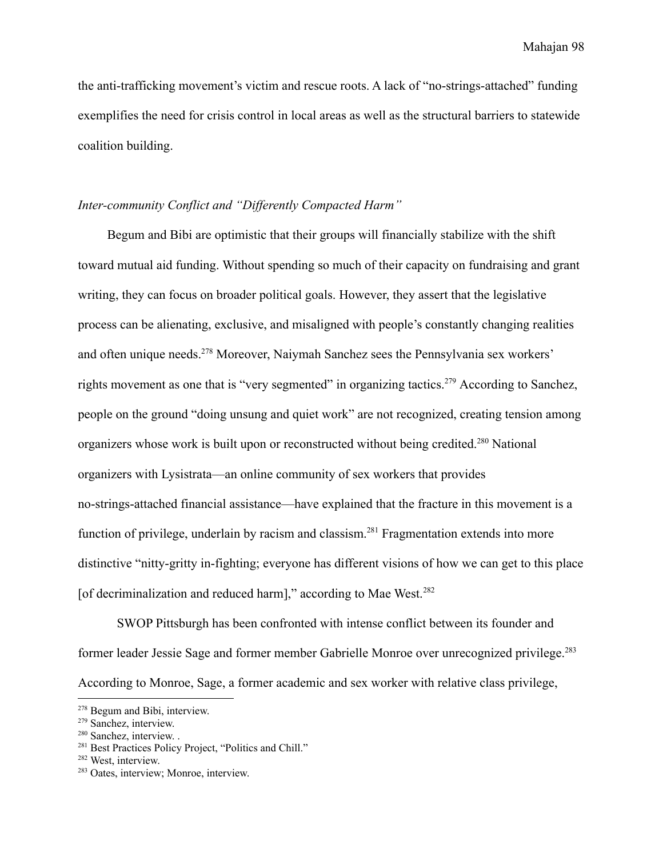the anti-trafficking movement's victim and rescue roots. A lack of "no-strings-attached" funding exemplifies the need for crisis control in local areas as well as the structural barriers to statewide coalition building.

# *Inter-community Conflict and "Differently Compacted Harm"*

Begum and Bibi are optimistic that their groups will financially stabilize with the shift toward mutual aid funding. Without spending so much of their capacity on fundraising and grant writing, they can focus on broader political goals. However, they assert that the legislative process can be alienating, exclusive, and misaligned with people's constantly changing realities and often unique needs.<sup>278</sup> Moreover, Naiymah Sanchez sees the Pennsylvania sex workers' rights movement as one that is "very segmented" in organizing tactics.<sup>279</sup> According to Sanchez, people on the ground "doing unsung and quiet work" are not recognized, creating tension among organizers whose work is built upon or reconstructed without being credited.<sup>280</sup> National organizers with Lysistrata—an online community of sex workers that provides no-strings-attached financial assistance—have explained that the fracture in this movement is a function of privilege, underlain by racism and classism.<sup>281</sup> Fragmentation extends into more distinctive "nitty-gritty in-fighting; everyone has different visions of how we can get to this place [of decriminalization and reduced harm]," according to Mae West.<sup>282</sup>

SWOP Pittsburgh has been confronted with intense conflict between its founder and former leader Jessie Sage and former member Gabrielle Monroe over unrecognized privilege.<sup>283</sup> According to Monroe, Sage, a former academic and sex worker with relative class privilege,

<sup>278</sup> Begum and Bibi, interview.

<sup>279</sup> Sanchez, interview.

<sup>&</sup>lt;sup>280</sup> Sanchez, interview. .

<sup>&</sup>lt;sup>281</sup> Best Practices Policy Project, "Politics and Chill."

<sup>282</sup> West, interview.

<sup>283</sup> Oates, interview; Monroe, interview.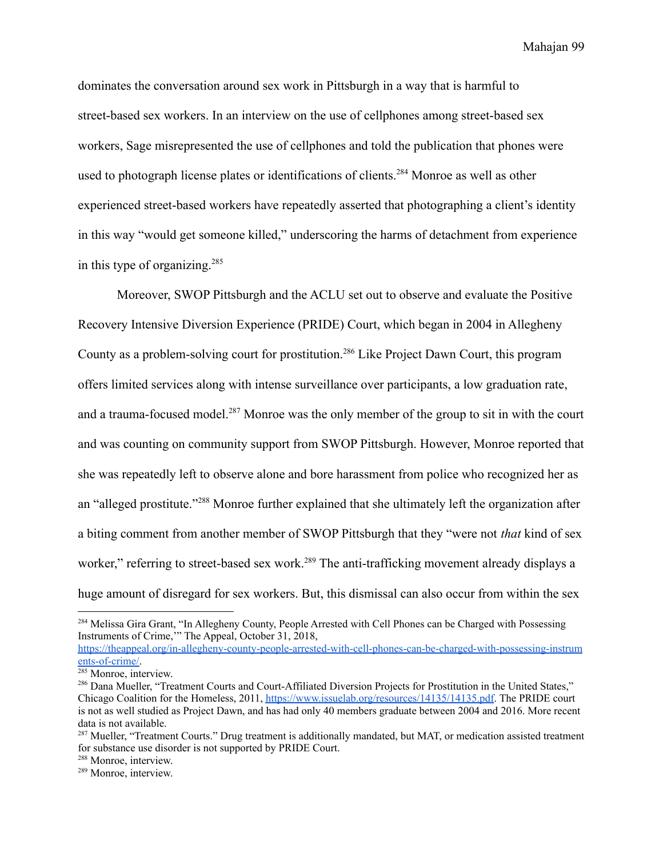dominates the conversation around sex work in Pittsburgh in a way that is harmful to street-based sex workers. In an interview on the use of cellphones among street-based sex workers, Sage misrepresented the use of cellphones and told the publication that phones were used to photograph license plates or identifications of clients.<sup>284</sup> Monroe as well as other experienced street-based workers have repeatedly asserted that photographing a client's identity in this way "would get someone killed," underscoring the harms of detachment from experience in this type of organizing.<sup>285</sup>

Moreover, SWOP Pittsburgh and the ACLU set out to observe and evaluate the Positive Recovery Intensive Diversion Experience (PRIDE) Court, which began in 2004 in Allegheny County as a problem-solving court for prostitution.<sup>286</sup> Like Project Dawn Court, this program offers limited services along with intense surveillance over participants, a low graduation rate, and a trauma-focused model.<sup>287</sup> Monroe was the only member of the group to sit in with the court and was counting on community support from SWOP Pittsburgh. However, Monroe reported that she was repeatedly left to observe alone and bore harassment from police who recognized her as an "alleged prostitute."<sup>288</sup> Monroe further explained that she ultimately left the organization after a biting comment from another member of SWOP Pittsburgh that they "were not *that* kind of sex worker," referring to street-based sex work.<sup>289</sup> The anti-trafficking movement already displays a huge amount of disregard for sex workers. But, this dismissal can also occur from within the sex

[https://theappeal.org/in-allegheny-county-people-arrested-with-cell-phones-can-be-charged-with-possessing-instrum](https://theappeal.org/in-allegheny-county-people-arrested-with-cell-phones-can-be-charged-with-possessing-instruments-of-crime/) [ents-of-crime/.](https://theappeal.org/in-allegheny-county-people-arrested-with-cell-phones-can-be-charged-with-possessing-instruments-of-crime/)

<sup>&</sup>lt;sup>284</sup> Melissa Gira Grant, "In Allegheny County, People Arrested with Cell Phones can be Charged with Possessing Instruments of Crime,'" The Appeal, October 31, 2018,

 $285$  Monroe, interview.

<sup>&</sup>lt;sup>286</sup> Dana Mueller, "Treatment Courts and Court-Affiliated Diversion Projects for Prostitution in the United States," Chicago Coalition for the Homeless, 2011, <https://www.issuelab.org/resources/14135/14135.pdf>. The PRIDE court is not as well studied as Project Dawn, and has had only 40 members graduate between 2004 and 2016. More recent data is not available.

<sup>&</sup>lt;sup>287</sup> Mueller, "Treatment Courts." Drug treatment is additionally mandated, but MAT, or medication assisted treatment for substance use disorder is not supported by PRIDE Court.

<sup>288</sup> Monroe, interview.

<sup>289</sup> Monroe, interview.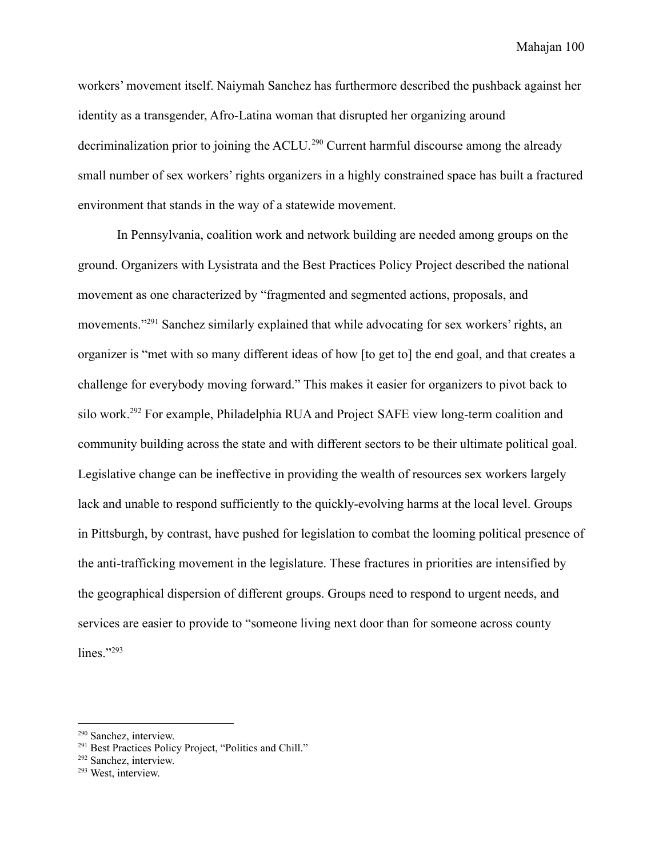workers' movement itself. Naiymah Sanchez has furthermore described the pushback against her identity as a transgender, Afro-Latina woman that disrupted her organizing around decriminalization prior to joining the ACLU.<sup>290</sup> Current harmful discourse among the already small number of sex workers' rights organizers in a highly constrained space has built a fractured environment that stands in the way of a statewide movement.

In Pennsylvania, coalition work and network building are needed among groups on the ground. Organizers with Lysistrata and the Best Practices Policy Project described the national movement as one characterized by "fragmented and segmented actions, proposals, and movements."<sup>291</sup> Sanchez similarly explained that while advocating for sex workers' rights, an organizer is "met with so many different ideas of how [to get to] the end goal, and that creates a challenge for everybody moving forward." This makes it easier for organizers to pivot back to silo work.<sup>292</sup> For example, Philadelphia RUA and Project SAFE view long-term coalition and community building across the state and with different sectors to be their ultimate political goal. Legislative change can be ineffective in providing the wealth of resources sex workers largely lack and unable to respond sufficiently to the quickly-evolving harms at the local level. Groups in Pittsburgh, by contrast, have pushed for legislation to combat the looming political presence of the anti-trafficking movement in the legislature. These fractures in priorities are intensified by the geographical dispersion of different groups. Groups need to respond to urgent needs, and services are easier to provide to "someone living next door than for someone across county lines."293

<sup>290</sup> Sanchez, interview.

<sup>&</sup>lt;sup>291</sup> Best Practices Policy Project, "Politics and Chill."

<sup>292</sup> Sanchez, interview.

<sup>293</sup> West, interview.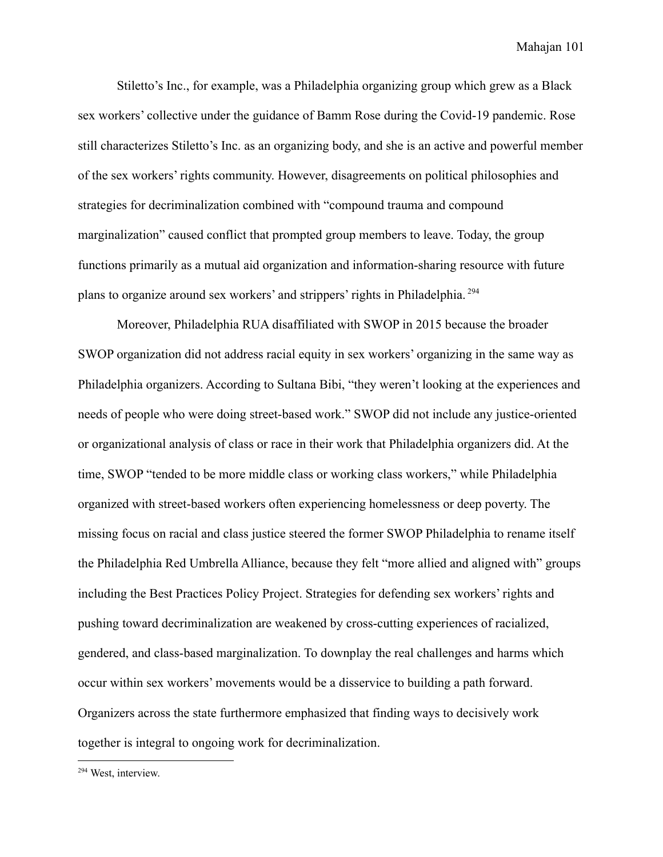Stiletto's Inc., for example, was a Philadelphia organizing group which grew as a Black sex workers' collective under the guidance of Bamm Rose during the Covid-19 pandemic. Rose still characterizes Stiletto's Inc. as an organizing body, and she is an active and powerful member of the sex workers' rights community. However, disagreements on political philosophies and strategies for decriminalization combined with "compound trauma and compound marginalization" caused conflict that prompted group members to leave. Today, the group functions primarily as a mutual aid organization and information-sharing resource with future plans to organize around sex workers' and strippers' rights in Philadelphia. <sup>294</sup>

Moreover, Philadelphia RUA disaffiliated with SWOP in 2015 because the broader SWOP organization did not address racial equity in sex workers' organizing in the same way as Philadelphia organizers. According to Sultana Bibi, "they weren't looking at the experiences and needs of people who were doing street-based work." SWOP did not include any justice-oriented or organizational analysis of class or race in their work that Philadelphia organizers did. At the time, SWOP "tended to be more middle class or working class workers," while Philadelphia organized with street-based workers often experiencing homelessness or deep poverty. The missing focus on racial and class justice steered the former SWOP Philadelphia to rename itself the Philadelphia Red Umbrella Alliance, because they felt "more allied and aligned with" groups including the Best Practices Policy Project. Strategies for defending sex workers' rights and pushing toward decriminalization are weakened by cross-cutting experiences of racialized, gendered, and class-based marginalization. To downplay the real challenges and harms which occur within sex workers' movements would be a disservice to building a path forward. Organizers across the state furthermore emphasized that finding ways to decisively work together is integral to ongoing work for decriminalization.

<sup>294</sup> West, interview.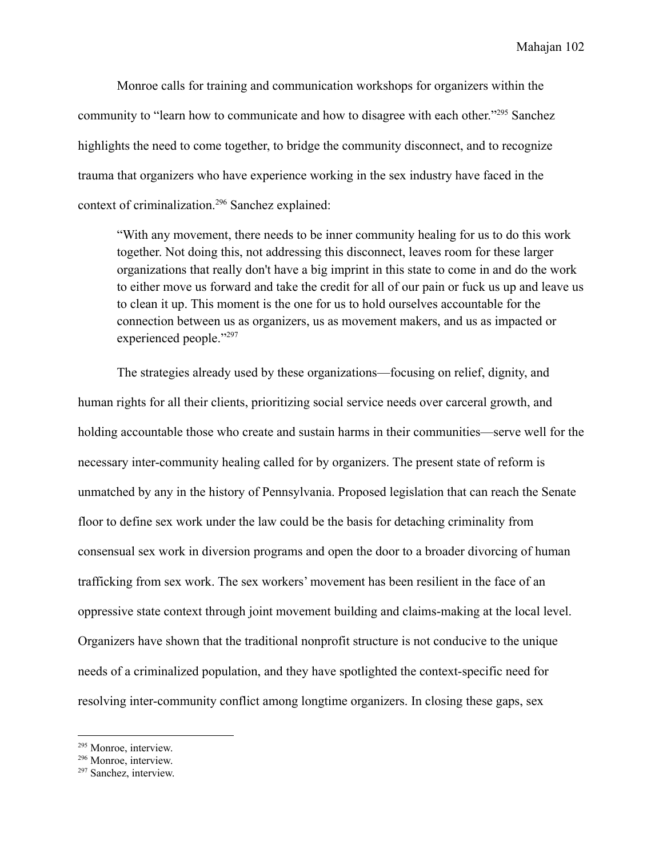Monroe calls for training and communication workshops for organizers within the community to "learn how to communicate and how to disagree with each other."<sup>295</sup> Sanchez highlights the need to come together, to bridge the community disconnect, and to recognize trauma that organizers who have experience working in the sex industry have faced in the context of criminalization.<sup>296</sup> Sanchez explained:

"With any movement, there needs to be inner community healing for us to do this work together. Not doing this, not addressing this disconnect, leaves room for these larger organizations that really don't have a big imprint in this state to come in and do the work to either move us forward and take the credit for all of our pain or fuck us up and leave us to clean it up. This moment is the one for us to hold ourselves accountable for the connection between us as organizers, us as movement makers, and us as impacted or experienced people."<sup>297</sup>

The strategies already used by these organizations—focusing on relief, dignity, and human rights for all their clients, prioritizing social service needs over carceral growth, and holding accountable those who create and sustain harms in their communities—serve well for the necessary inter-community healing called for by organizers. The present state of reform is unmatched by any in the history of Pennsylvania. Proposed legislation that can reach the Senate floor to define sex work under the law could be the basis for detaching criminality from consensual sex work in diversion programs and open the door to a broader divorcing of human trafficking from sex work. The sex workers' movement has been resilient in the face of an oppressive state context through joint movement building and claims-making at the local level. Organizers have shown that the traditional nonprofit structure is not conducive to the unique needs of a criminalized population, and they have spotlighted the context-specific need for resolving inter-community conflict among longtime organizers. In closing these gaps, sex

<sup>295</sup> Monroe, interview.

<sup>296</sup> Monroe, interview.

<sup>297</sup> Sanchez, interview.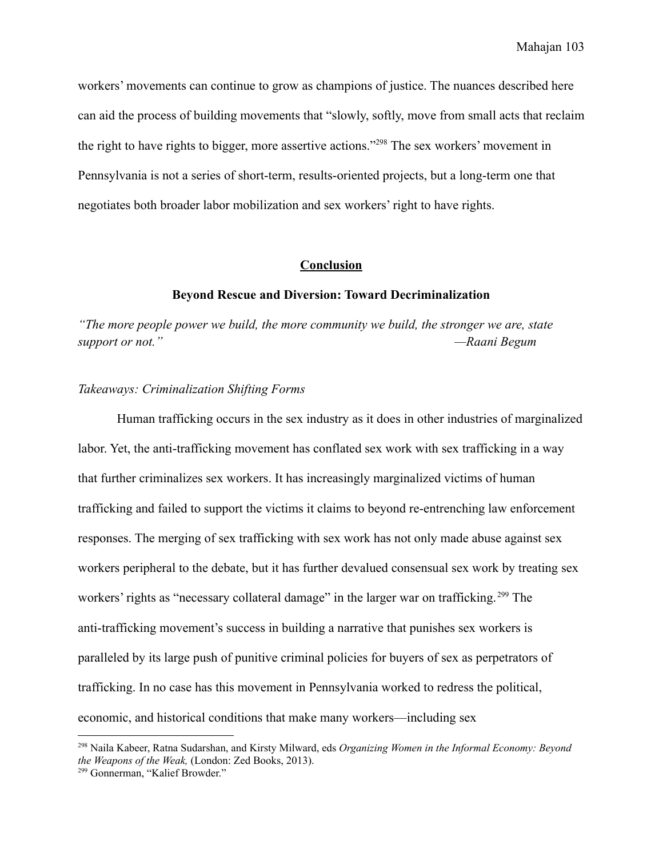workers' movements can continue to grow as champions of justice. The nuances described here can aid the process of building movements that "slowly, softly, move from small acts that reclaim the right to have rights to bigger, more assertive actions."<sup>298</sup> The sex workers' movement in Pennsylvania is not a series of short-term, results-oriented projects, but a long-term one that negotiates both broader labor mobilization and sex workers' right to have rights.

## **Conclusion**

#### **Beyond Rescue and Diversion: Toward Decriminalization**

*"The more people power we build, the more community we build, the stronger we are, state support or not." —Raani Begum*

## *Takeaways: Criminalization Shifting Forms*

Human trafficking occurs in the sex industry as it does in other industries of marginalized labor. Yet, the anti-trafficking movement has conflated sex work with sex trafficking in a way that further criminalizes sex workers. It has increasingly marginalized victims of human trafficking and failed to support the victims it claims to beyond re-entrenching law enforcement responses. The merging of sex trafficking with sex work has not only made abuse against sex workers peripheral to the debate, but it has further devalued consensual sex work by treating sex workers' rights as "necessary collateral damage" in the larger war on trafficking.<sup>299</sup> The anti-trafficking movement's success in building a narrative that punishes sex workers is paralleled by its large push of punitive criminal policies for buyers of sex as perpetrators of trafficking. In no case has this movement in Pennsylvania worked to redress the political, economic, and historical conditions that make many workers—including sex

<sup>298</sup> Naila Kabeer, Ratna Sudarshan, and Kirsty Milward, eds *Organizing Women in the Informal Economy: Beyond the Weapons of the Weak,* (London: Zed Books, 2013).

<sup>299</sup> Gonnerman, "Kalief Browder."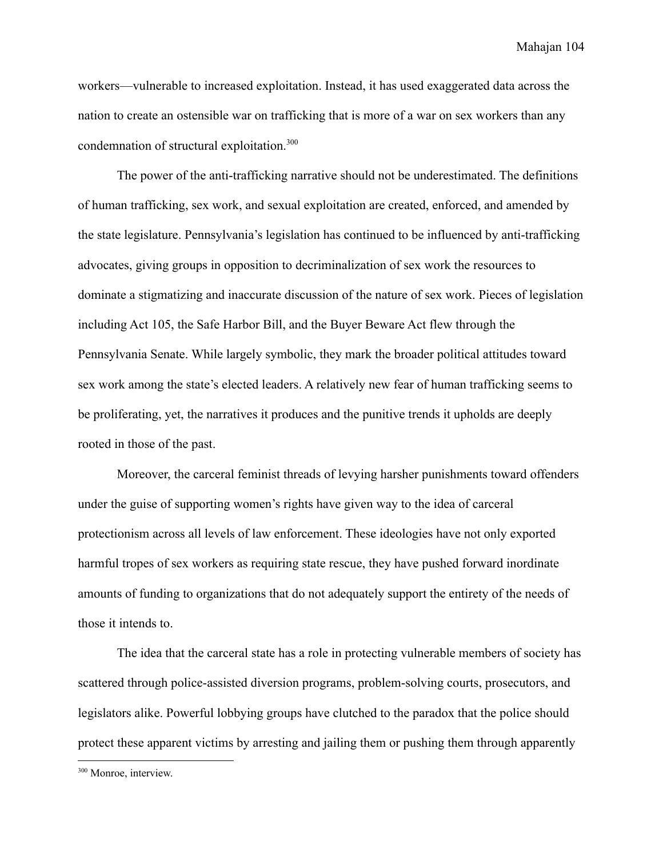workers—vulnerable to increased exploitation. Instead, it has used exaggerated data across the nation to create an ostensible war on trafficking that is more of a war on sex workers than any condemnation of structural exploitation.<sup>300</sup>

The power of the anti-trafficking narrative should not be underestimated. The definitions of human trafficking, sex work, and sexual exploitation are created, enforced, and amended by the state legislature. Pennsylvania's legislation has continued to be influenced by anti-trafficking advocates, giving groups in opposition to decriminalization of sex work the resources to dominate a stigmatizing and inaccurate discussion of the nature of sex work. Pieces of legislation including Act 105, the Safe Harbor Bill, and the Buyer Beware Act flew through the Pennsylvania Senate. While largely symbolic, they mark the broader political attitudes toward sex work among the state's elected leaders. A relatively new fear of human trafficking seems to be proliferating, yet, the narratives it produces and the punitive trends it upholds are deeply rooted in those of the past.

Moreover, the carceral feminist threads of levying harsher punishments toward offenders under the guise of supporting women's rights have given way to the idea of carceral protectionism across all levels of law enforcement. These ideologies have not only exported harmful tropes of sex workers as requiring state rescue, they have pushed forward inordinate amounts of funding to organizations that do not adequately support the entirety of the needs of those it intends to.

The idea that the carceral state has a role in protecting vulnerable members of society has scattered through police-assisted diversion programs, problem-solving courts, prosecutors, and legislators alike. Powerful lobbying groups have clutched to the paradox that the police should protect these apparent victims by arresting and jailing them or pushing them through apparently

<sup>300</sup> Monroe, interview.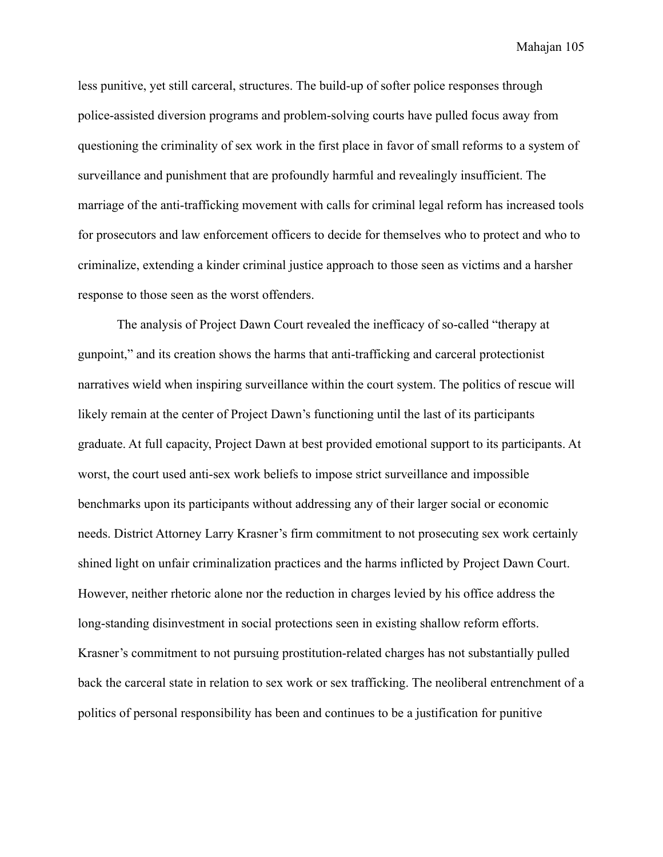less punitive, yet still carceral, structures. The build-up of softer police responses through police-assisted diversion programs and problem-solving courts have pulled focus away from questioning the criminality of sex work in the first place in favor of small reforms to a system of surveillance and punishment that are profoundly harmful and revealingly insufficient. The marriage of the anti-trafficking movement with calls for criminal legal reform has increased tools for prosecutors and law enforcement officers to decide for themselves who to protect and who to criminalize, extending a kinder criminal justice approach to those seen as victims and a harsher response to those seen as the worst offenders.

The analysis of Project Dawn Court revealed the inefficacy of so-called "therapy at gunpoint," and its creation shows the harms that anti-trafficking and carceral protectionist narratives wield when inspiring surveillance within the court system. The politics of rescue will likely remain at the center of Project Dawn's functioning until the last of its participants graduate. At full capacity, Project Dawn at best provided emotional support to its participants. At worst, the court used anti-sex work beliefs to impose strict surveillance and impossible benchmarks upon its participants without addressing any of their larger social or economic needs. District Attorney Larry Krasner's firm commitment to not prosecuting sex work certainly shined light on unfair criminalization practices and the harms inflicted by Project Dawn Court. However, neither rhetoric alone nor the reduction in charges levied by his office address the long-standing disinvestment in social protections seen in existing shallow reform efforts. Krasner's commitment to not pursuing prostitution-related charges has not substantially pulled back the carceral state in relation to sex work or sex trafficking. The neoliberal entrenchment of a politics of personal responsibility has been and continues to be a justification for punitive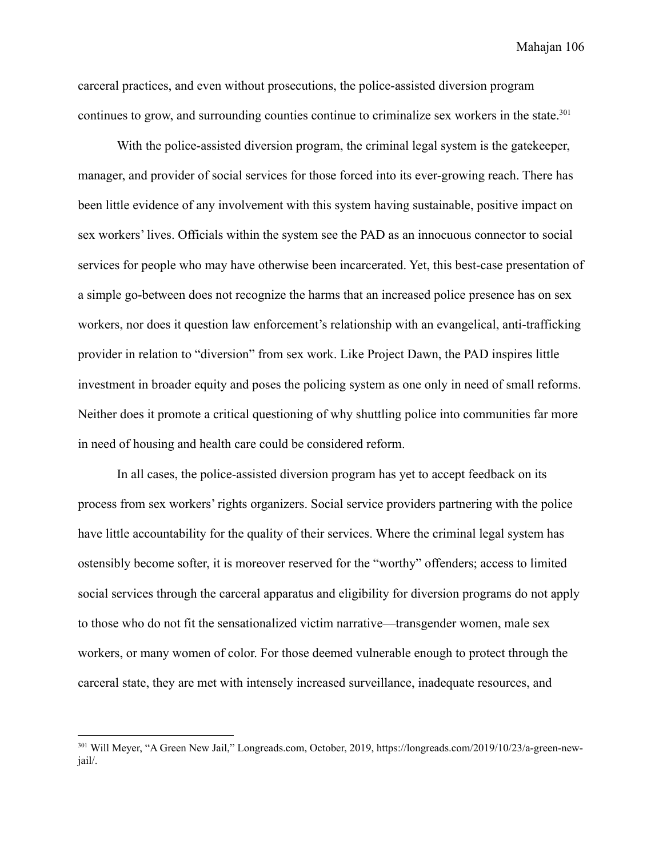carceral practices, and even without prosecutions, the police-assisted diversion program continues to grow, and surrounding counties continue to criminalize sex workers in the state.<sup>301</sup>

With the police-assisted diversion program, the criminal legal system is the gatekeeper, manager, and provider of social services for those forced into its ever-growing reach. There has been little evidence of any involvement with this system having sustainable, positive impact on sex workers' lives. Officials within the system see the PAD as an innocuous connector to social services for people who may have otherwise been incarcerated. Yet, this best-case presentation of a simple go-between does not recognize the harms that an increased police presence has on sex workers, nor does it question law enforcement's relationship with an evangelical, anti-trafficking provider in relation to "diversion" from sex work. Like Project Dawn, the PAD inspires little investment in broader equity and poses the policing system as one only in need of small reforms. Neither does it promote a critical questioning of why shuttling police into communities far more in need of housing and health care could be considered reform.

In all cases, the police-assisted diversion program has yet to accept feedback on its process from sex workers' rights organizers. Social service providers partnering with the police have little accountability for the quality of their services. Where the criminal legal system has ostensibly become softer, it is moreover reserved for the "worthy" offenders; access to limited social services through the carceral apparatus and eligibility for diversion programs do not apply to those who do not fit the sensationalized victim narrative—transgender women, male sex workers, or many women of color. For those deemed vulnerable enough to protect through the carceral state, they are met with intensely increased surveillance, inadequate resources, and

<sup>301</sup> Will Meyer, "A Green New Jail," Longreads.com, October, 2019, https://longreads.com/2019/10/23/a-green-newjail/.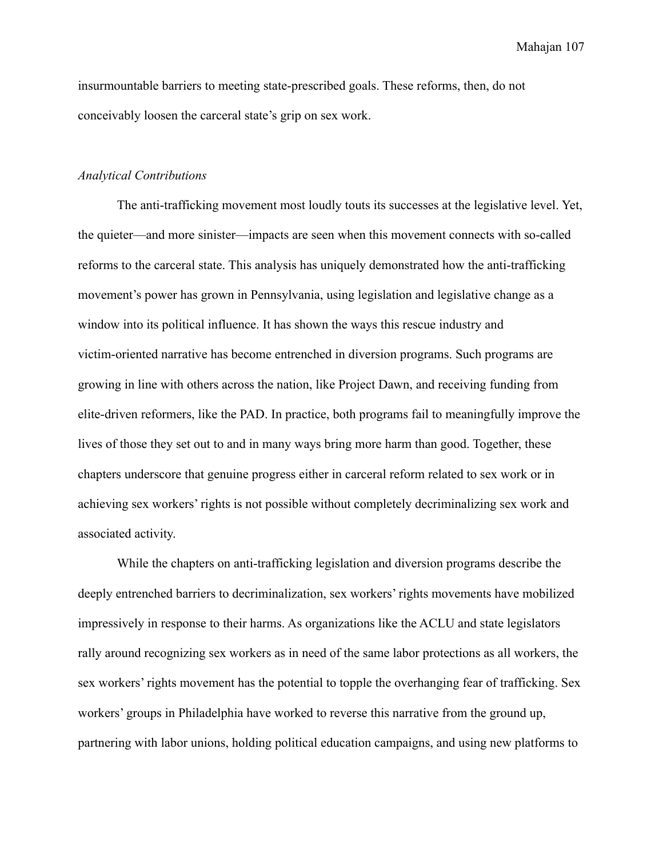Mahajan 107

insurmountable barriers to meeting state-prescribed goals. These reforms, then, do not conceivably loosen the carceral state's grip on sex work.

## *Analytical Contributions*

The anti-trafficking movement most loudly touts its successes at the legislative level. Yet, the quieter—and more sinister—impacts are seen when this movement connects with so-called reforms to the carceral state. This analysis has uniquely demonstrated how the anti-trafficking movement's power has grown in Pennsylvania, using legislation and legislative change as a window into its political influence. It has shown the ways this rescue industry and victim-oriented narrative has become entrenched in diversion programs. Such programs are growing in line with others across the nation, like Project Dawn, and receiving funding from elite-driven reformers, like the PAD. In practice, both programs fail to meaningfully improve the lives of those they set out to and in many ways bring more harm than good. Together, these chapters underscore that genuine progress either in carceral reform related to sex work or in achieving sex workers' rights is not possible without completely decriminalizing sex work and associated activity.

While the chapters on anti-trafficking legislation and diversion programs describe the deeply entrenched barriers to decriminalization, sex workers' rights movements have mobilized impressively in response to their harms. As organizations like the ACLU and state legislators rally around recognizing sex workers as in need of the same labor protections as all workers, the sex workers' rights movement has the potential to topple the overhanging fear of trafficking. Sex workers' groups in Philadelphia have worked to reverse this narrative from the ground up, partnering with labor unions, holding political education campaigns, and using new platforms to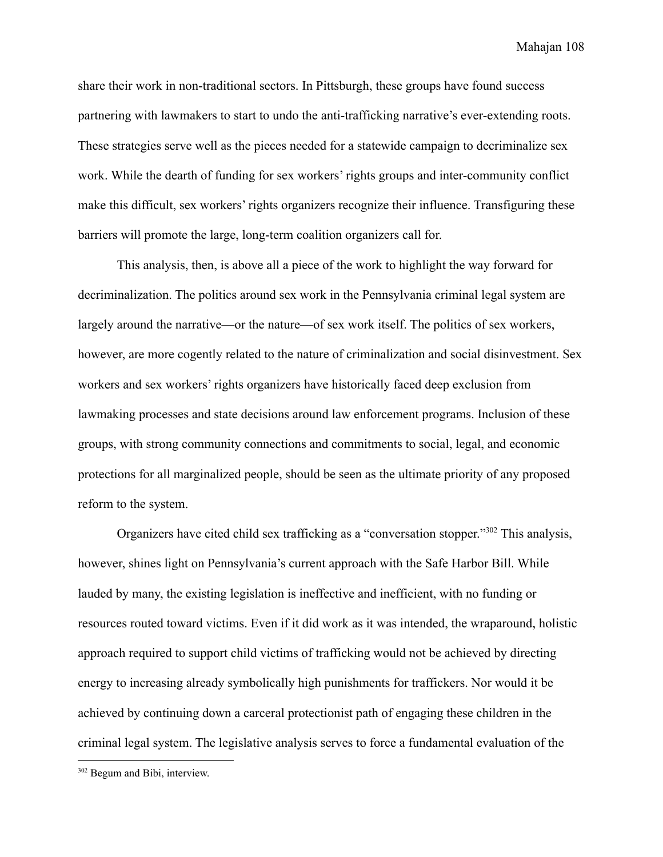Mahajan 108

share their work in non-traditional sectors. In Pittsburgh, these groups have found success partnering with lawmakers to start to undo the anti-trafficking narrative's ever-extending roots. These strategies serve well as the pieces needed for a statewide campaign to decriminalize sex work. While the dearth of funding for sex workers' rights groups and inter-community conflict make this difficult, sex workers' rights organizers recognize their influence. Transfiguring these barriers will promote the large, long-term coalition organizers call for.

This analysis, then, is above all a piece of the work to highlight the way forward for decriminalization. The politics around sex work in the Pennsylvania criminal legal system are largely around the narrative—or the nature—of sex work itself. The politics of sex workers, however, are more cogently related to the nature of criminalization and social disinvestment. Sex workers and sex workers' rights organizers have historically faced deep exclusion from lawmaking processes and state decisions around law enforcement programs. Inclusion of these groups, with strong community connections and commitments to social, legal, and economic protections for all marginalized people, should be seen as the ultimate priority of any proposed reform to the system.

Organizers have cited child sex trafficking as a "conversation stopper."<sup>302</sup> This analysis, however, shines light on Pennsylvania's current approach with the Safe Harbor Bill. While lauded by many, the existing legislation is ineffective and inefficient, with no funding or resources routed toward victims. Even if it did work as it was intended, the wraparound, holistic approach required to support child victims of trafficking would not be achieved by directing energy to increasing already symbolically high punishments for traffickers. Nor would it be achieved by continuing down a carceral protectionist path of engaging these children in the criminal legal system. The legislative analysis serves to force a fundamental evaluation of the

<sup>302</sup> Begum and Bibi, interview.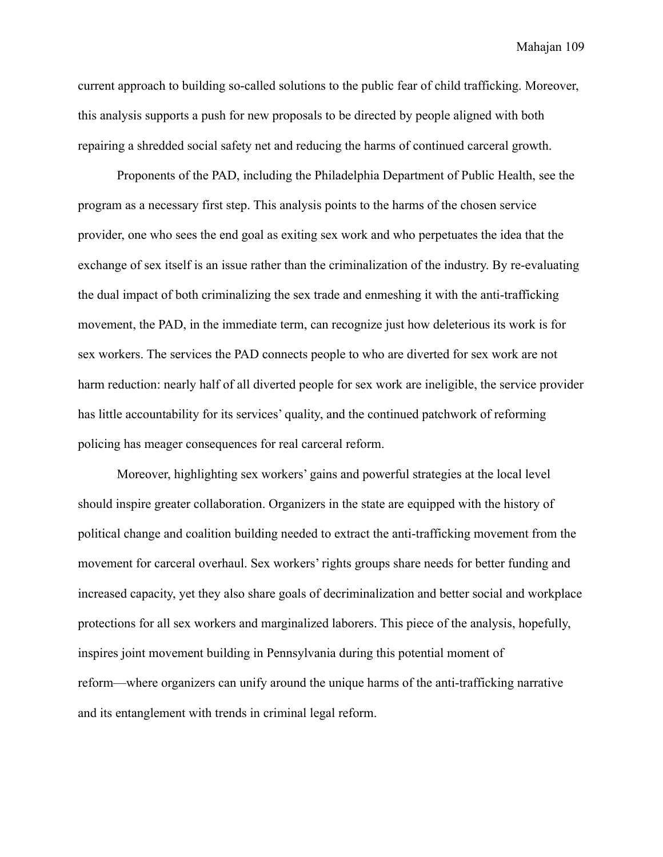current approach to building so-called solutions to the public fear of child trafficking. Moreover, this analysis supports a push for new proposals to be directed by people aligned with both repairing a shredded social safety net and reducing the harms of continued carceral growth.

Proponents of the PAD, including the Philadelphia Department of Public Health, see the program as a necessary first step. This analysis points to the harms of the chosen service provider, one who sees the end goal as exiting sex work and who perpetuates the idea that the exchange of sex itself is an issue rather than the criminalization of the industry. By re-evaluating the dual impact of both criminalizing the sex trade and enmeshing it with the anti-trafficking movement, the PAD, in the immediate term, can recognize just how deleterious its work is for sex workers. The services the PAD connects people to who are diverted for sex work are not harm reduction: nearly half of all diverted people for sex work are ineligible, the service provider has little accountability for its services' quality, and the continued patchwork of reforming policing has meager consequences for real carceral reform.

Moreover, highlighting sex workers' gains and powerful strategies at the local level should inspire greater collaboration. Organizers in the state are equipped with the history of political change and coalition building needed to extract the anti-trafficking movement from the movement for carceral overhaul. Sex workers' rights groups share needs for better funding and increased capacity, yet they also share goals of decriminalization and better social and workplace protections for all sex workers and marginalized laborers. This piece of the analysis, hopefully, inspires joint movement building in Pennsylvania during this potential moment of reform—where organizers can unify around the unique harms of the anti-trafficking narrative and its entanglement with trends in criminal legal reform.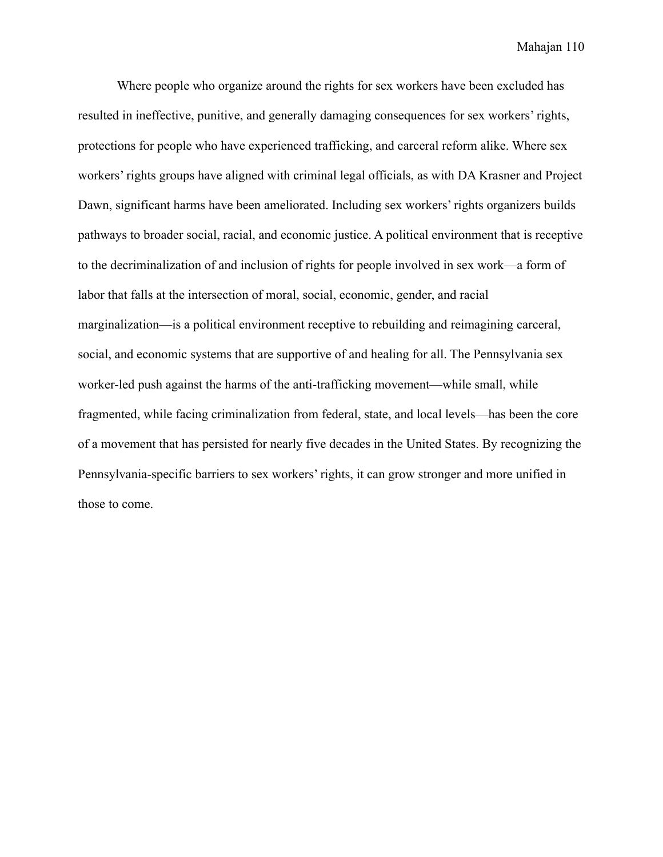Mahajan 110

Where people who organize around the rights for sex workers have been excluded has resulted in ineffective, punitive, and generally damaging consequences for sex workers' rights, protections for people who have experienced trafficking, and carceral reform alike. Where sex workers' rights groups have aligned with criminal legal officials, as with DA Krasner and Project Dawn, significant harms have been ameliorated. Including sex workers' rights organizers builds pathways to broader social, racial, and economic justice. A political environment that is receptive to the decriminalization of and inclusion of rights for people involved in sex work—a form of labor that falls at the intersection of moral, social, economic, gender, and racial marginalization—is a political environment receptive to rebuilding and reimagining carceral, social, and economic systems that are supportive of and healing for all. The Pennsylvania sex worker-led push against the harms of the anti-trafficking movement—while small, while fragmented, while facing criminalization from federal, state, and local levels—has been the core of a movement that has persisted for nearly five decades in the United States. By recognizing the Pennsylvania-specific barriers to sex workers' rights, it can grow stronger and more unified in those to come.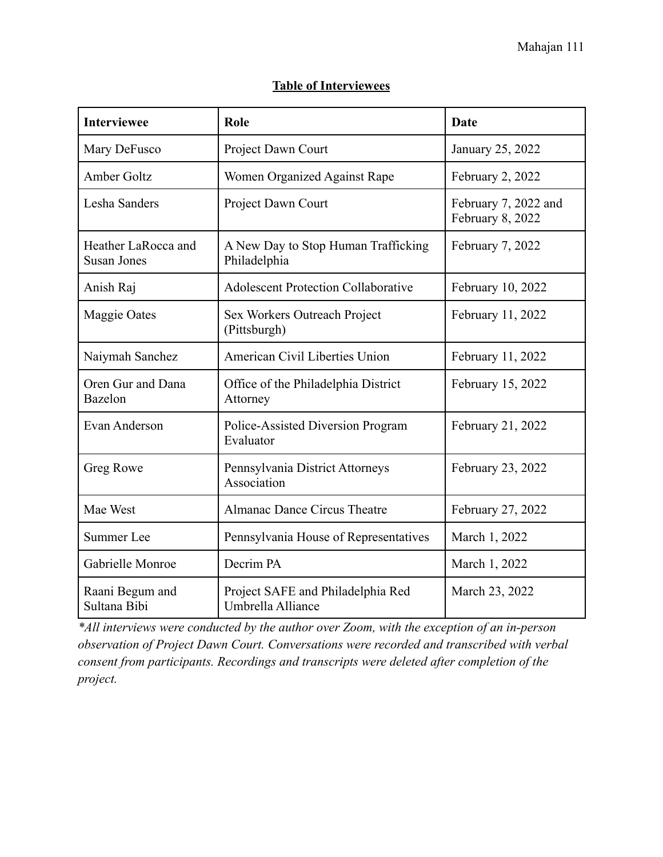## **Table of Interviewees**

| <b>Interviewee</b>                        | Role                                                   | <b>Date</b>                              |
|-------------------------------------------|--------------------------------------------------------|------------------------------------------|
| Mary DeFusco                              | Project Dawn Court                                     | January 25, 2022                         |
| <b>Amber Goltz</b>                        | Women Organized Against Rape                           | February 2, 2022                         |
| Lesha Sanders                             | Project Dawn Court                                     | February 7, 2022 and<br>February 8, 2022 |
| Heather LaRocca and<br><b>Susan Jones</b> | A New Day to Stop Human Trafficking<br>Philadelphia    | February 7, 2022                         |
| Anish Raj                                 | <b>Adolescent Protection Collaborative</b>             | February 10, 2022                        |
| Maggie Oates                              | Sex Workers Outreach Project<br>(Pittsburgh)           | February 11, 2022                        |
| Naiymah Sanchez                           | American Civil Liberties Union                         | February 11, 2022                        |
| Oren Gur and Dana<br><b>Bazelon</b>       | Office of the Philadelphia District<br>Attorney        | February 15, 2022                        |
| Evan Anderson                             | Police-Assisted Diversion Program<br>Evaluator         | February 21, 2022                        |
| Greg Rowe                                 | Pennsylvania District Attorneys<br>Association         | February 23, 2022                        |
| Mae West                                  | Almanac Dance Circus Theatre                           | February 27, 2022                        |
| <b>Summer Lee</b>                         | Pennsylvania House of Representatives                  | March 1, 2022                            |
| Gabrielle Monroe                          | Decrim PA                                              | March 1, 2022                            |
| Raani Begum and<br>Sultana Bibi           | Project SAFE and Philadelphia Red<br>Umbrella Alliance | March 23, 2022                           |

*\*All interviews were conducted by the author over Zoom, with the exception of an in-person observation of Project Dawn Court. Conversations were recorded and transcribed with verbal consent from participants. Recordings and transcripts were deleted after completion of the project.*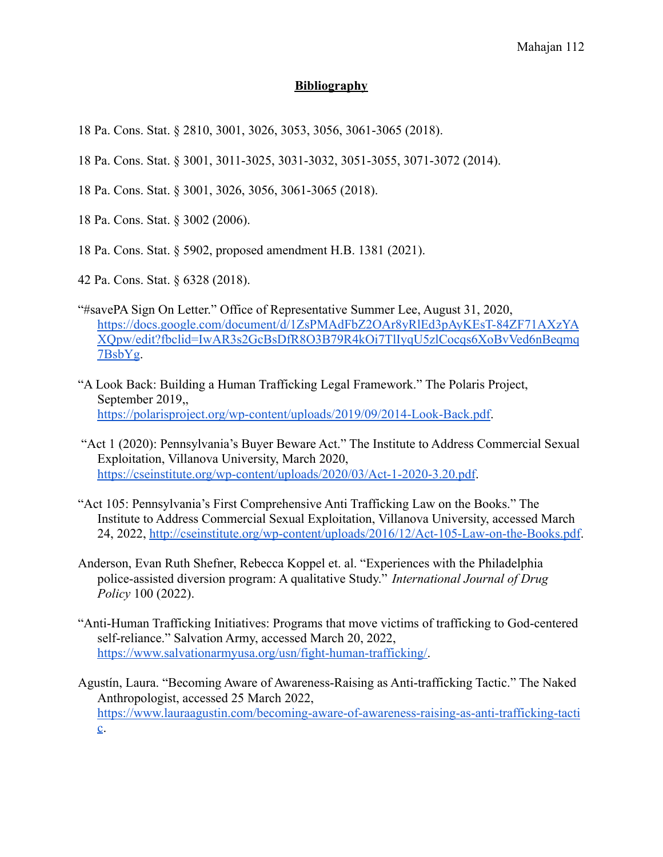## **Bibliography**

18 Pa. Cons. Stat. § 2810, 3001, 3026, 3053, 3056, 3061-3065 (2018).

- 18 Pa. Cons. Stat. § 3001, 3011-3025, 3031-3032, 3051-3055, 3071-3072 (2014).
- 18 Pa. Cons. Stat. § 3001, 3026, 3056, 3061-3065 (2018).
- 18 Pa. Cons. Stat. § 3002 (2006).
- 18 Pa. Cons. Stat. § 5902, proposed amendment H.B. 1381 (2021).

42 Pa. Cons. Stat. § 6328 (2018).

- "#savePA Sign On Letter." Office of Representative Summer Lee, August 31, 2020, [https://docs.google.com/document/d/1ZsPMAdFbZ2OAr8yRlEd3pAyKEsT-84ZF71AXzYA](https://docs.google.com/document/d/1ZsPMAdFbZ2OAr8yRlEd3pAyKEsT-84ZF71AXzYAXQpw/edit?fbclid=IwAR3s2GcBsDfR8O3B79R4kOi7TlIyqU5zlCocqs6XoBvVed6nBeqmq7BsbYg) [XQpw/edit?fbclid=IwAR3s2GcBsDfR8O3B79R4kOi7TlIyqU5zlCocqs6XoBvVed6nBeqmq](https://docs.google.com/document/d/1ZsPMAdFbZ2OAr8yRlEd3pAyKEsT-84ZF71AXzYAXQpw/edit?fbclid=IwAR3s2GcBsDfR8O3B79R4kOi7TlIyqU5zlCocqs6XoBvVed6nBeqmq7BsbYg) [7BsbYg](https://docs.google.com/document/d/1ZsPMAdFbZ2OAr8yRlEd3pAyKEsT-84ZF71AXzYAXQpw/edit?fbclid=IwAR3s2GcBsDfR8O3B79R4kOi7TlIyqU5zlCocqs6XoBvVed6nBeqmq7BsbYg).
- "A Look Back: Building a Human Trafficking Legal Framework." The Polaris Project, September 2019,, <https://polarisproject.org/wp-content/uploads/2019/09/2014-Look-Back.pdf>.
- "Act 1 (2020): Pennsylvania's Buyer Beware Act." The Institute to Address Commercial Sexual Exploitation, Villanova University, March 2020, <https://cseinstitute.org/wp-content/uploads/2020/03/Act-1-2020-3.20.pdf>.
- "Act 105: Pennsylvania's First Comprehensive Anti Trafficking Law on the Books." The Institute to Address Commercial Sexual Exploitation, Villanova University, accessed March 24, 2022, <http://cseinstitute.org/wp-content/uploads/2016/12/Act-105-Law-on-the-Books.pdf>.
- Anderson, Evan Ruth Shefner, Rebecca Koppel et. al. "Experiences with the Philadelphia police-assisted diversion program: A qualitative Study." *International Journal of Drug Policy* 100 (2022).
- "Anti-Human Trafficking Initiatives: Programs that move victims of trafficking to God-centered self-reliance." Salvation Army, accessed March 20, 2022, [https://www.salvationarmyusa.org/usn/fight-human-trafficking/.](https://www.salvationarmyusa.org/usn/fight-human-trafficking/)
- Agustín, Laura. "Becoming Aware of Awareness-Raising as Anti-trafficking Tactic." The Naked Anthropologist, accessed 25 March 2022, [https://www.lauraagustin.com/becoming-aware-of-awareness-raising-as-anti-trafficking-tacti](https://www.lauraagustin.com/becoming-aware-of-awareness-raising-as-anti-trafficking-tactic) [c](https://www.lauraagustin.com/becoming-aware-of-awareness-raising-as-anti-trafficking-tactic).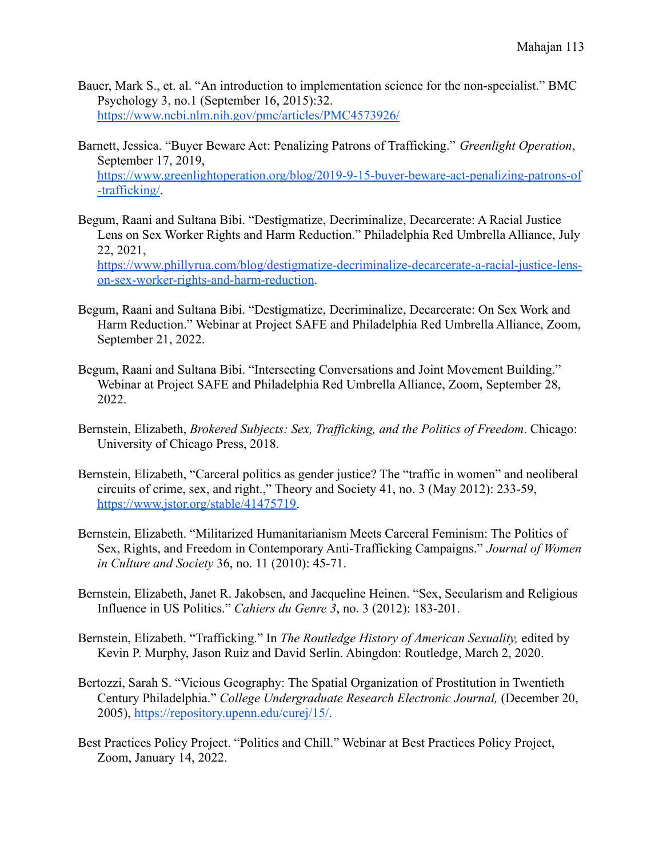- Bauer, Mark S., et. al. "An introduction to implementation science for the non-specialist." BMC Psychology 3, no.1 (September 16, 2015):32. <https://www.ncbi.nlm.nih.gov/pmc/articles/PMC4573926/>
- Barnett, Jessica. "Buyer Beware Act: Penalizing Patrons of Trafficking." *Greenlight Operation*, September 17, 2019, [https://www.greenlightoperation.org/blog/2019-9-15-buyer-beware-act-penalizing-patrons-of](https://www.greenlightoperation.org/blog/2019-9-15-buyer-beware-act-penalizing-patrons-of-trafficking/) [-trafficking/.](https://www.greenlightoperation.org/blog/2019-9-15-buyer-beware-act-penalizing-patrons-of-trafficking/)
- Begum, Raani and Sultana Bibi. "Destigmatize, Decriminalize, Decarcerate: A Racial Justice Lens on Sex Worker Rights and Harm Reduction." Philadelphia Red Umbrella Alliance, July 22, 2021, [https://www.phillyrua.com/blog/destigmatize-decriminalize-decarcerate-a-racial-justice-lens](https://www.phillyrua.com/blog/destigmatize-decriminalize-decarcerate-a-racial-justice-lens-on-sex-worker-rights-and-harm-reduction)[on-sex-worker-rights-and-harm-reduction](https://www.phillyrua.com/blog/destigmatize-decriminalize-decarcerate-a-racial-justice-lens-on-sex-worker-rights-and-harm-reduction).
- Begum, Raani and Sultana Bibi. "Destigmatize, Decriminalize, Decarcerate: On Sex Work and Harm Reduction." Webinar at Project SAFE and Philadelphia Red Umbrella Alliance, Zoom, September 21, 2022.
- Begum, Raani and Sultana Bibi. "Intersecting Conversations and Joint Movement Building." Webinar at Project SAFE and Philadelphia Red Umbrella Alliance, Zoom, September 28, 2022.
- Bernstein, Elizabeth, *Brokered Subjects: Sex, Trafficking, and the Politics of Freedom*. Chicago: University of Chicago Press, 2018.
- Bernstein, Elizabeth, "Carceral politics as gender justice? The "traffic in women" and neoliberal circuits of crime, sex, and right.," Theory and Society 41, no. 3 (May 2012): 233-59, [https://www.jstor.org/stable/41475719.](https://www.jstor.org/stable/41475719)
- Bernstein, Elizabeth. "Militarized Humanitarianism Meets Carceral Feminism: The Politics of Sex, Rights, and Freedom in Contemporary Anti-Trafficking Campaigns." *Journal of Women in Culture and Society* 36, no. 11 (2010): 45-71.
- Bernstein, Elizabeth, Janet R. Jakobsen, and Jacqueline Heinen. "Sex, Secularism and Religious Influence in US Politics." *Cahiers du Genre 3*, no. 3 (2012): 183-201.
- Bernstein, Elizabeth. "Trafficking." In *The Routledge History of American Sexuality,* edited by Kevin P. Murphy, Jason Ruiz and David Serlin. Abingdon: Routledge, March 2, 2020.
- Bertozzi, Sarah S. "Vicious Geography: The Spatial Organization of Prostitution in Twentieth Century Philadelphia." *College Undergraduate Research Electronic Journal,* (December 20, 2005), [https://repository.upenn.edu/curej/15/.](https://repository.upenn.edu/curej/15/)
- Best Practices Policy Project. "Politics and Chill." Webinar at Best Practices Policy Project, Zoom, January 14, 2022.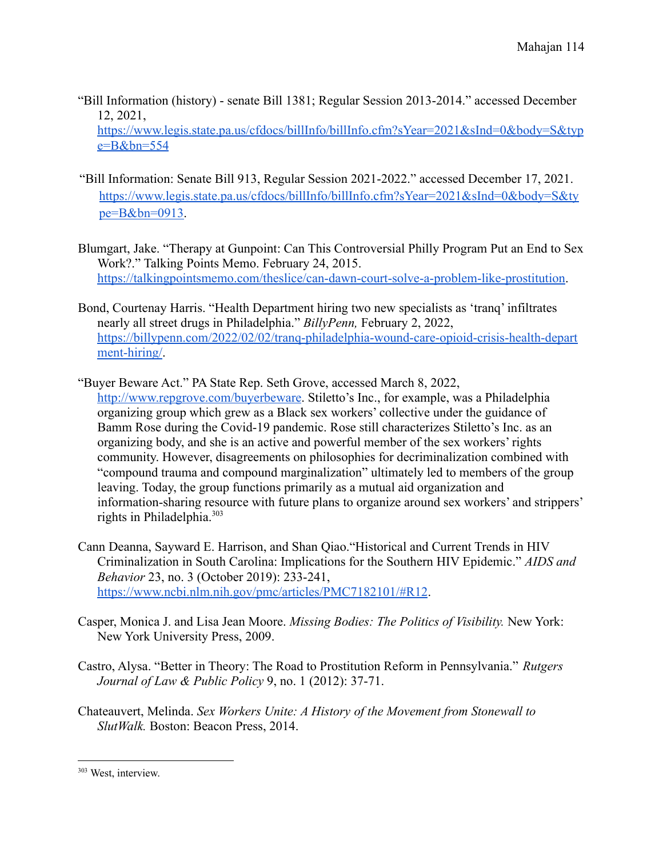"Bill Information (history) - senate Bill 1381; Regular Session 2013-2014." accessed December 12, 2021,

[https://www.legis.state.pa.us/cfdocs/billInfo/billInfo.cfm?sYear=2021&sInd=0&body=S&typ](https://www.legis.state.pa.us/cfdocs/billInfo/billInfo.cfm?sYear=2021&sInd=0&body=S&type=B&bn=554) [e=B&bn=554](https://www.legis.state.pa.us/cfdocs/billInfo/billInfo.cfm?sYear=2021&sInd=0&body=S&type=B&bn=554)

- "Bill Information: Senate Bill 913, Regular Session 2021-2022." accessed December 17, 2021. [https://www.legis.state.pa.us/cfdocs/billInfo/billInfo.cfm?sYear=2021&sInd=0&body=S&ty](https://www.legis.state.pa.us/cfdocs/billInfo/billInfo.cfm?sYear=2021&sInd=0&body=S&type=B&bn=0913) [pe=B&bn=0913.](https://www.legis.state.pa.us/cfdocs/billInfo/billInfo.cfm?sYear=2021&sInd=0&body=S&type=B&bn=0913)
- Blumgart, Jake. "Therapy at Gunpoint: Can This Controversial Philly Program Put an End to Sex Work?." Talking Points Memo. February 24, 2015. <https://talkingpointsmemo.com/theslice/can-dawn-court-solve-a-problem-like-prostitution>.
- Bond, Courtenay Harris. "Health Department hiring two new specialists as 'tranq' infiltrates nearly all street drugs in Philadelphia." *BillyPenn,* February 2, 2022, [https://billypenn.com/2022/02/02/tranq-philadelphia-wound-care-opioid-crisis-health-depart](https://billypenn.com/2022/02/02/tranq-philadelphia-wound-care-opioid-crisis-health-department-hiring/) [ment-hiring/.](https://billypenn.com/2022/02/02/tranq-philadelphia-wound-care-opioid-crisis-health-department-hiring/)
- "Buyer Beware Act." PA State Rep. Seth Grove, accessed March 8, 2022, <http://www.repgrove.com/buyerbeware>. Stiletto's Inc., for example, was a Philadelphia organizing group which grew as a Black sex workers' collective under the guidance of Bamm Rose during the Covid-19 pandemic. Rose still characterizes Stiletto's Inc. as an organizing body, and she is an active and powerful member of the sex workers' rights community. However, disagreements on philosophies for decriminalization combined with "compound trauma and compound marginalization" ultimately led to members of the group leaving. Today, the group functions primarily as a mutual aid organization and information-sharing resource with future plans to organize around sex workers' and strippers' rights in Philadelphia.<sup>303</sup>
- Cann Deanna, Sayward E. Harrison, and Shan Qiao."Historical and Current Trends in HIV Criminalization in South Carolina: Implications for the Southern HIV Epidemic." *AIDS and Behavior* 23, no. 3 (October 2019): 233-241, <https://www.ncbi.nlm.nih.gov/pmc/articles/PMC7182101/#R12>.
- Casper, Monica J. and Lisa Jean Moore. *Missing Bodies: The Politics of Visibility.* New York: New York University Press, 2009.
- Castro, Alysa. "Better in Theory: The Road to Prostitution Reform in Pennsylvania." *Rutgers Journal of Law & Public Policy* 9, no. 1 (2012): 37-71.
- Chateauvert, Melinda. *Sex Workers Unite: A History of the Movement from Stonewall to SlutWalk.* Boston: Beacon Press, 2014.

<sup>303</sup> West, interview.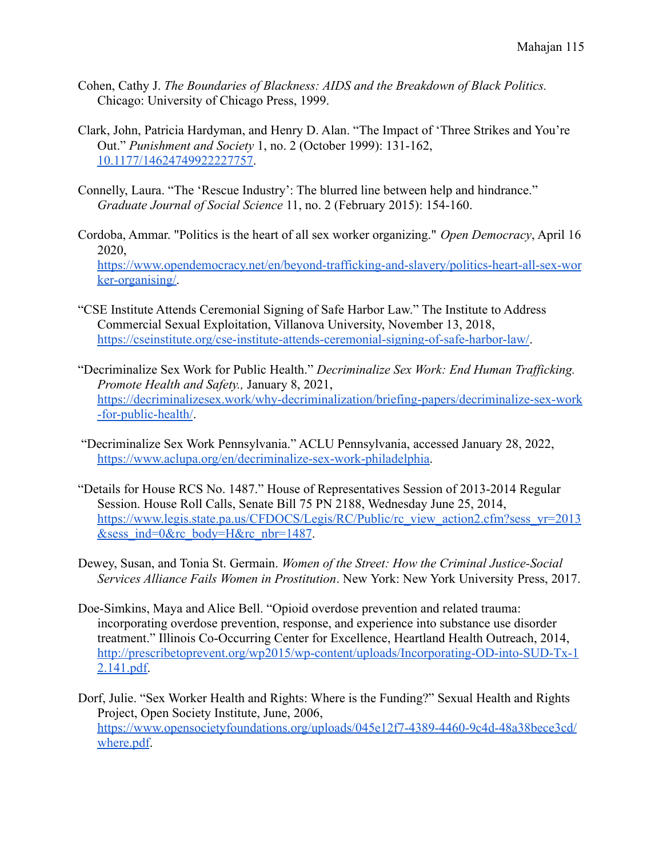- Cohen, Cathy J. *The Boundaries of Blackness: AIDS and the Breakdown of Black Politics.* Chicago: University of Chicago Press, 1999.
- Clark, John, Patricia Hardyman, and Henry D. Alan. "The Impact of 'Three Strikes and You're Out." *Punishment and Society* 1, no. 2 (October 1999): 131-162, [10.1177/14624749922227757.](https://doi-org.proxy.library.upenn.edu/10.1177/14624749922227757)
- Connelly, Laura. "The 'Rescue Industry': The blurred line between help and hindrance." *Graduate Journal of Social Science* 11, no. 2 (February 2015): 154-160.
- Cordoba, Ammar. "Politics is the heart of all sex worker organizing." *Open Democracy*, April 16 2020, [https://www.opendemocracy.net/en/beyond-trafficking-and-slavery/politics-heart-all-sex-wor](https://www.opendemocracy.net/en/beyond-trafficking-and-slavery/politics-heart-all-sex-worker-organising/) [ker-organising/.](https://www.opendemocracy.net/en/beyond-trafficking-and-slavery/politics-heart-all-sex-worker-organising/)
- "CSE Institute Attends Ceremonial Signing of Safe Harbor Law." The Institute to Address Commercial Sexual Exploitation, Villanova University, November 13, 2018, <https://cseinstitute.org/cse-institute-attends-ceremonial-signing-of-safe-harbor-law/>.
- "Decriminalize Sex Work for Public Health." *Decriminalize Sex Work: End Human Trafficking. Promote Health and Safety.,* January 8, 2021, [https://decriminalizesex.work/why-decriminalization/briefing-papers/decriminalize-sex-work](https://decriminalizesex.work/why-decriminalization/briefing-papers/decriminalize-sex-work-for-public-health/) [-for-public-health/](https://decriminalizesex.work/why-decriminalization/briefing-papers/decriminalize-sex-work-for-public-health/).
- "Decriminalize Sex Work Pennsylvania." ACLU Pennsylvania, accessed January 28, 2022, [https://www.aclupa.org/en/decriminalize-sex-work-philadelphia.](https://www.aclupa.org/en/decriminalize-sex-work-philadelphia)
- "Details for House RCS No. 1487." House of Representatives Session of 2013-2014 Regular Session. House Roll Calls, Senate Bill 75 PN 2188, Wednesday June 25, 2014, [https://www.legis.state.pa.us/CFDOCS/Legis/RC/Public/rc\\_view\\_action2.cfm?sess\\_yr=2013](https://www.legis.state.pa.us/CFDOCS/Legis/RC/Public/rc_view_action2.cfm?sess_yr=2013&sess_ind=0&rc_body=H&rc_nbr=1487)  $&$ sess ind=0 $&$ rc body=H $&$ rc nbr=1487.
- Dewey, Susan, and Tonia St. Germain. *Women of the Street: How the Criminal Justice-Social Services Alliance Fails Women in Prostitution*. New York: New York University Press, 2017.
- Doe-Simkins, Maya and Alice Bell. "Opioid overdose prevention and related trauma: incorporating overdose prevention, response, and experience into substance use disorder treatment." Illinois Co-Occurring Center for Excellence, Heartland Health Outreach, 2014, [http://prescribetoprevent.org/wp2015/wp-content/uploads/Incorporating-OD-into-SUD-Tx-1](http://prescribetoprevent.org/wp2015/wp-content/uploads/Incorporating-OD-into-SUD-Tx-12.141.pdf) [2.141.pdf.](http://prescribetoprevent.org/wp2015/wp-content/uploads/Incorporating-OD-into-SUD-Tx-12.141.pdf)
- Dorf, Julie. "Sex Worker Health and Rights: Where is the Funding?" Sexual Health and Rights Project, Open Society Institute, June, 2006, [https://www.opensocietyfoundations.org/uploads/045e12f7-4389-4460-9c4d-48a38bece3cd/](https://www.opensocietyfoundations.org/uploads/045e12f7-4389-4460-9c4d-48a38bece3cd/where.pdf) [where.pdf](https://www.opensocietyfoundations.org/uploads/045e12f7-4389-4460-9c4d-48a38bece3cd/where.pdf).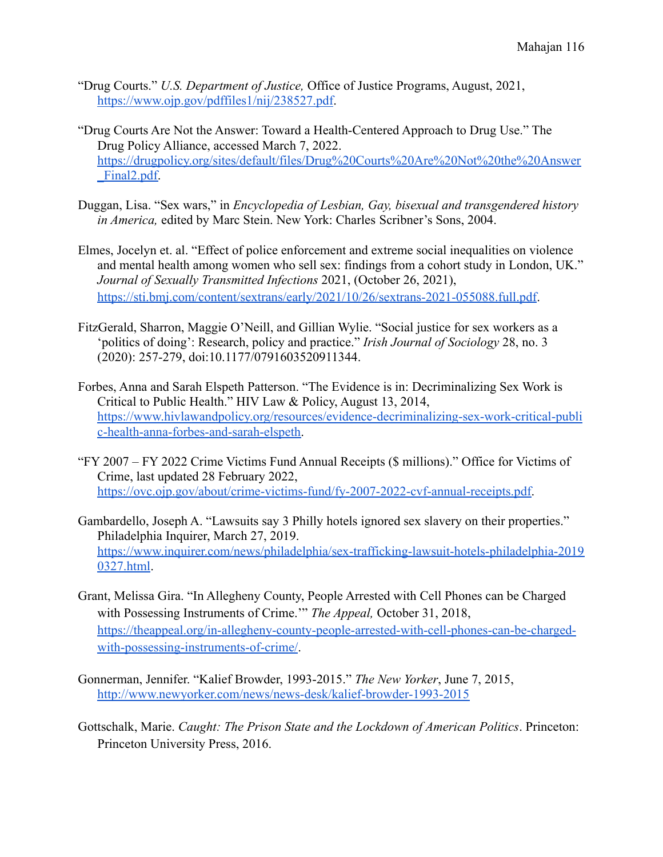- "Drug Courts." *U.S. Department of Justice,* Office of Justice Programs, August, 2021, [https://www.ojp.gov/pdffiles1/nij/238527.pdf.](https://www.ojp.gov/pdffiles1/nij/238527.pdf)
- "Drug Courts Are Not the Answer: Toward a Health-Centered Approach to Drug Use." The Drug Policy Alliance, accessed March 7, 2022. [https://drugpolicy.org/sites/default/files/Drug%20Courts%20Are%20Not%20the%20Answer](https://drugpolicy.org/sites/default/files/Drug%20Courts%20Are%20Not%20the%20Answer_Final2.pdf) Final2.pdf.
- Duggan, Lisa. "Sex wars," in *Encyclopedia of Lesbian, Gay, bisexual and transgendered history in America,* edited by Marc Stein. New York: Charles Scribner's Sons, 2004.
- Elmes, Jocelyn et. al. "Effect of police enforcement and extreme social inequalities on violence and mental health among women who sell sex: findings from a cohort study in London, UK." *Journal of Sexually Transmitted Infections* 2021, (October 26, 2021), [https://sti.bmj.com/content/sextrans/early/2021/10/26/sextrans-2021-055088.full.pdf.](https://sti.bmj.com/content/sextrans/early/2021/10/26/sextrans-2021-055088.full.pdf)
- FitzGerald, Sharron, Maggie O'Neill, and Gillian Wylie. "Social justice for sex workers as a 'politics of doing': Research, policy and practice." *Irish Journal of Sociology* 28, no. 3 (2020): 257-279, doi:10.1177/0791603520911344.
- Forbes, Anna and Sarah Elspeth Patterson. "The Evidence is in: Decriminalizing Sex Work is Critical to Public Health." HIV Law & Policy, August 13, 2014, [https://www.hivlawandpolicy.org/resources/evidence-decriminalizing-sex-work-critical-publi](https://www.hivlawandpolicy.org/resources/evidence-decriminalizing-sex-work-critical-public-health-anna-forbes-and-sarah-elspeth) [c-health-anna-forbes-and-sarah-elspeth.](https://www.hivlawandpolicy.org/resources/evidence-decriminalizing-sex-work-critical-public-health-anna-forbes-and-sarah-elspeth)
- "FY 2007 FY 2022 Crime Victims Fund Annual Receipts (\$ millions)." Office for Victims of Crime, last updated 28 February 2022, [https://ovc.ojp.gov/about/crime-victims-fund/fy-2007-2022-cvf-annual-receipts.pdf.](https://ovc.ojp.gov/about/crime-victims-fund/fy-2007-2022-cvf-annual-receipts.pdf)
- Gambardello, Joseph A. "Lawsuits say 3 Philly hotels ignored sex slavery on their properties." Philadelphia Inquirer, March 27, 2019. [https://www.inquirer.com/news/philadelphia/sex-trafficking-lawsuit-hotels-philadelphia-2019](https://www.inquirer.com/news/philadelphia/sex-trafficking-lawsuit-hotels-philadelphia-20190327.html) [0327.html](https://www.inquirer.com/news/philadelphia/sex-trafficking-lawsuit-hotels-philadelphia-20190327.html).
- Grant, Melissa Gira. "In Allegheny County, People Arrested with Cell Phones can be Charged with Possessing Instruments of Crime.'" *The Appeal,* October 31, 2018, [https://theappeal.org/in-allegheny-county-people-arrested-with-cell-phones-can-be-charged](https://theappeal.org/in-allegheny-county-people-arrested-with-cell-phones-can-be-charged-with-possessing-instruments-of-crime/)[with-possessing-instruments-of-crime/](https://theappeal.org/in-allegheny-county-people-arrested-with-cell-phones-can-be-charged-with-possessing-instruments-of-crime/).
- Gonnerman, Jennifer. "Kalief Browder, 1993-2015." *The New Yorker*, June 7, 2015, <http://www.newyorker.com/news/news-desk/kalief-browder-1993-2015>
- Gottschalk, Marie. *Caught: The Prison State and the Lockdown of American Politics*. Princeton: Princeton University Press, 2016.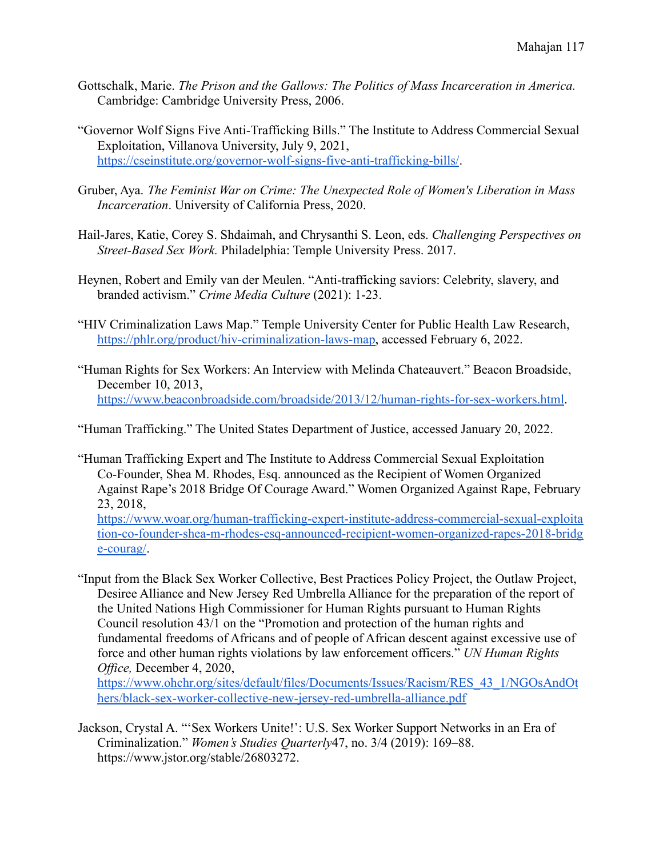- Gottschalk, Marie. *The Prison and the Gallows: The Politics of Mass Incarceration in America.* Cambridge: Cambridge University Press, 2006.
- "Governor Wolf Signs Five Anti-Trafficking Bills." The Institute to Address Commercial Sexual Exploitation, Villanova University, July 9, 2021, <https://cseinstitute.org/governor-wolf-signs-five-anti-trafficking-bills/>.
- Gruber, Aya. *The Feminist War on Crime: The Unexpected Role of Women's Liberation in Mass Incarceration*. University of California Press, 2020.
- Hail-Jares, Katie, Corey S. Shdaimah, and Chrysanthi S. Leon, eds. *Challenging Perspectives on Street-Based Sex Work.* Philadelphia: Temple University Press. 2017.
- Heynen, Robert and Emily van der Meulen. "Anti-trafficking saviors: Celebrity, slavery, and branded activism." *Crime Media Culture* (2021): 1-23.
- "HIV Criminalization Laws Map." Temple University Center for Public Health Law Research, [https://phlr.org/product/hiv-criminalization-laws-map,](https://phlr.org/product/hiv-criminalization-laws-map) accessed February 6, 2022.
- "Human Rights for Sex Workers: An Interview with Melinda Chateauvert." Beacon Broadside, December 10, 2013, <https://www.beaconbroadside.com/broadside/2013/12/human-rights-for-sex-workers.html>.

"Human Trafficking." The United States Department of Justice, accessed January 20, 2022.

"Human Trafficking Expert and The Institute to Address Commercial Sexual Exploitation Co-Founder, Shea M. Rhodes, Esq. announced as the Recipient of Women Organized Against Rape's 2018 Bridge Of Courage Award." Women Organized Against Rape, February 23, 2018, [https://www.woar.org/human-trafficking-expert-institute-address-commercial-sexual-exploita](https://www.woar.org/human-trafficking-expert-institute-address-commercial-sexual-exploitation-co-founder-shea-m-rhodes-esq-announced-recipient-women-organized-rapes-2018-bridge-courag/)

[tion-co-founder-shea-m-rhodes-esq-announced-recipient-women-organized-rapes-2018-bridg](https://www.woar.org/human-trafficking-expert-institute-address-commercial-sexual-exploitation-co-founder-shea-m-rhodes-esq-announced-recipient-women-organized-rapes-2018-bridge-courag/) [e-courag/](https://www.woar.org/human-trafficking-expert-institute-address-commercial-sexual-exploitation-co-founder-shea-m-rhodes-esq-announced-recipient-women-organized-rapes-2018-bridge-courag/).

"Input from the Black Sex Worker Collective, Best Practices Policy Project, the Outlaw Project, Desiree Alliance and New Jersey Red Umbrella Alliance for the preparation of the report of the United Nations High Commissioner for Human Rights pursuant to Human Rights Council resolution 43/1 on the "Promotion and protection of the human rights and fundamental freedoms of Africans and of people of African descent against excessive use of force and other human rights violations by law enforcement officers." *UN Human Rights Office,* December 4, 2020,

[https://www.ohchr.org/sites/default/files/Documents/Issues/Racism/RES\\_43\\_1/NGOsAndOt](https://www.ohchr.org/sites/default/files/Documents/Issues/Racism/RES_43_1/NGOsAndOthers/black-sex-worker-collective-new-jersey-red-umbrella-alliance.pdf) [hers/black-sex-worker-collective-new-jersey-red-umbrella-alliance.pdf](https://www.ohchr.org/sites/default/files/Documents/Issues/Racism/RES_43_1/NGOsAndOthers/black-sex-worker-collective-new-jersey-red-umbrella-alliance.pdf)

Jackson, Crystal A. "'Sex Workers Unite!': U.S. Sex Worker Support Networks in an Era of Criminalization." *Women's Studies Quarterly*47, no. 3/4 (2019): 169–88. https://www.jstor.org/stable/26803272.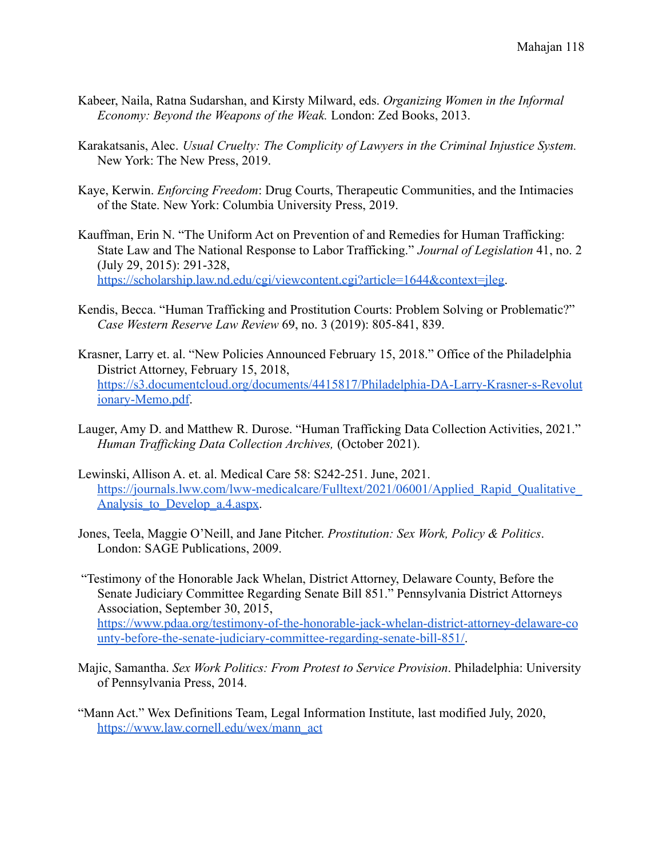- Kabeer, Naila, Ratna Sudarshan, and Kirsty Milward, eds. *Organizing Women in the Informal Economy: Beyond the Weapons of the Weak.* London: Zed Books, 2013.
- Karakatsanis, Alec. *Usual Cruelty: The Complicity of Lawyers in the Criminal Injustice System.* New York: The New Press, 2019.
- Kaye, Kerwin. *Enforcing Freedom*: Drug Courts, Therapeutic Communities, and the Intimacies of the State. New York: Columbia University Press, 2019.
- Kauffman, Erin N. "The Uniform Act on Prevention of and Remedies for Human Trafficking: State Law and The National Response to Labor Trafficking." *Journal of Legislation* 41, no. 2 (July 29, 2015): 291-328, [https://scholarship.law.nd.edu/cgi/viewcontent.cgi?article=1644&context=jleg.](https://scholarship.law.nd.edu/cgi/viewcontent.cgi?article=1644&context=jleg)
- Kendis, Becca. "Human Trafficking and Prostitution Courts: Problem Solving or Problematic?" *Case Western Reserve Law Review* 69, no. 3 (2019): 805-841, 839.
- Krasner, Larry et. al. "New Policies Announced February 15, 2018." Office of the Philadelphia District Attorney, February 15, 2018, [https://s3.documentcloud.org/documents/4415817/Philadelphia-DA-Larry-Krasner-s-Revolut](https://s3.documentcloud.org/documents/4415817/Philadelphia-DA-Larry-Krasner-s-Revolutionary-Memo.pdf) [ionary-Memo.pdf.](https://s3.documentcloud.org/documents/4415817/Philadelphia-DA-Larry-Krasner-s-Revolutionary-Memo.pdf)
- Lauger, Amy D. and Matthew R. Durose. "Human Trafficking Data Collection Activities, 2021." *Human Trafficking Data Collection Archives,* (October 2021).
- Lewinski, Allison A. et. al. Medical Care 58: S242-251. June, 2021. https://journals.lww.com/lww-medicalcare/Fulltext/2021/06001/Applied Rapid Qualitative Analysis to Develop a.4.aspx.
- Jones, Teela, Maggie O'Neill, and Jane Pitcher. *Prostitution: Sex Work, Policy & Politics*. London: SAGE Publications, 2009.
- "Testimony of the Honorable Jack Whelan, District Attorney, Delaware County, Before the Senate Judiciary Committee Regarding Senate Bill 851." Pennsylvania District Attorneys Association, September 30, 2015, [https://www.pdaa.org/testimony-of-the-honorable-jack-whelan-district-attorney-delaware-co](https://www.pdaa.org/testimony-of-the-honorable-jack-whelan-district-attorney-delaware-county-before-the-senate-judiciary-committee-regarding-senate-bill-851/) [unty-before-the-senate-judiciary-committee-regarding-senate-bill-851/](https://www.pdaa.org/testimony-of-the-honorable-jack-whelan-district-attorney-delaware-county-before-the-senate-judiciary-committee-regarding-senate-bill-851/).
- Majic, Samantha. *Sex Work Politics: From Protest to Service Provision*. Philadelphia: University of Pennsylvania Press, 2014.
- "Mann Act." Wex Definitions Team, Legal Information Institute, last modified July, 2020, [https://www.law.cornell.edu/wex/mann\\_act](https://www.law.cornell.edu/wex/mann_act)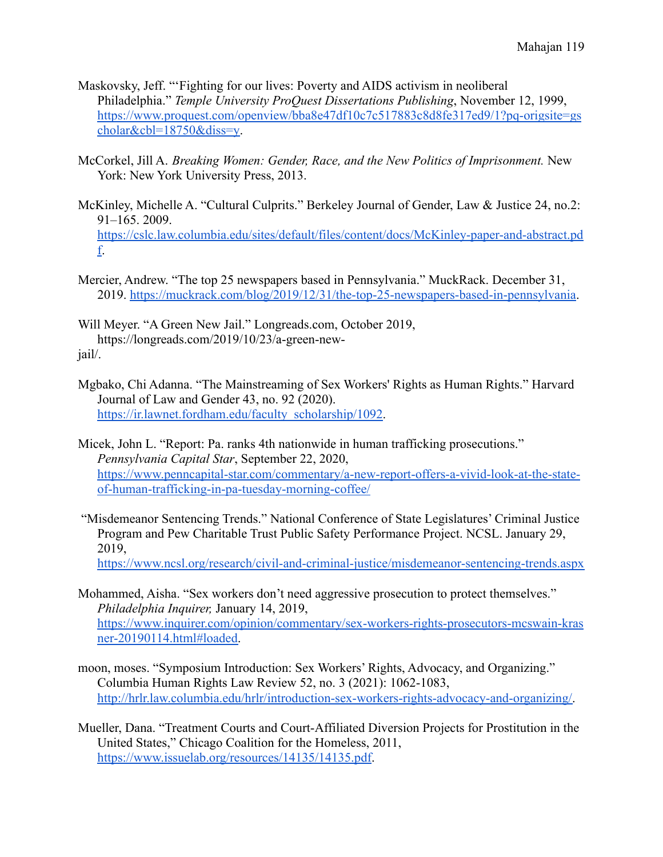Maskovsky, Jeff. "'Fighting for our lives: Poverty and AIDS activism in neoliberal Philadelphia." *Temple University ProQuest Dissertations Publishing*, November 12, 1999, [https://www.proquest.com/openview/bba8e47df10c7c517883c8d8fe317ed9/1?pq-origsite=gs](https://www.proquest.com/openview/bba8e47df10c7c517883c8d8fe317ed9/1?pq-origsite=gscholar&cbl=18750&diss=y) [cholar&cbl=18750&diss=y.](https://www.proquest.com/openview/bba8e47df10c7c517883c8d8fe317ed9/1?pq-origsite=gscholar&cbl=18750&diss=y)

- McCorkel, Jill A. *Breaking Women: Gender, Race, and the New Politics of Imprisonment.* New York: New York University Press, 2013.
- McKinley, Michelle A. "Cultural Culprits." Berkeley Journal of Gender, Law & Justice 24, no.2: 91–165. 2009. [https://cslc.law.columbia.edu/sites/default/files/content/docs/McKinley-paper-and-abstract.pd](https://cslc.law.columbia.edu/sites/default/files/content/docs/McKinley-paper-and-abstract.pdf) [f.](https://cslc.law.columbia.edu/sites/default/files/content/docs/McKinley-paper-and-abstract.pdf)
- Mercier, Andrew. "The top 25 newspapers based in Pennsylvania." MuckRack. December 31, 2019. <https://muckrack.com/blog/2019/12/31/the-top-25-newspapers-based-in-pennsylvania>.

Will Meyer. "A Green New Jail." Longreads.com, October 2019, https://longreads.com/2019/10/23/a-green-newjail/.

- Mgbako, Chi Adanna. "The Mainstreaming of Sex Workers' Rights as Human Rights." Harvard Journal of Law and Gender 43, no. 92 (2020). [https://ir.lawnet.fordham.edu/faculty\\_scholarship/1092.](https://ir.lawnet.fordham.edu/faculty_scholarship/1092)
- Micek, John L. "Report: Pa. ranks 4th nationwide in human trafficking prosecutions." *Pennsylvania Capital Star*, September 22, 2020, [https://www.penncapital-star.com/commentary/a-new-report-offers-a-vivid-look-at-the-state](https://www.penncapital-star.com/commentary/a-new-report-offers-a-vivid-look-at-the-state-of-human-trafficking-in-pa-tuesday-morning-coffee/)[of-human-trafficking-in-pa-tuesday-morning-coffee/](https://www.penncapital-star.com/commentary/a-new-report-offers-a-vivid-look-at-the-state-of-human-trafficking-in-pa-tuesday-morning-coffee/)
- "Misdemeanor Sentencing Trends." National Conference of State Legislatures' Criminal Justice Program and Pew Charitable Trust Public Safety Performance Project. NCSL. January 29, 2019,

<https://www.ncsl.org/research/civil-and-criminal-justice/misdemeanor-sentencing-trends.aspx>

- Mohammed, Aisha. "Sex workers don't need aggressive prosecution to protect themselves." *Philadelphia Inquirer,* January 14, 2019, [https://www.inquirer.com/opinion/commentary/sex-workers-rights-prosecutors-mcswain-kras](https://www.inquirer.com/opinion/commentary/sex-workers-rights-prosecutors-mcswain-krasner-20190114.html#loaded) [ner-20190114.html#loaded.](https://www.inquirer.com/opinion/commentary/sex-workers-rights-prosecutors-mcswain-krasner-20190114.html#loaded)
- moon, moses. "Symposium Introduction: Sex Workers' Rights, Advocacy, and Organizing." Columbia Human Rights Law Review 52, no. 3 (2021): 1062-1083, [http://hrlr.law.columbia.edu/hrlr/introduction-sex-workers-rights-advocacy-and-organizing/.](http://hrlr.law.columbia.edu/hrlr/introduction-sex-workers-rights-advocacy-and-organizing/)
- Mueller, Dana. "Treatment Courts and Court-Affiliated Diversion Projects for Prostitution in the United States," Chicago Coalition for the Homeless, 2011, <https://www.issuelab.org/resources/14135/14135.pdf>.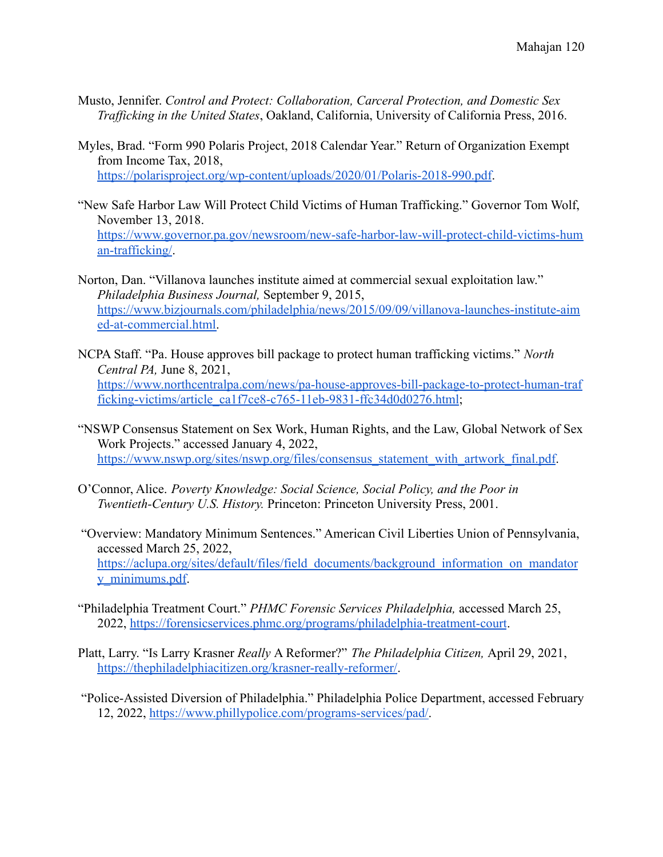- Musto, Jennifer. *Control and Protect: Collaboration, Carceral Protection, and Domestic Sex Trafficking in the United States*, Oakland, California, University of California Press, 2016.
- Myles, Brad. "Form 990 Polaris Project, 2018 Calendar Year." Return of Organization Exempt from Income Tax, 2018, <https://polarisproject.org/wp-content/uploads/2020/01/Polaris-2018-990.pdf>.
- "New Safe Harbor Law Will Protect Child Victims of Human Trafficking." Governor Tom Wolf, November 13, 2018. [https://www.governor.pa.gov/newsroom/new-safe-harbor-law-will-protect-child-victims-hum](https://www.governor.pa.gov/newsroom/new-safe-harbor-law-will-protect-child-victims-human-trafficking/) [an-trafficking/](https://www.governor.pa.gov/newsroom/new-safe-harbor-law-will-protect-child-victims-human-trafficking/).
- Norton, Dan. "Villanova launches institute aimed at commercial sexual exploitation law." *Philadelphia Business Journal,* September 9, 2015, [https://www.bizjournals.com/philadelphia/news/2015/09/09/villanova-launches-institute-aim](https://www.bizjournals.com/philadelphia/news/2015/09/09/villanova-launches-institute-aimed-at-commercial.html) [ed-at-commercial.html.](https://www.bizjournals.com/philadelphia/news/2015/09/09/villanova-launches-institute-aimed-at-commercial.html)
- NCPA Staff. "Pa. House approves bill package to protect human trafficking victims." *North Central PA,* June 8, 2021, [https://www.northcentralpa.com/news/pa-house-approves-bill-package-to-protect-human-traf](https://www.northcentralpa.com/news/pa-house-approves-bill-package-to-protect-human-trafficking-victims/article_ca1f7ce8-c765-11eb-9831-ffc34d0d0276.html) [ficking-victims/article\\_ca1f7ce8-c765-11eb-9831-ffc34d0d0276.html](https://www.northcentralpa.com/news/pa-house-approves-bill-package-to-protect-human-trafficking-victims/article_ca1f7ce8-c765-11eb-9831-ffc34d0d0276.html);
- "NSWP Consensus Statement on Sex Work, Human Rights, and the Law, Global Network of Sex Work Projects." accessed January 4, 2022, [https://www.nswp.org/sites/nswp.org/files/consensus\\_statement\\_with\\_artwork\\_final.pdf](https://www.nswp.org/sites/nswp.org/files/consensus_statement_with_artwork_final.pdf).
- O'Connor, Alice. *Poverty Knowledge: Social Science, Social Policy, and the Poor in Twentieth-Century U.S. History.* Princeton: Princeton University Press, 2001.
- "Overview: Mandatory Minimum Sentences." American Civil Liberties Union of Pennsylvania, accessed March 25, 2022, [https://aclupa.org/sites/default/files/field\\_documents/background\\_information\\_on\\_mandator](https://aclupa.org/sites/default/files/field_documents/background_information_on_mandatory_minimums.pdf) [y\\_minimums.pdf](https://aclupa.org/sites/default/files/field_documents/background_information_on_mandatory_minimums.pdf).
- "Philadelphia Treatment Court." *PHMC Forensic Services Philadelphia,* accessed March 25, 2022, <https://forensicservices.phmc.org/programs/philadelphia-treatment-court>.
- Platt, Larry. "Is Larry Krasner *Really* A Reformer?" *The Philadelphia Citizen,* April 29, 2021, <https://thephiladelphiacitizen.org/krasner-really-reformer/>.
- "Police-Assisted Diversion of Philadelphia." Philadelphia Police Department, accessed February 12, 2022, [https://www.phillypolice.com/programs-services/pad/.](https://www.phillypolice.com/programs-services/pad/)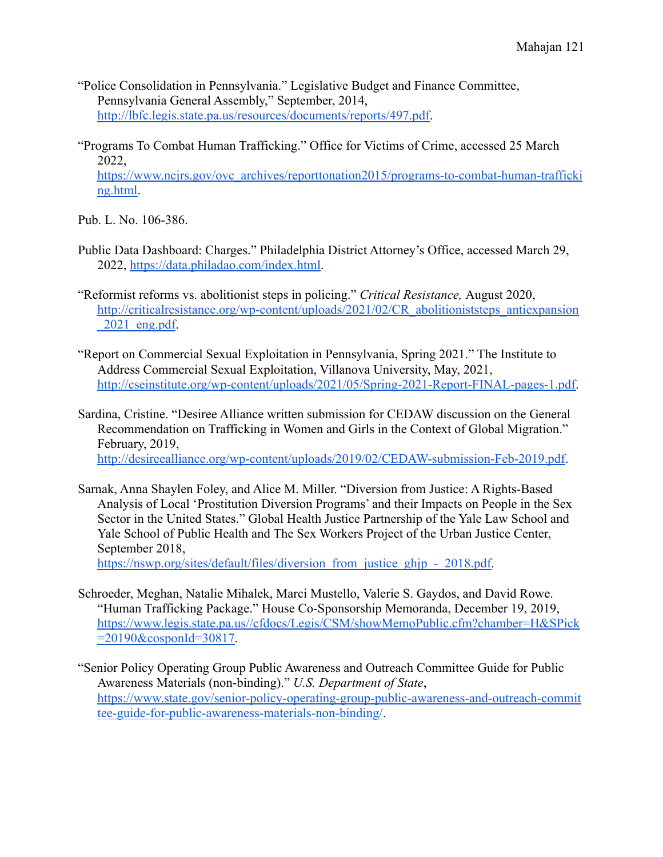- "Police Consolidation in Pennsylvania." Legislative Budget and Finance Committee, Pennsylvania General Assembly," September, 2014, [http://lbfc.legis.state.pa.us/resources/documents/reports/497.pdf.](http://lbfc.legis.state.pa.us/resources/documents/reports/497.pdf)
- "Programs To Combat Human Trafficking." Office for Victims of Crime, accessed 25 March 2022, [https://www.ncjrs.gov/ovc\\_archives/reporttonation2015/programs-to-combat-human-trafficki](https://www.ncjrs.gov/ovc_archives/reporttonation2015/programs-to-combat-human-trafficking.html) [ng.html](https://www.ncjrs.gov/ovc_archives/reporttonation2015/programs-to-combat-human-trafficking.html).

Pub. L. No. 106-386.

- Public Data Dashboard: Charges." Philadelphia District Attorney's Office, accessed March 29, 2022, <https://data.philadao.com/index.html>.
- "Reformist reforms vs. abolitionist steps in policing." *Critical Resistance,* August 2020, [http://criticalresistance.org/wp-content/uploads/2021/02/CR\\_abolitioniststeps\\_antiexpansion](http://criticalresistance.org/wp-content/uploads/2021/02/CR_abolitioniststeps_antiexpansion_2021_eng.pdf) [\\_2021\\_eng.pdf](http://criticalresistance.org/wp-content/uploads/2021/02/CR_abolitioniststeps_antiexpansion_2021_eng.pdf).
- "Report on Commercial Sexual Exploitation in Pennsylvania, Spring 2021." The Institute to Address Commercial Sexual Exploitation, Villanova University, May, 2021, [http://cseinstitute.org/wp-content/uploads/2021/05/Spring-2021-Report-FINAL-pages-1.pdf.](http://cseinstitute.org/wp-content/uploads/2021/05/Spring-2021-Report-FINAL-pages-1.pdf)
- Sardina, Cristine. "Desiree Alliance written submission for CEDAW discussion on the General Recommendation on Trafficking in Women and Girls in the Context of Global Migration." February, 2019, <http://desireealliance.org/wp-content/uploads/2019/02/CEDAW-submission-Feb-2019.pdf>.
- Sarnak, Anna Shaylen Foley, and Alice M. Miller. "Diversion from Justice: A Rights-Based Analysis of Local 'Prostitution Diversion Programs' and their Impacts on People in the Sex Sector in the United States." Global Health Justice Partnership of the Yale Law School and Yale School of Public Health and The Sex Workers Project of the Urban Justice Center, September 2018,

[https://nswp.org/sites/default/files/diversion\\_from\\_justice\\_ghjp\\_-\\_2018.pdf.](https://nswp.org/sites/default/files/diversion_from_justice_ghjp_-_2018.pdf)

- Schroeder, Meghan, Natalie Mihalek, Marci Mustello, Valerie S. Gaydos, and David Rowe. "Human Trafficking Package." House Co-Sponsorship Memoranda, December 19, 2019, [https://www.legis.state.pa.us//cfdocs/Legis/CSM/showMemoPublic.cfm?chamber=H&SPick](https://www.legis.state.pa.us//cfdocs/Legis/CSM/showMemoPublic.cfm?chamber=H&SPick=20190&cosponId=30817) [=20190&cosponId=30817.](https://www.legis.state.pa.us//cfdocs/Legis/CSM/showMemoPublic.cfm?chamber=H&SPick=20190&cosponId=30817)
- "Senior Policy Operating Group Public Awareness and Outreach Committee Guide for Public Awareness Materials (non-binding)." *U.S. Department of State*, [https://www.state.gov/senior-policy-operating-group-public-awareness-and-outreach-commit](https://www.state.gov/senior-policy-operating-group-public-awareness-and-outreach-committee-guide-for-public-awareness-materials-non-binding/) [tee-guide-for-public-awareness-materials-non-binding/.](https://www.state.gov/senior-policy-operating-group-public-awareness-and-outreach-committee-guide-for-public-awareness-materials-non-binding/)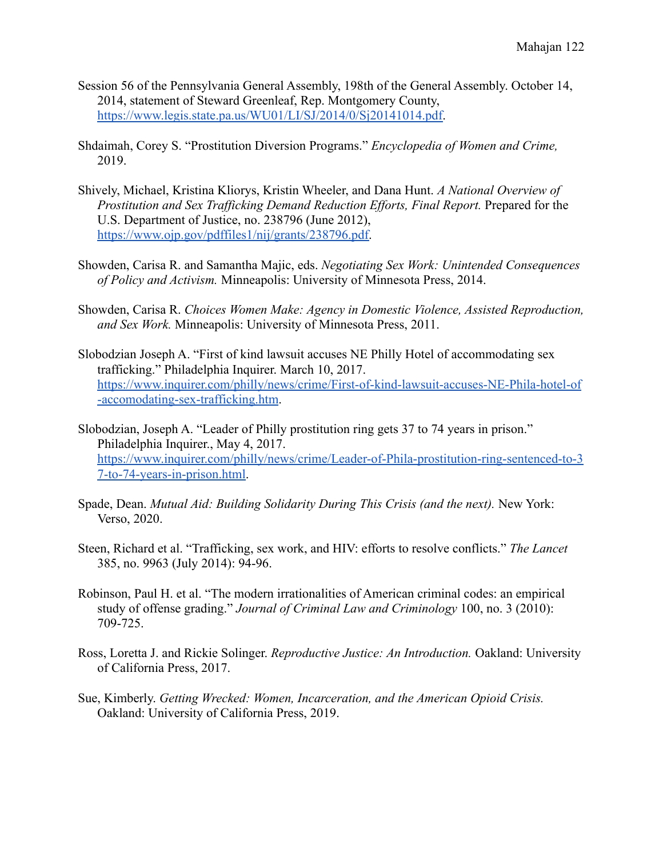- Session 56 of the Pennsylvania General Assembly, 198th of the General Assembly. October 14, 2014, statement of Steward Greenleaf, Rep. Montgomery County, [https://www.legis.state.pa.us/WU01/LI/SJ/2014/0/Sj20141014.pdf.](https://www.legis.state.pa.us/WU01/LI/SJ/2014/0/Sj20141014.pdf)
- Shdaimah, Corey S. "Prostitution Diversion Programs." *Encyclopedia of Women and Crime,* 2019.
- Shively, Michael, Kristina Kliorys, Kristin Wheeler, and Dana Hunt. *A National Overview of Prostitution and Sex Trafficking Demand Reduction Efforts, Final Report.* Prepared for the U.S. Department of Justice, no. 238796 (June 2012), [https://www.ojp.gov/pdffiles1/nij/grants/238796.pdf.](https://www.ojp.gov/pdffiles1/nij/grants/238796.pdf)
- Showden, Carisa R. and Samantha Majic, eds. *Negotiating Sex Work: Unintended Consequences of Policy and Activism.* Minneapolis: University of Minnesota Press, 2014.
- Showden, Carisa R. *Choices Women Make: Agency in Domestic Violence, Assisted Reproduction, and Sex Work.* Minneapolis: University of Minnesota Press, 2011.
- Slobodzian Joseph A. "First of kind lawsuit accuses NE Philly Hotel of accommodating sex trafficking." Philadelphia Inquirer. March 10, 2017. [https://www.inquirer.com/philly/news/crime/First-of-kind-lawsuit-accuses-NE-Phila-hotel-of](https://www.inquirer.com/philly/news/crime/First-of-kind-lawsuit-accuses-NE-Phila-hotel-of-accomodating-sex-trafficking.html) [-accomodating-sex-trafficking.htm](https://www.inquirer.com/philly/news/crime/First-of-kind-lawsuit-accuses-NE-Phila-hotel-of-accomodating-sex-trafficking.html).
- Slobodzian, Joseph A. "Leader of Philly prostitution ring gets 37 to 74 years in prison." Philadelphia Inquirer., May 4, 2017. [https://www.inquirer.com/philly/news/crime/Leader-of-Phila-prostitution-ring-sentenced-to-3](https://www.inquirer.com/philly/news/crime/Leader-of-Phila-prostitution-ring-sentenced-to-37-to-74-years-in-prison.html) [7-to-74-years-in-prison.html.](https://www.inquirer.com/philly/news/crime/Leader-of-Phila-prostitution-ring-sentenced-to-37-to-74-years-in-prison.html)
- Spade, Dean. *Mutual Aid: Building Solidarity During This Crisis (and the next).* New York: Verso, 2020.
- Steen, Richard et al. "Trafficking, sex work, and HIV: efforts to resolve conflicts." *The Lancet* 385, no. 9963 (July 2014): 94-96.
- Robinson, Paul H. et al. "The modern irrationalities of American criminal codes: an empirical study of offense grading." *Journal of Criminal Law and Criminology* 100, no. 3 (2010): 709-725.
- Ross, Loretta J. and Rickie Solinger. *Reproductive Justice: An Introduction.* Oakland: University of California Press, 2017.
- Sue, Kimberly. *Getting Wrecked: Women, Incarceration, and the American Opioid Crisis.* Oakland: University of California Press, 2019.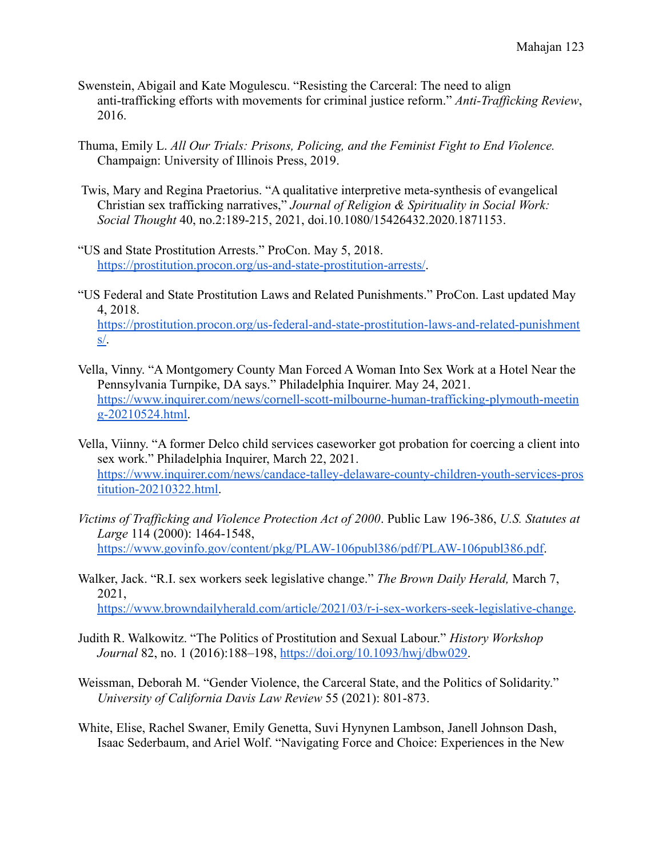- Swenstein, Abigail and Kate Mogulescu. "Resisting the Carceral: The need to align anti-trafficking efforts with movements for criminal justice reform." *Anti-Trafficking Review*, 2016.
- Thuma, Emily L. *All Our Trials: Prisons, Policing, and the Feminist Fight to End Violence.* Champaign: University of Illinois Press, 2019.
- Twis, Mary and Regina Praetorius. "A qualitative interpretive meta-synthesis of evangelical Christian sex trafficking narratives," *Journal of Religion & Spirituality in Social Work: Social Thought* 40, no.2:189-215, 2021, doi.10.1080/15426432.2020.1871153.
- "US and State Prostitution Arrests." ProCon. May 5, 2018. <https://prostitution.procon.org/us-and-state-prostitution-arrests/>.
- "US Federal and State Prostitution Laws and Related Punishments." ProCon. Last updated May 4, 2018. [https://prostitution.procon.org/us-federal-and-state-prostitution-laws-and-related-punishment](https://prostitution.procon.org/us-federal-and-state-prostitution-laws-and-related-punishments/) [s/](https://prostitution.procon.org/us-federal-and-state-prostitution-laws-and-related-punishments/).
- Vella, Vinny. "A Montgomery County Man Forced A Woman Into Sex Work at a Hotel Near the Pennsylvania Turnpike, DA says." Philadelphia Inquirer. May 24, 2021. [https://www.inquirer.com/news/cornell-scott-milbourne-human-trafficking-plymouth-meetin](https://www.inquirer.com/news/cornell-scott-milbourne-human-trafficking-plymouth-meeting-20210524.html) [g-20210524.html.](https://www.inquirer.com/news/cornell-scott-milbourne-human-trafficking-plymouth-meeting-20210524.html)
- Vella, Viinny. "A former Delco child services caseworker got probation for coercing a client into sex work." Philadelphia Inquirer, March 22, 2021. [https://www.inquirer.com/news/candace-talley-delaware-county-children-youth-services-pros](https://www.inquirer.com/news/candace-talley-delaware-county-children-youth-services-prostitution-20210322.html) [titution-20210322.html.](https://www.inquirer.com/news/candace-talley-delaware-county-children-youth-services-prostitution-20210322.html)
- *Victims of Trafficking and Violence Protection Act of 2000*. Public Law 196-386, *U.S. Statutes at Large* 114 (2000): 1464-1548, <https://www.govinfo.gov/content/pkg/PLAW-106publ386/pdf/PLAW-106publ386.pdf>.
- Walker, Jack. "R.I. sex workers seek legislative change." *The Brown Daily Herald,* March 7, 2021, [https://www.browndailyherald.com/article/2021/03/r-i-sex-workers-seek-legislative-change.](https://www.browndailyherald.com/article/2021/03/r-i-sex-workers-seek-legislative-change)
- Judith R. Walkowitz. "The Politics of Prostitution and Sexual Labour." *History Workshop Journal* 82, no. 1 (2016):188–198, [https://doi.org/10.1093/hwj/dbw029.](https://doi.org/10.1093/hwj/dbw029)
- Weissman, Deborah M. "Gender Violence, the Carceral State, and the Politics of Solidarity." *University of California Davis Law Review* 55 (2021): 801-873.
- White, Elise, Rachel Swaner, Emily Genetta, Suvi Hynynen Lambson, Janell Johnson Dash, Isaac Sederbaum, and Ariel Wolf. "Navigating Force and Choice: Experiences in the New